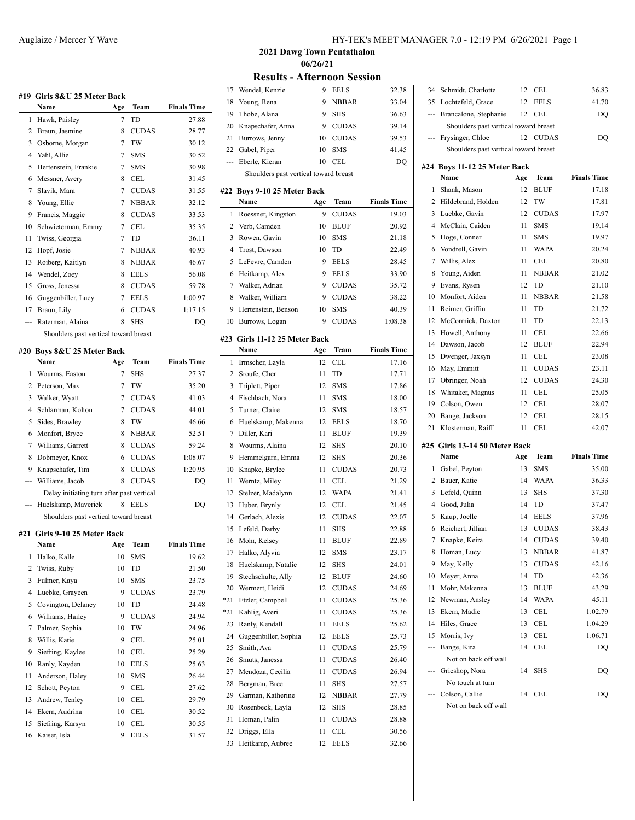|     | #19 Girls 8&U 25 Meter Back           |     |              |                    |
|-----|---------------------------------------|-----|--------------|--------------------|
|     | Name                                  | Age | Team         | <b>Finals Time</b> |
| 1   | Hawk, Paisley                         | 7   | TD           | 27.88              |
| 2   | Braun, Jasmine                        | 8   | <b>CUDAS</b> | 28.77              |
| 3   | Osborne, Morgan                       | 7   | TW           | 30.12              |
| 4   | Yahl, Allie                           | 7   | <b>SMS</b>   | 30.52              |
| 5   | Hertenstein, Frankie                  | 7   | <b>SMS</b>   | 30.98              |
| 6   | Messner, Avery                        | 8   | CEL          | 31.45              |
| 7   | Slavik, Mara                          | 7   | <b>CUDAS</b> | 31.55              |
| 8   | Young, Ellie                          | 7   | <b>NBBAR</b> | 32.12              |
| 9   | Francis, Maggie                       | 8   | <b>CUDAS</b> | 33.53              |
| 10  | Schwieterman, Emmy                    | 7   | CEL          | 35.35              |
| 11  | Twiss, Georgia                        | 7   | TD           | 36.11              |
| 12  | Hopf, Josie                           | 7   | <b>NBBAR</b> | 40.93              |
| 13  | Roiberg, Kaitlyn                      | 8   | <b>NBBAR</b> | 46.67              |
|     | 14 Wendel, Zoey                       | 8   | <b>EELS</b>  | 56.08              |
| 15  | Gross, Jenessa                        | 8   | <b>CUDAS</b> | 59.78              |
|     | 16 Guggenbiller, Lucy                 |     | 7 EELS       | 1:00.97            |
| 17  | Braun, Lily                           | 6   | <b>CUDAS</b> | 1:17.15            |
| --- | Raterman, Alaina                      | 8   | <b>SHS</b>   | DQ                 |
|     | Shoulders past vertical toward breast |     |              |                    |
|     | #20 Boys 8&U 25 Meter Back            |     |              |                    |
|     | Name                                  | Age | Team         | <b>Finals Time</b> |
| 1   | Wourms, Easton                        | 7   | SHS          | 27.37              |
| 2   | Peterson, Max                         | 7   | TW           | 35.20              |
| 3   | Walker, Wyatt                         | 7   | <b>CUDAS</b> | 41.03              |
| 4   | Schlarman, Kolton                     | 7   | <b>CUDAS</b> | 44.01              |
| 5   | Sides, Brawley                        | 8   | TW           | 46.66              |
| 6   | Monfort, Bryce                        | 8   | <b>NBBAR</b> | 52.51              |
| 7   | Williams, Garrett                     | 8   | <b>CUDAS</b> | 59.24              |
| 8   | Dobmeyer, Knox                        | 6   | <b>CUDAS</b> | 1:08.07            |

9 Knapschafer, Tim 8 CUDAS 1:20.95 --- Williams, Jacob 8 CUDAS DQ Delay initiating turn after past vertical --- Huelskamp, Maverick 8 EELS DQ

**Name Age Team Finals Time** Halko, Kalle 10 SMS 19.62 Twiss, Ruby 10 TD 21.50 Fulmer, Kaya 10 SMS 23.75 Luebke, Graycen 9 CUDAS 23.79 Covington, Delaney 10 TD 24.48 Williams, Hailey 9 CUDAS 24.94 Palmer, Sophia 10 TW 24.96 Willis, Katie 9 CEL 25.01 Siefring, Kaylee 10 CEL 25.29 Ranly, Kayden 10 EELS 25.63 Anderson, Haley 10 SMS 26.44 Schott, Peyton 9 CEL 27.62 Andrew, Tenley 10 CEL 29.79 Ekern, Audrina 10 CEL 30.52 Siefring, Karsyn 10 CEL 30.55 16 Kaiser, Isla 9 EELS 31.57

Shoulders past vertical toward breast

**#21 Girls 9-10 25 Meter Back**

Auglaize / Mercer Y Wave HY-TEK's MEET MANAGER 7.0 - 12:19 PM 6/26/2021 Page 1

**2021 Dawg Town Pentathalon 06/26/21**

#### **Results - Afternoon Session**

|     |                                       | ◡-  | <br><b>DEPAID</b> |                    |
|-----|---------------------------------------|-----|-------------------|--------------------|
| 17  | Wendel, Kenzie                        | 9   | <b>EELS</b>       | 32.38              |
| 18  | Young, Rena                           | 9   | <b>NBBAR</b>      | 33.04              |
| 19  | Thobe, Alana                          | 9   | <b>SHS</b>        | 36.63              |
| 20  | Knapschafer, Anna                     | 9   | <b>CUDAS</b>      | 39.14              |
| 21  | Burrows, Jenny                        | 10  | <b>CUDAS</b>      | 39.53              |
| 22  | Gabel, Piper                          | 10  | <b>SMS</b>        | 41.45              |
| --- | Eberle, Kieran                        | 10  | CEL               | DQ                 |
|     | Shoulders past vertical toward breast |     |                   |                    |
|     |                                       |     |                   |                    |
| #22 | Boys 9-10 25 Meter Back               |     |                   |                    |
|     | Name                                  | Age | Team              | <b>Finals Time</b> |
| 1   | Roessner, Kingston                    | 9   | <b>CUDAS</b>      | 19.03              |
| 2   | Verb, Camden                          | 10  | <b>BLUF</b>       | 20.92              |
| 3   | Rowen, Gavin                          | 10  | <b>SMS</b>        | 21.18              |
| 4   | Trost, Dawson                         | 10  | TD                | 22.49              |
| 5   | LeFevre, Camden                       | 9   | <b>EELS</b>       | 28.45              |
| 6   | Heitkamp, Alex                        | 9   | <b>EELS</b>       | 33.90              |
| 7   | Walker, Adrian                        | 9   | <b>CUDAS</b>      | 35.72              |
| 8   | Walker, William                       | 9   | <b>CUDAS</b>      | 38.22              |
| 9   | Hertenstein, Benson                   | 10  | <b>SMS</b>        | 40.39              |
| 10  | Burrows, Logan                        | 9   | <b>CUDAS</b>      | 1:08.38            |
|     | #23 Girls 11-12 25 Meter Back         |     |                   |                    |
|     | Name                                  | Age | Team              | <b>Finals Time</b> |
| 1   | Irmscher, Layla                       | 12  | CEL               | 17.16              |
| 2   | Sroufe, Cher                          | 11  | TD                | 17.71              |
| 3   | Triplett, Piper                       | 12  | <b>SMS</b>        | 17.86              |
| 4   | Fischbach, Nora                       | 11  | SMS               | 18.00              |
| 5   | Turner, Claire                        | 12  | SMS               | 18.57              |
| 6   | Huelskamp, Makenna                    | 12  | <b>EELS</b>       | 18.70              |
| 7   | Diller, Kari                          | 11  | <b>BLUF</b>       | 19.39              |
| 8   | Wourms, Alaina                        | 12  | <b>SHS</b>        | 20.10              |
| 9   | Hemmelgarn, Emma                      | 12  | <b>SHS</b>        | 20.36              |
| 10  | Knapke, Brylee                        | 11  | <b>CUDAS</b>      | 20.73              |
| 11  | Werntz, Miley                         | 11  | <b>CEL</b>        | 21.29              |
| 12  | Stelzer, Madalynn                     | 12  | <b>WAPA</b>       | 21.41              |
| 13  | Huber, Brynly                         | 12  | CEL               | 21.45              |
| 14  | Gerlach, Alexis                       | 12  | <b>CUDAS</b>      | 22.07              |
| 15  | Lefeld, Darby                         | 11  | <b>SHS</b>        | 22.88              |
| 16  | Mohr, Kelsey                          | 11  | <b>BLUF</b>       | 22.89              |
| 17  | Halko, Alyvia                         | 12  | <b>SMS</b>        | 23.17              |
| 18  | Huelskamp, Natalie                    | 12  | SHS               | 24.01              |
| 19  | Stechschulte, Ally                    | 12  | <b>BLUF</b>       | 24.60              |
| 20  | Wermert, Heidi                        | 12  | <b>CUDAS</b>      | 24.69              |
| *21 | Etzler, Campbell                      | 11  | <b>CUDAS</b>      | 25.36              |
| *21 | Kahlig, Averi                         | 11  | <b>CUDAS</b>      | 25.36              |
| 23  | Ranly, Kendall                        | 11  | <b>EELS</b>       | 25.62              |
|     |                                       |     |                   |                    |
| 24  | Guggenbiller, Sophia                  | 12  | <b>EELS</b>       | 25.73              |
| 25  | Smith, Ava                            | 11  | <b>CUDAS</b>      | 25.79              |
| 26  | Smuts, Janessa                        | 11  | <b>CUDAS</b>      | 26.40              |
| 27  | Mendoza, Cecilia                      | 11  | <b>CUDAS</b>      | 26.94              |
| 28  | Bergman, Bree                         | 11  | SHS               | 27.57              |
| 29  | Garman, Katherine                     | 12  | <b>NBBAR</b>      | 27.79              |
| 30  | Rosenbeck, Layla                      | 12  | SHS               | 28.85              |
| 31  | Homan, Palin                          | 11  | <b>CUDAS</b>      | 28.88              |
| 32  | Driggs, Ella                          | 11  | CEL               | 30.56              |
| 33  | Heitkamp, Aubree                      | 12  | EELS              | 32.66              |

|                | Brancalone, Stephanie                 | 12  | CEL          | DQ                 |
|----------------|---------------------------------------|-----|--------------|--------------------|
|                | Shoulders past vertical toward breast |     |              |                    |
|                | Frysinger, Chloe                      | 12  | <b>CUDAS</b> | DQ                 |
|                | Shoulders past vertical toward breast |     |              |                    |
|                | #24 Boys 11-12 25 Meter Back          |     |              |                    |
|                | Name                                  | Age | Team         | <b>Finals Time</b> |
| 1              | Shank, Mason                          | 12  | <b>BLUF</b>  | 17.18              |
| 2              | Hildebrand, Holden                    | 12  | TW           | 17.81              |
| 3              | Luebke, Gavin                         | 12  | <b>CUDAS</b> | 17.97              |
| 4              | McClain, Caiden                       | 11  | <b>SMS</b>   | 19.14              |
| 5              | Hoge, Conner                          | 11  | <b>SMS</b>   | 19.97              |
| 6              | Vondrell, Gavin                       | 11  | <b>WAPA</b>  | 20.24              |
| 7              | Willis, Alex                          | 11  | CEL          | 20.80              |
| 8              | Young, Aiden                          | 11  | <b>NBBAR</b> | 21.02              |
| 9              | Evans, Rysen                          | 12  | TD           | 21.10              |
| 10             | Monfort, Aiden                        | 11  | <b>NBBAR</b> | 21.58              |
| 11             | Reimer, Griffin                       | 11  | TD           | 21.72              |
| 12             | McCormick, Daxton                     | 11  | TD           | 22.13              |
| 13             | Howell, Anthony                       | 11  | CEL          | 22.66              |
| 14             | Dawson, Jacob                         | 12  | BLUF         | 22.94              |
| 15             | Dwenger, Jaxsyn                       | 11  | CEL          | 23.08              |
| 16             | May, Emmitt                           | 11  | <b>CUDAS</b> | 23.11              |
| 17             | Obringer, Noah                        | 12  | <b>CUDAS</b> | 24.30              |
| 18             | Whitaker, Magnus                      | 11  | CEL          | 25.05              |
| 19             | Colson, Owen                          | 12  | CEL          | 28.07              |
| 20             | Bange, Jackson                        | 12  | CEL          | 28.15              |
|                |                                       |     |              |                    |
|                |                                       |     |              |                    |
| 21             | Klosterman, Raiff                     | 11  | CEL          | 42.07              |
|                | #25 Girls 13-14 50 Meter Back         |     |              |                    |
|                | Name                                  | Age | Team         | <b>Finals Time</b> |
| 1              | Gabel, Peyton                         | 13  | SMS          | 35.00              |
| 2              | Bauer, Katie                          | 14  | WAPA         | 36.33              |
| 3              | Lefeld, Quinn                         | 13  | <b>SHS</b>   | 37.30              |
| $\overline{4}$ | Good, Julia                           | 14  | TD           | 37.47              |
| 5              | Kaup, Joelle                          | 14  | <b>EELS</b>  | 37.96              |
| 6              | Reichert, Jillian                     | 13  | <b>CUDAS</b> | 38.43              |
| 7              | Knapke, Keira                         | 14  | <b>CUDAS</b> | 39.40              |
| 8              | Homan, Lucy                           | 13  | NBBAR        | 41.87              |
| 9              | May, Kelly                            | 13  | <b>CUDAS</b> | 42.16              |
| 10             | Meyer, Anna                           | 14  | TD           | 42.36              |
| 11             | Mohr, Makenna                         | 13  | BLUF         | 43.29              |
| 12             | Newman, Ansley                        | 14  | <b>WAPA</b>  | 45.11              |
| 13             | Ekern, Madie                          | 13  | CEL          | 1:02.79            |
| 14             | Hiles, Grace                          | 13  | CEL          | 1:04.29            |
| 15             | Morris, Ivy                           | 13  | CEL          | 1:06.71            |
| ---            | Bange, Kira                           | 14  | CEL          | DQ                 |
|                | Not on back off wall                  |     |              |                    |
| ---            | Grieshop, Nora                        | 14  | <b>SHS</b>   | DQ                 |
|                | No touch at turn                      |     |              |                    |

 Schmidt, Charlotte 12 CEL 36.83 35 Lochtefeld, Grace 12 EELS 41.70

Not on back off wall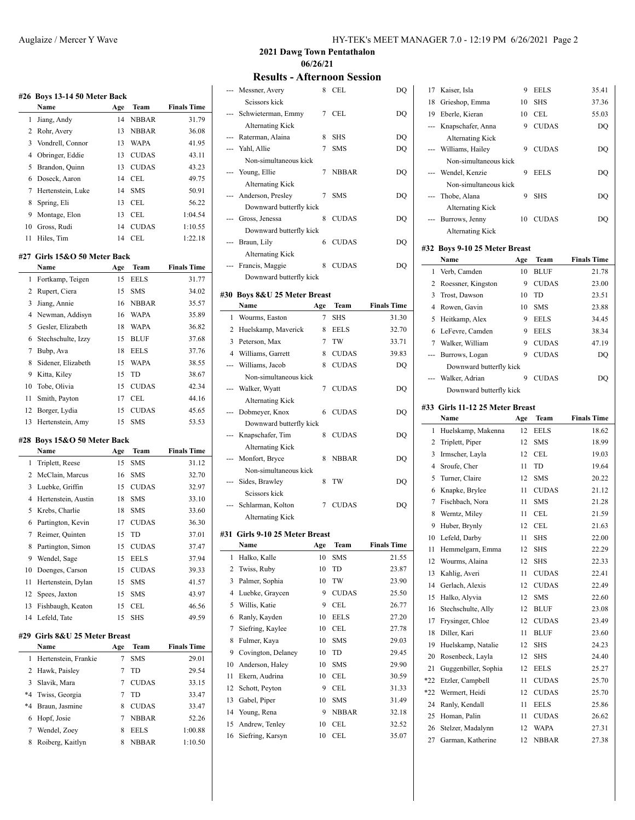|          | #26 Boys 13-14 50 Meter Back<br>Name           | Age      | Team                     | <b>Finals Time</b> |
|----------|------------------------------------------------|----------|--------------------------|--------------------|
| 1        | Jiang, Andy                                    | 14       | <b>NBBAR</b>             | 31.79              |
| 2        | Rohr, Avery                                    | 13       | <b>NBBAR</b>             | 36.08              |
| 3        | Vondrell, Connor                               | 13       | <b>WAPA</b>              | 41.95              |
| 4        | Obringer, Eddie                                | 13       | <b>CUDAS</b>             | 43.11              |
| 5        | Brandon, Quinn                                 | 13       | <b>CUDAS</b>             | 43.23              |
| 6        | Doseck, Aaron                                  | 14       | <b>CEL</b>               | 49.75              |
| $\tau$   | Hertenstein, Luke                              | 14       | <b>SMS</b>               | 50.91              |
| 8        | Spring, Eli                                    | 13       | <b>CEL</b>               | 56.22              |
| 9        | Montage, Elon                                  | 13       | CEL                      | 1:04.54            |
| 10       | Gross, Rudi                                    | 14       | <b>CUDAS</b>             | 1:10.55            |
| 11       | Hiles, Tim                                     | 14       | CEL                      | 1:22.18            |
|          |                                                |          |                          |                    |
|          | #27  Girls 15&O 50 Meter Back                  |          |                          |                    |
|          | Name                                           | Age      | Team                     | <b>Finals Time</b> |
| 1        | Fortkamp, Teigen                               | 15       | <b>EELS</b>              | 31.77              |
| 2        | Rupert, Ciera                                  | 15       | SMS                      | 34.02              |
| 3        | Jiang, Annie                                   | 16       | <b>NBBAR</b>             | 35.57              |
| 4        | Newman, Addisyn                                | 16       | <b>WAPA</b>              | 35.89              |
| 5        | Gesler, Elizabeth                              | 18       | WAPA                     | 36.82              |
| 6        | Stechschulte, Izzy                             | 15       | <b>BLUF</b>              | 37.68              |
| 7        | Bubp, Ava                                      | 18       | <b>EELS</b>              | 37.76              |
| 8        | Sidener, Elizabeth                             | 15       | <b>WAPA</b>              | 38.55              |
| 9        | Kitta, Kiley                                   | 15       | TD                       | 38.67              |
| 10       | Tobe, Olivia                                   | 15       | <b>CUDAS</b>             | 42.34              |
| 11       | Smith, Payton                                  | 17       | CEL                      | 44.16              |
| 12       | Borger, Lydia                                  | 15       | <b>CUDAS</b>             | 45.65              |
|          |                                                |          |                          |                    |
| 13       | Hertenstein, Amy                               | 15       | <b>SMS</b>               | 53.53              |
| #28      | Boys 15&O 50 Meter Back                        |          |                          |                    |
|          | Name                                           | Age      | Team                     | <b>Finals Time</b> |
| 1        | Triplett, Reese                                | 15       | <b>SMS</b>               | 31.12              |
| 2        | McClain, Marcus                                | 16       | SMS                      | 32.70              |
| 3        | Luebke, Griffin                                | 15       | <b>CUDAS</b>             | 32.97              |
| 4        | Hertenstein, Austin                            | 18       | <b>SMS</b><br><b>SMS</b> | 33.10              |
| 5        | Krebs, Charlie                                 | 18       |                          | 33.60              |
| 6        | Partington, Kevin                              | 17       | <b>CUDAS</b>             | 36.30              |
| 7        | Reimer, Quinten                                | 15       | TD                       | 37.01              |
| 8        | Partington, Simon                              | 15       | <b>CUDAS</b>             | 37.47              |
| 9        | Wendel, Sage                                   | 15       | <b>EELS</b>              | 37.94              |
| 10       | Doenges, Carson                                | 15       | <b>CUDAS</b>             | 39.33              |
| 11       | Hertenstein, Dylan                             | 15       | SMS                      | 41.57              |
| 12       | Spees, Jaxton                                  | 15       | SMS                      | 43.97              |
| 13<br>14 | Fishbaugh, Keaton                              | 15<br>15 | CEL                      | 46.56              |
|          | Lefeld, Tate<br>#29  Girls 8&U 25 Meter Breast |          | SHS                      | 49.59              |
|          | Name                                           | Age      | Team                     | <b>Finals Time</b> |
| 1        | Hertenstein, Frankie                           | 7        | <b>SMS</b>               | 29.01              |
| 2        | Hawk, Paisley                                  | 7        | TD                       | 29.54              |
| 3        | Slavik, Mara                                   | 7        | <b>CUDAS</b>             | 33.15              |
| $*_{4}$  | Twiss, Georgia                                 | 7        | TD                       | 33.47              |
| $*4$     | Braun, Jasmine                                 | 8        | <b>CUDAS</b>             | 33.47              |
| 6        | Hopf, Josie                                    | 7        | NBBAR                    | 52.26              |
| 7        | Wendel, Zoey<br>Roiberg, Kaitlyn               | 8        | <b>EELS</b>              | 1:00.88            |

**2021 Dawg Town Pentathalon 06/26/21**

**Results - Afternoon Session**

|                | RESUITS - WHEI HOOH DESSION                  |          |                  |                    |
|----------------|----------------------------------------------|----------|------------------|--------------------|
|                | Messner, Avery                               | 8        | CEL              | DQ                 |
|                | Scissors kick                                |          |                  |                    |
|                | Schwieterman, Emmy                           | 7        | <b>CEL</b>       | DQ                 |
|                | <b>Alternating Kick</b>                      |          |                  |                    |
|                | --- Raterman, Alaina                         | 8        | SHS              | DQ                 |
|                | --- Yahl, Allie                              | 7        | <b>SMS</b>       | DO                 |
|                | Non-simultaneous kick                        |          |                  |                    |
| $\overline{a}$ | Young, Ellie                                 | 7        | <b>NBBAR</b>     | DQ                 |
|                | <b>Alternating Kick</b><br>Anderson, Presley | 7        | <b>SMS</b>       | DQ                 |
|                | Downward butterfly kick                      |          |                  |                    |
|                | Gross, Jenessa                               | 8        | <b>CUDAS</b>     | DQ                 |
|                | Downward butterfly kick                      |          |                  |                    |
| ---            | Braun, Lily                                  | 6        | <b>CUDAS</b>     | DQ                 |
|                | <b>Alternating Kick</b>                      |          |                  |                    |
| ---            | Francis, Maggie                              | 8        | <b>CUDAS</b>     | DQ                 |
|                | Downward butterfly kick                      |          |                  |                    |
|                |                                              |          |                  |                    |
|                | #30 Boys 8&U 25 Meter Breast<br><b>Name</b>  | Age      | Team             | <b>Finals Time</b> |
| 1              | Wourms, Easton                               | 7        | <b>SHS</b>       | 31.30              |
|                | 2 Huelskamp, Maverick                        |          | 8 EELS           | 32.70              |
|                | 3 Peterson, Max                              | 7        | TW               | 33.71              |
|                | 4 Williams, Garrett                          | 8        | <b>CUDAS</b>     | 39.83              |
|                | --- Williams, Jacob                          | 8        | <b>CUDAS</b>     | DQ                 |
|                | Non-simultaneous kick                        |          |                  |                    |
|                | --- Walker, Wyatt                            | 7        | <b>CUDAS</b>     | DQ                 |
|                | Alternating Kick                             |          |                  |                    |
|                | Dobmeyer, Knox                               | 6        | <b>CUDAS</b>     | DQ                 |
|                | Downward butterfly kick                      |          |                  |                    |
| ---            | Knapschafer, Tim                             | 8        | <b>CUDAS</b>     | DQ                 |
|                | Alternating Kick                             |          |                  |                    |
| ---            | Monfort, Bryce                               | 8        | NBBAR            | DQ                 |
|                | Non-simultaneous kick                        |          |                  |                    |
| ---            | Sides, Brawley                               | 8        | TW               | DQ                 |
|                | Scissors kick                                |          |                  |                    |
|                | Schlarman, Kolton                            | 7        | <b>CUDAS</b>     | DQ                 |
|                | <b>Alternating Kick</b>                      |          |                  |                    |
|                | #31 Girls 9-10 25 Meter Breast               |          |                  |                    |
|                | Name                                         | Age      | Team             | <b>Finals Time</b> |
| 1              | Halko, Kalle                                 | 10       | SMS              | 21.55              |
| 2              | Twiss, Ruby                                  | 10       | TD               | 23.87              |
| 3              | Palmer, Sophia                               | 10       | TW               | 23.90              |
| 4              | Luebke, Graycen                              | 9        | <b>CUDAS</b>     | 25.50              |
| 5              | Willis, Katie                                | 9        | CEL              | 26.77              |
| 6              | Ranly, Kayden                                | 10       | <b>EELS</b>      | 27.20              |
| 7              | Siefring, Kaylee                             | 10       | CEL              | 27.78<br>29.03     |
| 8<br>9         | Fulmer, Kaya                                 | 10       | <b>SMS</b>       |                    |
| 10             | Covington, Delaney<br>Anderson, Haley        | 10<br>10 | TD<br><b>SMS</b> | 29.45<br>29.90     |
| 11             | Ekern, Audrina                               | 10       | CEL              | 30.59              |
| 12             | Schott, Peyton                               | 9        | CEL              | 31.33              |
| 13             | Gabel, Piper                                 | 10       | <b>SMS</b>       | 31.49              |
| 14             | Young, Rena                                  | 9        | <b>NBBAR</b>     | 32.18              |
| 15             | Andrew, Tenley                               | 10       | CEL              | 32.52              |
| 16             | Siefring, Karsyn                             | 10       | CEL              | 35.07              |
|                |                                              |          |                  |                    |

| 17  | Kaiser, Isla                          | 9      | <b>EELS</b>  | 35.41              |
|-----|---------------------------------------|--------|--------------|--------------------|
| 18  | Grieshop, Emma                        | 10     | <b>SHS</b>   | 37.36              |
| 19  | Eberle, Kieran                        | 10     | <b>CEL</b>   | 55.03              |
| --- | Knapschafer, Anna                     | 9      | <b>CUDAS</b> | DQ                 |
|     | <b>Alternating Kick</b>               |        |              |                    |
|     | Williams, Hailey                      | 9      | <b>CUDAS</b> | DQ                 |
|     | Non-simultaneous kick                 |        |              |                    |
|     | Wendel, Kenzie                        | 9      | <b>EELS</b>  | DQ                 |
|     | Non-simultaneous kick                 |        |              |                    |
| --- | Thobe, Alana                          | 9      | SHS          | DQ                 |
|     | <b>Alternating Kick</b>               |        |              |                    |
| --- | Burrows, Jenny                        | 10     | <b>CUDAS</b> | DQ                 |
|     | <b>Alternating Kick</b>               |        |              |                    |
|     |                                       |        |              |                    |
|     | #32 Boys 9-10 25 Meter Breast<br>Name | Age    | Team         | <b>Finals Time</b> |
| 1   | Verb, Camden                          | 10     | <b>BLUF</b>  | 21.78              |
| 2   | Roessner, Kingston                    | 9      | <b>CUDAS</b> | 23.00              |
| 3   | Trost, Dawson                         | 10     | TD           | 23.51              |
| 4   | Rowen, Gavin                          | 10     | <b>SMS</b>   | 23.88              |
| 5   |                                       |        | <b>EELS</b>  |                    |
| 6   | Heitkamp, Alex                        | 9<br>9 | <b>EELS</b>  | 34.45              |
| 7   | LeFevre, Camden<br>Walker, William    |        |              | 38.34              |
|     |                                       | 9      | <b>CUDAS</b> | 47.19              |
| --- | Burrows, Logan                        | 9      | <b>CUDAS</b> | DQ                 |
|     | Downward butterfly kick               | 9      |              | DO                 |
|     | Walker, Adrian                        |        | <b>CUDAS</b> |                    |
|     | Downward butterfly kick               |        |              |                    |
|     | #33  Girls 11-12 25 Meter Breast      |        |              |                    |
|     |                                       |        |              |                    |
|     | Name                                  | Age    | Team         | <b>Finals Time</b> |
| 1   | Huelskamp, Makenna                    | 12     | <b>EELS</b>  | 18.62              |
| 2   | Triplett, Piper                       | 12     | <b>SMS</b>   | 18.99              |
| 3   | Irmscher, Layla                       | 12     | <b>CEL</b>   | 19.03              |
| 4   | Sroufe, Cher                          | 11     | TD           | 19.64              |
| 5   | Turner, Claire                        | 12     | <b>SMS</b>   | 20.22              |
| 6   | Knapke, Brylee                        | 11     | <b>CUDAS</b> | 21.12              |
| 7   | Fischbach, Nora                       | 11     | <b>SMS</b>   | 21.28              |
| 8   | Werntz, Miley                         | 11     | <b>CEL</b>   | 21.59              |
| 9   | Huber, Brynly                         | 12     | <b>CEL</b>   | 21.63              |
| 10  | Lefeld, Darby                         | 11     | <b>SHS</b>   | 22.00              |
|     | 11 Hemmelgarn, Emma                   |        | 12 SHS       | 22.29              |
| 12  | Wourms, Alaina                        | 12     | SHS          | 22.33              |
| 13  | Kahlig, Averi                         | 11     | <b>CUDAS</b> | 22.41              |
| 14  | Gerlach, Alexis                       | 12     | <b>CUDAS</b> | 22.49              |
| 15  | Halko, Alyvia                         | 12     | SMS          | 22.60              |
| 16  | Stechschulte, Ally                    | 12     | <b>BLUF</b>  | 23.08              |
| 17  | Frysinger, Chloe                      | 12     | <b>CUDAS</b> | 23.49              |
| 18  | Diller, Kari                          | 11     | <b>BLUF</b>  | 23.60              |
| 19  | Huelskamp, Natalie                    | 12     | SHS          | 24.23              |
| 20  | Rosenbeck, Layla                      | 12     | SHS          | 24.40              |
| 21  | Guggenbiller, Sophia                  | 12     | <b>EELS</b>  | 25.27              |
| *22 | Etzler, Campbell                      | 11     | <b>CUDAS</b> | 25.70              |
| *22 | Wermert, Heidi                        | 12     | <b>CUDAS</b> | 25.70              |
| 24  | Ranly, Kendall                        | 11     | <b>EELS</b>  | 25.86              |
| 25  | Homan, Palin                          | 11     | <b>CUDAS</b> | 26.62              |
| 26  | Stelzer, Madalynn                     | 12     | WAPA         | 27.31              |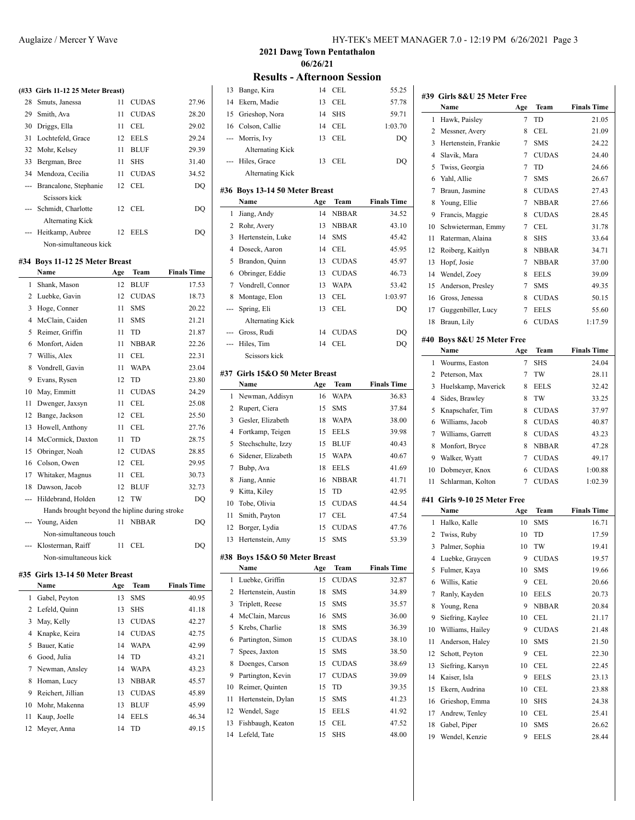|     | (#33 Girls 11-12 25 Meter Breast) |    |              |       |
|-----|-----------------------------------|----|--------------|-------|
|     |                                   |    |              |       |
| 28. | Smuts, Janessa                    | 11 | <b>CUDAS</b> | 27.96 |
|     | 29 Smith, Ava                     | 11 | <b>CUDAS</b> | 28.20 |
|     | 30 Driggs, Ella                   | 11 | CEL.         | 29.02 |
|     | 31 Lochtefeld, Grace              |    | 12 EELS      | 29.24 |
|     | 32 Mohr, Kelsey                   | 11 | <b>BLUF</b>  | 29.39 |
| 33  | Bergman, Bree                     | 11 | <b>SHS</b>   | 31.40 |
|     | 34 Mendoza, Cecilia               | 11 | <b>CUDAS</b> | 34.52 |
|     | --- Brancalone, Stephanie         | 12 | CEL.         | DO    |
|     | Seissors kiek                     |    |              |       |
|     | --- Schmidt, Charlotte            | 12 | CEL.         | DO    |
|     | <b>Alternating Kick</b>           |    |              |       |
|     | --- Heitkamp, Aubree              | 12 | <b>EELS</b>  | DO    |
|     | Non-simultaneous kick             |    |              |       |
|     |                                   |    |              |       |

# **#34 Boys 11-12 25 Meter Breast**

|                 | Name                                           | Age | Team         | <b>Finals Time</b> |
|-----------------|------------------------------------------------|-----|--------------|--------------------|
| $\mathbf{1}$    | Shank, Mason                                   | 12  | <b>BLUF</b>  | 17.53              |
| 2               | Luebke, Gavin                                  | 12  | <b>CUDAS</b> | 18.73              |
| 3               | Hoge, Conner                                   | 11  | <b>SMS</b>   | 20.22              |
| 4               | McClain, Caiden                                | 11  | <b>SMS</b>   | 21.21              |
| 5               | Reimer, Griffin                                | 11  | <b>TD</b>    | 21.87              |
| 6               | Monfort, Aiden                                 | 11  | <b>NBBAR</b> | 22.26              |
| 7               | Willis, Alex                                   | 11  | CEL          | 22.31              |
| 8               | Vondrell, Gavin                                | 11  | <b>WAPA</b>  | 23.04              |
| 9               | Evans, Rysen                                   | 12  | <b>TD</b>    | 23.80              |
| 10              | May, Emmitt                                    | 11  | <b>CUDAS</b> | 24.29              |
| 11              | Dwenger, Jaxsyn                                | 11  | CEL          | 25.08              |
| 12 <sup>2</sup> | Bange, Jackson                                 | 12  | CEL.         | 25.50              |
| 13              | Howell, Anthony                                | 11  | CEL          | 27.76              |
| 14              | McCormick, Daxton                              | 11  | TD.          | 28.75              |
| 15              | Obringer, Noah                                 | 12  | <b>CUDAS</b> | 28.85              |
|                 | 16 Colson, Owen                                | 12  | CEL          | 29.95              |
| 17              | Whitaker, Magnus                               | 11  | CEL          | 30.73              |
| 18              | Dawson, Jacob                                  | 12  | <b>BLUF</b>  | 32.73              |
| ---             | Hildebrand, Holden                             | 12  | TW           | DQ                 |
|                 | Hands brought beyond the hipline during stroke |     |              |                    |
| ---             | Young, Aiden                                   | 11  | <b>NBBAR</b> | DQ                 |
|                 | Non-simultaneous touch                         |     |              |                    |
|                 | Klosterman, Raiff                              | 11  | CEL.         | DQ                 |
|                 | Non-simultaneous kick                          |     |              |                    |
|                 |                                                |     |              |                    |

### **#35 Girls 13-14 50 Meter Breast**

|    | Name              | Age | Team         | <b>Finals Time</b> |
|----|-------------------|-----|--------------|--------------------|
| 1  | Gabel, Peyton     | 13  | <b>SMS</b>   | 40.95              |
|    | 2 Lefeld, Quinn   | 13  | <b>SHS</b>   | 41.18              |
| 3  | May, Kelly        | 13  | <b>CUDAS</b> | 42.27              |
|    | 4 Knapke, Keira   | 14  | <b>CUDAS</b> | 42.75              |
| 5. | Bauer, Katie      | 14  | <b>WAPA</b>  | 42.99              |
| 6  | Good, Julia       | 14  | TD.          | 43.21              |
|    | 7 Newman, Ansley  | 14  | <b>WAPA</b>  | 43.23              |
| 8  | Homan, Lucy       | 13  | <b>NBBAR</b> | 45.57              |
| 9  | Reichert, Jillian | 13  | <b>CUDAS</b> | 45.89              |
| 10 | Mohr, Makenna     | 13  | <b>BLUF</b>  | 45.99              |
| 11 | Kaup, Joelle      | 14  | <b>EELS</b>  | 46.34              |
|    | 12 Meyer, Anna    | 14  | TD.          | 49.15              |

**2021 Dawg Town Pentathalon 06/26/21**

### **Results - Afternoon Session**

| 13             | Bange, Kira                            | 14  | CEL                  | 55.25              |
|----------------|----------------------------------------|-----|----------------------|--------------------|
| 14             | Ekern, Madie                           | 13  | <b>CEL</b>           | 57.78              |
| 15             | Grieshop, Nora                         | 14  | <b>SHS</b>           | 59.71              |
| 16             | Colson, Callie                         | 14  | <b>CEL</b>           | 1:03.70            |
| ---            | Morris, Ivy                            | 13  | <b>CEL</b>           | DQ                 |
|                | <b>Alternating Kick</b>                |     |                      |                    |
|                | Hiles, Grace                           | 13  | <b>CEL</b>           | DQ                 |
|                | <b>Alternating Kick</b>                |     |                      |                    |
|                |                                        |     |                      |                    |
|                | #36 Boys 13-14 50 Meter Breast<br>Name |     |                      | <b>Finals Time</b> |
|                |                                        | Age | Team<br><b>NBBAR</b> |                    |
| 1              | Jiang, Andy                            | 14  |                      | 34.52              |
| 2              | Rohr, Avery                            | 13  | <b>NBBAR</b>         | 43.10              |
| 3              | Hertenstein, Luke                      | 14  | <b>SMS</b>           | 45.42              |
| $\overline{4}$ | Doseck, Aaron                          | 14  | <b>CEL</b>           | 45.95              |
| 5              | Brandon, Quinn                         | 13  | <b>CUDAS</b>         | 45.97              |
| 6              | Obringer, Eddie                        | 13  | <b>CUDAS</b>         | 46.73              |
| 7              | Vondrell, Connor                       | 13  | <b>WAPA</b>          | 53.42              |
| 8              | Montage, Elon                          | 13  | <b>CEL</b>           | 1:03.97            |
| ---            | Spring, Eli                            | 13  | CEL                  | DO                 |
|                | <b>Alternating Kick</b>                |     |                      |                    |
| ---            | Gross, Rudi                            | 14  | <b>CUDAS</b>         | DQ                 |
| $---$          | Hiles, Tim                             | 14  | <b>CEL</b>           | DO                 |
|                | Scissors kick                          |     |                      |                    |
|                | #37 Girls 15&O 50 Meter Breast         |     |                      |                    |
|                | Name                                   | Age | Team                 | <b>Finals Time</b> |
| 1              | Newman, Addisyn                        | 16  | WAPA                 | 36.83              |
| 2              | Rupert, Ciera                          | 15  | <b>SMS</b>           | 37.84              |
| 3              | Gesler, Elizabeth                      | 18  | <b>WAPA</b>          | 38.00              |
| 4              | Fortkamp, Teigen                       | 15  | <b>EELS</b>          | 39.98              |
|                |                                        |     |                      |                    |
|                |                                        |     |                      |                    |
| 5              | Stechschulte, Izzy                     | 15  | <b>BLUF</b>          | 40.43              |
| 6              | Sidener, Elizabeth                     | 15  | <b>WAPA</b>          | 40.67              |
| 7              | Bubp, Ava                              | 18  | <b>EELS</b>          | 41.69              |
| 8              | Jiang, Annie                           | 16  | <b>NBBAR</b>         | 41.71              |
| 9              | Kitta, Kiley                           | 15  | TD                   | 42.95              |
| 10             | Tobe, Olivia                           | 15  | <b>CUDAS</b>         | 44.54              |
| 11             | Smith, Payton                          | 17  | <b>CEL</b>           | 47.54              |
| 12             | Borger, Lydia                          | 15  | <b>CUDAS</b>         | 47.76              |
| 13             | Hertenstein, Amy                       | 15  | <b>SMS</b>           | 53.39              |
|                | #38 Boys 15&O 50 Meter Breast          |     |                      |                    |
|                | Name                                   | Age | Team                 | <b>Finals Time</b> |
| 1              | Luebke, Griffin                        | 15  | <b>CUDAS</b>         | 32.87              |
| 2              | Hertenstein, Austin                    | 18  | SMS                  | 34.89              |
| 3              | Triplett, Reese                        | 15  | SMS                  | 35.57              |
| 4              | McClain, Marcus                        | 16  | <b>SMS</b>           | 36.00              |
| 5              | Krebs, Charlie                         | 18  | SMS                  | 36.39              |
| 6              | Partington, Simon                      | 15  | <b>CUDAS</b>         | 38.10              |
| 7              | Spees, Jaxton                          | 15  | <b>SMS</b>           | 38.50              |
| 8              | Doenges, Carson                        | 15  | <b>CUDAS</b>         | 38.69              |
| 9              | Partington, Kevin                      | 17  | <b>CUDAS</b>         | 39.09              |
| 10             | Reimer, Quinten                        | 15  | TD                   | 39.35              |
| 11             | Hertenstein, Dylan                     | 15  | SMS                  | 41.23              |
| 12             | Wendel, Sage                           | 15  | <b>EELS</b>          | 41.92              |
| 13             | Fishbaugh, Keaton                      | 15  | CEL                  | 47.52              |
| 14             | Lefeld, Tate                           | 15  | <b>SHS</b>           | 48.00              |

|     | #39 Girls 8&U 25 Meter Free<br>Name |     | Team         |                    |
|-----|-------------------------------------|-----|--------------|--------------------|
|     |                                     | Age |              | <b>Finals Time</b> |
| 1   | Hawk, Paisley                       | 7   | TD           | 21.05              |
| 2   | Messner, Avery                      | 8   | CEL          | 21.09              |
| 3   | Hertenstein, Frankie                | 7   | <b>SMS</b>   | 24.22              |
| 4   | Slavik, Mara                        | 7   | <b>CUDAS</b> | 24.40              |
| 5   | Twiss, Georgia                      | 7   | TD           | 24.66              |
| 6   | Yahl, Allie                         | 7   | <b>SMS</b>   | 26.67              |
| 7   | Braun, Jasmine                      | 8   | <b>CUDAS</b> | 27.43              |
| 8   | Young, Ellie                        | 7   | <b>NBBAR</b> | 27.66              |
| 9   | Francis, Maggie                     | 8   | <b>CUDAS</b> | 28.45              |
| 10  | Schwieterman, Emmy                  | 7   | CEL          | 31.78              |
| 11  | Raterman, Alaina                    | 8   | <b>SHS</b>   | 33.64              |
| 12  | Roiberg, Kaitlyn                    | 8   | NBBAR        | 34.71              |
| 13  | Hopf, Josie                         | 7   | <b>NBBAR</b> | 37.00              |
| 14  | Wendel, Zoey                        | 8   | <b>EELS</b>  | 39.09              |
| 15  | Anderson, Presley                   | 7   | SMS          | 49.35              |
| 16  | Gross, Jenessa                      | 8   | <b>CUDAS</b> | 50.15              |
| 17  | Guggenbiller, Lucy                  | 7   | <b>EELS</b>  | 55.60              |
| 18  | Braun, Lily                         | 6   | <b>CUDAS</b> | 1:17.59            |
|     | #40 Boys 8&U 25 Meter Free          |     |              |                    |
|     | Name                                | Age | Team         | <b>Finals Time</b> |
| 1   | Wourms, Easton                      | 7   | <b>SHS</b>   | 24.04              |
| 2   | Peterson, Max                       | 7   | TW           | 28.11              |
| 3   | Huelskamp, Maverick                 | 8   | <b>EELS</b>  | 32.42              |
| 4   | Sides, Brawley                      | 8   | TW           | 33.25              |
| 5   | Knapschafer, Tim                    | 8   | <b>CUDAS</b> | 37.97              |
| 6   | Williams, Jacob                     | 8   | <b>CUDAS</b> | 40.87              |
| 7   | Williams, Garrett                   | 8   | <b>CUDAS</b> | 43.23              |
| 8   | Monfort, Bryce                      | 8   | <b>NBBAR</b> | 47.28              |
| 9   | Walker, Wyatt                       | 7   | <b>CUDAS</b> | 49.17              |
| 10  | Dobmeyer, Knox                      | 6   | <b>CUDAS</b> | 1:00.88            |
| 11  | Schlarman, Kolton                   | 7   | <b>CUDAS</b> | 1:02.39            |
| #41 | Girls 9-10 25 Meter Free            |     |              |                    |
|     | Name                                | Age | Team         | <b>Finals Time</b> |
| 1   | Halko, Kalle                        | 10  | <b>SMS</b>   | 16.71              |
| 2   | Twiss, Ruby                         | 10  | TD           | 17.59              |
| 3   | Palmer, Sophia                      | 10  | TW           | 19.41              |
|     | 4 Luebke, Graycen                   | 9   | <b>CUDAS</b> | 19.57              |
| 5   | Fulmer, Kaya                        | 10  | SMS          | 19.66              |
| 6   | Willis, Katie                       | 9   | CEL          | 20.66              |
| 7   | Ranly, Kayden                       | 10  | <b>EELS</b>  | 20.73              |
| 8   | Young, Rena                         | 9   | <b>NBBAR</b> | 20.84              |
| 9   | Siefring, Kaylee                    | 10  | CEL          | 21.17              |
|     | Williams, Hailey                    |     |              |                    |
| 10  |                                     | 9   | <b>CUDAS</b> | 21.48              |
| 11  | Anderson, Haley                     | 10  | SMS          | 21.50              |
| 12  | Schott, Peyton                      | 9   | CEL          | 22.30              |
| 13  | Siefring, Karsyn                    | 10  | CEL          | 22.45              |
| 14  | Kaiser, Isla                        | 9   | EELS         | 23.13              |
| 15  | Ekern, Audrina                      | 10  | CEL          | 23.88              |
| 16  | Grieshop, Emma                      | 10  | SHS          | 24.38              |
| 17  | Andrew, Tenley                      | 10  | CEL          | 25.41              |
| 18  | Gabel, Piper                        | 10  | <b>SMS</b>   | 26.62              |
| 19  | Wendel, Kenzie                      | 9   | EELS         | 28.44              |
|     |                                     |     |              |                    |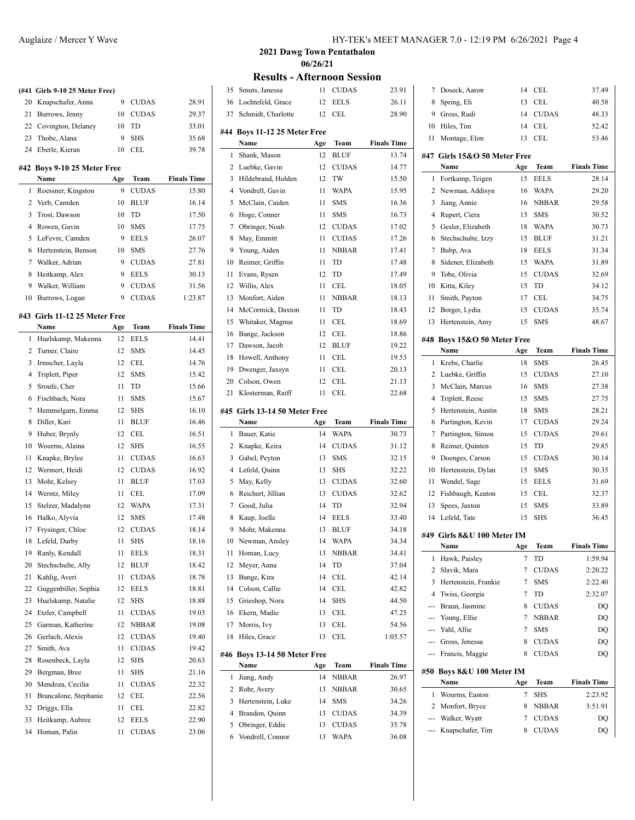# **(#41 Girls 9-10 25 Meter Free)** Knapschafer, Anna 9 CUDAS 28.91 Burrows, Jenny 10 CUDAS 29.37

### Covington, Delaney 10 TD 33.01 23 Thobe, Alana 9 SHS 35.68 Eberle, Kieran 10 CEL 39.78

### **#42 Boys 9-10 25 Meter Free**

 $\overline{a}$ 

 $\overline{a}$ 

|    | <b>Name</b>           | Age | <b>Team</b>  | <b>Finals Time</b> |
|----|-----------------------|-----|--------------|--------------------|
|    | 1 Roessner, Kingston  | 9   | <b>CUDAS</b> | 15.80              |
|    | 2 Verb, Camden        | 10  | <b>BLUF</b>  | 16.14              |
|    | Trost, Dawson         | 10  | <b>TD</b>    | 17.50              |
|    | 4 Rowen, Gavin        | 10  | <b>SMS</b>   | 17.75              |
|    | 5 LeFevre, Camden     | 9   | <b>EELS</b>  | 26.07              |
|    | 6 Hertenstein, Benson | 10  | <b>SMS</b>   | 27.76              |
|    | Walker, Adrian        | 9   | <b>CUDAS</b> | 27.81              |
| 8  | Heitkamp, Alex        | 9   | <b>EELS</b>  | 30.13              |
| 9  | Walker, William       | 9   | <b>CUDAS</b> | 31.56              |
| 10 | Burrows, Logan        | 9   | CUDAS        | 1:23.87            |

#### **#43 Girls 11-12 25 Meter Free**

|              | Name                  | Age | Team         | <b>Finals Time</b> |
|--------------|-----------------------|-----|--------------|--------------------|
| $\mathbf{1}$ | Huelskamp, Makenna    | 12  | <b>EELS</b>  | 14.41              |
| 2            | Turner, Claire        | 12  | <b>SMS</b>   | 14.45              |
| 3            | Irmscher, Layla       | 12  | CEL          | 14.76              |
| 4            | Triplett, Piper       | 12  | <b>SMS</b>   | 15.42              |
| 5            | Sroufe, Cher          | 11  | TD           | 15.66              |
| 6            | Fischbach, Nora       | 11  | <b>SMS</b>   | 15.67              |
| 7            | Hemmelgarn, Emma      | 12  | <b>SHS</b>   | 16.10              |
| 8            | Diller, Kari          | 11  | <b>BLUF</b>  | 16.46              |
| 9            | Huber, Brynly         | 12  | CEL          | 16.51              |
| 10           | Wourms, Alaina        | 12  | <b>SHS</b>   | 16.55              |
| 11           | Knapke, Brylee        | 11  | <b>CUDAS</b> | 16.63              |
| 12           | Wermert, Heidi        | 12  | <b>CUDAS</b> | 16.92              |
| 13           | Mohr, Kelsey          | 11  | <b>BLUF</b>  | 17.03              |
| 14           | Werntz, Miley         | 11  | CEL          | 17.09              |
| 15           | Stelzer, Madalynn     | 12  | <b>WAPA</b>  | 17.31              |
| 16           | Halko, Alyvia         | 12  | SMS          | 17.48              |
| 17           | Frysinger, Chloe      | 12  | <b>CUDAS</b> | 18.14              |
| 18           | Lefeld, Darby         | 11  | SHS          | 18.16              |
| 19           | Ranly, Kendall        | 11  | <b>EELS</b>  | 18.31              |
| 20           | Stechschulte, Ally    | 12  | <b>BLUF</b>  | 18.42              |
| 21           | Kahlig, Averi         | 11  | <b>CUDAS</b> | 18.78              |
| 22           | Guggenbiller, Sophia  | 12  | <b>EELS</b>  | 18.81              |
| 23           | Huelskamp, Natalie    | 12  | SHS          | 18.88              |
| 24           | Etzler, Campbell      | 11  | <b>CUDAS</b> | 19.03              |
| 25           | Garman, Katherine     | 12  | <b>NBBAR</b> | 19.08              |
| 26           | Gerlach, Alexis       | 12  | <b>CUDAS</b> | 19.40              |
| 27           | Smith, Ava            | 11  | <b>CUDAS</b> | 19.42              |
| 28           | Rosenbeck, Layla      | 12  | <b>SHS</b>   | 20.63              |
| 29           | Bergman, Bree         | 11  | <b>SHS</b>   | 21.16              |
| 30           | Mendoza, Cecilia      | 11  | <b>CUDAS</b> | 22.32              |
| 31           | Brancalone, Stephanie | 12  | <b>CEL</b>   | 22.56              |
| 32           | Driggs, Ella          | 11  | CEL          | 22.82              |
| 33           | Heitkamp, Aubree      | 12  | <b>EELS</b>  | 22.90              |
| 34           | Homan, Palin          | 11  | <b>CUDAS</b> | 23.06              |
|              |                       |     |              |                    |

### Auglaize / Mercer Y Wave HY-TEK's MEET MANAGER 7.0 - 12:19 PM 6/26/2021 Page 4

**2021 Dawg Town Pentathalon 06/26/21**

**Results - Afternoon Session**

| 35             | Smuts, Janessa            | 11  | <b>CUDAS</b> | 23.91              |
|----------------|---------------------------|-----|--------------|--------------------|
| 36             | Lochtefeld, Grace         | 12  | <b>EELS</b>  | 26.11              |
| 37             | Schmidt, Charlotte        | 12  | CEL          | 28.90              |
|                |                           |     |              |                    |
| #44            | Boys 11-12 25 Meter Free  |     |              |                    |
|                | Name                      | Age | Team         | <b>Finals Time</b> |
| 1              | Shank, Mason              | 12  | <b>BLUF</b>  | 13.74              |
| 2              | Luebke, Gavin             | 12  | <b>CUDAS</b> | 14.77              |
| 3              | Hildebrand, Holden        | 12  | TW           | 15.50              |
| 4              | Vondrell, Gavin           | 11  | <b>WAPA</b>  | 15.95              |
| 5              | McClain, Caiden           | 11  | <b>SMS</b>   | 16.36              |
| 6              | Hoge, Conner              | 11  | <b>SMS</b>   | 16.73              |
| 7              | Obringer, Noah            | 12  | <b>CUDAS</b> | 17.02              |
| 8              | May, Emmitt               | 11  | <b>CUDAS</b> | 17.26              |
| 9              | Young, Aiden              | 11  | <b>NBBAR</b> | 17.41              |
| 10             | Reimer, Griffin           | 11  | TD           | 17.48              |
| 11             | Evans, Rysen              | 12  | TD           | 17.49              |
| 12             | Willis, Alex              | 11  | <b>CEL</b>   | 18.05              |
| 13             | Monfort, Aiden            | 11  | <b>NBBAR</b> | 18.13              |
| 14             | McCormick, Daxton         | 11  | TD           | 18.43              |
| 15             | Whitaker, Magnus          | 11  | CEL          | 18.69              |
| 16             | Bange, Jackson            | 12  | <b>CEL</b>   | 18.86              |
| 17             | Dawson, Jacob             | 12  | <b>BLUF</b>  | 19.22              |
| 18             | Howell, Anthony           | 11  | <b>CEL</b>   | 19.53              |
| 19             | Dwenger, Jaxsyn           | 11  | <b>CEL</b>   | 20.13              |
| 20             | Colson, Owen              | 12  | CEL          | 21.13              |
| 21             | Klosterman, Raiff         | 11  | <b>CEL</b>   | 22.68              |
| #45            | Girls 13-14 50 Meter Free |     |              |                    |
|                |                           |     |              |                    |
|                |                           |     |              |                    |
|                | Name                      | Age | Team         | <b>Finals Time</b> |
| 1              | Bauer, Katie              | 14  | <b>WAPA</b>  | 30.73              |
| 2              | Knapke, Keira             | 14  | <b>CUDAS</b> | 31.12              |
| 3              | Gabel, Peyton             | 13  | <b>SMS</b>   | 32.15              |
| 4              | Lefeld, Quinn             | 13  | <b>SHS</b>   | 32.22              |
| 5              | May, Kelly                | 13  | <b>CUDAS</b> | 32.60              |
| 6              | Reichert, Jillian         | 13  | <b>CUDAS</b> | 32.62              |
| 7              | Good, Julia               | 14  | TD           | 32.94              |
| 8              | Kaup, Joelle              | 14  | <b>EELS</b>  | 33.40              |
| 9              | Mohr, Makenna             | 13  | <b>BLUF</b>  | 34.18              |
| 10             | Newman, Ansley            | 14  | <b>WAPA</b>  | 34.34              |
| $\frac{11}{2}$ | Homan, Lucy               | 13  | NBBAR        | 34.41              |
| 12             | Meyer, Anna               | 14  | TD           | 37.04              |
| 13             | Bange, Kira               | 14  | CEL          | 42.14              |
| 14             | Colson, Callie            | 14  | CEL          | 42.82              |
| 15             | Grieshop, Nora            | 14  | SHS          | 44.50              |
| 16             | Ekern, Madie              | 13  | CEL          | 47.25              |
| 17             | Morris, Ivy               | 13  | CEL          | 54.56              |
| 18             | Hiles, Grace              | 13  | CEL          | 1:05.57            |
| #46            | Boys 13-14 50 Meter Free  |     |              |                    |
|                | Name                      | Age | Team         | <b>Finals Time</b> |
| 1              | Jiang, Andy               | 14  | <b>NBBAR</b> | 26.97              |
| 2              | Rohr, Avery               | 13  | <b>NBBAR</b> | 30.65              |
| 3              | Hertenstein, Luke         | 14  | SMS          | 34.26              |
| 4              | Brandon, Quinn            | 13  | CUDAS        | 34.39              |
| 5              | Obringer, Eddie           | 13  | <b>CUDAS</b> | 35.78              |

| 7   | Doseck, Aaron                | 14  | CEL          | 37.49              |
|-----|------------------------------|-----|--------------|--------------------|
| 8   | Spring, Eli                  | 13  | CEL          | 40.58              |
| 9   | Gross, Rudi                  | 14  | <b>CUDAS</b> | 48.33              |
| 10  | Hiles, Tim                   | 14  | CEL          | 52.42              |
| 11  | Montage, Elon                | 13  | CEL          | 53.46              |
|     | #47 Girls 15&O 50 Meter Free |     |              |                    |
|     | Name                         | Age | Team         | <b>Finals Time</b> |
| 1   | Fortkamp, Teigen             | 15  | <b>EELS</b>  | 28.14              |
| 2   | Newman, Addisyn              | 16  | <b>WAPA</b>  | 29.20              |
| 3   | Jiang, Annie                 | 16  | <b>NBBAR</b> | 29.58              |
| 4   | Rupert, Ciera                | 15  | <b>SMS</b>   | 30.52              |
| 5   | Gesler, Elizabeth            | 18  | <b>WAPA</b>  | 30.73              |
| 6   | Stechschulte, Izzy           | 15  | <b>BLUF</b>  | 31.21              |
| 7   | Bubp, Ava                    | 18  | <b>EELS</b>  | 31.34              |
| 8   | Sidener, Elizabeth           | 15  | <b>WAPA</b>  | 31.89              |
| 9   | Tobe, Olivia                 | 15  | <b>CUDAS</b> | 32.69              |
| 10  | Kitta, Kiley                 | 15  | TD           | 34.12              |
| 11  | Smith, Payton                | 17  | CEL          | 34.75              |
| 12  | Borger, Lydia                | 15  | <b>CUDAS</b> | 35.74              |
| 13  | Hertenstein, Amy             | 15  | <b>SMS</b>   | 48.67              |
|     |                              |     |              |                    |
|     | #48 Boys 15&O 50 Meter Free  |     |              |                    |
|     | Name                         | Age | Team         | <b>Finals Time</b> |
| 1   | Krebs, Charlie               | 18  | <b>SMS</b>   | 26.45              |
| 2   | Luebke, Griffin              | 15  | <b>CUDAS</b> | 27.10              |
| 3   | McClain, Marcus              | 16  | <b>SMS</b>   | 27.38              |
| 4   | Triplett, Reese              | 15  | <b>SMS</b>   | 27.75              |
| 5   | Hertenstein, Austin          | 18  | <b>SMS</b>   | 28.21              |
| 6   | Partington, Kevin            | 17  | <b>CUDAS</b> | 29.24              |
| 7   | Partington, Simon            | 15  | <b>CUDAS</b> | 29.61              |
| 8   | Reimer, Quinten              | 15  | TD           | 29.85              |
| 9   | Doenges, Carson              | 15  | <b>CUDAS</b> | 30.14              |
| 10  | Hertenstein, Dylan           | 15  | <b>SMS</b>   | 30.35              |
| 11  | Wendel, Sage                 | 15  | <b>EELS</b>  | 31.69              |
| 12  | Fishbaugh, Keaton            | 15  | CEL          | 32.37              |
| 13  | Spees, Jaxton                | 15  | <b>SMS</b>   | 33.89              |
| 14  | Lefeld, Tate                 | 15  | SHS          | 36.45              |
|     | #49 Girls 8&U 100 Meter IM   |     |              |                    |
|     | Name                         | Age | Team         | <b>Finals Time</b> |
| 1   | Hawk, Paisley                | 7   | TD           | 1:59.94            |
| 2   | Slavik, Mara                 | 7   | <b>CUDAS</b> | 2:20.22            |
| 3   | Hertenstein, Frankie         | 7   | <b>SMS</b>   | 2:22.40            |
| 4   | Twiss, Georgia               | 7   | TD           | 2:32.07            |
| --- | Braun, Jasmine               | 8   | <b>CUDAS</b> | DQ                 |
| --- | Young, Ellie                 | 7   | <b>NBBAR</b> | DQ                 |
| --- | Yahl, Allie                  | 7   | <b>SMS</b>   | DQ                 |
| --- | Gross, Jenessa               | 8   | <b>CUDAS</b> | DQ                 |
| --- | Francis, Maggie              | 8   | <b>CUDAS</b> | DO                 |
|     | #50 Boys 8&U 100 Meter IM    |     |              |                    |
|     | Name                         | Age | Team         | <b>Finals Time</b> |
| 1   | Wourms, Easton               | 7   | SHS          | 2:23.92            |
| 2   | Monfort, Bryce               | 8   | <b>NBBAR</b> | 3:51.91            |
|     | Walker, Wyatt                | 7   | <b>CUDAS</b> | DQ                 |
|     | Knapschafer, Tim             | 8   | <b>CUDAS</b> | DQ                 |
|     |                              |     |              |                    |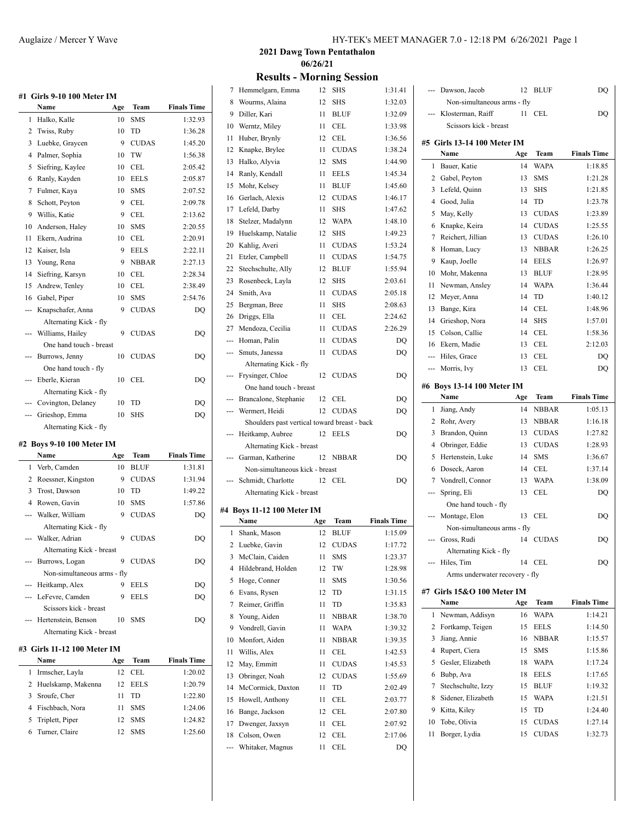**#1 Girls 9-10 100 Meter IM**

| #1  | GHTS 2-TO TOO METEL TM  |     |              |                    |
|-----|-------------------------|-----|--------------|--------------------|
|     | Name                    | Age | Team         | <b>Finals Time</b> |
| 1.  | Halko, Kalle            | 10  | <b>SMS</b>   | 1:32.93            |
| 2   | Twiss, Ruby             | 10  | TD           | 1:36.28            |
| 3   | Luebke, Graycen         | 9   | <b>CUDAS</b> | 1:45.20            |
| 4   | Palmer, Sophia          | 10  | TW           | 1:56.38            |
| 5   | Siefring, Kaylee        | 10  | CEL          | 2:05.42            |
| 6   | Ranly, Kayden           | 10  | <b>EELS</b>  | 2:05.87            |
| 7   | Fulmer, Kaya            | 10  | <b>SMS</b>   | 2:07.52            |
| 8   | Schott, Peyton          | 9   | <b>CEL</b>   | 2:09.78            |
| 9   | Willis, Katie           | 9   | <b>CEL</b>   | 2:13.62            |
| 10  | Anderson, Haley         | 10  | <b>SMS</b>   | 2:20.55            |
| 11  | Ekern. Audrina          | 10  | <b>CEL</b>   | 2:20.91            |
| 12  | Kaiser, Isla            | 9   | <b>EELS</b>  | 2:22.11            |
| 13  | Young, Rena             | 9   | <b>NBBAR</b> | 2:27.13            |
| 14  | Siefring, Karsyn        | 10  | <b>CEL</b>   | 2:28.34            |
| 15  | Andrew, Tenley          | 10  | <b>CEL</b>   | 2:38.49            |
| 16  | Gabel, Piper            | 10  | <b>SMS</b>   | 2:54.76            |
| --- | Knapschafer, Anna       | 9   | <b>CUDAS</b> | DQ                 |
|     | Alternating Kick - fly  |     |              |                    |
|     | Williams, Hailey        | 9   | <b>CUDAS</b> | DQ                 |
|     | One hand touch - breast |     |              |                    |
|     | Burrows, Jenny          | 10  | <b>CUDAS</b> | DQ                 |
|     | One hand touch - fly    |     |              |                    |
| --- | Eberle, Kieran          | 10  | <b>CEL</b>   | DQ                 |
|     | Alternating Kick - fly  |     |              |                    |
|     | --- Covington, Delaney  | 10  | TD           | DQ                 |
| --- | Grieshop, Emma          | 10  | <b>SHS</b>   | DQ                 |
|     | Alternating Kick - fly  |     |              |                    |
|     |                         |     |              |                    |

# **#2 Boys 9-10 100 Meter IM**

|              | Name                        | Age | Team         | <b>Finals Time</b> |
|--------------|-----------------------------|-----|--------------|--------------------|
| $\mathbf{1}$ | Verb, Camden                | 10  | <b>BLUF</b>  | 1:31.81            |
| 2            | Roessner, Kingston          | 9   | <b>CUDAS</b> | 1:31.94            |
| 3            | Trost, Dawson               | 10  | TD           | 1:49.22            |
|              | 4 Rowen, Gavin              | 10  | <b>SMS</b>   | 1:57.86            |
|              | --- Walker, William         | 9   | <b>CUDAS</b> | DQ                 |
|              | Alternating Kick - fly      |     |              |                    |
|              | --- Walker, Adrian          | 9   | <b>CUDAS</b> | DQ                 |
|              | Alternating Kick - breast   |     |              |                    |
|              | --- Burrows, Logan          | 9   | <b>CUDAS</b> | DQ                 |
|              | Non-simultaneous arms - fly |     |              |                    |
|              | --- Heitkamp, Alex          | 9   | <b>EELS</b>  | DQ                 |
|              | --- LeFevre, Camden         | 9   | <b>EELS</b>  | DQ                 |
|              | Scissors kick - breast      |     |              |                    |
|              | --- Hertenstein, Benson     | 10  | <b>SMS</b>   | DQ                 |
|              | Alternating Kick - breast   |     |              |                    |
|              | #3 Girls 11-12 100 Meter IM |     |              |                    |
|              | Name                        | Age | Team         | <b>Finals Time</b> |
|              |                             |     |              |                    |

| гуаше                | А2С | теаш       | гинану типе |
|----------------------|-----|------------|-------------|
| 1 Irmscher, Layla    |     | 12 CEL     | 1:20.02     |
| 2 Huelskamp, Makenna |     | 12 FELS    | 1:20.79     |
| 3 Sroufe, Cher       | 11  | TD.        | 1:22.80     |
| 4 Fischbach, Nora    | 11  | <b>SMS</b> | 1:24.06     |
| 5 Triplett, Piper    | 12. | <b>SMS</b> | 1:24.82     |
| 6 Turner, Claire     | 12. | <b>SMS</b> | 1:25.60     |
|                      |     |            |             |

**2021 Dawg Town Pentathalon 06/26/21**

# **Results - Morning Session**

| 7                       | Hemmelgarn, Emma                             | 12  | SHS          | 1:31.41            |   |
|-------------------------|----------------------------------------------|-----|--------------|--------------------|---|
| 8                       | Wourms, Alaina                               | 12  | SHS          | 1:32.03            |   |
| 9                       | Diller, Kari                                 | 11  | <b>BLUF</b>  | 1:32.09            |   |
| 10                      | Werntz, Miley                                | 11  | <b>CEL</b>   | 1:33.98            |   |
| 11                      | Huber, Brynly                                | 12  | <b>CEL</b>   | 1:36.56            |   |
| 12                      | Knapke, Brylee                               | 11  | <b>CUDAS</b> | 1:38.24            | ħ |
| 13                      | Halko, Alyvia                                | 12  | <b>SMS</b>   | 1:44.90            |   |
| 14                      | Ranly, Kendall                               | 11  | <b>EELS</b>  | 1:45.34            |   |
| 15                      | Mohr, Kelsey                                 | 11  | <b>BLUF</b>  | 1:45.60            |   |
| 16                      | Gerlach, Alexis                              | 12  | <b>CUDAS</b> | 1:46.17            |   |
| 17                      | Lefeld, Darby                                | 11  | <b>SHS</b>   | 1:47.62            |   |
| 18                      | Stelzer, Madalynn                            | 12  | WAPA         | 1:48.10            |   |
| 19                      | Huelskamp, Natalie                           | 12  | <b>SHS</b>   | 1:49.23            |   |
| 20                      | Kahlig, Averi                                | 11  | <b>CUDAS</b> | 1:53.24            |   |
| 21                      | Etzler, Campbell                             | 11  | <b>CUDAS</b> | 1:54.75            |   |
| 22                      |                                              | 12  |              | 1:55.94            |   |
|                         | Stechschulte, Ally                           |     | BLUF         |                    |   |
| 23                      | Rosenbeck, Layla                             | 12  | <b>SHS</b>   | 2:03.61            |   |
| 24                      | Smith, Ava                                   | 11  | <b>CUDAS</b> | 2:05.18            |   |
| 25                      | Bergman, Bree                                | 11  | <b>SHS</b>   | 2:08.63            |   |
| 26                      | Driggs, Ella                                 | 11  | <b>CEL</b>   | 2:24.62            |   |
|                         | 27 Mendoza, Cecilia                          | 11  | <b>CUDAS</b> | 2:26.29            |   |
|                         | --- Homan, Palin                             | 11  | <b>CUDAS</b> | DQ                 |   |
| ---                     | Smuts, Janessa                               | 11  | <b>CUDAS</b> | DO                 |   |
|                         | Alternating Kick - fly                       |     |              |                    |   |
| ---                     | Frysinger, Chloe                             | 12  | <b>CUDAS</b> | DO                 |   |
|                         | One hand touch - breast                      |     |              |                    | ħ |
| ---                     | Brancalone, Stephanie                        | 12  | CEL          | DQ                 |   |
| ---                     | Wermert, Heidi                               | 12  | <b>CUDAS</b> | DQ                 |   |
|                         | Shoulders past vertical toward breast - back |     |              |                    |   |
| ---                     | Heitkamp, Aubree                             | 12  | EELS         | DQ                 |   |
|                         | Alternating Kick - breast                    |     |              |                    |   |
| ---                     | Garman, Katherine                            | 12  | <b>NBBAR</b> | DQ                 |   |
|                         | Non-simultaneous kick - breast               |     |              |                    |   |
|                         | Schmidt, Charlotte                           | 12  | CEL          | DQ                 |   |
|                         | Alternating Kick - breast                    |     |              |                    |   |
|                         | #4 Boys 11-12 100 Meter IM                   |     |              |                    |   |
|                         | Name                                         | Age | Team         | <b>Finals Time</b> |   |
| 1                       | Shank, Mason                                 | 12  | <b>BLUF</b>  | 1:15.09            |   |
| $\overline{\mathbf{c}}$ | Luebke, Gavin                                | 12  | <b>CUDAS</b> | 1:17.72            |   |
| 3                       | McClain, Caiden                              | 11  | SMS          | 1:23.37            |   |
| 4                       | Hildebrand, Holden                           | 12  | TW           | 1:28.98            |   |
| 5                       | Hoge, Conner                                 | 11  | SMS          | 1:30.56            |   |
| 6                       | Evans, Rysen                                 | 12  | TD           | 1:31.15            | ħ |
| 7                       | Reimer, Griffin                              | 11  | TD           | 1:35.83            |   |
|                         | Young, Aiden                                 |     |              |                    |   |
| 8                       |                                              | 11  | <b>NBBAR</b> | 1:38.70            |   |
| 9                       | Vondrell, Gavin                              | 11  | WAPA         | 1:39.32            |   |
| 10                      | Monfort, Aiden                               | 11  | <b>NBBAR</b> | 1:39.35            |   |
| 11                      |                                              | 11  | CEL          | 1:42.53            |   |
| 12                      | Willis, Alex                                 |     |              |                    |   |
| 13                      | May, Emmitt                                  | 11  | <b>CUDAS</b> | 1:45.53            |   |
|                         | Obringer, Noah                               | 12  | <b>CUDAS</b> | 1:55.69            |   |
| 14                      | McCormick, Daxton                            | 11  | TD           | 2:02.49            |   |
| 15                      | Howell, Anthony                              | 11  | CEL          | 2:03.77            |   |
| 16                      | Bange, Jackson                               | 12  | CEL          | 2:07.80            |   |
| 17                      | Dwenger, Jaxsyn                              | 11  | CEL          | 2:07.92            |   |
| 18                      | Colson, Owen                                 | 12  | CEL          | 2:17.06            |   |

| ---          | Dawson, Jacob                  | 12       | <b>BLUF</b>  | DQ                 |
|--------------|--------------------------------|----------|--------------|--------------------|
|              | Non-simultaneous arms - fly    |          |              |                    |
|              | Klosterman, Raiff              | 11       | CEL          | DQ                 |
|              | Scissors kick - breast         |          |              |                    |
|              | #5 Girls 13-14 100 Meter IM    |          |              |                    |
|              | Name                           | Age      | Team         | <b>Finals Time</b> |
| 1            | Bauer, Katie                   | 14       | <b>WAPA</b>  | 1:18.85            |
|              | 2 Gabel, Peyton                | 13       | <b>SMS</b>   | 1:21.28            |
|              | 3 Lefeld, Quinn                | 13       | SHS          | 1:21.85            |
| 4            | Good, Julia                    | 14       | TD           | 1:23.78            |
| 5            | May, Kelly                     | 13       | <b>CUDAS</b> | 1:23.89            |
| 6            | Knapke, Keira                  | 14       | <b>CUDAS</b> | 1:25.55            |
| 7            | Reichert, Jillian              | 13       | <b>CUDAS</b> | 1:26.10            |
| 8            | Homan, Lucy                    | 13       | <b>NBBAR</b> | 1:26.25            |
| 9            | Kaup, Joelle                   | 14       | <b>EELS</b>  | 1:26.97            |
| 10           | Mohr, Makenna                  | 13       | <b>BLUF</b>  | 1:28.95            |
| 11           | Newman, Ansley                 | 14       | <b>WAPA</b>  | 1:36.44            |
| 12           | Meyer, Anna                    | 14       | TD           | 1:40.12            |
| 13           | Bange, Kira                    | 14       | CEL          | 1:48.96            |
|              | 14 Grieshop, Nora              | 14       | <b>SHS</b>   | 1:57.01            |
|              | 15 Colson, Callie              | 14       | CEL          | 1:58.36            |
|              |                                | 13       | CEL          | 2:12.03            |
|              | 16 Ekern, Madie                |          |              |                    |
| ---          | --- Hiles, Grace               | 13<br>13 | CEL<br>CEL   | DQ                 |
|              | Morris, Ivy                    |          |              | DQ                 |
|              | #6 Boys 13-14 100 Meter IM     |          |              |                    |
|              | Name                           | Age      | Team         | <b>Finals Time</b> |
| 1            | Jiang, Andy                    | 14       | <b>NBBAR</b> | 1:05.13            |
| $\mathbf{2}$ | Rohr, Avery                    | 13       | <b>NBBAR</b> | 1:16.18            |
| 3            | Brandon, Quinn                 | 13       | <b>CUDAS</b> | 1:27.82            |
|              |                                |          |              |                    |
| 4            | Obringer, Eddie                | 13       | <b>CUDAS</b> | 1:28.93            |
| 5            | Hertenstein, Luke              | 14       | SMS          | 1:36.67            |
| 6            | Doseck, Aaron                  | 14       | CEL          | 1:37.14            |
| 7            | Vondrell, Connor               | 13       | <b>WAPA</b>  | 1:38.09            |
| ---          | Spring, Eli                    | 13       | CEL          | DO                 |
|              | One hand touch - fly           |          |              |                    |
| ---          | Montage, Elon                  | 13       | CEL          | DQ                 |
|              | Non-simultaneous arms - fly    |          |              |                    |
| ---          | Gross, Rudi                    | 14       | <b>CUDAS</b> | DQ                 |
|              | Alternating Kick - fly         |          |              |                    |
|              | Hiles, Tim                     | 14       | CEL          | DQ                 |
|              | Arms underwater recovery - fly |          |              |                    |
|              | #7 Girls 15&O 100 Meter IM     |          |              |                    |
|              | Name                           | Age      | Team         | <b>Finals Time</b> |
| 1            | Newman, Addisyn                | 16       | <b>WAPA</b>  | 1:14.21            |
| 2            | Fortkamp, Teigen               | 15       | <b>EELS</b>  | 1:14.50            |
| 3            | Jiang, Annie                   | 16       | <b>NBBAR</b> | 1:15.57            |
| 4            | Rupert, Ciera                  | 15       | SMS          | 1:15.86            |
| 5            | Gesler, Elizabeth              | 18       | <b>WAPA</b>  | 1:17.24            |
| 6            | Bubp, Ava                      | 18       | <b>EELS</b>  | 1:17.65            |
| 7            | Stechschulte, Izzy             | 15       | <b>BLUF</b>  | 1:19.32            |
| 8            | Sidener, Elizabeth             | 15       | <b>WAPA</b>  | 1:21.51            |
| 9            | Kitta, Kiley                   | 15       | TD           | 1:24.40            |
| 10           | Tobe, Olivia                   | 15       | <b>CUDAS</b> | 1:27.14            |
| 11           | Borger, Lydia                  | 15       | <b>CUDAS</b> | 1:32.73            |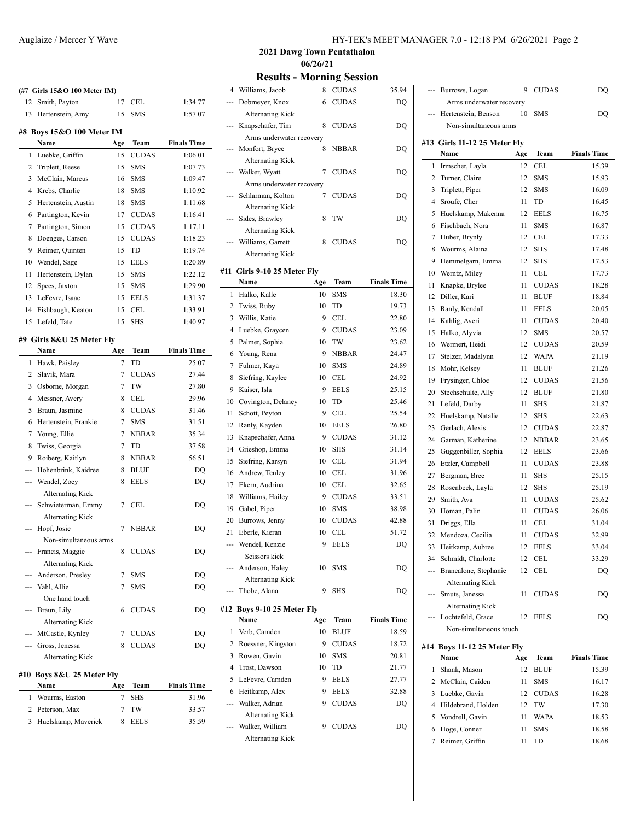| (#7 Girls 15&O 100 Meter IM) |                                    |           |                      |                               |  |
|------------------------------|------------------------------------|-----------|----------------------|-------------------------------|--|
| 12                           | Smith, Payton                      | 17        | CEL                  | 1:34.77                       |  |
| 13                           | Hertenstein, Amy                   | 15        | <b>SMS</b>           | 1:57.07                       |  |
|                              |                                    |           |                      |                               |  |
|                              | #8 Boys 15&O 100 Meter IM          |           |                      |                               |  |
| 1                            | Name<br>Luebke, Griffin            | Age<br>15 | Team<br><b>CUDAS</b> | <b>Finals Time</b><br>1:06.01 |  |
| 2                            |                                    | 15        | <b>SMS</b>           | 1:07.73                       |  |
| 3                            | Triplett, Reese<br>McClain, Marcus | 16        | <b>SMS</b>           | 1:09.47                       |  |
| 4                            | Krebs, Charlie                     | 18        | <b>SMS</b>           | 1:10.92                       |  |
| 5                            | Hertenstein, Austin                | 18        | <b>SMS</b>           | 1:11.68                       |  |
| 6                            | Partington, Kevin                  | 17        | <b>CUDAS</b>         | 1:16.41                       |  |
| 7                            | Partington, Simon                  | 15        | <b>CUDAS</b>         | 1:17.11                       |  |
| 8                            |                                    | 15        | <b>CUDAS</b>         | 1:18.23                       |  |
| 9                            | Doenges, Carson<br>Reimer, Quinten | 15        | TD                   | 1:19.74                       |  |
|                              |                                    |           |                      |                               |  |
| 10                           | Wendel, Sage                       | 15        | <b>EELS</b>          | 1:20.89                       |  |
| 11                           | Hertenstein, Dylan                 | 15        | <b>SMS</b>           | 1:22.12                       |  |
| 12                           | Spees, Jaxton                      | 15        | <b>SMS</b>           | 1:29.90                       |  |
| 13                           | LeFevre, Isaac                     | 15        | <b>EELS</b>          | 1:31.37                       |  |
| 14                           | Fishbaugh, Keaton                  | 15        | CEL                  | 1:33.91                       |  |
| 15                           | Lefeld, Tate                       | 15        | <b>SHS</b>           | 1:40.97                       |  |
|                              | #9 Girls 8&U 25 Meter Fly          |           |                      |                               |  |
|                              | Name                               | Age       | Team                 | <b>Finals Time</b>            |  |
| 1                            | Hawk, Paisley                      | $\tau$    | TD                   | 25.07                         |  |
| 2                            | Slavik, Mara                       | 7         | <b>CUDAS</b>         | 27.44                         |  |
| 3                            | Osborne, Morgan                    | 7         | TW                   | 27.80                         |  |
| 4                            | Messner, Avery                     | 8         | CEL                  | 29.96                         |  |
| 5                            | Braun, Jasmine                     | 8         | <b>CUDAS</b>         | 31.46                         |  |
| 6                            | Hertenstein, Frankie               | 7         | <b>SMS</b>           | 31.51                         |  |
| 7                            | Young, Ellie                       | 7         | <b>NBBAR</b>         | 35.34                         |  |
| 8                            | Twiss, Georgia                     | 7         | TD                   | 37.58                         |  |
| 9                            | Roiberg, Kaitlyn                   | 8         | <b>NBBAR</b>         | 56.51                         |  |
|                              | Hohenbrink, Kaidree                | 8         | <b>BLUF</b>          | DQ                            |  |
| ---                          | Wendel, Zoey                       | 8         | <b>EELS</b>          | DQ                            |  |
|                              | <b>Alternating Kick</b>            |           |                      |                               |  |
|                              | Schwieterman, Emmy                 | 7         | CEL                  | DQ                            |  |
|                              | <b>Alternating Kick</b>            |           |                      |                               |  |
| ---                          | Hopf, Josie                        | 7         | <b>NBBAR</b>         | DQ                            |  |
|                              | Non-simultaneous arms              |           |                      |                               |  |
| ---                          | Francis, Maggie                    | 8         | <b>CUDAS</b>         | DO                            |  |
|                              | <b>Alternating Kick</b>            |           |                      |                               |  |
|                              | Anderson, Presley                  | 7         | <b>SMS</b>           | DQ                            |  |
|                              | -- Yahl, Allie                     | 7         | <b>SMS</b>           | DQ                            |  |
|                              | One hand touch                     |           |                      |                               |  |
|                              | Braun, Lily                        | 6         | <b>CUDAS</b>         | DQ                            |  |
|                              | <b>Alternating Kick</b>            |           |                      |                               |  |
|                              | --- MtCastle, Kynley               | 7         | <b>CUDAS</b>         | DQ                            |  |
|                              | --- Gross, Jenessa                 | 8         | <b>CUDAS</b>         | DQ                            |  |
|                              | <b>Alternating Kick</b>            |           |                      |                               |  |
| #10                          | Boys 8&U 25 Meter Fly              |           |                      |                               |  |
|                              | Name                               | Age       | Team                 | <b>Finals Time</b>            |  |
| 1                            | Wourms, Easton                     | 7         | SHS                  | 31.96                         |  |
| 2                            | Peterson, Max                      | 7         | TW                   | 33.57                         |  |
| 3                            | Huelskamp, Maverick                | 8         | EELS                 | 35.59                         |  |
|                              |                                    |           |                      |                               |  |

**2021 Dawg Town Pentathalon 06/26/21**

**Results - Morning Session**

|     | <b>ULLUJ</b>                              |     | $11101 \text{ mm}$ |                    |
|-----|-------------------------------------------|-----|--------------------|--------------------|
| 4   | Williams, Jacob                           | 8   | <b>CUDAS</b>       | 35.94              |
| --- | Dobmeyer, Knox                            | 6   | <b>CUDAS</b>       | DQ                 |
|     | Alternating Kick                          |     |                    |                    |
| --- | Knapschafer, Tim                          | 8   | <b>CUDAS</b>       | DQ                 |
|     | Arms underwater recovery                  |     |                    |                    |
| --- | Monfort, Bryce                            | 8   | <b>NBBAR</b>       | DQ                 |
|     | <b>Alternating Kick</b>                   |     |                    |                    |
|     | Walker, Wyatt                             | 7   | <b>CUDAS</b>       | DQ                 |
|     | Arms underwater recovery                  |     |                    |                    |
|     | Schlarman, Kolton                         | 7   | <b>CUDAS</b>       | DQ                 |
| --- | <b>Alternating Kick</b><br>Sides, Brawley | 8   | TW                 | DQ                 |
|     | <b>Alternating Kick</b>                   |     |                    |                    |
|     | Williams, Garrett                         | 8   | <b>CUDAS</b>       | DQ                 |
|     | Alternating Kick                          |     |                    |                    |
|     |                                           |     |                    |                    |
|     | #11 Girls 9-10 25 Meter Fly               |     |                    |                    |
|     | Name                                      | Age | Team               | <b>Finals Time</b> |
| 1   | Halko, Kalle                              | 10  | <b>SMS</b>         | 18.30              |
| 2   | Twiss, Ruby                               | 10  | TD                 | 19.73              |
| 3   | Willis, Katie                             | 9   | <b>CEL</b>         | 22.80              |
| 4   | Luebke, Graycen                           | 9   | <b>CUDAS</b>       | 23.09              |
| 5   | Palmer, Sophia                            | 10  | TW                 | 23.62              |
| 6   | Young, Rena                               | 9   | <b>NBBAR</b>       | 24.47              |
| 7   | Fulmer, Kaya                              | 10  | <b>SMS</b>         | 24.89              |
| 8   | Siefring, Kaylee                          | 10  | <b>CEL</b>         | 24.92              |
| 9   | Kaiser, Isla                              | 9   | <b>EELS</b>        | 25.15              |
| 10  | Covington, Delaney                        | 10  | TD                 | 25.46              |
| 11  | Schott, Peyton                            | 9   | CEL                | 25.54              |
| 12  | Ranly, Kayden                             | 10  | <b>EELS</b>        | 26.80              |
| 13  | Knapschafer, Anna                         | 9   | <b>CUDAS</b>       | 31.12              |
| 14  | Grieshop, Emma                            | 10  | <b>SHS</b>         | 31.14              |
| 15  | Siefring, Karsyn                          | 10  | <b>CEL</b>         | 31.94              |
| 16  | Andrew, Tenley                            | 10  | CEL                | 31.96              |
| 17  | Ekern, Audrina                            | 10  | CEL                | 32.65              |
| 18  | Williams, Hailey                          | 9   | <b>CUDAS</b>       | 33.51              |
| 19  | Gabel, Piper                              | 10  | <b>SMS</b>         | 38.98              |
| 20  | Burrows, Jenny                            | 10  | <b>CUDAS</b>       | 42.88              |
| 21  | Eberle, Kieran                            | 10  | CEL                | 51.72              |
|     | Wendel, Kenzie                            | 9   | EELS               | DQ                 |
|     | Scissors kick                             |     |                    |                    |
|     | Anderson, Haley                           | 10  | SMS                | DQ                 |
|     | <b>Alternating Kick</b>                   | 9   |                    |                    |
|     | Thobe, Alana                              |     | <b>SHS</b>         | DQ                 |
|     | #12 Boys 9-10 25 Meter Fly                |     |                    |                    |
|     | Name                                      | Age | Team               | <b>Finals Time</b> |
| 1   | Verb, Camden                              | 10  | <b>BLUF</b>        | 18.59              |
| 2   | Roessner, Kingston                        | 9   | <b>CUDAS</b>       | 18.72              |
| 3   | Rowen, Gavin                              | 10  | SMS                | 20.81              |
| 4   | Trost, Dawson                             | 10  | TD                 | 21.77              |
| 5   | LeFevre, Camden                           | 9   | <b>EELS</b>        | 27.77              |
| 6   | Heitkamp, Alex                            | 9   | <b>EELS</b>        | 32.88              |
| --- | Walker, Adrian                            | 9   | <b>CUDAS</b>       | DQ                 |
|     | <b>Alternating Kick</b>                   |     |                    |                    |
|     | Walker, William                           | 9   | <b>CUDAS</b>       | DQ                 |
|     | <b>Alternating Kick</b>                   |     |                    |                    |

| --- | Burrows, Logan               | 9   | CUDAS        | DQ                 |
|-----|------------------------------|-----|--------------|--------------------|
|     | Arms underwater recovery     |     |              |                    |
|     | Hertenstein, Benson          | 10  | <b>SMS</b>   | DO                 |
|     | Non-simultaneous arms        |     |              |                    |
|     | #13 Girls 11-12 25 Meter Fly |     |              |                    |
|     | Name                         | Age | Team         | <b>Finals Time</b> |
| 1   | Irmscher, Layla              | 12  | CEL          | 15.39              |
| 2   | Turner, Claire               | 12  | <b>SMS</b>   | 15.93              |
| 3   | Triplett, Piper              | 12  | <b>SMS</b>   | 16.09              |
| 4   | Sroufe, Cher                 | 11  | TD           | 16.45              |
| 5   | Huelskamp, Makenna           | 12  | <b>EELS</b>  | 16.75              |
| 6   | Fischbach, Nora              | 11  | SMS          | 16.87              |
| 7   | Huber, Brynly                | 12  | CEL          | 17.33              |
| 8   | Wourms, Alaina               | 12  | <b>SHS</b>   | 17.48              |
| 9   | Hemmelgarn, Emma             | 12  | <b>SHS</b>   | 17.53              |
| 10  | Werntz, Miley                | 11  | CEL          | 17.73              |
| 11  | Knapke, Brylee               | 11  | <b>CUDAS</b> | 18.28              |
| 12  | Diller, Kari                 | 11  | <b>BLUF</b>  | 18.84              |
|     |                              |     |              |                    |
| 13  | Ranly, Kendall               | 11  | <b>EELS</b>  | 20.05              |
| 14  | Kahlig, Averi                | 11  | <b>CUDAS</b> | 20.40              |
| 15  | Halko, Alyvia                | 12  | <b>SMS</b>   | 20.57              |
| 16  | Wermert, Heidi               | 12  | <b>CUDAS</b> | 20.59              |
| 17  | Stelzer, Madalynn            | 12  | <b>WAPA</b>  | 21.19              |
| 18  | Mohr, Kelsey                 | 11  | <b>BLUF</b>  | 21.26              |
| 19  | Frysinger, Chloe             | 12  | <b>CUDAS</b> | 21.56              |
| 20  | Stechschulte, Ally           | 12  | <b>BLUF</b>  | 21.80              |
| 21  | Lefeld, Darby                | 11  | SHS          | 21.87              |
| 22  | Huelskamp, Natalie           | 12  | SHS          | 22.63              |
| 23  | Gerlach, Alexis              | 12  | <b>CUDAS</b> | 22.87              |
| 24  | Garman, Katherine            | 12  | <b>NBBAR</b> | 23.65              |
| 25  | Guggenbiller, Sophia         | 12  | <b>EELS</b>  | 23.66              |
| 26  | Etzler, Campbell             | 11  | <b>CUDAS</b> | 23.88              |
| 27  | Bergman, Bree                | 11  | <b>SHS</b>   | 25.15              |
| 28  | Rosenbeck, Layla             | 12  | <b>SHS</b>   | 25.19              |
| 29  | Smith, Ava                   | 11  | <b>CUDAS</b> | 25.62              |
| 30  | Homan, Palin                 | 11  | <b>CUDAS</b> | 26.06              |
| 31  | Driggs, Ella                 | 11  | CEL          | 31.04              |
| 32  | Mendoza, Cecilia             | 11  | <b>CUDAS</b> | 32.99              |
| 33  | Heitkamp, Aubree             | 12  | <b>EELS</b>  | 33.04              |
|     | 34 Schmidt, Charlotte        | 12  | CEL          | 33.29              |
|     | Brancalone, Stephanie        | 12  | CEL          | DQ                 |
|     | <b>Alternating Kick</b>      |     |              |                    |
| --- | Smuts, Janessa               | 11  | <b>CUDAS</b> | DQ                 |
|     | <b>Alternating Kick</b>      |     |              |                    |
|     | Lochtefeld, Grace            | 12  | <b>EELS</b>  | DO                 |
|     | Non-simultaneous touch       |     |              |                    |
|     |                              |     |              |                    |
|     | #14 Boys 11-12 25 Meter Fly  |     |              | <b>Finals Time</b> |
| 1   | Name                         | Age | Team         |                    |
|     | Shank, Mason                 | 12  | BLUF         | 15.39              |
| 2   | McClain, Caiden              | 11  | SMS          | 16.17              |
| 3   | Luebke, Gavin                | 12  | <b>CUDAS</b> | 16.28              |
| 4   | Hildebrand, Holden           | 12  | TW           | 17.30              |
| 5   | Vondrell, Gavin              | 11  | WAPA         | 18.53              |
| 6   | Hoge, Conner                 | 11  | <b>SMS</b>   | 18.58              |
| 7   | Reimer, Griffin              | 11  | TD           | 18.68              |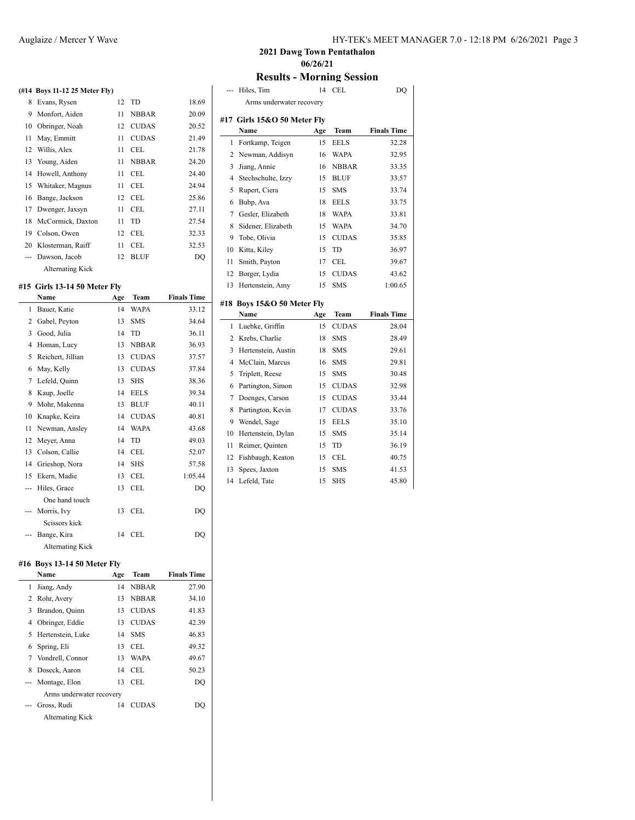#### **(#14 Boys 11-12 25 Meter Fly)**

| 8 Evans, Rysen          |    | 12 TD        | 18.69 |
|-------------------------|----|--------------|-------|
| 9 Monfort, Aiden        | 11 | <b>NBBAR</b> | 20.09 |
| 10 Obringer, Noah       |    | 12 CUDAS     | 20.52 |
| 11 May, Emmitt          | 11 | <b>CUDAS</b> | 21.49 |
| 12 Willis, Alex         | 11 | CEL          | 21.78 |
| 13 Young, Aiden         | 11 | <b>NBBAR</b> | 24.20 |
| 14 Howell, Anthony      | 11 | CEL          | 24.40 |
| 15 Whitaker, Magnus     | 11 | <b>CEL</b>   | 24.94 |
| 16 Bange, Jackson       |    | 12 CEL       | 25.86 |
| 17 Dwenger, Jaxsyn      | 11 | <b>CEL</b>   | 27.11 |
| 18 McCormick, Daxton    | 11 | TD           | 27.54 |
| 19 Colson, Owen         | 12 | CEL          | 32.33 |
| 20 Klosterman, Raiff    | 11 | CEL          | 32.53 |
| --- Dawson, Jacob       | 12 | <b>BLUF</b>  | DQ    |
| <b>Alternating Kick</b> |    |              |       |

### **#15 Girls 13-14 50 Meter Fly**

|     | Name                    | Age | Team         | <b>Finals Time</b> |
|-----|-------------------------|-----|--------------|--------------------|
| 1   | Bauer, Katie            | 14  | <b>WAPA</b>  | 33.12              |
| 2   | Gabel, Peyton           | 13  | <b>SMS</b>   | 34.64              |
| 3   | Good, Julia             | 14  | TD           | 36.11              |
| 4   | Homan, Lucy             | 13  | <b>NBBAR</b> | 36.93              |
| 5   | Reichert, Jillian       | 13  | <b>CUDAS</b> | 37.57              |
| 6   | May, Kelly              | 13  | <b>CUDAS</b> | 37.84              |
| 7   | Lefeld, Quinn           | 13  | <b>SHS</b>   | 38.36              |
| 8   | Kaup, Joelle            | 14  | <b>EELS</b>  | 39.34              |
| 9   | Mohr, Makenna           | 13  | <b>BLUF</b>  | 40.11              |
| 10  | Knapke, Keira           | 14  | <b>CUDAS</b> | 40.81              |
| 11  | Newman, Ansley          | 14  | <b>WAPA</b>  | 43.68              |
| 12  | Meyer, Anna             | 14  | TD           | 49.03              |
| 13  | Colson, Callie          | 14  | CEL          | 52.07              |
| 14  | Grieshop, Nora          | 14  | <b>SHS</b>   | 57.58              |
| 15  | Ekern, Madie            | 13  | CEL          | 1:05.44            |
| --- | Hiles, Grace            | 13  | CEL          | DQ                 |
|     | One hand touch          |     |              |                    |
|     | Morris, Ivy             | 13  | CEL          | DQ                 |
|     | Scissors kick           |     |              |                    |
|     | Bange, Kira             | 14  | CEL          | DO                 |
|     | <b>Alternating Kick</b> |     |              |                    |

#### **#16 Boys 13-14 50 Meter Fly**

 $\overline{a}$ 

|   | Name                     | Age | Team         | <b>Finals Time</b> |
|---|--------------------------|-----|--------------|--------------------|
| 1 | Jiang, Andy              | 14  | <b>NBBAR</b> | 27.90              |
| 2 | Rohr, Avery              | 13  | <b>NBBAR</b> | 34.10              |
|   | 3 Brandon, Quinn         | 13  | <b>CUDAS</b> | 41.83              |
|   | 4 Obringer, Eddie        | 13  | <b>CUDAS</b> | 42.39              |
|   | 5 Hertenstein, Luke      | 14  | <b>SMS</b>   | 46.83              |
|   | 6 Spring, Eli            | 13  | <b>CEL</b>   | 49.32              |
| 7 | Vondrell, Connor         | 13  | <b>WAPA</b>  | 49.67              |
| 8 | Doseck, Aaron            | 14  | - CEL        | 50.23              |
|   | --- Montage, Elon        | 13  | CEL.         | DO                 |
|   | Arms underwater recovery |     |              |                    |
|   | Gross, Rudi              | 14  | <b>CUDAS</b> | DO                 |
|   | <b>Alternating Kick</b>  |     |              |                    |

**2021 Dawg Town Pentathalon 06/26/21**

# **Results - Morning Session**

| ---            | Hiles, Tim                         | 14  | CEL          | DQ                 |
|----------------|------------------------------------|-----|--------------|--------------------|
|                | Arms underwater recovery           |     |              |                    |
|                | #17 Girls 15&O 50 Meter Fly        |     |              |                    |
|                | Name                               | Age | Team         | <b>Finals Time</b> |
| $\mathbf{1}$   | Fortkamp, Teigen                   | 15  | <b>EELS</b>  | 32.28              |
| 2              | Newman, Addisyn                    | 16  | <b>WAPA</b>  | 32.95              |
| 3              | Jiang, Annie                       | 16  | <b>NBBAR</b> | 33.35              |
| 4              | Stechschulte, Izzy                 | 15  | <b>BLUF</b>  | 33.57              |
| 5              | Rupert, Ciera                      | 15  | <b>SMS</b>   | 33.74              |
| 6              | Bubp, Ava                          | 18  | <b>EELS</b>  | 33.75              |
| 7              | Gesler, Elizabeth                  | 18  | <b>WAPA</b>  | 33.81              |
| 8              | Sidener, Elizabeth                 | 15  | <b>WAPA</b>  | 34.70              |
| 9              | Tobe, Olivia                       | 15  | <b>CUDAS</b> | 35.85              |
| 10             | Kitta, Kiley                       | 15  | TD           | 36.97              |
| 11             | Smith, Payton                      | 17  | CEL          | 39.67              |
| 12             | Borger, Lydia                      | 15  | <b>CUDAS</b> | 43.62              |
| 13             | Hertenstein, Amy                   | 15  | <b>SMS</b>   | 1:00.65            |
|                |                                    |     |              |                    |
|                |                                    |     |              |                    |
|                | #18 Boys 15&O 50 Meter Fly<br>Name | Age | Team         | <b>Finals Time</b> |
| $\mathbf{1}$   | Luebke, Griffin                    | 15  | <b>CUDAS</b> | 28.04              |
| $\overline{2}$ | Krebs, Charlie                     | 18  | <b>SMS</b>   | 28.49              |
| 3              | Hertenstein, Austin                | 18  | <b>SMS</b>   | 29.61              |
| 4              | McClain, Marcus                    | 16  | <b>SMS</b>   | 29.81              |
| 5              | Triplett, Reese                    | 15  | SMS          | 30.48              |
| 6              | Partington, Simon                  | 15  | <b>CUDAS</b> | 32.98              |
| 7              | Doenges, Carson                    | 15  | <b>CUDAS</b> | 33.44              |
| 8              | Partington, Kevin                  | 17  | <b>CUDAS</b> | 33.76              |
| 9              | Wendel, Sage                       | 15  | <b>EELS</b>  | 35.10              |
| 10             | Hertenstein, Dylan                 | 15  | <b>SMS</b>   | 35.14              |
| 11             | Reimer, Quinten                    | 15  | TD           | 36.19              |
| 12             | Fishbaugh, Keaton                  | 15  | CEL          | 40.75              |
| 13             | Spees, Jaxton                      | 15  | <b>SMS</b>   | 41.53              |
| 14             | Lefeld, Tate                       | 15  | <b>SHS</b>   | 45.80              |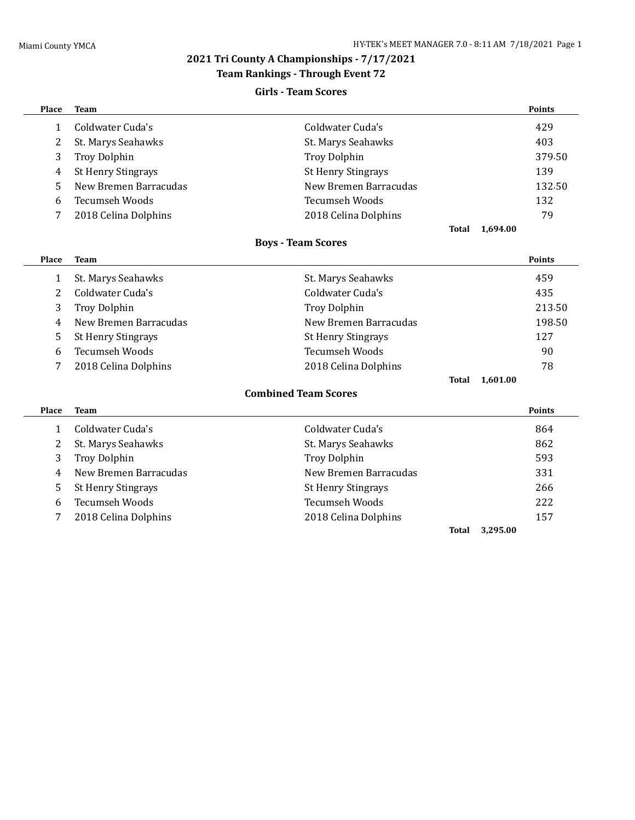# **2021 Tri County A Championships - 7/17/2021**

# **Team Rankings - Through Event 72**

# **Girls - Team Scores**

| Place        | <b>Team</b>               |                             |       |          | <b>Points</b> |
|--------------|---------------------------|-----------------------------|-------|----------|---------------|
| $\mathbf{1}$ | Coldwater Cuda's          | Coldwater Cuda's            |       |          | 429           |
| 2            | St. Marys Seahawks        | St. Marys Seahawks          |       |          | 403           |
| 3            | <b>Troy Dolphin</b>       | <b>Troy Dolphin</b>         |       |          | 379.50        |
| 4            | <b>St Henry Stingrays</b> | <b>St Henry Stingrays</b>   |       |          | 139           |
| 5            | New Bremen Barracudas     | New Bremen Barracudas       |       |          | 132.50        |
| 6            | <b>Tecumseh Woods</b>     | <b>Tecumseh Woods</b>       |       |          | 132           |
| 7            | 2018 Celina Dolphins      | 2018 Celina Dolphins        |       |          | 79            |
|              |                           |                             | Total | 1,694.00 |               |
|              |                           | <b>Boys - Team Scores</b>   |       |          |               |
| Place        | <b>Team</b>               |                             |       |          | <b>Points</b> |
| $\mathbf{1}$ | St. Marys Seahawks        | St. Marys Seahawks          |       |          | 459           |
| 2            | Coldwater Cuda's          | Coldwater Cuda's            |       |          | 435           |
| 3            | Troy Dolphin              | <b>Troy Dolphin</b>         |       |          | 213.50        |
| 4            | New Bremen Barracudas     | New Bremen Barracudas       |       |          | 198.50        |
| 5            | <b>St Henry Stingrays</b> | <b>St Henry Stingrays</b>   |       |          | 127           |
| 6            | <b>Tecumseh Woods</b>     | <b>Tecumseh Woods</b>       |       |          | 90            |
| 7            | 2018 Celina Dolphins      | 2018 Celina Dolphins        |       |          | 78            |
|              |                           |                             | Total | 1,601.00 |               |
|              |                           | <b>Combined Team Scores</b> |       |          |               |
| Place        | <b>Team</b>               |                             |       |          | <b>Points</b> |
| $\mathbf{1}$ | Coldwater Cuda's          | Coldwater Cuda's            |       |          | 864           |
| 2            | St. Marys Seahawks        | St. Marys Seahawks          |       |          | 862           |
| 3            | <b>Troy Dolphin</b>       | <b>Troy Dolphin</b>         |       |          | 593           |
| 4            | New Bremen Barracudas     | New Bremen Barracudas       |       |          | 331           |
| 5            | <b>St Henry Stingrays</b> | <b>St Henry Stingrays</b>   |       |          | 266           |
| 6            | <b>Tecumseh Woods</b>     | <b>Tecumseh Woods</b>       |       |          | 222           |
| 7            | 2018 Celina Dolphins      | 2018 Celina Dolphins        |       |          | 157           |
|              |                           |                             | Total | 3,295.00 |               |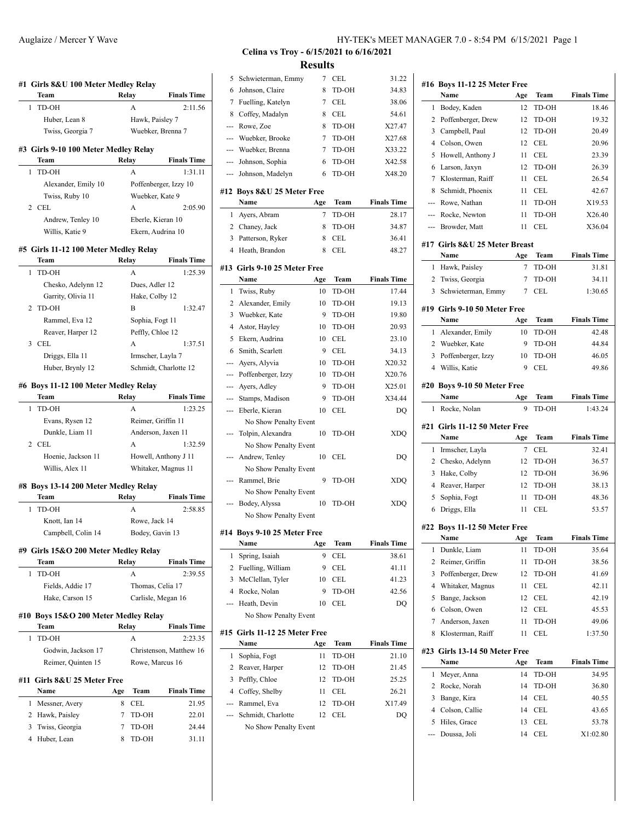| Team                                    | Relay        |                  | <b>Finals Time</b>                                             |
|-----------------------------------------|--------------|------------------|----------------------------------------------------------------|
| TD-OH<br>1                              |              | A                | 2:11.56                                                        |
| Huber, Lean 8                           |              | Hawk, Paisley 7  |                                                                |
| Twiss, Georgia 7                        |              |                  | Wuebker, Brenna 7                                              |
| #3 Girls 9-10 100 Meter Medley Relay    |              |                  |                                                                |
| Team                                    |              | Relay            | <b>Finals Time</b>                                             |
| TD-OH<br>1                              |              | A                | 1:31.11                                                        |
| Alexander, Emily 10                     |              |                  | Poffenberger, Izzy 10                                          |
| Twiss, Ruby 10                          |              |                  | Wuebker, Kate 9                                                |
| 2 CEL                                   |              | A                | 2:05.90                                                        |
| Andrew, Tenley 10                       |              |                  | Eberle, Kieran 10                                              |
| Willis, Katie 9                         |              |                  | Ekern, Audrina 10                                              |
| #5 Girls 11-12 100 Meter Medley Relay   |              |                  |                                                                |
| Team                                    | <b>Relay</b> |                  | <b>Finals Time</b>                                             |
| $\mathbf{1}$<br>TD-OH                   |              | A                | 1:25.39                                                        |
| Chesko, Adelynn 12                      |              | Dues, Adler 12   |                                                                |
| Garrity, Olivia 11                      |              | Hake, Colby 12   |                                                                |
| 2 TD-OH                                 |              | В                | 1:32.47                                                        |
| Rammel, Eva 12                          |              | Sophia, Fogt 11  |                                                                |
| Reaver, Harper 12                       |              | Peffly, Chloe 12 |                                                                |
| 3 CEL                                   |              | A                | 1:37.51                                                        |
|                                         |              |                  |                                                                |
| Driggs, Ella 11                         |              |                  | Irmscher, Layla 7                                              |
| Huber, Brynly 12                        |              |                  | Schmidt, Charlotte 12                                          |
| #6 Boys 11-12 100 Meter Medley Relay    |              |                  |                                                                |
| Team                                    | Relay        |                  | <b>Finals Time</b>                                             |
| TD-OH<br>1                              |              | A                | 1:23.25                                                        |
| Evans, Rysen 12                         |              |                  | Reimer, Griffin 11                                             |
| Dunkle, Liam 11                         |              |                  | Anderson, Jaxen 11                                             |
| 2 CEL                                   |              | A                | 1:32.59                                                        |
|                                         |              |                  | Howell, Anthony J 11                                           |
| Hoenie, Jackson 11                      |              |                  |                                                                |
| Willis, Alex 11                         |              |                  | Whitaker, Magnus 11                                            |
| #8 Boys 13-14 200 Meter Medley Relay    |              |                  |                                                                |
| Team                                    | Relay        |                  |                                                                |
| TD-OH<br>1                              |              | A                |                                                                |
| Knott, Ian 14                           |              | Rowe, Jack 14    |                                                                |
| Campbell, Colin 14                      |              |                  | <b>Finals Time</b><br>2:58.85<br>Bodey, Gavin 13               |
| #9 Girls 15&O 200 Meter Medley Relay    |              |                  |                                                                |
| Team                                    | Relay        |                  |                                                                |
| TD-OH<br>1                              |              | A                |                                                                |
| Fields, Addie 17                        |              |                  | Thomas, Celia 17                                               |
| Hake, Carson 15                         |              |                  | Carlisle, Megan 16                                             |
| Boys 15&O 200 Meter Medley Relay<br>#10 |              |                  |                                                                |
| Team                                    | <b>Relay</b> |                  |                                                                |
| TD-OH<br>1                              |              | A                | <b>Finals Time</b><br>2:39.55<br><b>Finals Time</b><br>2:23.35 |
| Godwin, Jackson 17                      |              |                  |                                                                |
| Reimer, Quinten 15                      |              |                  | Rowe, Marcus 16                                                |
| #11 Girls 8&U 25 Meter Free             |              |                  |                                                                |
| Name                                    | Age          | Team             |                                                                |
| Messner, Avery<br>1                     | 8            | CEL              | Christenson, Matthew 16<br><b>Finals Time</b><br>21.95         |
| 2 Hawk, Paisley                         | 7            | TD-OH            | 22.01                                                          |
| 3<br>Twiss, Georgia                     | 7            | TD-OH            | 24.44                                                          |

# **Celina vs Troy - 6/15/2021 to 6/16/2021 Results**

 $\overline{\phantom{a}}$ 

 $\frac{1}{2}$ 

 $\overline{\phantom{a}}$ 

 $\overline{\phantom{a}}$ 

| 5              | Schwieterman, Emmy            | 7   | <b>CEL</b> | 31.22              |
|----------------|-------------------------------|-----|------------|--------------------|
| 6              | Johnson, Claire               | 8   | TD-OH      | 34.83              |
| 7              | Fuelling, Katelyn             | 7   | CEL        | 38.06              |
| 8              | Coffey, Madalyn               | 8   | CEL        | 54.61              |
| $\overline{a}$ | Rowe, Zoe                     | 8   | TD-OH      | X27.47             |
| ---            | Wuebker, Brooke               | 7   | TD-OH      | X27.68             |
| ---            | Wuebker, Brenna               | 7   | TD-OH      | X33.22             |
| ---            | Johnson, Sophia               | 6   | TD-OH      | X42.58             |
| ---            | Johnson, Madelyn              | 6   | TD-OH      | X48.20             |
|                |                               |     |            |                    |
| #12            | Boys 8&U 25 Meter Free        |     |            |                    |
|                | Name                          | Age | Team       | <b>Finals Time</b> |
| 1              | Ayers, Abram                  | 7   | TD-OH      | 28.17              |
| 2              | Chaney, Jack                  | 8   | TD-OH      | 34.87              |
| 3              | Patterson, Ryker              | 8   | CEL        | 36.41              |
| 4              | Heath, Brandon                | 8   | CEL        | 48.27              |
| #13            | Girls 9-10 25 Meter Free      |     |            |                    |
|                | Name                          | Age | Team       | <b>Finals Time</b> |
|                |                               |     | TD-OH      | 17.44              |
| 1              | Twiss, Ruby                   | 10  | TD-OH      |                    |
| 2              | Alexander, Emily              | 10  |            | 19.13              |
| 3              | Wuebker, Kate                 | 9   | TD-OH      | 19.80              |
| 4              | Astor, Hayley                 | 10  | TD-OH      | 20.93              |
| 5              | Ekern, Audrina                | 10  | CEL        | 23.10              |
| 6              | Smith, Scarlett               | 9   | CEL        | 34.13              |
| ---            | Ayers, Alyvia                 | 10  | TD-OH      | X20.32             |
| ---            | Poffenberger, Izzy            | 10  | TD-OH      | X20.76             |
| ---            | Ayers, Adley                  | 9   | TD-OH      | X25.01             |
| ---            | Stamps, Madison               | 9   | TD-OH      | X34.44             |
| ---            | Eberle, Kieran                | 10  | CEL        | DQ                 |
|                | No Show Penalty Event         |     |            |                    |
| ---            | Tolpin, Alexandra             | 10  | TD-OH      | XDQ                |
|                | No Show Penalty Event         |     |            |                    |
|                | Andrew, Tenley                | 10  | CEL        | DQ                 |
|                | No Show Penalty Event         |     |            |                    |
| ---            | Rammel, Brie                  | 9   | TD-OH      | XDQ                |
|                | No Show Penalty Event         |     |            |                    |
| ---            | Bodey, Alyssa                 | 10  | TD-OH      | <b>XDO</b>         |
|                | No Show Penalty Event         |     |            |                    |
|                | #14 Boys 9-10 25 Meter Free   |     |            |                    |
|                | Name                          | Age | Team       | <b>Finals Time</b> |
| 1              | Spring, Isaiah                | 9   | CEL        | 38.61              |
| 2              | Fuelling, William             | 9   | CEL        | 41.11              |
| 3              | McClellan, Tyler              | 10  | CEL        | 41.23              |
| 4              | Rocke, Nolan                  | 9   | TD-OH      | 42.56              |
| --             | Heath, Devin                  | 10  | <b>CEL</b> | DQ                 |
|                | No Show Penalty Event         |     |            |                    |
|                |                               |     |            |                    |
|                | #15 Girls 11-12 25 Meter Free |     |            |                    |
|                | Name                          | Age | Team       | <b>Finals Time</b> |
| 1              | Sophia, Fogt                  | 11  | TD-OH      | 21.10              |
| 2              | Reaver, Harper                | 12  | TD-OH      | 21.45              |
| 3              | Peffly, Chloe                 | 12  | TD-OH      | 25.25              |
| $\overline{4}$ | Coffey, Shelby                | 11  | CEL        | 26.21              |
| ---            | Rammel, Eva                   | 12  | TD-OH      | X17.49             |
| --             | Schmidt, Charlotte            | 12  | CEL        | DQ                 |
|                | No Show Penalty Event         |     |            |                    |
|                |                               |     |            |                    |
|                |                               |     |            |                    |

|                | #16 Boys 11-12 25 Meter Free      |     |            |                                                          |
|----------------|-----------------------------------|-----|------------|----------------------------------------------------------|
|                | Name                              | Age | Team       | <b>Finals Time</b>                                       |
| 1              | Bodey, Kaden                      | 12  | TD-OH      | 18.46                                                    |
| 2              | Poffenberger, Drew                | 12  | TD-OH      | 19.32                                                    |
| 3              | Campbell, Paul                    | 12  | TD-OH      | 20.49                                                    |
| 4              | Colson, Owen                      | 12  | CEL        | 20.96                                                    |
| 5              | Howell, Anthony J                 | 11  | CEL        | 23.39                                                    |
| 6              | Larson, Jaxyn                     | 12  | TD-OH      | 26.39                                                    |
| 7              | Klosterman, Raiff                 | 11  | CEL        | 26.54                                                    |
| 8              | Schmidt, Phoenix                  | 11  | CEL        | 42.67                                                    |
| ---            | Rowe, Nathan                      | 11  | TD-OH      | X19.53                                                   |
| ---            | Rocke, Newton                     | 11  | TD-OH      | X26.40                                                   |
| ---            | Browder, Matt                     | 11  | CEL        | X36.04                                                   |
| #17            | Girls 8&U 25 Meter Breast         |     |            |                                                          |
|                | Name                              | Age | Team       | <b>Finals Time</b>                                       |
| 1              | Hawk, Paisley                     | 7   | TD-OH      | 31.81                                                    |
| 2              | Twiss, Georgia                    | 7   | TD-OH      | 34.11                                                    |
| 3              | Schwieterman, Emmy                | 7   | CEL        | 1:30.65                                                  |
|                | #19 Girls 9-10 50 Meter Free      |     |            |                                                          |
|                | Name                              | Age | Team       | <b>Finals Time</b>                                       |
| 1              | Alexander, Emily                  | 10  | TD-OH      | 42.48                                                    |
| 2              | Wuebker, Kate                     | 9   | TD-OH      | 44.84                                                    |
| 3              | Poffenberger, Izzy                | 10  | TD-OH      | 46.05                                                    |
| 4              | Willis, Katie                     | 9   | CEL        | 49.86                                                    |
|                | #20 Boys 9-10 50 Meter Free       |     |            |                                                          |
|                | Name                              | Age | Team       | <b>Finals Time</b>                                       |
| 1              | Rocke, Nolan                      | 9   | TD-OH      | 1:43.24                                                  |
| #21            | Girls 11-12 50 Meter Free<br>Name | Age | Team       | <b>Finals Time</b>                                       |
| 1              | Irmscher, Layla                   | 7   | CEL        | 32.41                                                    |
| 2              | Chesko, Adelynn                   | 12  | TD-OH      | 36.57                                                    |
| 3              | Hake, Colby                       | 12  | TD-OH      | 36.96                                                    |
| 4              | Reaver, Harper                    | 12  | TD-OH      | 38.13                                                    |
| 5              | Sophia, Fogt                      | 11  | TD-OH      | 48.36                                                    |
| 6              | Driggs, Ella                      | 11  | CEL        | 53.57                                                    |
|                |                                   |     |            |                                                          |
|                | #22 Boys 11-12 50 Meter Free      |     |            |                                                          |
|                | Name                              | Age | Team       | <b>Finals Time</b>                                       |
| 1              | Dunkle, Liam                      | 11  | TD-OH      | 35.64                                                    |
| $\overline{c}$ | Reimer, Griffin                   | 11  | TD-OH      | 38.56                                                    |
| 3              | Poffenberger, Drew                | 12  | TD-OH      | 41.69                                                    |
| 4              | Whitaker, Magnus                  | 11  | CEL        | 42.11                                                    |
| 5              | Bange, Jackson                    | 12  | <b>CEL</b> | 42.19                                                    |
| 6              |                                   |     |            |                                                          |
|                | Colson, Owen                      | 12  | CEL        |                                                          |
| 7              | Anderson, Jaxen                   | 11  | TD-OH      |                                                          |
| 8              | Klosterman, Raiff                 | 11  | CEL        |                                                          |
|                | #23 Girls 13-14 50 Meter Free     |     |            |                                                          |
|                | Name                              | Age | Team       |                                                          |
| 1              | Meyer, Anna                       | 14  | TD-OH      | 45.53<br>49.06<br>1:37.50<br><b>Finals Time</b><br>34.95 |
| 2              | Rocke, Norah                      | 14  | TD-OH      |                                                          |
| 3              | Bange, Kira                       | 14  | CEL        |                                                          |
| 4              | Colson, Callie                    | 14  | CEL        | 36.80<br>40.55<br>43.65                                  |
| 5              | Hiles, Grace                      | 13  | CEL        | 53.78                                                    |
| ---            | Doussa, Joli                      | 14  | CEL        | X1:02.80                                                 |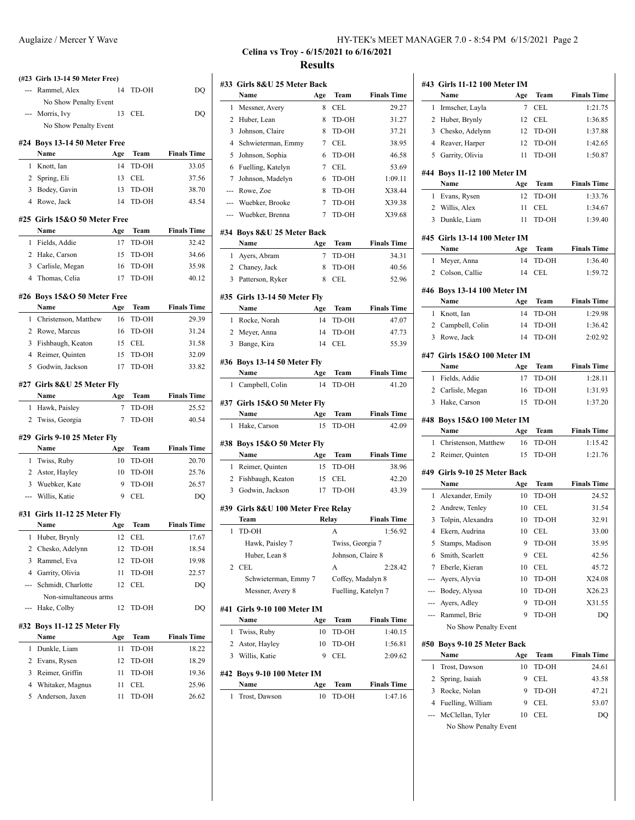|                | (#23 Girls 13-14 50 Meter Free)          |     |                   |                    |
|----------------|------------------------------------------|-----|-------------------|--------------------|
|                | Rammel, Alex                             | 14  | TD-OH             | DQ                 |
|                | No Show Penalty Event                    |     |                   |                    |
|                | --- Morris, Ivy                          | 13  | CEL               | DQ                 |
|                | No Show Penalty Event                    |     |                   |                    |
|                | #24 Boys 13-14 50 Meter Free             |     |                   |                    |
|                | Name                                     | Age | Team              | <b>Finals Time</b> |
|                | 1 Knott, Ian                             | 14  | TD-OH             | 33.05              |
|                | 2 Spring, Eli                            | 13  | <b>CEL</b>        | 37.56              |
|                | 3 Bodey, Gavin                           | 13  | TD-OH             | 38.70              |
|                | 4 Rowe, Jack                             | 14  | TD-OH             | 43.54              |
|                | #25 Girls 15&O 50 Meter Free             |     |                   |                    |
|                | Name                                     | Age | Team              | <b>Finals Time</b> |
|                | 1 Fields, Addie                          | 17  | TD-OH             | 32.42              |
|                | 2 Hake, Carson                           | 15  | TD-OH             | 34.66              |
|                | 3 Carlisle, Megan                        | 16  | TD-OH             | 35.98              |
|                | 4 Thomas, Celia                          | 17  | TD-OH             | 40.12              |
|                |                                          |     |                   |                    |
|                | #26 Boys 15&O 50 Meter Free<br>Name      | Age | Team              | <b>Finals Time</b> |
|                | 1 Christenson, Matthew                   |     | 16 TD-OH          | 29.39              |
|                | 2 Rowe, Marcus                           |     | 16 TD-OH          | 31.24              |
|                |                                          |     | 15 CEL            | 31.58              |
|                | 3 Fishbaugh, Keaton<br>4 Reimer, Quinten |     |                   | 32.09              |
|                | 5 Godwin, Jackson                        |     | 15 TD-OH<br>TD-OH | 33.82              |
|                |                                          | 17  |                   |                    |
|                | #27 Girls 8&U 25 Meter Fly               |     |                   |                    |
|                | Name                                     | Age | Team              | <b>Finals Time</b> |
|                | 1 Hawk, Paisley                          | 7   | TD-OH             | 25.52              |
| $\overline{2}$ | Twiss, Georgia                           | 7   | TD-OH             | 40.54              |
|                | #29 Girls 9-10 25 Meter Fly              |     |                   |                    |
|                | Name                                     | Age | Team              | <b>Finals Time</b> |
| 1              | Twiss, Ruby                              | 10  | TD-OH             | 20.70              |
|                | 2 Astor, Hayley                          | 10  | TD-OH             | 25.76              |
|                | 3 Wuebker, Kate                          | 9   | TD-OH             | 26.57              |
|                | --- Willis, Katie                        | 9   | CEL               | DQ                 |
|                | #31 Girls 11-12 25 Meter Fly             |     |                   |                    |
|                | Name                                     | Age | Team              | <b>Finals Time</b> |
| 1              | Huber, Brynly                            | 12  | <b>CEL</b>        | 17.67              |
| 2              | Chesko, Adelynn                          | 12  | TD-OH             | 18.54              |
| 3              | Rammel, Eva                              | 12  | TD-OH             | 19.98              |
| $\overline{4}$ | Garrity, Olivia                          | 11  | TD-OH             | 22.57              |
|                |                                          |     |                   |                    |
|                |                                          |     |                   |                    |
|                | Schmidt, Charlotte                       | 12  | CEL               | DQ                 |
|                | Non-simultaneous arms<br>Hake, Colby     | 12  | TD-OH             |                    |
|                |                                          |     |                   | DQ                 |
|                | #32 Boys 11-12 25 Meter Fly              |     |                   |                    |
|                | Name                                     | Age | Team              | <b>Finals Time</b> |
| 1              | Dunkle, Liam                             | 11  | TD-OH             | 18.22              |
| 2              | Evans, Rysen                             | 12  | TD-OH             | 18.29              |
| 3              | Reimer, Griffin                          | 11  | TD-OH             | 19.36              |
| 4              | Whitaker, Magnus                         | 11  | CEL               | 25.96              |
| 5              | Anderson, Jaxen                          | 11  | TD-OH             | 26.62              |

### Auglaize / Mercer Y Wave HY-TEK's MEET MANAGER 7.0 - 8:54 PM 6/15/2021 Page 2

# **Celina vs Troy - 6/15/2021 to 6/16/2021 Results**

| #33 | Girls 8&U 25 Meter Back            |           |                     |                             |
|-----|------------------------------------|-----------|---------------------|-----------------------------|
|     | Name                               | Age       | Team                | <b>Finals Time</b>          |
| 1   | Messner, Avery                     | 8         | CEL                 | 29.27                       |
| 2   | Huber, Lean                        | 8         | TD-OH               | 31.27                       |
| 3   | Johnson, Claire                    | 8         | TD-OH               | 37.21                       |
| 4   | Schwieterman, Emmy                 | 7         | <b>CEL</b>          | 38.95                       |
| 5   | Johnson, Sophia                    | 6         | TD-OH               | 46.58                       |
| 6   | Fuelling, Katelyn                  | 7         | <b>CEL</b>          | 53.69                       |
| 7   | Johnson, Madelyn                   | 6         | TD-OH               | 1:09.11                     |
| --- | Rowe, Zoe                          | 8         | TD-OH               | X38.44                      |
| --- | Wuebker, Brooke                    | 7         | TD-OH               | X39.38                      |
| --- | Wuebker, Brenna                    | 7         | TD-OH               | X39.68                      |
|     |                                    |           |                     |                             |
|     | #34 Boys 8&U 25 Meter Back<br>Name | Age       | Team                | <b>Finals Time</b>          |
| 1   |                                    | 7         | TD-OH               | 34.31                       |
|     | Ayers, Abram<br>2 Chaney, Jack     | 8         | TD-OH               | 40.56                       |
|     |                                    |           |                     |                             |
| 3   | Patterson, Ryker                   | 8         | CEL                 | 52.96                       |
|     | #35 Girls 13-14 50 Meter Fly       |           |                     |                             |
|     | Name                               | Age       | Team                | <b>Finals Time</b>          |
| 1   | Rocke, Norah                       | 14        | TD-OH               | 47.07                       |
|     | 2 Meyer, Anna                      | 14        | TD-OH               | 47.73                       |
| 3   | Bange, Kira                        | 14        | <b>CEL</b>          | 55.39                       |
|     |                                    |           |                     |                             |
|     | #36 Boys 13-14 50 Meter Fly        |           |                     |                             |
| 1   | Name                               | Age<br>14 | Team<br>TD-OH       | <b>Finals Time</b><br>41.20 |
|     | Campbell, Colin                    |           |                     |                             |
|     | #37 Girls 15&O 50 Meter Fly        |           |                     |                             |
|     | Name                               | Age       | Team                | <b>Finals Time</b>          |
| 1   | Hake, Carson                       | 15        | TD-OH               | 42.09                       |
| #38 | Boys 15&O 50 Meter Fly             |           |                     |                             |
|     | Name                               | Age       | Team                | <b>Finals Time</b>          |
| 1   | Reimer, Quinten                    | 15        | TD-OH               | 38.96                       |
|     | 2 Fishbaugh, Keaton                | 15        | CEL                 | 42.20                       |
| 3   | Godwin, Jackson                    | 17        | TD-OH               | 43.39                       |
|     |                                    |           |                     |                             |
|     | #39 Girls 8&U 100 Meter Free Relav |           |                     |                             |
|     | Team                               | Relay     |                     | <b>Finals Time</b>          |
| 1   | TD-OH                              |           | A                   | 1:56.92                     |
|     | Hawk, Paisley 7                    |           | Twiss, Georgia 7    |                             |
|     | Huber, Lean 8                      |           | Johnson, Claire 8   |                             |
| 2   | <b>CEL</b>                         |           | A                   | 2:28.42                     |
|     | Schwieterman, Emmy 7               |           | Coffey, Madalyn 8   |                             |
|     | Messner, Avery 8                   |           | Fuelling, Katelyn 7 |                             |
| #41 | <b>Girls 9-10 100 Meter IM</b>     |           |                     |                             |
|     | Name                               | Age       | Team                | <b>Finals Time</b>          |
| 1   | Twiss, Ruby                        | 10        | TD-OH               | 1:40.15                     |
|     |                                    | 10        |                     |                             |
| 2   | Astor, Hayley                      |           | TD-OH               | 1:56.81                     |
| 3   | Willis, Katie                      | 9         | CEL                 | 2:09.62                     |
|     | #42 Boys 9-10 100 Meter IM         |           |                     |                             |
|     | Name                               | Age       | Team                | <b>Finals Time</b>          |
| 1   | Trost, Dawson                      | 10        | TD-OH               | 1:47.16                     |
|     |                                    |           |                     |                             |

|     | #43 Girls 11-12 100 Meter IM<br>Name                            | Age      | Team           | <b>Finals Time</b>                                                                                                                                                                                                          |
|-----|-----------------------------------------------------------------|----------|----------------|-----------------------------------------------------------------------------------------------------------------------------------------------------------------------------------------------------------------------------|
| 1   | Irmscher, Layla                                                 | 7        | CEL            | 1:21.75                                                                                                                                                                                                                     |
| 2   | Huber, Brynly                                                   | 12       | CEL            | 1:36.85                                                                                                                                                                                                                     |
|     | 3 Chesko, Adelynn                                               | 12       | TD-OH          | 1:37.88                                                                                                                                                                                                                     |
|     | 4 Reaver, Harper                                                | 12       | TD-OH          | 1:42.65                                                                                                                                                                                                                     |
| 5   | Garrity, Olivia                                                 | 11       | TD-OH          | 1:50.87                                                                                                                                                                                                                     |
|     |                                                                 |          |                |                                                                                                                                                                                                                             |
|     | #44 Boys 11-12 100 Meter IM<br>Name                             | Age      | Team           | <b>Finals Time</b>                                                                                                                                                                                                          |
| 1   | Evans, Rysen                                                    | 12       | TD-OH          | 1:33.76                                                                                                                                                                                                                     |
|     | 2 Willis, Alex                                                  | 11       | CEL            | 1:34.67                                                                                                                                                                                                                     |
|     | 3 Dunkle, Liam                                                  | 11       | TD-OH          | 1:39.40                                                                                                                                                                                                                     |
|     | #45 Girls 13-14 100 Meter IM                                    |          |                |                                                                                                                                                                                                                             |
|     | Name                                                            | Age      | Team           | <b>Finals Time</b>                                                                                                                                                                                                          |
| 1   | Meyer, Anna                                                     | 14       | TD-OH          | 1:36.40                                                                                                                                                                                                                     |
|     | 2 Colson, Callie                                                | 14       | CEL            | 1:59.72                                                                                                                                                                                                                     |
|     | #46 Boys 13-14 100 Meter IM                                     |          |                |                                                                                                                                                                                                                             |
|     | Name                                                            | Age      | Team           | <b>Finals Time</b>                                                                                                                                                                                                          |
| 1   | Knott, Ian                                                      | 14       | TD-OH          | 1:29.98                                                                                                                                                                                                                     |
|     | 2 Campbell, Colin                                               | 14       | TD-OH          | 1:36.42                                                                                                                                                                                                                     |
|     | 3 Rowe, Jack                                                    | 14       | TD-OH          | 2:02.92                                                                                                                                                                                                                     |
|     | #47 Girls 15&O 100 Meter IM                                     |          |                |                                                                                                                                                                                                                             |
|     | Name                                                            | Age      | Team           | <b>Finals Time</b><br>1:28.11                                                                                                                                                                                               |
|     |                                                                 |          |                |                                                                                                                                                                                                                             |
|     | 1 Fields, Addie                                                 | 17       | TD-OH          |                                                                                                                                                                                                                             |
| 3   | 2 Carlisle, Megan<br>Hake, Carson<br>#48 Boys 15&O 100 Meter IM | 16<br>15 | TD-OH<br>TD-OH | 1:31.93<br>1:37.20                                                                                                                                                                                                          |
|     | Name                                                            | Age      | Team           |                                                                                                                                                                                                                             |
| 1   | Christenson, Matthew                                            | 16       | TD-OH          |                                                                                                                                                                                                                             |
| 2   | Reimer, Quinten                                                 | 15       | TD-OH          |                                                                                                                                                                                                                             |
|     | #49 Girls 9-10 25 Meter Back                                    |          |                |                                                                                                                                                                                                                             |
|     | Name                                                            | Age      | Team           |                                                                                                                                                                                                                             |
| 1   | Alexander, Emily                                                | 10       | TD-OH          |                                                                                                                                                                                                                             |
|     | 2 Andrew, Tenley                                                | 10       | <b>CEL</b>     |                                                                                                                                                                                                                             |
| 3   | Tolpin, Alexandra                                               | 10       | TD-OH          |                                                                                                                                                                                                                             |
|     | 4 Ekern, Audrina                                                |          | 10 CEL         |                                                                                                                                                                                                                             |
| 5   | Stamps, Madison                                                 | 9        | TD-OH          |                                                                                                                                                                                                                             |
| 6   | Smith, Scarlett                                                 | 9        | CEL            |                                                                                                                                                                                                                             |
| 7   | Eberle, Kieran                                                  | 10       | CEL            |                                                                                                                                                                                                                             |
|     | --- Ayers, Alyvia                                               | 10       | TD-OH          |                                                                                                                                                                                                                             |
|     | --- Bodey, Alyssa                                               | 10       | TD-OH          |                                                                                                                                                                                                                             |
| --- | Ayers, Adley                                                    | 9        | TD-OH          |                                                                                                                                                                                                                             |
|     | Rammel, Brie                                                    | 9        | TD-OH          |                                                                                                                                                                                                                             |
|     | No Show Penalty Event                                           |          |                |                                                                                                                                                                                                                             |
|     | #50 Boys 9-10 25 Meter Back<br>Name                             | Age      | Team           |                                                                                                                                                                                                                             |
| 1   | Trost, Dawson                                                   | 10       | TD-OH          |                                                                                                                                                                                                                             |
| 2   | Spring, Isaiah                                                  | 9        | CEL            |                                                                                                                                                                                                                             |
| 3   | Rocke, Nolan                                                    | 9        | TD-OH          |                                                                                                                                                                                                                             |
| 4   | Fuelling, William                                               | 9        | CEL            | <b>Finals Time</b><br>1:15.42<br>1:21.76<br><b>Finals Time</b><br>24.52<br>31.54<br>32.91<br>33.00<br>35.95<br>42.56<br>45.72<br>X24.08<br>X26.23<br>X31.55<br>DQ<br><b>Finals Time</b><br>24.61<br>43.58<br>47.21<br>53.07 |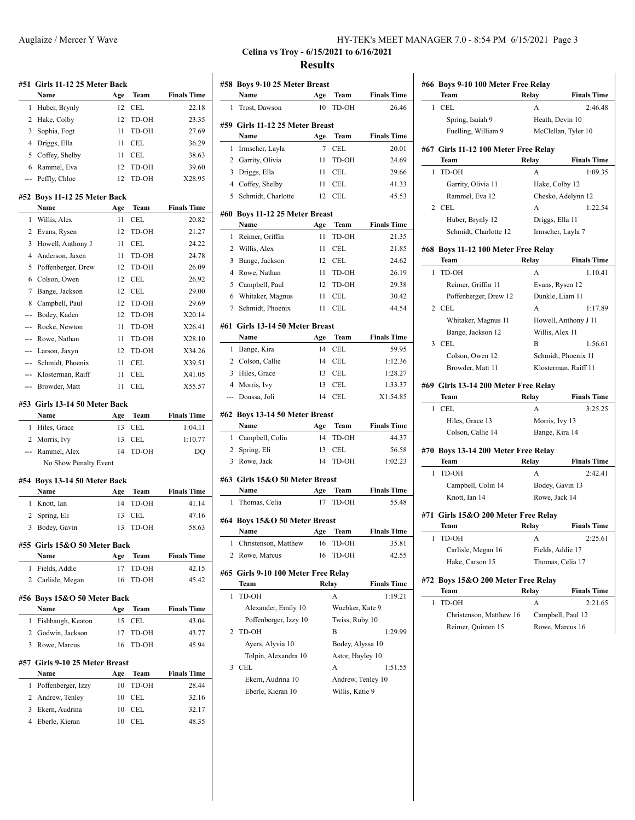|                | #51 Girls 11-12 25 Meter Back          |     |              |                    |
|----------------|----------------------------------------|-----|--------------|--------------------|
|                | Name                                   | Age | Team         | <b>Finals Time</b> |
| 1              | Huber, Brynly                          | 12  | CEL          | 22.18              |
| 2              | Hake, Colby                            | 12  | TD-OH        | 23.35              |
| 3              | Sophia, Fogt                           | 11  | TD-OH        | 27.69              |
| 4              | Driggs, Ella                           | 11  | CEL          | 36.29              |
| 5              | Coffey, Shelby                         | 11  | CEL          | 38.63              |
| 6              | Rammel, Eva                            | 12  | TD-OH        | 39.60              |
|                | Peffly, Chloe                          | 12  | TD-OH        | X28.95             |
|                | #52 Boys 11-12 25 Meter Back           |     |              |                    |
|                | Name                                   | Age | Team         | <b>Finals Time</b> |
| 1              | Willis, Alex                           | 11  | <b>CEL</b>   | 20.82              |
| 2              | Evans, Rysen                           | 12  | TD-OH        | 21.27              |
| 3              | Howell, Anthony J                      | 11  | CEL          | 24.22              |
| 4              | Anderson, Jaxen                        | 11  | TD-OH        | 24.78              |
| 5              | Poffenberger, Drew                     | 12  | TD-OH        | 26.09              |
| 6              | Colson, Owen                           | 12  | CEL          | 26.92              |
| 7              | Bange, Jackson                         | 12  | CEL          | 29.00              |
| 8              | Campbell, Paul                         | 12  | TD-OH        | 29.69              |
| ---            | Bodey, Kaden                           | 12  | TD-OH        | X20.14             |
|                | Rocke, Newton                          | 11  | TD-OH        | X26.41             |
|                | Rowe, Nathan                           | 11  | TD-OH        | X28.10             |
| ---            | Larson, Jaxyn                          | 12  | TD-OH        | X34.26             |
| ---            | Schmidt, Phoenix                       | 11  | CEL          | X39.51             |
|                | Klosterman, Raiff                      | 11  | CEL          | X41.05             |
|                | Browder, Matt                          | 11  | CEL          | X55.57             |
|                | #53 Girls 13-14 50 Meter Back<br>Name  |     | Team         |                    |
|                |                                        | Age |              | <b>Finals Time</b> |
| 1              | Hiles, Grace                           | 13  | CEL          | 1:04.11            |
| 2              | Morris, Ivy                            | 13  | CEL          | 1:10.77            |
| $\overline{a}$ | Rammel, Alex                           | 14  | TD-OH        | DQ                 |
|                | No Show Penalty Event                  |     |              |                    |
|                | #54 Boys 13-14 50 Meter Back           |     |              |                    |
|                | Name                                   | Age | Team         | <b>Finals Time</b> |
| 1              | Knott, Ian                             | 14  | TD-OH        |                    |
| 2              | Spring, Eli                            | 13  | CEL          | 41.14<br>47.16     |
| 3              | Bodey, Gavin                           | 13  | <b>TD-OH</b> | 58.63              |
|                |                                        |     |              |                    |
|                | #55 Girls 15&O 50 Meter Back<br>Name   | Age | Team         | <b>Finals Time</b> |
| 1              |                                        | 17  | TD-OH        | 42.15              |
|                | Fields, Addie<br>2 Carlisle, Megan     | 16  | TD-OH        | 45.42              |
|                |                                        |     |              |                    |
|                | #56 Boys 15&O 50 Meter Back            |     |              |                    |
|                | Name                                   | Age | Team         | <b>Finals Time</b> |
| 1              | Fishbaugh, Keaton                      | 15  | <b>CEL</b>   | 43.04              |
|                | 2 Godwin, Jackson                      | 17  | TD-OH        | 43.77              |
| 3              | Rowe, Marcus                           | 16  | TD-OH        | 45.94              |
|                | #57 Girls 9-10 25 Meter Breast<br>Name | Age | Team         | <b>Finals Time</b> |
| 1              | Poffenberger, Izzy                     | 10  | TD-OH        | 28.44              |
| $\overline{2}$ |                                        | 10  | CEL          |                    |
| 3              | Andrew, Tenley<br>Ekern, Audrina       | 10  | <b>CEL</b>   | 32.16<br>32.17     |

| Auglaize / Mercer Y Wave | HY-TEK's MEET MANAGER 7.0 - 8:54 PM 6/15/2021 Page 3 |
|--------------------------|------------------------------------------------------|
|                          |                                                      |

# **Celina vs Troy - 6/15/2021 to 6/16/2021 Results**

|                | #58 Boys 9-10 25 Meter Breast<br>Name        | Age   | Team                   | <b>Finals Time</b> |  |  |
|----------------|----------------------------------------------|-------|------------------------|--------------------|--|--|
| 1              | Trost, Dawson                                | 10    | TD-OH                  | 26.46              |  |  |
|                |                                              |       |                        |                    |  |  |
|                | #59 Girls 11-12 25 Meter Breast              |       | <b>Team</b>            | <b>Finals Time</b> |  |  |
|                | Name                                         | Age   |                        |                    |  |  |
| 1              | Irmscher, Layla                              | 7     | CEL                    | 20.01              |  |  |
| $\overline{2}$ | Garrity, Olivia                              | 11    | TD-OH                  | 24.69              |  |  |
|                | 3 Driggs, Ella                               | 11    | <b>CEL</b>             | 29.66              |  |  |
| $\overline{4}$ | Coffey, Shelby                               | 11    | <b>CEL</b>             | 41.33              |  |  |
| 5              | Schmidt, Charlotte                           | 12    | $\sf CEL$              | 45.53              |  |  |
|                | #60 Boys 11-12 25 Meter Breast               |       |                        |                    |  |  |
|                | Name                                         | Age   | Team                   | <b>Finals Time</b> |  |  |
| 1              | Reimer, Griffin                              | 11    | TD-OH                  | 21.35              |  |  |
| 2              | Willis, Alex                                 | 11    | CEL                    | 21.85              |  |  |
| 3              | Bange, Jackson                               | 12    | CEL                    | 24.62              |  |  |
| 4              | Rowe, Nathan                                 | 11    | TD-OH                  | 26.19              |  |  |
| 5              | Campbell, Paul                               | 12    | TD-OH                  | 29.38              |  |  |
| 6              | Whitaker, Magnus                             | 11    | CEL                    | 30.42              |  |  |
| 7              | Schmidt, Phoenix                             | 11    | CEL.                   | 44.54              |  |  |
|                |                                              |       |                        |                    |  |  |
|                | #61 Girls 13-14 50 Meter Breast              |       |                        |                    |  |  |
|                | Name                                         | Age   | Team                   | <b>Finals Time</b> |  |  |
| 1              | Bange, Kira                                  | 14    | CEL                    | 59.95              |  |  |
|                | 2 Colson, Callie                             | 14    | CEL                    | 1:12.36            |  |  |
| 3              | Hiles, Grace                                 | 13    | <b>CEL</b>             | 1:28.27            |  |  |
| 4              | Morris, Ivy                                  | 13    | <b>CEL</b>             | 1:33.37            |  |  |
| ---            | Doussa, Joli                                 | 14    | CEL                    | X1:54.85           |  |  |
|                | #62 Boys 13-14 50 Meter Breast               |       |                        |                    |  |  |
|                | Name                                         | Age   | Team                   | <b>Finals Time</b> |  |  |
| $\mathbf{1}$   | Campbell, Colin                              | 14    | TD-OH                  | 44.37              |  |  |
| $\mathbf{2}$   | Spring, Eli                                  | 13    | CEL                    | 56.58              |  |  |
| 3              | Rowe, Jack                                   | 14    | TD-OH                  | 1:02.23            |  |  |
|                | #63 Girls 15&O 50 Meter Breast               |       |                        |                    |  |  |
|                | Name                                         | Age   | Team                   | <b>Finals Time</b> |  |  |
| 1              | Thomas, Celia                                | 17    | TD-OH                  | 55.48              |  |  |
|                |                                              |       |                        |                    |  |  |
|                | #64 Boys 15&O 50 Meter Breast                |       |                        |                    |  |  |
|                |                                              |       |                        | <b>Finals Time</b> |  |  |
|                | Name                                         |       | <b>Age Team</b>        |                    |  |  |
| 1              | Christenson, Matthew                         | 16    | TD-OH                  | 35.81              |  |  |
| 2              | Rowe, Marcus                                 | 16    | TD-OH                  | 42.55              |  |  |
|                |                                              |       |                        |                    |  |  |
|                | #65  Girls 9-10 100 Meter Free Relay<br>Team | Relay |                        | <b>Finals Time</b> |  |  |
| 1              | TD-OH                                        |       | A                      | 1:19.21            |  |  |
|                | Alexander, Emily 10                          |       | Wuebker, Kate 9        |                    |  |  |
|                | Poffenberger, Izzy 10                        |       | Twiss, Ruby 10         |                    |  |  |
| 2              | TD-OH                                        |       | B                      | 1:29.99            |  |  |
|                |                                              |       |                        |                    |  |  |
|                | Ayers, Alyvia 10                             |       | Bodey, Alyssa 10       |                    |  |  |
|                | Tolpin, Alexandra 10                         |       | Astor, Hayley 10       |                    |  |  |
| 3              | <b>CEL</b><br>Ekern, Audrina 10              |       | A<br>Andrew, Tenley 10 | 1:51.55            |  |  |

|     | #66 Boys 9-10 100 Meter Free Relay   |                   |                      |
|-----|--------------------------------------|-------------------|----------------------|
|     | Team                                 | Relay             | <b>Finals Time</b>   |
| 1   | CEL                                  | A                 | 2:46.48              |
|     | Spring, Isaiah 9                     | Heath, Devin 10   |                      |
|     | Fuelling, William 9                  |                   | McClellan, Tyler 10  |
|     | #67 Girls 11-12 100 Meter Free Relay |                   |                      |
|     | Team                                 | Relay             | <b>Finals Time</b>   |
| 1   | TD-OH                                | A                 | 1:09.35              |
|     | Garrity, Olivia 11                   | Hake, Colby 12    |                      |
|     | Rammel, Eva 12                       |                   | Chesko, Adelynn 12   |
| 2   | <b>CEL</b>                           | А                 | 1:22.54              |
|     | Huber, Brynly 12                     | Driggs, Ella 11   |                      |
|     | Schmidt, Charlotte 12                | Irmscher, Layla 7 |                      |
|     | #68 Boys 11-12 100 Meter Free Relay  |                   |                      |
|     | Team                                 | Relay             | <b>Finals Time</b>   |
| 1   | TD-OH                                | A                 | 1:10.41              |
|     | Reimer, Griffin 11                   | Evans, Rysen 12   |                      |
|     | Poffenberger, Drew 12                | Dunkle, Liam 11   |                      |
| 2   | CEL                                  | A                 | 1:17.89              |
|     | Whitaker, Magnus 11                  |                   | Howell, Anthony J 11 |
|     | Bange, Jackson 12                    | Willis, Alex 11   |                      |
| 3   | CEL.                                 | В                 | 1:56.61              |
|     | Colson, Owen 12                      |                   | Schmidt, Phoenix 11  |
|     | Browder, Matt 11                     |                   | Klosterman, Raiff 11 |
|     | #69 Girls 13-14 200 Meter Free Relay |                   |                      |
|     | Team                                 | Relay             | <b>Finals Time</b>   |
| 1   | CEL                                  | А                 | 3:25.25              |
|     | Hiles, Grace 13                      | Morris, Ivy 13    |                      |
|     | Colson, Callie 14                    | Bange, Kira 14    |                      |
|     | #70 Boys 13-14 200 Meter Free Relay  |                   |                      |
|     | Team                                 | Relay             | <b>Finals Time</b>   |
| 1   | TD-OH                                | A                 | 2:42.41              |
|     | Campbell, Colin 14                   | Bodey, Gavin 13   |                      |
|     | Knott, Ian 14                        | Rowe, Jack 14     |                      |
|     |                                      |                   |                      |
| #71 | Girls 15&O 200 Meter Free Relay      |                   |                      |
|     | Team                                 | Relav             | <b>Finals Time</b>   |
| 1   | TD-OH                                | А                 | 2:25.61              |
|     | Carlisle, Megan 16                   | Fields, Addie 17  |                      |
|     | Hake, Carson 15                      | Thomas, Celia 17  |                      |
|     | #72 Boys 15&O 200 Meter Free Relay   |                   |                      |
|     | Team                                 | Relay             | <b>Finals Time</b>   |
| 1   | TD-OH                                | А                 | 2:21.65              |
|     | Christenson, Matthew 16              |                   | Campbell, Paul 12    |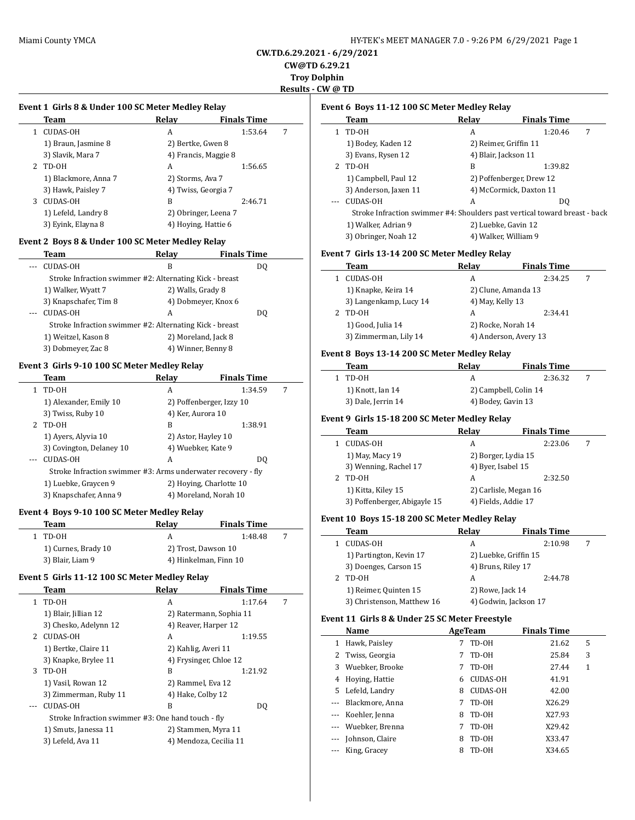**Event 1 Girls 8 & Under 100 SC Meter Medley Relay**

### **CW.TD.6.29.2021 - 6/29/2021 CW@TD 6.29.21**

**Troy Dolphin**

**Results - CW @ TD**

 $\overline{\phantom{0}}$ 

 $\overline{\phantom{a}}$ 

 $\overline{\phantom{a}}$ 

|              | <b>Team</b>                                                  | <b>Relay</b>      | <b>Finals Time</b>       |   |
|--------------|--------------------------------------------------------------|-------------------|--------------------------|---|
| 1            | CUDAS-OH                                                     | A                 | 1:53.64                  | 7 |
|              | 1) Braun, Jasmine 8                                          | 2) Bertke, Gwen 8 |                          |   |
|              | 3) Slavik, Mara 7                                            |                   | 4) Francis, Maggie 8     |   |
| 2            | TD-OH                                                        | A                 | 1:56.65                  |   |
|              | 1) Blackmore, Anna 7                                         | 2) Storms, Ava 7  |                          |   |
|              | 3) Hawk, Paisley 7                                           |                   | 4) Twiss, Georgia 7      |   |
| 3            | CUDAS-OH                                                     | B                 | 2:46.71                  |   |
|              | 1) Lefeld, Landry 8                                          |                   | 2) Obringer, Leena 7     |   |
|              | 3) Eyink, Elayna 8                                           |                   | 4) Hoying, Hattie 6      |   |
|              |                                                              |                   |                          |   |
|              | Event 2 Boys 8 & Under 100 SC Meter Medley Relay             |                   |                          |   |
|              | Team                                                         | Relay             | <b>Finals Time</b>       |   |
| ---          | <b>CUDAS-OH</b>                                              | B                 | DQ                       |   |
|              | Stroke Infraction swimmer #2: Alternating Kick - breast      |                   |                          |   |
|              | 1) Walker, Wyatt 7                                           | 2) Walls, Grady 8 |                          |   |
|              | 3) Knapschafer, Tim 8                                        |                   | 4) Dobmeyer, Knox 6      |   |
|              | <b>CUDAS-OH</b>                                              | A                 | DQ                       |   |
|              | Stroke Infraction swimmer #2: Alternating Kick - breast      |                   |                          |   |
|              | 1) Weitzel, Kason 8                                          |                   | 2) Moreland, Jack 8      |   |
|              | 3) Dobmeyer, Zac 8                                           |                   | 4) Winner, Benny 8       |   |
|              | Event 3 Girls 9-10 100 SC Meter Medley Relay                 |                   |                          |   |
|              | Team                                                         | Relay             | <b>Finals Time</b>       |   |
| $\mathbf{1}$ | TD-OH                                                        | A                 | 1:34.59                  | 7 |
|              | 1) Alexander, Emily 10                                       |                   | 2) Poffenberger, Izzy 10 |   |
|              | 3) Twiss, Ruby 10                                            | 4) Ker, Aurora 10 |                          |   |
| 2            | TD-OH                                                        | B                 | 1:38.91                  |   |
|              | 1) Ayers, Alyvia 10                                          |                   | 2) Astor, Hayley 10      |   |
|              | 3) Covington, Delaney 10                                     |                   | 4) Wuebker, Kate 9       |   |
|              | <b>CUDAS-OH</b>                                              | A                 | DQ                       |   |
|              |                                                              |                   |                          |   |
|              |                                                              |                   |                          |   |
|              | Stroke Infraction swimmer #3: Arms underwater recovery - fly |                   |                          |   |
|              | 1) Luebke, Graycen 9                                         |                   | 2) Hoying, Charlotte 10  |   |
|              | 3) Knapschafer, Anna 9                                       |                   | 4) Moreland, Norah 10    |   |
|              | Event 4 Boys 9-10 100 SC Meter Medley Relay                  |                   |                          |   |
|              | Team                                                         | <b>Relay</b>      | <b>Finals Time</b>       |   |
| $\mathbf{1}$ | TD-OH                                                        | A                 | 1:48.48                  | 7 |
|              | 1) Curnes, Brady 10                                          |                   | 2) Trost, Dawson 10      |   |
|              | 3) Blair, Liam 9                                             |                   | 4) Hinkelman, Finn 10    |   |
|              |                                                              |                   |                          |   |
|              | Event 5 Girls 11-12 100 SC Meter Medley Relay                |                   |                          |   |
|              | <u>Team</u>                                                  | <u>Relay</u>      | <b>Finals Time</b>       |   |
| 1            | TD-OH                                                        | А                 | 1:17.64                  | 7 |
|              | 1) Blair, Jillian 12                                         |                   | 2) Ratermann, Sophia 11  |   |
|              | 3) Chesko, Adelynn 12                                        |                   | 4) Reaver, Harper 12     |   |
|              | 2 CUDAS-OH                                                   | A                 | 1:19.55                  |   |
|              | 1) Bertke, Claire 11                                         |                   | 2) Kahlig, Averi 11      |   |
|              | 3) Knapke, Brylee 11                                         |                   | 4) Frysinger, Chloe 12   |   |
| 3            | TD-OH                                                        | B                 | 1:21.92                  |   |
|              | 1) Vasil, Rowan 12                                           |                   | 2) Rammel, Eva 12        |   |
|              | 3) Zimmerman, Ruby 11                                        | 4) Hake, Colby 12 |                          |   |
|              | CUDAS-OH                                                     | B                 | DQ                       |   |
|              | Stroke Infraction swimmer #3: One hand touch - fly           |                   |                          |   |
|              | 1) Smuts, Janessa 11                                         |                   | 2) Stammen, Myra 11      |   |

### **Event 6 Boys 11-12 100 SC Meter Medley Relay**

|   | Team                  | Relay | <b>Finals Time</b>                                                         |
|---|-----------------------|-------|----------------------------------------------------------------------------|
| 1 | TD-OH                 | A     | 1:20.46<br>7                                                               |
|   | 1) Bodey, Kaden 12    |       | 2) Reimer, Griffin 11                                                      |
|   | 3) Evans, Rysen 12    |       | 4) Blair, Jackson 11                                                       |
| 2 | TD-OH                 | B     | 1:39.82                                                                    |
|   | 1) Campbell, Paul 12  |       | 2) Poffenberger, Drew 12                                                   |
|   | 3) Anderson, Jaxen 11 |       | 4) McCormick, Daxton 11                                                    |
|   | <b>CUDAS-OH</b>       | А     | DO.                                                                        |
|   |                       |       | Stroke Infraction swimmer #4: Shoulders past vertical toward breast - back |
|   | 1) Walker, Adrian 9   |       | 2) Luebke, Gavin 12                                                        |
|   | 3) Obringer, Noah 12  |       | 4) Walker, William 9                                                       |

### **Event 7 Girls 13-14 200 SC Meter Medley Relay**

| Team                   | Relay                 | <b>Finals Time</b> |   |
|------------------------|-----------------------|--------------------|---|
| <b>CUDAS-OH</b>        | А                     | 2:34.25            | 7 |
| 1) Knapke, Keira 14    | 2) Clune, Amanda 13   |                    |   |
| 3) Langenkamp, Lucy 14 | 4) May, Kelly 13      |                    |   |
| TD-OH                  | А                     | 2:34.41            |   |
| 1) Good, Julia 14      | 2) Rocke, Norah 14    |                    |   |
| 3) Zimmerman, Lily 14  | 4) Anderson, Avery 13 |                    |   |

### **Event 8 Boys 13-14 200 SC Meter Medley Relay**

| Team               | Relav              | <b>Finals Time</b>    |  |
|--------------------|--------------------|-----------------------|--|
| 1 TD-0H            |                    | 2:36.32               |  |
| 1) Knott, Ian 14   |                    | 2) Campbell, Colin 14 |  |
| 3) Dale, Jerrin 14 | 4) Bodey, Gavin 13 |                       |  |

# **Event 9 Girls 15-18 200 SC Meter Medley Relay**

| Team                         | Relay              | <b>Finals Time</b>    |   |
|------------------------------|--------------------|-----------------------|---|
| CUDAS-OH                     | A                  | 2:23.06               | 7 |
| 1) May, Macy 19              |                    | 2) Borger, Lydia 15   |   |
| 3) Wenning, Rachel 17        | 4) Byer, Isabel 15 |                       |   |
| TD-0H                        | A                  | 2:32.50               |   |
| 1) Kitta, Kiley 15           |                    | 2) Carlisle, Megan 16 |   |
| 3) Poffenberger, Abigayle 15 |                    | 4) Fields, Addie 17   |   |

### **Event 10 Boys 15-18 200 SC Meter Medley Relay**

| Team                       | Relay              | <b>Finals Time</b>    |  |  |
|----------------------------|--------------------|-----------------------|--|--|
| <b>CUDAS-OH</b>            | А                  | 2:10.98               |  |  |
| 1) Partington, Kevin 17    |                    | 2) Luebke, Griffin 15 |  |  |
| 3) Doenges, Carson 15      | 4) Bruns, Riley 17 |                       |  |  |
| TD-OH                      | А                  | 2:44.78               |  |  |
| 1) Reimer, Quinten 15      | 2) Rowe, Jack 14   |                       |  |  |
| 3) Christenson, Matthew 16 |                    | 4) Godwin, Jackson 17 |  |  |

### **Event 11 Girls 8 & Under 25 SC Meter Freestyle**

|              | Name                | AgeTeam |                 | <b>Finals Time</b> |   |
|--------------|---------------------|---------|-----------------|--------------------|---|
| $\mathbf{1}$ | Hawk, Paisley       | 7       | TD-OH           | 21.62              | 5 |
|              | 2 Twiss, Georgia    | 7       | TD-OH           | 25.84              | 3 |
| 3            | Wuebker, Brooke     |         | TD-0H           | 27.44              | 1 |
| 4            | Hoying, Hattie      | 6       | <b>CUDAS-OH</b> | 41.91              |   |
|              | 5 Lefeld, Landry    | 8       | <b>CUDAS-OH</b> | 42.00              |   |
|              | --- Blackmore, Anna |         | TD-OH           | X26.29             |   |
|              | --- Koehler, Jenna  | 8       | TD-OH           | X27.93             |   |
|              | --- Wuebker, Brenna |         | TD-OH           | X29.42             |   |
|              | --- Johnson, Claire | 8       | TD-OH           | X33.47             |   |
|              | --- King, Gracey    | 8       | TD-OH           | X34.65             |   |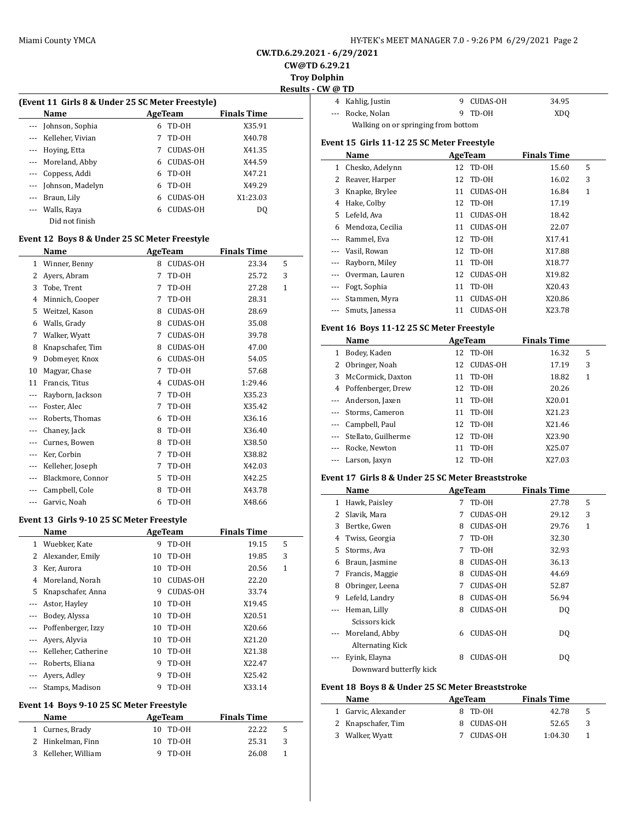| HY-TEK's MEET MANAGER 7.0 - 9:26 PM 6/29/2021 Page 2 |  |  |  |
|------------------------------------------------------|--|--|--|
|------------------------------------------------------|--|--|--|

**CW.TD.6.29.2021 - 6/29/2021**

**CW@TD 6.29.21**

**Troy Dolphin Results - CW @ TD**

|                                                  |                      |   |                 |                    | ------- |  |
|--------------------------------------------------|----------------------|---|-----------------|--------------------|---------|--|
| (Event 11 Girls 8 & Under 25 SC Meter Freestyle) |                      |   |                 |                    |         |  |
|                                                  | Name                 |   | AgeTeam         | <b>Finals Time</b> |         |  |
|                                                  | --- Johnson, Sophia  | 6 | TD-OH           | X35.91             |         |  |
|                                                  | --- Kelleher, Vivian |   | TD-OH           | X40.78             |         |  |
| ---                                              | Hoying, Etta         |   | <b>CUDAS-OH</b> | X41.35             |         |  |
|                                                  | --- Moreland, Abby   | 6 | <b>CUDAS-OH</b> | X44.59             |         |  |
| --- 1                                            | Coppess, Addi        | 6 | TD-OH           | X47.21             |         |  |
|                                                  | --- Johnson, Madelyn | 6 | TD-OH           | X49.29             |         |  |
| $\cdots$                                         | Braun, Lily          | 6 | CUDAS-OH        | X1:23.03           |         |  |
|                                                  | Walls, Raya          | 6 | CUDAS-OH        | DO.                |         |  |
|                                                  | Did not finish       |   |                 |                    |         |  |

### **Event 12 Boys 8 & Under 25 SC Meter Freestyle**

|     | Name              | <b>AgeTeam</b> |                 | <b>Finals Time</b> |              |
|-----|-------------------|----------------|-----------------|--------------------|--------------|
| 1   | Winner, Benny     | 8              | <b>CUDAS-OH</b> | 23.34              | 5            |
| 2   | Ayers, Abram      | 7              | TD-0H           | 25.72              | 3            |
| 3   | Tobe, Trent       | 7              | TD-OH           | 27.28              | $\mathbf{1}$ |
| 4   | Minnich, Cooper   | 7              | TD-OH           | 28.31              |              |
| 5   | Weitzel, Kason    | 8              | CUDAS-OH        | 28.69              |              |
| 6   | Walls, Grady      | 8              | <b>CUDAS-OH</b> | 35.08              |              |
| 7   | Walker, Wyatt     | 7              | <b>CUDAS-OH</b> | 39.78              |              |
| 8   | Knapschafer, Tim  | 8              | CUDAS-OH        | 47.00              |              |
| 9   | Dobmeyer, Knox    | 6              | CUDAS-OH        | 54.05              |              |
| 10  | Magyar, Chase     | 7              | TD-OH           | 57.68              |              |
| 11  | Francis, Titus    | 4              | <b>CUDAS-OH</b> | 1:29.46            |              |
|     | Rayborn, Jackson  | 7              | TD-0H           | X35.23             |              |
| --- | Foster, Alec      | 7              | TD-OH           | X35.42             |              |
| --- | Roberts, Thomas   | 6              | TD-OH           | X36.16             |              |
| --- | Chaney, Jack      | 8              | TD-0H           | X36.40             |              |
| --- | Curnes, Bowen     | 8              | TD-0H           | X38.50             |              |
| --- | Ker, Corbin       | 7              | TD-OH           | X38.82             |              |
| --- | Kelleher, Joseph  | 7              | TD-OH           | X42.03             |              |
|     | Blackmore, Connor | 5              | TD-0H           | X42.25             |              |
|     | Campbell, Cole    | 8              | TD-0H           | X43.78             |              |
| --- | Garvic, Noah      | 6              | TD-OH           | X48.66             |              |

#### **Event 13 Girls 9-10 25 SC Meter Freestyle**

|                          | Name                |    | AgeTeam         | <b>Finals Time</b> |   |
|--------------------------|---------------------|----|-----------------|--------------------|---|
|                          | 1 Wuebker, Kate     | 9  | TD-OH           | 19.15              | 5 |
| 2                        | Alexander, Emily    | 10 | TD-0H           | 19.85              | 3 |
| 3                        | Ker, Aurora         | 10 | TD-OH           | 20.56              | 1 |
| 4                        | Moreland, Norah     | 10 | <b>CUDAS-OH</b> | 22.20              |   |
| 5                        | Knapschafer, Anna   | 9  | <b>CUDAS-OH</b> | 33.74              |   |
| ---                      | Astor, Hayley       | 10 | TD-OH           | X19.45             |   |
| $---$                    | Bodey, Alyssa       | 10 | TD-OH           | X20.51             |   |
|                          | Poffenberger, Izzy  | 10 | TD-OH           | X20.66             |   |
| $\overline{\phantom{a}}$ | Ayers, Alyvia       | 10 | TD-OH           | X21.20             |   |
| $\cdots$                 | Kelleher, Catherine | 10 | TD-OH           | X21.38             |   |
| $---$                    | Roberts, Eliana     | 9  | TD-OH           | X22.47             |   |
|                          | Ayers, Adley        | 9  | TD-OH           | X25.42             |   |
| $\cdots$                 | Stamps, Madison     | 9  | TD-0H           | X33.14             |   |

#### **Event 14 Boys 9-10 25 SC Meter Freestyle**

| <b>Name</b>         | AgeTeam  | <b>Finals Time</b> |
|---------------------|----------|--------------------|
| 1 Curnes, Brady     | 10 TD-0H | 22.22<br>5         |
| 2 Hinkelman, Finn   | 10 TD-0H | 25.31<br>3         |
| 3 Kelleher, William | 9 TD-0H  | 26.08              |

| / (@ TD                             |                  |  |            |       |
|-------------------------------------|------------------|--|------------|-------|
|                                     | 4 Kahlig, Justin |  | 9 CUDAS-OH | 34.95 |
|                                     | --- Rocke, Nolan |  | 9 TD-0H    | XDO   |
| Walking on or springing from bottom |                  |  |            |       |

### **Event 15 Girls 11-12 25 SC Meter Freestyle**

|          | Name             | AgeTeam |                 | <b>Finals Time</b> |   |
|----------|------------------|---------|-----------------|--------------------|---|
| 1        | Chesko, Adelynn  |         | 12 TD-0H        | 15.60              | 5 |
| 2.       | Reaver, Harper   | 12      | TD-OH           | 16.02              | 3 |
| 3        | Knapke, Brylee   | 11      | <b>CUDAS-OH</b> | 16.84              | 1 |
| 4        | Hake, Colby      | 12      | TD-0H           | 17.19              |   |
| 5.       | Lefeld, Ava      | 11      | <b>CUDAS-OH</b> | 18.42              |   |
| 6        | Mendoza, Cecilia | 11      | <b>CUDAS-OH</b> | 22.07              |   |
|          | Rammel, Eva      | 12      | TD-OH           | X17.41             |   |
| $\cdots$ | Vasil, Rowan     |         | 12 TD-0H        | X17.88             |   |
|          | Rayborn, Miley   | 11      | TD-OH           | X18.77             |   |
| $\cdots$ | Overman, Lauren  | 12      | <b>CUDAS-OH</b> | X19.82             |   |
|          | Fogt, Sophia     | 11      | TD-OH           | X20.43             |   |
|          | Stammen, Myra    | 11      | <b>CUDAS-OH</b> | X20.86             |   |
|          | Smuts, Janessa   | 11      | <b>CUDAS-OH</b> | X23.78             |   |

### **Event 16 Boys 11-12 25 SC Meter Freestyle**

| Name |          |                         | AgeTeam | <b>Finals Time</b> |        |   |  |
|------|----------|-------------------------|---------|--------------------|--------|---|--|
|      | 1        | Bodey, Kaden            | 12      | TD-OH              | 16.32  | 5 |  |
|      |          | 2 Obringer, Noah        | 12      | CUDAS-OH           | 17.19  | 3 |  |
|      |          | 3 McCormick, Daxton     | 11      | TD-OH              | 18.82  | 1 |  |
|      |          | 4 Poffenberger, Drew    | 12      | TD-OH              | 20.26  |   |  |
|      |          | --- Anderson, Jaxen     | 11      | TD-OH              | X20.01 |   |  |
|      |          | --- Storms, Cameron     | 11      | TD-OH              | X21.23 |   |  |
|      |          | --- Campbell, Paul      | 12      | TD-OH              | X21.46 |   |  |
|      |          | --- Stellato, Guilherme | 12      | TD-OH              | X23.90 |   |  |
|      | $\cdots$ | Rocke, Newton           | 11      | TD-OH              | X25.07 |   |  |
|      | $\cdots$ | Larson, Jaxyn           | 12.     | TD-OH              | X27.03 |   |  |

### **Event 17 Girls 8 & Under 25 SC Meter Breaststroke**

|          | Name             | AgeTeam |                 | <b>Finals Time</b> |              |  |
|----------|------------------|---------|-----------------|--------------------|--------------|--|
| 1        | Hawk, Paisley    | 7       | TD-OH           | 27.78              | 5            |  |
| 2        | Slavik, Mara     | 7       | CUDAS-OH        | 29.12              | 3            |  |
| 3        | Bertke, Gwen     | 8       | <b>CUDAS-OH</b> | 29.76              | $\mathbf{1}$ |  |
| 4        | Twiss, Georgia   | 7       | TD-OH           | 32.30              |              |  |
| 5        | Storms, Ava      | 7       | TD-OH           | 32.93              |              |  |
| 6        | Braun, Jasmine   | 8       | <b>CUDAS-OH</b> | 36.13              |              |  |
| 7        | Francis, Maggie  | 8       | CUDAS-OH        | 44.69              |              |  |
| 8        | Obringer, Leena  | 7       | <b>CUDAS-OH</b> | 52.87              |              |  |
| 9        | Lefeld, Landry   | 8       | <b>CUDAS-OH</b> | 56.94              |              |  |
| $\cdots$ | Heman, Lilly     | 8       | <b>CUDAS-OH</b> | DQ                 |              |  |
|          | Scissors kick    |         |                 |                    |              |  |
|          | Moreland, Abby   | 6       | <b>CUDAS-OH</b> | DQ                 |              |  |
|          | Alternating Kick |         |                 |                    |              |  |
|          | Eyink, Elayna    | 8       | CUDAS-OH        | DO                 |              |  |
|          |                  |         |                 |                    |              |  |

Downward butterfly kick

### **Event 18 Boys 8 & Under 25 SC Meter Breaststroke**

| <b>Name</b>         | AgeTeam    | <b>Finals Time</b> |    |
|---------------------|------------|--------------------|----|
| 1 Garvic, Alexander | 8 TD-0H    | 42.78              | -5 |
| 2 Knapschafer, Tim  | 8 CUDAS-OH | 52.65              | -3 |
| 3 Walker, Wyatt     | 7 CUDAS-OH | 1:04.30            |    |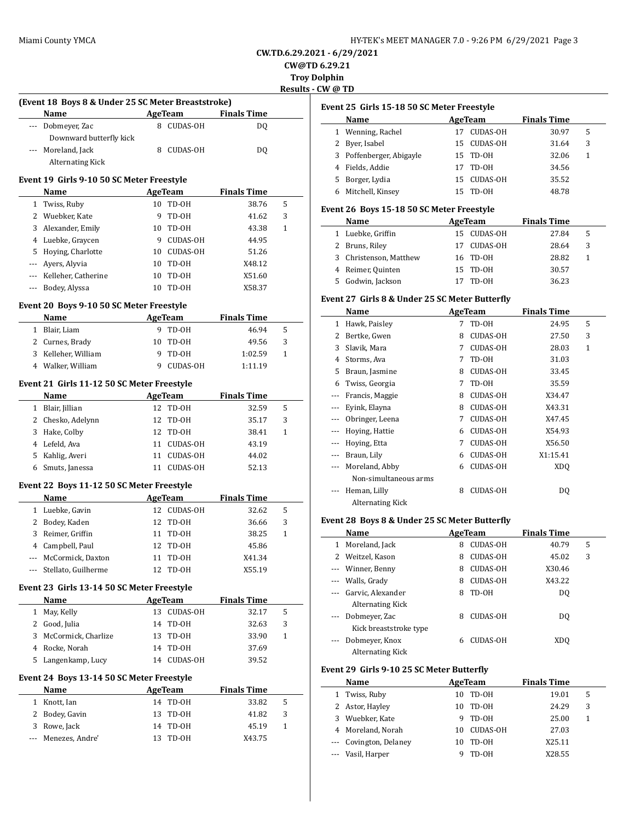**CW.TD.6.29.2021 - 6/29/2021 CW@TD 6.29.21**

**Troy Dolphin**

**Results - CW @ TD**

|              | (Event 18 Boys 8 & Under 25 SC Meter Breaststroke) |          |                |                    |        |
|--------------|----------------------------------------------------|----------|----------------|--------------------|--------|
|              | Name                                               |          | <b>AgeTeam</b> | <b>Finals Time</b> |        |
|              | --- Dobmeyer, Zac<br>Downward butterfly kick       |          | 8 CUDAS-OH     | DQ                 |        |
| ---          | Moreland, Jack                                     |          | 8 CUDAS-OH     | DQ                 |        |
|              | Alternating Kick                                   |          |                |                    |        |
|              | Event 19 Girls 9-10 50 SC Meter Freestyle<br>Name  |          | AgeTeam        | <b>Finals Time</b> |        |
|              | 1 Twiss, Ruby                                      | 10       | TD-OH          | 38.76              | 5      |
|              | 2 Wuebker, Kate                                    | 9        | TD-OH          | 41.62              | 3      |
| 3            | Alexander, Emily                                   | 10       | TD-OH          | 43.38              | 1      |
|              | 4 Luebke, Graycen                                  | -9       | CUDAS-OH       | 44.95              |        |
|              | 5 Hoying, Charlotte                                |          | 10 CUDAS-OH    | 51.26              |        |
|              | --- Ayers, Alyvia                                  | 10       | TD-OH          | X48.12             |        |
|              | --- Kelleher, Catherine                            | 10       | TD-OH          | X51.60             |        |
|              | --- Bodey, Alyssa                                  | 10       | TD-OH          | X58.37             |        |
|              | Event 20 Boys 9-10 50 SC Meter Freestyle           |          |                |                    |        |
|              | Name                                               |          | AgeTeam        | <b>Finals Time</b> |        |
|              | 1 Blair, Liam                                      | 9        | TD-0H          | 46.94              | 5      |
|              | 2 Curnes, Brady                                    | 10       | TD-0H          | 49.56              | 3      |
|              | 3 Kelleher, William                                | 9        | TD-OH          | 1:02.59            | 1      |
|              | 4 Walker, William                                  | 9        | CUDAS-OH       | 1:11.19            |        |
|              | Event 21 Girls 11-12 50 SC Meter Freestyle         |          |                |                    |        |
|              | Name                                               |          | <b>AgeTeam</b> | <b>Finals Time</b> |        |
|              | 1 Blair, Jillian                                   |          | 12 TD-0H       | 32.59              | 5      |
|              | 2 Chesko, Adelynn                                  | 12       | TD-OH          | 35.17              | 3      |
|              | 3 Hake, Colby                                      | 12       | TD-OH          | 38.41              | 1      |
|              | 4 Lefeld, Ava                                      |          | 11 CUDAS-OH    | 43.19              |        |
|              | 5 Kahlig, Averi                                    | 11       | CUDAS-OH       | 44.02              |        |
|              | 6 Smuts, Janessa                                   |          | 11 CUDAS-OH    | 52.13              |        |
|              | Event 22 Boys 11-12 50 SC Meter Freestyle          |          |                |                    |        |
|              | Name                                               |          | AgeTeam        | <b>Finals Time</b> |        |
|              | 1 Luebke, Gavin                                    |          | 12 CUDAS-OH    | 32.62              | 5      |
| 2            | Bodey, Kaden                                       | 12       | TD-OH          | 36.66              | 3      |
|              | 3 Reimer, Griffin                                  | 11       | TD-OH          | 38.25              | 1      |
|              | 4 Campbell, Paul                                   | 12       | TD-OH          | 45.86              |        |
| ---          | McCormick, Daxton                                  | 11       | TD-OH          | X41.34             |        |
| ---          | Stellato, Guilherme                                | 12       | TD-OH          | X55.19             |        |
|              | Event 23 Girls 13-14 50 SC Meter Freestyle         |          | AgeTeam        | <b>Finals Time</b> |        |
|              |                                                    |          |                | 32.17              | 5      |
|              | <b>Name</b>                                        |          |                |                    |        |
| $\mathbf{1}$ | May, Kelly                                         |          | 13 CUDAS-OH    |                    |        |
|              | 2 Good, Julia                                      | 14       | TD-0H          | 32.63              | 3      |
| 3            | McCormick, Charlize                                | 13       | TD-0H          | 33.90              | 1      |
|              | 4 Rocke, Norah                                     | 14       | TD-OH          | 37.69              |        |
| 5            | Langenkamp, Lucy                                   | 14       | CUDAS-OH       | 39.52              |        |
|              | Event 24 Boys 13-14 50 SC Meter Freestyle          |          |                |                    |        |
|              | Name                                               |          | AgeTeam        | <b>Finals Time</b> |        |
| 1            | Knott, Ian                                         |          | 14 TD-0H       | 33.82              | 5      |
| 2<br>3       | Bodey, Gavin<br>Rowe, Jack                         | 13<br>14 | TD-OH<br>TD-OH | 41.82<br>45.19     | 3<br>1 |

# **Event 25 Girls 15-18 50 SC Meter Freestyle**

|    | Name                     | AgeTeam |             | <b>Finals Time</b> |   |  |
|----|--------------------------|---------|-------------|--------------------|---|--|
|    | Wenning, Rachel          |         | CUDAS-OH    | 30.97              | 5 |  |
|    | 2 Byer, Isabel           |         | 15 CUDAS-OH | 31.64              | 3 |  |
|    | 3 Poffenberger, Abigayle |         | 15 TD-0H    | 32.06              | 1 |  |
|    | Fields, Addie            | 17      | TD-0H       | 34.56              |   |  |
| 5. | Borger, Lydia            | 15.     | CUDAS-OH    | 35.52              |   |  |
|    | Mitchell, Kinsey         | 15.     | TD-0H       | 48.78              |   |  |

### **Event 26 Boys 15-18 50 SC Meter Freestyle**

| Name                   | AgeTeam     |  | <b>Finals Time</b> |       |   |  |
|------------------------|-------------|--|--------------------|-------|---|--|
| 1 Luebke, Griffin      | 15 CUDAS-OH |  |                    | 27.84 | 5 |  |
| 2 Bruns, Riley         | 17 CUDAS-OH |  |                    | 28.64 | 3 |  |
| 3 Christenson, Matthew | 16 TD-0H    |  |                    | 28.82 |   |  |
| 4 Reimer, Quinten      | 15 TD-0H    |  |                    | 30.57 |   |  |
| Godwin, Jackson        | TD-OH       |  |                    | 36.23 |   |  |

### **Event 27 Girls 8 & Under 25 SC Meter Butterfly**

|              | Name                             |   | AgeTeam         | <b>Finals Time</b> |   |  |
|--------------|----------------------------------|---|-----------------|--------------------|---|--|
| $\mathbf{1}$ | Hawk, Paisley                    | 7 | TD-OH           | 24.95              | 5 |  |
| 2            | Bertke, Gwen                     | 8 | <b>CUDAS-OH</b> | 27.50              | 3 |  |
| 3            | Slavik, Mara                     | 7 | <b>CUDAS-OH</b> | 28.03              | 1 |  |
| 4            | Storms, Ava                      | 7 | TD-OH           | 31.03              |   |  |
| 5.           | Braun, Jasmine                   | 8 | <b>CUDAS-OH</b> | 33.45              |   |  |
| 6            | Twiss, Georgia                   | 7 | TD-OH           | 35.59              |   |  |
| $---$        | Francis, Maggie                  | 8 | <b>CUDAS-OH</b> | X34.47             |   |  |
|              | Eyink, Elayna                    | 8 | <b>CUDAS-OH</b> | X43.31             |   |  |
|              | Obringer, Leena                  | 7 | <b>CUDAS-OH</b> | X47.45             |   |  |
| ---          | Hoying, Hattie                   | 6 | CUDAS-OH        | X54.93             |   |  |
| ---          | Hoying, Etta                     | 7 | <b>CUDAS-OH</b> | X56.50             |   |  |
| $\cdots$     | Braun, Lily                      | 6 | <b>CUDAS-OH</b> | X1:15.41           |   |  |
|              | Moreland, Abby                   | 6 | <b>CUDAS-OH</b> | XD <sub>O</sub>    |   |  |
|              | Non-simultaneous arms            |   |                 |                    |   |  |
| ---          | Heman, Lilly<br>Alternating Kick | 8 | <b>CUDAS-OH</b> | DQ                 |   |  |

### **Event 28 Boys 8 & Under 25 SC Meter Butterfly**

|   | Name                    |   | AgeTeam         | <b>Finals Time</b> |   |  |
|---|-------------------------|---|-----------------|--------------------|---|--|
|   | Moreland, Jack          | 8 | <b>CUDAS-OH</b> | 40.79              | 5 |  |
| 2 | Weitzel, Kason          | 8 | <b>CUDAS-OH</b> | 45.02              | 3 |  |
|   | --- Winner, Benny       | 8 | <b>CUDAS-OH</b> | X30.46             |   |  |
|   | --- Walls, Grady        | 8 | <b>CUDAS-OH</b> | X43.22             |   |  |
|   | Garvic, Alexander       | 8 | TD-OH           | DO.                |   |  |
|   | <b>Alternating Kick</b> |   |                 |                    |   |  |
|   | Dobmeyer, Zac           | 8 | <b>CUDAS-OH</b> | DO                 |   |  |
|   | Kick breaststroke type  |   |                 |                    |   |  |
|   | Dobmeyer, Knox          | 6 | CUDAS-OH        | XDO                |   |  |
|   | Alternating Kick        |   |                 |                    |   |  |

### **Event 29 Girls 9-10 25 SC Meter Butterfly**

|   | Name                   | AgeTeam |                 | <b>Finals Time</b> |   |  |
|---|------------------------|---------|-----------------|--------------------|---|--|
| 1 | Twiss, Ruby            | 10      | TD-OH           | 19.01              | 5 |  |
|   | 2 Astor, Hayley        | 10      | TD-0H           | 24.29              | 3 |  |
|   | 3 Wuebker, Kate        | 9       | TD-OH           | 25.00              | 1 |  |
|   | 4 Moreland, Norah      | 10      | <b>CUDAS-OH</b> | 27.03              |   |  |
|   | --- Covington, Delaney | 10      | TD-OH           | X25.11             |   |  |
|   | --- Vasil, Harper      |         | TD-0H           | X28.55             |   |  |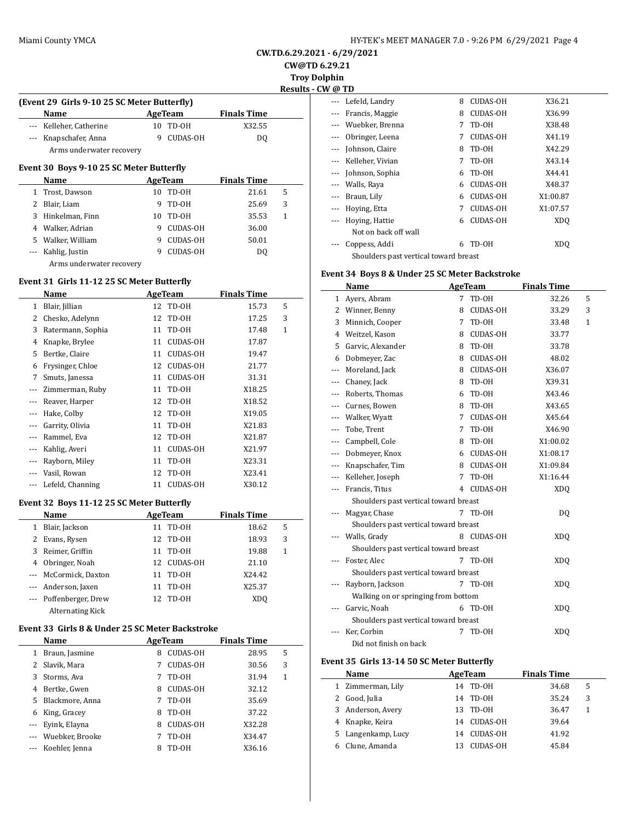|  |  | HY-TEK's MEET MANAGER 7.0 - 9:26 PM 6/29/2021 Page 4 |  |  |  |
|--|--|------------------------------------------------------|--|--|--|
|  |  |                                                      |  |  |  |

**CW.TD.6.29.2021 - 6/29/2021 CW@TD 6.29.21**

**Troy Dolphin**

**Results - CW @ TD**

 $\frac{1}{2}$ 

 $\overline{\phantom{a}}$ 

|                                                   |    |                 |                    | пеэи |  |  |  |  |
|---------------------------------------------------|----|-----------------|--------------------|------|--|--|--|--|
| (Event 29 Girls 9-10 25 SC Meter Butterfly)       |    |                 |                    |      |  |  |  |  |
| Name                                              |    | AgeTeam         | <b>Finals Time</b> |      |  |  |  |  |
| --- Kelleher, Catherine                           | 10 | TD-OH           | X32.55             |      |  |  |  |  |
| --- Knapschafer, Anna<br>Arms underwater recovery |    | <b>CUDAS-OH</b> | DO.                |      |  |  |  |  |
| Event 30 Boys 9-10 25 SC Meter Butterfly          |    |                 |                    |      |  |  |  |  |
| Namo                                              |    | $A$ goTogm      | Einale Timo        |      |  |  |  |  |

|    | Name                     |    | AgeTeam         | <b>Finals Time</b> |   |  |
|----|--------------------------|----|-----------------|--------------------|---|--|
|    | 1 Trost, Dawson          | 10 | TD-OH           | 21.61              | 5 |  |
| 2  | Blair, Liam              | 9  | TD-OH           | 25.69              | 3 |  |
|    | 3 Hinkelman, Finn        | 10 | TD-OH           | 35.53              | 1 |  |
| 4  | Walker, Adrian           | 9  | <b>CUDAS-OH</b> | 36.00              |   |  |
| 5. | Walker, William          | 9  | <b>CUDAS-OH</b> | 50.01              |   |  |
|    | Kahlig, Justin           | 9  | <b>CUDAS-OH</b> | DO.                |   |  |
|    | Arms underwater recovery |    |                 |                    |   |  |

### **Event 31 Girls 11-12 25 SC Meter Butterfly**

|          | Name              | AgeTeam     |                 | <b>Finals Time</b> |   |
|----------|-------------------|-------------|-----------------|--------------------|---|
| 1        | Blair, Jillian    | TD-OH<br>12 |                 | 15.73              | 5 |
| 2        | Chesko, Adelynn   | 12          | TD-OH           | 17.25              | 3 |
| 3        | Ratermann, Sophia | 11          | TD-OH           | 17.48              | 1 |
| 4        | Knapke, Brylee    | 11          | <b>CUDAS-OH</b> | 17.87              |   |
| 5        | Bertke, Claire    | 11          | <b>CUDAS-OH</b> | 19.47              |   |
| 6        | Frysinger, Chloe  | 12          | <b>CUDAS-OH</b> | 21.77              |   |
| 7        | Smuts, Janessa    | 11          | <b>CUDAS-OH</b> | 31.31              |   |
|          | Zimmerman, Ruby   | 11          | TD-OH           | X18.25             |   |
|          | Reaver, Harper    | 12          | TD-OH           | X18.52             |   |
|          | Hake, Colby       | 12          | TD-OH           | X19.05             |   |
|          | Garrity, Olivia   | 11          | TD-OH           | X21.83             |   |
| $\cdots$ | Rammel, Eva       | 12          | TD-OH           | X21.87             |   |
|          | Kahlig, Averi     | 11          | <b>CUDAS-OH</b> | X21.97             |   |
|          | Rayborn, Miley    | 11          | TD-OH           | X23.31             |   |
|          | Vasil, Rowan      | 12          | TD-0H           | X23.41             |   |
|          | Lefeld, Channing  | 11          | <b>CUDAS-OH</b> | X30.12             |   |

### **Event 32 Boys 11-12 25 SC Meter Butterfly**

| Name         |                        |     | AgeTeam  | <b>Finals Time</b> |   |
|--------------|------------------------|-----|----------|--------------------|---|
| 1            | Blair, Jackson         | 11  | TD-0H    | 18.62              | 5 |
| $\mathbf{Z}$ | Evans, Rysen           | 12  | TD-OH    | 18.93              | 3 |
|              | 3 Reimer, Griffin      | 11  | TD-OH    | 19.88              | 1 |
| 4            | Obringer, Noah         | 12. | CUDAS-OH | 21.10              |   |
|              | --- McCormick, Daxton  | 11  | TD-OH    | X24.42             |   |
|              | --- Anderson, Jaxen    | 11  | TD-OH    | X25.37             |   |
|              | --- Poffenberger, Drew | 12  | TD-OH    | XDO                |   |
|              | Alternating Kick       |     |          |                    |   |

### **Event 33 Girls 8 & Under 25 SC Meter Backstroke**

|    | Name                | AgeTeam |                 | <b>Finals Time</b> |   |  |
|----|---------------------|---------|-----------------|--------------------|---|--|
| 1  | Braun, Jasmine      | 8       | <b>CUDAS-OH</b> | 28.95              | 5 |  |
|    | Slavik, Mara        |         | <b>CUDAS-OH</b> | 30.56              | 3 |  |
| 3  | Storms, Ava         | 7       | TD-0H           | 31.94              | 1 |  |
| 4  | Bertke, Gwen        | 8       | <b>CUDAS-OH</b> | 32.12              |   |  |
| 5. | Blackmore, Anna     |         | TD-OH           | 35.69              |   |  |
| 6  | King, Gracey        | 8       | TD-0H           | 37.22              |   |  |
|    | --- Eyink, Elayna   | 8       | <b>CUDAS-OH</b> | X32.28             |   |  |
|    | --- Wuebker, Brooke |         | TD-OH           | X34.47             |   |  |
|    | Koehler, Jenna      | 8       | TD-0H           | X36.16             |   |  |

| עוש ע    |                                       |   |                 |                 |
|----------|---------------------------------------|---|-----------------|-----------------|
|          | Lefeld, Landry                        | 8 | <b>CUDAS-OH</b> | X36.21          |
|          | Francis, Maggie                       | 8 | <b>CUDAS-OH</b> | X36.99          |
|          | --- Wuebker, Brenna                   | 7 | TD-0H           | X38.48          |
|          | Obringer, Leena                       | 7 | <b>CUDAS-OH</b> | X41.19          |
|          | Johnson, Claire                       | 8 | TD-OH           | X42.29          |
|          | --- Kelleher, Vivian                  | 7 | TD-OH           | X43.14          |
|          | Johnson, Sophia                       | 6 | TD-OH           | X44.41          |
| $\cdots$ | Walls, Raya                           | 6 | <b>CUDAS-OH</b> | X48.37          |
|          | Braun, Lily                           | 6 | CUDAS-OH        | X1:00.87        |
|          | Hoying, Etta                          | 7 | <b>CUDAS-OH</b> | X1:07.57        |
|          | Hoying, Hattie                        | 6 | <b>CUDAS-OH</b> | XDO             |
|          | Not on back off wall                  |   |                 |                 |
|          | Coppess, Addi                         | 6 | TD-0H           | XD <sub>O</sub> |
|          | Shoulders past vertical toward breast |   |                 |                 |
|          |                                       |   |                 |                 |

### **Event 34 Boys 8 & Under 25 SC Meter Backstroke**

|         | Name                                  | <b>AgeTeam</b> |                 | <b>Finals Time</b> |   |
|---------|---------------------------------------|----------------|-----------------|--------------------|---|
| 1       | Ayers, Abram                          | 7              | TD-OH           | 32.26              | 5 |
| 2       | Winner, Benny                         | 8              | <b>CUDAS-OH</b> | 33.29              | 3 |
| 3       | Minnich, Cooper                       | 7              | TD-OH           | 33.48              | 1 |
| 4       | Weitzel, Kason                        | 8              | <b>CUDAS-OH</b> | 33.77              |   |
| 5       | Garvic, Alexander                     | 8              | TD-OH           | 33.78              |   |
| 6       | Dobmeyer, Zac                         | 8              | CUDAS-OH        | 48.02              |   |
| ---     | Moreland, Jack                        | 8              | <b>CUDAS-OH</b> | X36.07             |   |
| $- - -$ | Chaney, Jack                          | 8              | TD-OH           | X39.31             |   |
|         | Roberts, Thomas                       | 6              | TD-OH           | X43.46             |   |
| ---     | Curnes, Bowen                         | 8              | TD-OH           | X43.65             |   |
| ---     | Walker, Wyatt                         | 7              | <b>CUDAS-OH</b> | X45.64             |   |
| ---     | Tobe, Trent                           | 7              | TD-OH           | X46.90             |   |
| ---     | Campbell, Cole                        | 8              | TD-OH           | X1:00.02           |   |
| ---     | Dobmeyer, Knox                        | 6              | <b>CUDAS-OH</b> | X1:08.17           |   |
| ---     | Knapschafer, Tim                      | 8              | <b>CUDAS-OH</b> | X1:09.84           |   |
| ---     | Kelleher, Joseph                      | 7              | TD-OH           | X1:16.44           |   |
| ---     | Francis, Titus                        | 4              | <b>CUDAS-OH</b> | <b>XDQ</b>         |   |
|         | Shoulders past vertical toward breast |                |                 |                    |   |
|         | Magyar, Chase                         | 7              | TD-OH           | DQ                 |   |
|         | Shoulders past vertical toward breast |                |                 |                    |   |
|         | Walls, Grady                          | 8              | <b>CUDAS-OH</b> | <b>XDQ</b>         |   |
|         | Shoulders past vertical toward breast |                |                 |                    |   |
|         | Foster. Alec                          |                | 7 TD-0H         | <b>XDQ</b>         |   |
|         | Shoulders past vertical toward breast |                |                 |                    |   |
|         | Rayborn, Jackson                      | 7              | TD-OH           | <b>XDQ</b>         |   |
|         | Walking on or springing from bottom   |                |                 |                    |   |
|         | Garvic, Noah                          | 6              | TD-OH           | <b>XDQ</b>         |   |
|         | Shoulders past vertical toward breast |                |                 |                    |   |
| ---     | Ker, Corbin                           | 7              | TD-OH           | <b>XDQ</b>         |   |
|         | Did not finish on back                |                |                 |                    |   |

### **Event 35 Girls 13-14 50 SC Meter Butterfly**

|   | Name               |     | AgeTeam     | <b>Finals Time</b> |   |
|---|--------------------|-----|-------------|--------------------|---|
|   | 1 Zimmerman, Lily  |     | 14 TD-0H    | 34.68              | 5 |
| 2 | Good, Julia        |     | 14 TD-0H    | 35.24              | 3 |
|   | 3 Anderson, Avery  | 13. | TD-0H       | 36.47              |   |
|   | 4 Knapke, Keira    |     | 14 CUDAS-OH | 39.64              |   |
|   | 5 Langenkamp, Lucy | 14  | CUDAS-OH    | 41.92              |   |
|   | Clune, Amanda      |     | CUDAS-OH    | 45.84              |   |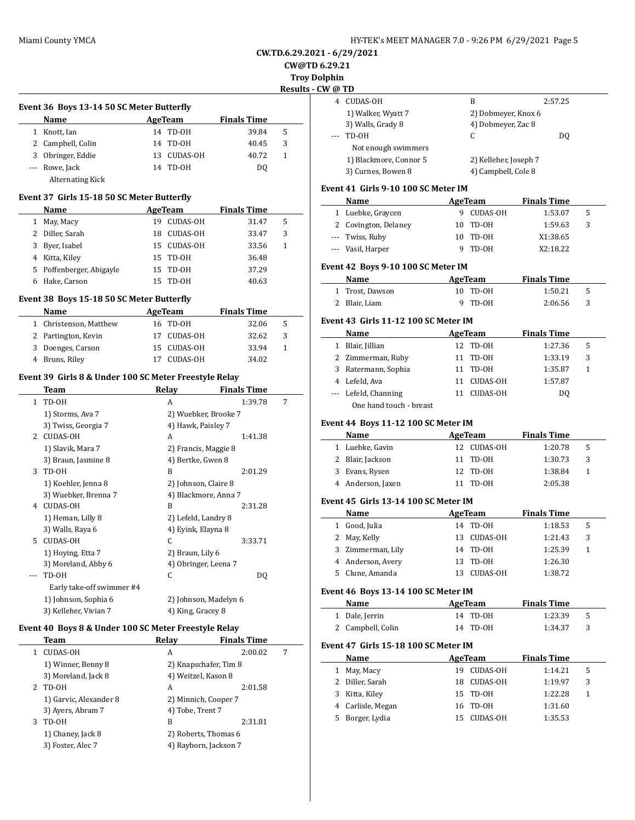# **CW.TD.6.29.2021 - 6/29/2021**

**CW@TD 6.29.21**

**Troy Dolphin**

| Results - CW @<br>Event 36 Boys 13-14 50 SC Meter Butterfly<br>AgeTeam<br><b>Finals Time</b><br>Name<br>14 TD-0H<br>1 Knott, Ian<br>39.84<br>5<br>2 Campbell, Colin<br>14 TD-0H<br>3<br>40.45<br>3 Obringer, Eddie<br>13 CUDAS-OH<br>40.72<br>1<br>--- Rowe, Jack<br>14 TD-0H<br>DQ<br><b>Alternating Kick</b><br>Event 37  Girls 15-18 50 SC Meter Butterfly<br>Name<br><b>AgeTeam</b><br><b>Finals Time</b><br>1 May, Macy<br>19 CUDAS-OH<br>5<br>31.47<br>2 Diller, Sarah<br>18 CUDAS-OH<br>3<br>33.47<br>3 Byer, Isabel<br>15 CUDAS-OH<br>33.56<br>1<br>4 Kitta, Kiley<br>15 TD-0H<br>36.48<br>Ever<br>5 Poffenberger, Abigayle<br>15 TD-0H<br>37.29<br>6 Hake, Carson<br>15 TD-0H<br>40.63<br>Event 38 Boys 15-18 50 SC Meter Butterfly<br>AgeTeam<br><b>Finals Time</b><br>Name<br>16 TD-0H<br>1 Christenson, Matthew<br>32.06<br>5<br>3<br>2 Partington, Kevin<br>17 CUDAS-OH<br>32.62<br>3 Doenges, Carson<br>15 CUDAS-OH<br>33.94<br>1<br>4 Bruns, Riley<br>17 CUDAS-OH<br>34.02<br>Event 39  Girls 8 & Under 100 SC Meter Freestyle Relay<br><b>Relay</b><br><b>Finals Time</b><br>Team<br>1 TD-OH<br>1:39.78<br>7<br>A<br>1) Storms, Ava 7<br>2) Wuebker, Brooke 7<br>Ever<br>3) Twiss, Georgia 7<br>4) Hawk, Paisley 7<br>2 CUDAS-OH<br>A<br>1:41.38<br>1) Slavik, Mara 7<br>2) Francis, Maggie 8<br>3) Braun, Jasmine 8<br>4) Bertke, Gwen 8<br>3 TD-OH<br>B<br>2:01.29<br>1) Koehler, Jenna 8<br>2) Johnson, Claire 8<br>3) Wuebker, Brenna 7<br>4) Blackmore, Anna 7<br>4 CUDAS-OH<br>B<br>2:31.28<br>1) Heman, Lilly 8<br>2) Lefeld, Landry 8<br>3) Walls, Raya 6<br>4) Eyink, Elayna 8<br>CUDAS-OH<br>С<br>5<br>3:33.71<br>1) Hoying, Etta 7<br>2) Braun, Lily 6<br>3) Moreland, Abby 6<br>4) Obringer, Leena 7<br>TD-OH<br>С<br>DQ<br>Early take-off swimmer #4<br>Ever<br>1) Johnson, Sophia 6<br>2) Johnson, Madelyn 6<br>3) Kelleher, Vivian 7<br>4) King, Gracey 8<br>Event 40 Boys 8 & Under 100 SC Meter Freestyle Relay<br><b>Finals Time</b><br>Team<br>Relay<br><b>CUDAS-OH</b><br>A<br>2:00.02<br>$1\,$<br>7<br>1) Winner, Benny 8<br>2) Knapschafer, Tim 8<br>3) Moreland, Jack 8<br>4) Weitzel, Kason 8<br>2 TD-OH<br>A<br>2:01.58<br>1) Garvic, Alexander 8<br>2) Minnich, Cooper 7<br>3) Ayers, Abram 7<br>4) Tobe, Trent 7<br>3 TD-OH |  |   |         | <b>Troy Dolph</b> |
|------------------------------------------------------------------------------------------------------------------------------------------------------------------------------------------------------------------------------------------------------------------------------------------------------------------------------------------------------------------------------------------------------------------------------------------------------------------------------------------------------------------------------------------------------------------------------------------------------------------------------------------------------------------------------------------------------------------------------------------------------------------------------------------------------------------------------------------------------------------------------------------------------------------------------------------------------------------------------------------------------------------------------------------------------------------------------------------------------------------------------------------------------------------------------------------------------------------------------------------------------------------------------------------------------------------------------------------------------------------------------------------------------------------------------------------------------------------------------------------------------------------------------------------------------------------------------------------------------------------------------------------------------------------------------------------------------------------------------------------------------------------------------------------------------------------------------------------------------------------------------------------------------------------------------------------------------------------------------------------------------------------------------------------------------------------------------------------------------------------------------------------------------------------------------------------------------------------------------------------------------------------------|--|---|---------|-------------------|
|                                                                                                                                                                                                                                                                                                                                                                                                                                                                                                                                                                                                                                                                                                                                                                                                                                                                                                                                                                                                                                                                                                                                                                                                                                                                                                                                                                                                                                                                                                                                                                                                                                                                                                                                                                                                                                                                                                                                                                                                                                                                                                                                                                                                                                                                        |  |   |         |                   |
|                                                                                                                                                                                                                                                                                                                                                                                                                                                                                                                                                                                                                                                                                                                                                                                                                                                                                                                                                                                                                                                                                                                                                                                                                                                                                                                                                                                                                                                                                                                                                                                                                                                                                                                                                                                                                                                                                                                                                                                                                                                                                                                                                                                                                                                                        |  |   |         |                   |
|                                                                                                                                                                                                                                                                                                                                                                                                                                                                                                                                                                                                                                                                                                                                                                                                                                                                                                                                                                                                                                                                                                                                                                                                                                                                                                                                                                                                                                                                                                                                                                                                                                                                                                                                                                                                                                                                                                                                                                                                                                                                                                                                                                                                                                                                        |  |   |         |                   |
|                                                                                                                                                                                                                                                                                                                                                                                                                                                                                                                                                                                                                                                                                                                                                                                                                                                                                                                                                                                                                                                                                                                                                                                                                                                                                                                                                                                                                                                                                                                                                                                                                                                                                                                                                                                                                                                                                                                                                                                                                                                                                                                                                                                                                                                                        |  |   |         |                   |
|                                                                                                                                                                                                                                                                                                                                                                                                                                                                                                                                                                                                                                                                                                                                                                                                                                                                                                                                                                                                                                                                                                                                                                                                                                                                                                                                                                                                                                                                                                                                                                                                                                                                                                                                                                                                                                                                                                                                                                                                                                                                                                                                                                                                                                                                        |  |   |         |                   |
|                                                                                                                                                                                                                                                                                                                                                                                                                                                                                                                                                                                                                                                                                                                                                                                                                                                                                                                                                                                                                                                                                                                                                                                                                                                                                                                                                                                                                                                                                                                                                                                                                                                                                                                                                                                                                                                                                                                                                                                                                                                                                                                                                                                                                                                                        |  |   |         |                   |
|                                                                                                                                                                                                                                                                                                                                                                                                                                                                                                                                                                                                                                                                                                                                                                                                                                                                                                                                                                                                                                                                                                                                                                                                                                                                                                                                                                                                                                                                                                                                                                                                                                                                                                                                                                                                                                                                                                                                                                                                                                                                                                                                                                                                                                                                        |  |   |         |                   |
|                                                                                                                                                                                                                                                                                                                                                                                                                                                                                                                                                                                                                                                                                                                                                                                                                                                                                                                                                                                                                                                                                                                                                                                                                                                                                                                                                                                                                                                                                                                                                                                                                                                                                                                                                                                                                                                                                                                                                                                                                                                                                                                                                                                                                                                                        |  |   |         | Ever              |
|                                                                                                                                                                                                                                                                                                                                                                                                                                                                                                                                                                                                                                                                                                                                                                                                                                                                                                                                                                                                                                                                                                                                                                                                                                                                                                                                                                                                                                                                                                                                                                                                                                                                                                                                                                                                                                                                                                                                                                                                                                                                                                                                                                                                                                                                        |  |   |         |                   |
|                                                                                                                                                                                                                                                                                                                                                                                                                                                                                                                                                                                                                                                                                                                                                                                                                                                                                                                                                                                                                                                                                                                                                                                                                                                                                                                                                                                                                                                                                                                                                                                                                                                                                                                                                                                                                                                                                                                                                                                                                                                                                                                                                                                                                                                                        |  |   |         |                   |
|                                                                                                                                                                                                                                                                                                                                                                                                                                                                                                                                                                                                                                                                                                                                                                                                                                                                                                                                                                                                                                                                                                                                                                                                                                                                                                                                                                                                                                                                                                                                                                                                                                                                                                                                                                                                                                                                                                                                                                                                                                                                                                                                                                                                                                                                        |  |   |         |                   |
|                                                                                                                                                                                                                                                                                                                                                                                                                                                                                                                                                                                                                                                                                                                                                                                                                                                                                                                                                                                                                                                                                                                                                                                                                                                                                                                                                                                                                                                                                                                                                                                                                                                                                                                                                                                                                                                                                                                                                                                                                                                                                                                                                                                                                                                                        |  |   |         |                   |
|                                                                                                                                                                                                                                                                                                                                                                                                                                                                                                                                                                                                                                                                                                                                                                                                                                                                                                                                                                                                                                                                                                                                                                                                                                                                                                                                                                                                                                                                                                                                                                                                                                                                                                                                                                                                                                                                                                                                                                                                                                                                                                                                                                                                                                                                        |  |   |         |                   |
|                                                                                                                                                                                                                                                                                                                                                                                                                                                                                                                                                                                                                                                                                                                                                                                                                                                                                                                                                                                                                                                                                                                                                                                                                                                                                                                                                                                                                                                                                                                                                                                                                                                                                                                                                                                                                                                                                                                                                                                                                                                                                                                                                                                                                                                                        |  |   |         |                   |
|                                                                                                                                                                                                                                                                                                                                                                                                                                                                                                                                                                                                                                                                                                                                                                                                                                                                                                                                                                                                                                                                                                                                                                                                                                                                                                                                                                                                                                                                                                                                                                                                                                                                                                                                                                                                                                                                                                                                                                                                                                                                                                                                                                                                                                                                        |  |   |         |                   |
|                                                                                                                                                                                                                                                                                                                                                                                                                                                                                                                                                                                                                                                                                                                                                                                                                                                                                                                                                                                                                                                                                                                                                                                                                                                                                                                                                                                                                                                                                                                                                                                                                                                                                                                                                                                                                                                                                                                                                                                                                                                                                                                                                                                                                                                                        |  |   |         |                   |
|                                                                                                                                                                                                                                                                                                                                                                                                                                                                                                                                                                                                                                                                                                                                                                                                                                                                                                                                                                                                                                                                                                                                                                                                                                                                                                                                                                                                                                                                                                                                                                                                                                                                                                                                                                                                                                                                                                                                                                                                                                                                                                                                                                                                                                                                        |  |   |         |                   |
|                                                                                                                                                                                                                                                                                                                                                                                                                                                                                                                                                                                                                                                                                                                                                                                                                                                                                                                                                                                                                                                                                                                                                                                                                                                                                                                                                                                                                                                                                                                                                                                                                                                                                                                                                                                                                                                                                                                                                                                                                                                                                                                                                                                                                                                                        |  |   |         |                   |
|                                                                                                                                                                                                                                                                                                                                                                                                                                                                                                                                                                                                                                                                                                                                                                                                                                                                                                                                                                                                                                                                                                                                                                                                                                                                                                                                                                                                                                                                                                                                                                                                                                                                                                                                                                                                                                                                                                                                                                                                                                                                                                                                                                                                                                                                        |  |   |         | Ever              |
|                                                                                                                                                                                                                                                                                                                                                                                                                                                                                                                                                                                                                                                                                                                                                                                                                                                                                                                                                                                                                                                                                                                                                                                                                                                                                                                                                                                                                                                                                                                                                                                                                                                                                                                                                                                                                                                                                                                                                                                                                                                                                                                                                                                                                                                                        |  |   |         |                   |
|                                                                                                                                                                                                                                                                                                                                                                                                                                                                                                                                                                                                                                                                                                                                                                                                                                                                                                                                                                                                                                                                                                                                                                                                                                                                                                                                                                                                                                                                                                                                                                                                                                                                                                                                                                                                                                                                                                                                                                                                                                                                                                                                                                                                                                                                        |  |   |         |                   |
|                                                                                                                                                                                                                                                                                                                                                                                                                                                                                                                                                                                                                                                                                                                                                                                                                                                                                                                                                                                                                                                                                                                                                                                                                                                                                                                                                                                                                                                                                                                                                                                                                                                                                                                                                                                                                                                                                                                                                                                                                                                                                                                                                                                                                                                                        |  |   |         |                   |
|                                                                                                                                                                                                                                                                                                                                                                                                                                                                                                                                                                                                                                                                                                                                                                                                                                                                                                                                                                                                                                                                                                                                                                                                                                                                                                                                                                                                                                                                                                                                                                                                                                                                                                                                                                                                                                                                                                                                                                                                                                                                                                                                                                                                                                                                        |  |   |         |                   |
|                                                                                                                                                                                                                                                                                                                                                                                                                                                                                                                                                                                                                                                                                                                                                                                                                                                                                                                                                                                                                                                                                                                                                                                                                                                                                                                                                                                                                                                                                                                                                                                                                                                                                                                                                                                                                                                                                                                                                                                                                                                                                                                                                                                                                                                                        |  |   |         |                   |
|                                                                                                                                                                                                                                                                                                                                                                                                                                                                                                                                                                                                                                                                                                                                                                                                                                                                                                                                                                                                                                                                                                                                                                                                                                                                                                                                                                                                                                                                                                                                                                                                                                                                                                                                                                                                                                                                                                                                                                                                                                                                                                                                                                                                                                                                        |  |   |         |                   |
|                                                                                                                                                                                                                                                                                                                                                                                                                                                                                                                                                                                                                                                                                                                                                                                                                                                                                                                                                                                                                                                                                                                                                                                                                                                                                                                                                                                                                                                                                                                                                                                                                                                                                                                                                                                                                                                                                                                                                                                                                                                                                                                                                                                                                                                                        |  |   |         |                   |
|                                                                                                                                                                                                                                                                                                                                                                                                                                                                                                                                                                                                                                                                                                                                                                                                                                                                                                                                                                                                                                                                                                                                                                                                                                                                                                                                                                                                                                                                                                                                                                                                                                                                                                                                                                                                                                                                                                                                                                                                                                                                                                                                                                                                                                                                        |  |   |         |                   |
|                                                                                                                                                                                                                                                                                                                                                                                                                                                                                                                                                                                                                                                                                                                                                                                                                                                                                                                                                                                                                                                                                                                                                                                                                                                                                                                                                                                                                                                                                                                                                                                                                                                                                                                                                                                                                                                                                                                                                                                                                                                                                                                                                                                                                                                                        |  |   |         |                   |
|                                                                                                                                                                                                                                                                                                                                                                                                                                                                                                                                                                                                                                                                                                                                                                                                                                                                                                                                                                                                                                                                                                                                                                                                                                                                                                                                                                                                                                                                                                                                                                                                                                                                                                                                                                                                                                                                                                                                                                                                                                                                                                                                                                                                                                                                        |  |   |         |                   |
|                                                                                                                                                                                                                                                                                                                                                                                                                                                                                                                                                                                                                                                                                                                                                                                                                                                                                                                                                                                                                                                                                                                                                                                                                                                                                                                                                                                                                                                                                                                                                                                                                                                                                                                                                                                                                                                                                                                                                                                                                                                                                                                                                                                                                                                                        |  |   |         |                   |
|                                                                                                                                                                                                                                                                                                                                                                                                                                                                                                                                                                                                                                                                                                                                                                                                                                                                                                                                                                                                                                                                                                                                                                                                                                                                                                                                                                                                                                                                                                                                                                                                                                                                                                                                                                                                                                                                                                                                                                                                                                                                                                                                                                                                                                                                        |  |   |         |                   |
|                                                                                                                                                                                                                                                                                                                                                                                                                                                                                                                                                                                                                                                                                                                                                                                                                                                                                                                                                                                                                                                                                                                                                                                                                                                                                                                                                                                                                                                                                                                                                                                                                                                                                                                                                                                                                                                                                                                                                                                                                                                                                                                                                                                                                                                                        |  |   |         |                   |
|                                                                                                                                                                                                                                                                                                                                                                                                                                                                                                                                                                                                                                                                                                                                                                                                                                                                                                                                                                                                                                                                                                                                                                                                                                                                                                                                                                                                                                                                                                                                                                                                                                                                                                                                                                                                                                                                                                                                                                                                                                                                                                                                                                                                                                                                        |  |   |         |                   |
|                                                                                                                                                                                                                                                                                                                                                                                                                                                                                                                                                                                                                                                                                                                                                                                                                                                                                                                                                                                                                                                                                                                                                                                                                                                                                                                                                                                                                                                                                                                                                                                                                                                                                                                                                                                                                                                                                                                                                                                                                                                                                                                                                                                                                                                                        |  |   |         | Ever              |
|                                                                                                                                                                                                                                                                                                                                                                                                                                                                                                                                                                                                                                                                                                                                                                                                                                                                                                                                                                                                                                                                                                                                                                                                                                                                                                                                                                                                                                                                                                                                                                                                                                                                                                                                                                                                                                                                                                                                                                                                                                                                                                                                                                                                                                                                        |  |   |         |                   |
|                                                                                                                                                                                                                                                                                                                                                                                                                                                                                                                                                                                                                                                                                                                                                                                                                                                                                                                                                                                                                                                                                                                                                                                                                                                                                                                                                                                                                                                                                                                                                                                                                                                                                                                                                                                                                                                                                                                                                                                                                                                                                                                                                                                                                                                                        |  |   |         |                   |
|                                                                                                                                                                                                                                                                                                                                                                                                                                                                                                                                                                                                                                                                                                                                                                                                                                                                                                                                                                                                                                                                                                                                                                                                                                                                                                                                                                                                                                                                                                                                                                                                                                                                                                                                                                                                                                                                                                                                                                                                                                                                                                                                                                                                                                                                        |  |   |         |                   |
|                                                                                                                                                                                                                                                                                                                                                                                                                                                                                                                                                                                                                                                                                                                                                                                                                                                                                                                                                                                                                                                                                                                                                                                                                                                                                                                                                                                                                                                                                                                                                                                                                                                                                                                                                                                                                                                                                                                                                                                                                                                                                                                                                                                                                                                                        |  |   |         |                   |
|                                                                                                                                                                                                                                                                                                                                                                                                                                                                                                                                                                                                                                                                                                                                                                                                                                                                                                                                                                                                                                                                                                                                                                                                                                                                                                                                                                                                                                                                                                                                                                                                                                                                                                                                                                                                                                                                                                                                                                                                                                                                                                                                                                                                                                                                        |  |   |         |                   |
|                                                                                                                                                                                                                                                                                                                                                                                                                                                                                                                                                                                                                                                                                                                                                                                                                                                                                                                                                                                                                                                                                                                                                                                                                                                                                                                                                                                                                                                                                                                                                                                                                                                                                                                                                                                                                                                                                                                                                                                                                                                                                                                                                                                                                                                                        |  |   |         |                   |
|                                                                                                                                                                                                                                                                                                                                                                                                                                                                                                                                                                                                                                                                                                                                                                                                                                                                                                                                                                                                                                                                                                                                                                                                                                                                                                                                                                                                                                                                                                                                                                                                                                                                                                                                                                                                                                                                                                                                                                                                                                                                                                                                                                                                                                                                        |  |   |         |                   |
|                                                                                                                                                                                                                                                                                                                                                                                                                                                                                                                                                                                                                                                                                                                                                                                                                                                                                                                                                                                                                                                                                                                                                                                                                                                                                                                                                                                                                                                                                                                                                                                                                                                                                                                                                                                                                                                                                                                                                                                                                                                                                                                                                                                                                                                                        |  |   |         |                   |
|                                                                                                                                                                                                                                                                                                                                                                                                                                                                                                                                                                                                                                                                                                                                                                                                                                                                                                                                                                                                                                                                                                                                                                                                                                                                                                                                                                                                                                                                                                                                                                                                                                                                                                                                                                                                                                                                                                                                                                                                                                                                                                                                                                                                                                                                        |  |   |         |                   |
|                                                                                                                                                                                                                                                                                                                                                                                                                                                                                                                                                                                                                                                                                                                                                                                                                                                                                                                                                                                                                                                                                                                                                                                                                                                                                                                                                                                                                                                                                                                                                                                                                                                                                                                                                                                                                                                                                                                                                                                                                                                                                                                                                                                                                                                                        |  |   |         |                   |
|                                                                                                                                                                                                                                                                                                                                                                                                                                                                                                                                                                                                                                                                                                                                                                                                                                                                                                                                                                                                                                                                                                                                                                                                                                                                                                                                                                                                                                                                                                                                                                                                                                                                                                                                                                                                                                                                                                                                                                                                                                                                                                                                                                                                                                                                        |  |   |         |                   |
|                                                                                                                                                                                                                                                                                                                                                                                                                                                                                                                                                                                                                                                                                                                                                                                                                                                                                                                                                                                                                                                                                                                                                                                                                                                                                                                                                                                                                                                                                                                                                                                                                                                                                                                                                                                                                                                                                                                                                                                                                                                                                                                                                                                                                                                                        |  |   |         | Ever              |
|                                                                                                                                                                                                                                                                                                                                                                                                                                                                                                                                                                                                                                                                                                                                                                                                                                                                                                                                                                                                                                                                                                                                                                                                                                                                                                                                                                                                                                                                                                                                                                                                                                                                                                                                                                                                                                                                                                                                                                                                                                                                                                                                                                                                                                                                        |  |   |         |                   |
|                                                                                                                                                                                                                                                                                                                                                                                                                                                                                                                                                                                                                                                                                                                                                                                                                                                                                                                                                                                                                                                                                                                                                                                                                                                                                                                                                                                                                                                                                                                                                                                                                                                                                                                                                                                                                                                                                                                                                                                                                                                                                                                                                                                                                                                                        |  |   |         |                   |
|                                                                                                                                                                                                                                                                                                                                                                                                                                                                                                                                                                                                                                                                                                                                                                                                                                                                                                                                                                                                                                                                                                                                                                                                                                                                                                                                                                                                                                                                                                                                                                                                                                                                                                                                                                                                                                                                                                                                                                                                                                                                                                                                                                                                                                                                        |  |   |         |                   |
|                                                                                                                                                                                                                                                                                                                                                                                                                                                                                                                                                                                                                                                                                                                                                                                                                                                                                                                                                                                                                                                                                                                                                                                                                                                                                                                                                                                                                                                                                                                                                                                                                                                                                                                                                                                                                                                                                                                                                                                                                                                                                                                                                                                                                                                                        |  |   |         |                   |
|                                                                                                                                                                                                                                                                                                                                                                                                                                                                                                                                                                                                                                                                                                                                                                                                                                                                                                                                                                                                                                                                                                                                                                                                                                                                                                                                                                                                                                                                                                                                                                                                                                                                                                                                                                                                                                                                                                                                                                                                                                                                                                                                                                                                                                                                        |  |   |         |                   |
|                                                                                                                                                                                                                                                                                                                                                                                                                                                                                                                                                                                                                                                                                                                                                                                                                                                                                                                                                                                                                                                                                                                                                                                                                                                                                                                                                                                                                                                                                                                                                                                                                                                                                                                                                                                                                                                                                                                                                                                                                                                                                                                                                                                                                                                                        |  | B | 2:31.81 |                   |

1) Chaney, Jack 8 2) Roberts, Thomas 6 3) Foster, Alec 7 4) Rayborn, Jackson 7

| lphin  |                                      |                       |                    |   |
|--------|--------------------------------------|-----------------------|--------------------|---|
| W @ TD |                                      |                       |                    |   |
| 4      | CUDAS-OH                             | B                     | 2:57.25            |   |
|        | 1) Walker, Wyatt 7                   | 2) Dobmeyer, Knox 6   |                    |   |
|        | 3) Walls, Grady 8                    | 4) Dobmeyer, Zac 8    |                    |   |
|        | TD-0H                                | C                     | D <sub>0</sub>     |   |
|        | Not enough swimmers                  |                       |                    |   |
|        | 1) Blackmore, Connor 5               | 2) Kelleher, Joseph 7 |                    |   |
|        | 3) Curnes, Bowen 8                   | 4) Campbell, Cole 8   |                    |   |
|        | Event 41  Girls 9-10 100 SC Meter IM |                       |                    |   |
|        | Name                                 | AgeTeam               | <b>Finals Time</b> |   |
|        | Luebke Gravcen                       | CHDAS-OH<br>q         | 1.53.07            | 5 |

### 1 Luebke, Graycen 9 CUDAS-OH 1:53.07 5<br>2 Covington, Delaney 10 TD-OH 1:59.63 3 2 Covington, Delaney 10 TD-OH 1:59.63 3 --- Twiss, Ruby 10 TD-OH X1:38.65 --- Vasil, Harper 9 TD-OH X2:18.22

### **Event 42 Boys 9-10 100 SC Meter IM**

| Name            | AgeTeam  | <b>Finals Time</b> |  |
|-----------------|----------|--------------------|--|
| 1 Trost. Dawson | 10 TD-0H | 1:50.21            |  |
| 2 Blair. Liam   | 9 TD-0H  | 2:06.56            |  |

### **Event 43 Girls 11-12 100 SC Meter IM**

|   | Name                    | AgeTeam |                 | <b>Finals Time</b> |   |  |
|---|-------------------------|---------|-----------------|--------------------|---|--|
| 1 | Blair, Jillian          |         | 12 TD-0H        | 1:27.36            | 5 |  |
|   | 2 Zimmerman, Ruby       | 11      | TD-0H           | 1:33.19            | 3 |  |
|   | 3 Ratermann, Sophia     |         | TD-OH           | 1:35.87            |   |  |
|   | 4 Lefeld, Ava           | 11      | <b>CUDAS-OH</b> | 1:57.87            |   |  |
|   | --- Lefeld, Channing    |         | CUDAS-OH        | DO.                |   |  |
|   | One hand touch - breast |         |                 |                    |   |  |

#### **Event 44 Boys 11-12 100 SC Meter IM**

| Name              | AgeTeam     | <b>Finals Time</b> |    |
|-------------------|-------------|--------------------|----|
| 1 Luebke, Gavin   | 12 CUDAS-OH | 1:20.78            | -5 |
| 2 Blair, Jackson  | 11 TD-0H    | 1:30.73            | 3  |
| 3 Evans, Rysen    | 12 TD-0H    | 1:38.84            |    |
| 4 Anderson, Jaxen | TD-0H       | 2:05.38            |    |

#### **Event 45 Girls 13-14 100 SC Meter IM**

| Name                | AgeTeam         |         |   |
|---------------------|-----------------|---------|---|
| Good, Julia         | 14 TD-0H        | 1:18.53 | 5 |
| 2 May, Kelly        | 13 CUDAS-OH     | 1:21.43 | 3 |
| 3 Zimmerman, Lily   | 14 TD-0H        | 1:25.39 |   |
| 4 Anderson, Avery   | 13 TD-0H        | 1:26.30 |   |
| Clune, Amanda<br>5. | CUDAS-OH<br>13. | 1:38.72 |   |

### **Event 46 Boys 13-14 100 SC Meter IM**

| Name              | AgeTeam  | <b>Finals Time</b> |     |
|-------------------|----------|--------------------|-----|
| 1 Dale, Jerrin    | 14 TD-0H | 1:23.39            | -5  |
| 2 Campbell, Colin | 14 TD-0H | 1:34.37            | - 3 |

#### **Event 47 Girls 15-18 100 SC Meter IM**

|    | Name              |     | AgeTeam     | <b>Finals Time</b> |   |  |
|----|-------------------|-----|-------------|--------------------|---|--|
| 1  | May, Macy         |     | 19 CUDAS-OH | 1:14.21            | 5 |  |
|    | 2 Diller, Sarah   |     | 18 CUDAS-OH | 1:19.97            | 3 |  |
| 3  | Kitta, Kilev      |     | 15 TD-0H    | 1:22.28            |   |  |
|    | 4 Carlisle, Megan |     | 16 TD-0H    | 1:31.60            |   |  |
| 5. | Borger, Lydia     | 15. | CUDAS-OH    | 1:35.53            |   |  |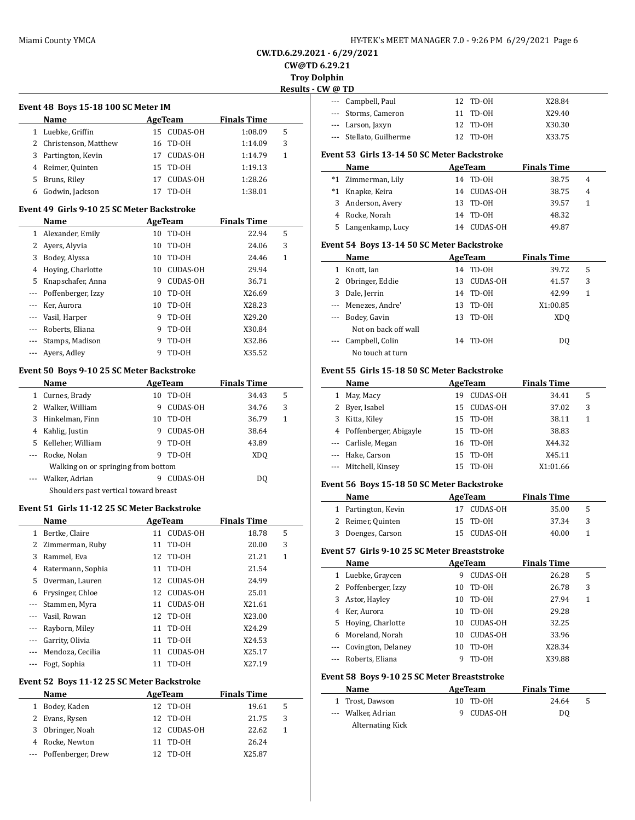$\overline{a}$ 

# **CW.TD.6.29.2021 - 6/29/2021**

**CW@TD 6.29.21**

**Troy Dolphin Results - CW @ TD**

 $\overline{a}$ 

 $\overline{\phantom{a}}$ 

### **Event 48 Boys 15-18 100 SC Meter IM**

|    | Name                   | AgeTeam        | <b>Finals Time</b> |   |  |  |  |  |
|----|------------------------|----------------|--------------------|---|--|--|--|--|
|    | Luebke, Griffin        | 15 CUDAS-OH    | 1:08.09            | 5 |  |  |  |  |
|    | 2 Christenson, Matthew | 16 TD-0H       | 1:14.09            | 3 |  |  |  |  |
|    | 3 Partington, Kevin    | 17 CUDAS-OH    | 1:14.79            | 1 |  |  |  |  |
|    | 4 Reimer, Quinten      | 15 TD-0H       | 1:19.13            |   |  |  |  |  |
| 5. | Bruns, Riley           | CUDAS-OH<br>17 | 1:28.26            |   |  |  |  |  |
|    | Godwin, Jackson        | TD-OH          | 1:38.01            |   |  |  |  |  |

### **Event 49 Girls 9-10 25 SC Meter Backstroke**

|          | Name               |    | AgeTeam         | <b>Finals Time</b> |   |  |
|----------|--------------------|----|-----------------|--------------------|---|--|
|          | Alexander, Emily   | 10 | TD-OH           | 22.94              | 5 |  |
|          | Avers, Alyvia      | 10 | TD-OH           | 24.06              | 3 |  |
| 3        | Bodey, Alyssa      | 10 | TD-OH           | 24.46              | 1 |  |
| 4        | Hoying, Charlotte  | 10 | <b>CUDAS-OH</b> | 29.94              |   |  |
| 5.       | Knapschafer, Anna  | 9  | <b>CUDAS-OH</b> | 36.71              |   |  |
| $\cdots$ | Poffenberger, Izzy | 10 | TD-OH           | X26.69             |   |  |
|          | Ker, Aurora        | 10 | TD-OH           | X28.23             |   |  |
|          | Vasil, Harper      | 9  | TD-OH           | X29.20             |   |  |
|          | Roberts, Eliana    | 9  | TD-OH           | X30.84             |   |  |
|          | Stamps, Madison    | 9  | TD-0H           | X32.86             |   |  |
|          | Ayers, Adley       | 9  | TD-OH           | X35.52             |   |  |

### **Event 50 Boys 9-10 25 SC Meter Backstroke**

|   | Name                                  |    | AgeTeam         | <b>Finals Time</b> |   |  |  |
|---|---------------------------------------|----|-----------------|--------------------|---|--|--|
| 1 | Curnes, Brady                         | 10 | TD-OH           | 34.43              | 5 |  |  |
| 2 | Walker, William                       | 9  | <b>CUDAS-OH</b> | 34.76              | 3 |  |  |
| 3 | Hinkelman, Finn                       | 10 | TD-0H           | 36.79              | 1 |  |  |
| 4 | Kahlig, Justin                        | 9  | <b>CUDAS-OH</b> | 38.64              |   |  |  |
| 5 | Kelleher, William                     | 9  | TD-OH           | 43.89              |   |  |  |
|   | Rocke, Nolan                          | 9  | TD-0H           | XDO                |   |  |  |
|   | Walking on or springing from bottom   |    |                 |                    |   |  |  |
|   | Walker, Adrian                        | 9  | CUDAS-OH        | DO.                |   |  |  |
|   | Shoulders past vertical toward breast |    |                 |                    |   |  |  |

#### **Event 51 Girls 11-12 25 SC Meter Backstroke**

|          | Name              | AgeTeam |                 | <b>Finals Time</b> |   |
|----------|-------------------|---------|-----------------|--------------------|---|
| 1        | Bertke, Claire    | 11      | <b>CUDAS-OH</b> | 18.78              | 5 |
|          | 2 Zimmerman, Ruby |         | 11 TD-0H        | 20.00              | 3 |
| 3        | Rammel, Eva       |         | 12 TD-0H        | 21.21              | 1 |
| 4        | Ratermann, Sophia | 11      | TD-OH           | 21.54              |   |
| 5.       | Overman, Lauren   | 12      | <b>CUDAS-OH</b> | 24.99              |   |
| 6        | Frysinger, Chloe  |         | 12 CUDAS-OH     | 25.01              |   |
|          | --- Stammen, Myra |         | 11 CUDAS-OH     | X21.61             |   |
| $- - -$  | Vasil, Rowan      |         | 12 TD-0H        | X23.00             |   |
| $\cdots$ | Rayborn, Miley    | 11      | TD-0H           | X24.29             |   |
| $\cdots$ | Garrity, Olivia   | 11      | TD-OH           | X24.53             |   |
|          | Mendoza, Cecilia  | 11      | <b>CUDAS-OH</b> | X25.17             |   |
|          | Fogt, Sophia      |         | 11 TD-0H        | X27.19             |   |

### **Event 52 Boys 11-12 25 SC Meter Backstroke**

|   | Name                   | AgeTeam |          | <b>Finals Time</b> |   |
|---|------------------------|---------|----------|--------------------|---|
| 1 | Bodey, Kaden           |         | 12 TD-0H | 19.61              | 5 |
|   | 2 Evans, Rysen         |         | 12 TD-0H | 21.75              | 3 |
| 3 | Obringer, Noah         | 12.     | CUDAS-OH | 22.62              |   |
|   | 4 Rocke, Newton        | 11.     | TD-OH    | 26.24              |   |
|   | --- Poffenberger, Drew | 12.     | TD-OH    | X25.87             |   |
|   |                        |         |          |                    |   |

| / ( <i>w</i> ⊥µ |                         |          |        |
|-----------------|-------------------------|----------|--------|
|                 | --- Campbell, Paul      | 12 TD-0H | X28.84 |
|                 | --- Storms, Cameron     | 11 TD-0H | X29.40 |
|                 | --- Larson, Jaxyn       | 12 TD-0H | X30.30 |
|                 | --- Stellato, Guilherme | 12 TD-0H | X33.75 |
|                 |                         |          |        |

### **Event 53 Girls 13-14 50 SC Meter Backstroke**

| Name               |    | AgeTeam     | <b>Finals Time</b> |   |
|--------------------|----|-------------|--------------------|---|
| *1 Zimmerman, Lily |    | 14 TD-0H    | 38.75              | 4 |
| *1 Knapke, Keira   |    | 14 CUDAS-OH | 38.75              | 4 |
| 3 Anderson, Avery  |    | 13 TD-0H    | 39.57              |   |
| 4 Rocke, Norah     |    | 14 TD-0H    | 48.32              |   |
| 5 Langenkamp, Lucy | 14 | CUDAS-OH    | 49.87              |   |

### **Event 54 Boys 13-14 50 SC Meter Backstroke**

|   | Name                 | AgeTeam |                 | <b>Finals Time</b> |   |  |
|---|----------------------|---------|-----------------|--------------------|---|--|
| 1 | Knott, Ian           | 14      | TD-OH           | 39.72              | 5 |  |
|   | 2 Obringer, Eddie    | 13      | <b>CUDAS-OH</b> | 41.57              | 3 |  |
| 3 | Dale, Jerrin         | 14      | TD-OH           | 42.99              | 1 |  |
|   | --- Menezes, Andre'  | 13      | TD-OH           | X1:00.85           |   |  |
|   | --- Bodey, Gavin     | 13      | TD-OH           | XD <sub>0</sub>    |   |  |
|   | Not on back off wall |         |                 |                    |   |  |
|   | --- Campbell, Colin  | 14      | TD-OH           | DO.                |   |  |
|   | No touch at turn     |         |                 |                    |   |  |

### **Event 55 Girls 15-18 50 SC Meter Backstroke**

|   | Name                     |    | AgeTeam         | <b>Finals Time</b> |   |  |
|---|--------------------------|----|-----------------|--------------------|---|--|
| 1 | May, Macy                | 19 | <b>CUDAS-OH</b> | 34.41              | 5 |  |
| 2 | Byer, Isabel             |    | 15 CUDAS-OH     | 37.02              | 3 |  |
| 3 | Kitta, Kilev             | 15 | TD-OH           | 38.11              | 1 |  |
|   | 4 Poffenberger, Abigayle |    | 15 TD-0H        | 38.83              |   |  |
|   | --- Carlisle, Megan      |    | 16 TD-0H        | X44.32             |   |  |
|   | --- Hake, Carson         | 15 | TD-OH           | X45.11             |   |  |
|   | --- Mitchell, Kinsey     | 15 | TD-0H           | X1:01.66           |   |  |

### **Event 56 Boys 15-18 50 SC Meter Backstroke**

| <b>Name</b>         | AgeTeam     | <b>Finals Time</b> |    |
|---------------------|-------------|--------------------|----|
| 1 Partington, Kevin | 17 CUDAS-OH | 35.00              | .5 |
| 2 Reimer, Quinten   | 15 TD-0H    | 37.34              | -3 |
| 3 Doenges, Carson   | 15 CUDAS-OH | 40.00              |    |

### **Event 57 Girls 9-10 25 SC Meter Breaststroke**

|   | Name                 |    | AgeTeam         | <b>Finals Time</b> |   |
|---|----------------------|----|-----------------|--------------------|---|
|   | 1 Luebke, Graycen    | 9  | <b>CUDAS-OH</b> | 26.28              | 5 |
|   | 2 Poffenberger, Izzy | 10 | TD-OH           | 26.78              | 3 |
|   | 3 Astor, Hayley      | 10 | TD-OH           | 27.94              | 1 |
| 4 | Ker, Aurora          | 10 | TD-OH           | 29.28              |   |
|   | 5 Hoying, Charlotte  | 10 | CUDAS-OH        | 32.25              |   |
|   | 6 Moreland, Norah    | 10 | <b>CUDAS-OH</b> | 33.96              |   |
|   | Covington, Delaney   | 10 | TD-OH           | X28.34             |   |
|   | --- Roberts, Eliana  |    | TD-0H           | X39.88             |   |

### **Event 58 Boys 9-10 25 SC Meter Breaststroke**

| Name               | AgeTeam    | <b>Finals Time</b> |   |
|--------------------|------------|--------------------|---|
| 1 Trost, Dawson    | 10 TD-0H   | 24.64              | 5 |
| --- Walker, Adrian | 9 CUDAS-OH | DO                 |   |
| Alternating Kick   |            |                    |   |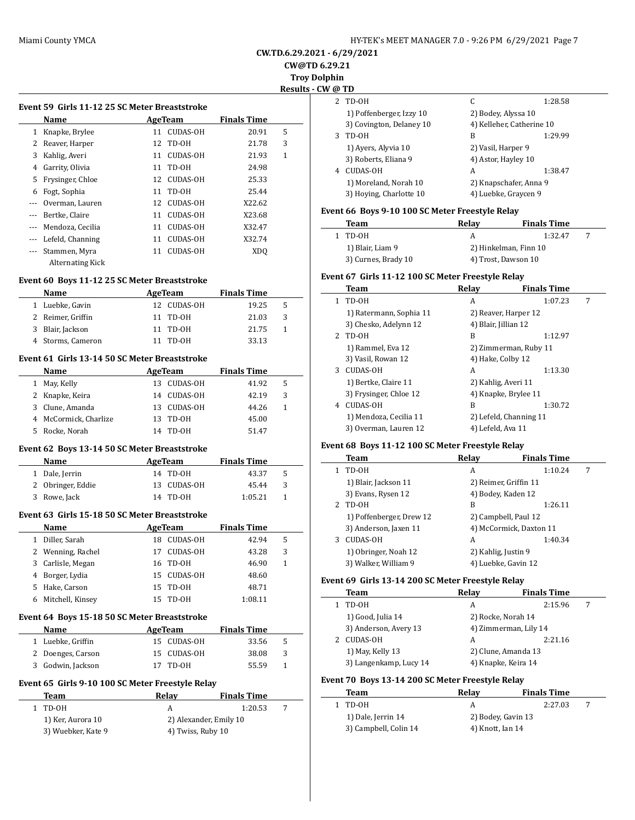**CW.TD.6.29.2021 - 6/29/2021**

**CW@TD 6.29.21**

**Troy Dolphin Results - CW** 

|       |                                               |    |                 |                    | . |
|-------|-----------------------------------------------|----|-----------------|--------------------|---|
|       | Event 59 Girls 11-12 25 SC Meter Breaststroke |    |                 |                    |   |
|       | Name                                          |    | AgeTeam         | <b>Finals Time</b> |   |
| 1     | Knapke, Brylee                                | 11 | <b>CUDAS-OH</b> | 20.91              | 5 |
| 2     | Reaver, Harper                                | 12 | TD-0H           | 21.78              | 3 |
| 3     | Kahlig, Averi                                 | 11 | <b>CUDAS-OH</b> | 21.93              | 1 |
| 4     | Garrity, Olivia                               | 11 | TD-0H           | 24.98              |   |
| 5     | Frysinger, Chloe                              | 12 | CUDAS-OH        | 25.33              |   |
| 6     | Fogt, Sophia                                  | 11 | TD-0H           | 25.44              |   |
| $---$ | Overman, Lauren                               | 12 | CUDAS-OH        | X22.62             |   |
|       | Bertke, Claire                                | 11 | <b>CUDAS-OH</b> | X23.68             |   |
|       | Mendoza, Cecilia                              | 11 | <b>CUDAS-OH</b> | X32.47             |   |
|       | Lefeld, Channing                              | 11 | CUDAS-OH        | X32.74             |   |
|       | Stammen, Myra                                 | 11 | <b>CUDAS-OH</b> | XD <sub>O</sub>    |   |
|       | <b>Alternating Kick</b>                       |    |                 |                    |   |

### **Event 60 Boys 11-12 25 SC Meter Breaststroke**

| <b>Name</b>       | AgeTeam     | <b>Finals Time</b> |   |
|-------------------|-------------|--------------------|---|
| 1 Luebke, Gavin   | 12 CUDAS-OH | 19.25              | 5 |
| 2 Reimer, Griffin | 11 TD-0H    | 21.03              | 3 |
| 3 Blair, Jackson  | 11 TD-0H    | 21.75              |   |
| 4 Storms, Cameron | 11 TD-0H    | 33.13              |   |

### **Event 61 Girls 13-14 50 SC Meter Breaststroke**

|    | <b>Name</b>           |     | AgeTeam  | <b>Finals Time</b> |    |
|----|-----------------------|-----|----------|--------------------|----|
| 1. | May, Kelly            | 13. | CUDAS-OH | 41.92              | .5 |
|    | 2 Knapke, Keira       | 14  | CUDAS-OH | 42.19              | 3  |
|    | 3 Clune, Amanda       | 13. | CUDAS-OH | 44.26              |    |
|    | 4 McCormick, Charlize |     | 13 TD-0H | 45.00              |    |
| 5. | Rocke, Norah          | 14  | TD-OH    | 51.47              |    |

### **Event 62 Boys 13-14 50 SC Meter Breaststroke**

 $\overline{a}$ 

| <b>Name</b>       | AgeTeam     | <b>Finals Time</b> |    |
|-------------------|-------------|--------------------|----|
| 1 Dale, Jerrin    | 14 TD-0H    | 43.37              | -5 |
| 2 Obringer, Eddie | 13 CUDAS-OH | 45.44              | -3 |
| 3 Rowe, Jack      | 14 TD-0H    | 1:05.21            |    |

### **Event 63 Girls 15-18 50 SC Meter Breaststroke**

|   | Name              |     | AgeTeam         | <b>Finals Time</b> |   |
|---|-------------------|-----|-----------------|--------------------|---|
| 1 | Diller, Sarah     | 18. | CUDAS-OH        | 42.94              | 5 |
|   | 2 Wenning, Rachel | 17  | <b>CUDAS-OH</b> | 43.28              | 3 |
|   | 3 Carlisle, Megan |     | 16 TD-0H        | 46.90              | 1 |
|   | 4 Borger, Lydia   |     | 15 CUDAS-OH     | 48.60              |   |
|   | 5 Hake, Carson    |     | 15 TD-0H        | 48.71              |   |
| 6 | Mitchell, Kinsey  | 15  | TD-OH           | 1:08.11            |   |

#### **Event 64 Boys 15-18 50 SC Meter Breaststroke**

| Name              | AgeTeam     | <b>Finals Time</b> |   |
|-------------------|-------------|--------------------|---|
| 1 Luebke, Griffin | 15 CUDAS-OH | 33.56              | 5 |
| 2 Doenges, Carson | 15 CUDAS-OH | 38.08              | 3 |
| 3 Godwin, Jackson | 17 TD-0H    | 55.59              |   |

### **Event 65 Girls 9-10 100 SC Meter Freestyle Relay**

| Team               | Relav             | <b>Finals Time</b>     |  |
|--------------------|-------------------|------------------------|--|
| TD-OH              |                   | 1:20.53                |  |
| 1) Ker, Aurora 10  |                   | 2) Alexander, Emily 10 |  |
| 3) Wuebker, Kate 9 | 4) Twiss, Ruby 10 |                        |  |

|                | @ TD                     |                           |         |
|----------------|--------------------------|---------------------------|---------|
| $\overline{2}$ | TD-OH                    | C                         | 1:28.58 |
|                | 1) Poffenberger, Izzy 10 | 2) Bodey, Alyssa 10       |         |
|                | 3) Covington, Delaney 10 | 4) Kelleher, Catherine 10 |         |
| 3              | TD-0H                    | В                         | 1:29.99 |
|                | 1) Ayers, Alyvia 10      | 2) Vasil, Harper 9        |         |
|                | 3) Roberts, Eliana 9     | 4) Astor, Hayley 10       |         |
| 4              | CUDAS-OH                 | А                         | 1:38.47 |
|                | 1) Moreland, Norah 10    | 2) Knapschafer, Anna 9    |         |
|                | 3) Hoving, Charlotte 10  | 4) Luebke, Graycen 9      |         |

### **Event 66 Boys 9-10 100 SC Meter Freestyle Relay**

| Team                | Relav                 | <b>Finals Time</b> |  |
|---------------------|-----------------------|--------------------|--|
| TD-0H               |                       | 1:32.47            |  |
| 1) Blair, Liam 9    | 2) Hinkelman, Finn 10 |                    |  |
| 3) Curnes, Brady 10 | 4) Trost, Dawson 10   |                    |  |

### **Event 67 Girls 11-12 100 SC Meter Freestyle Relay**

|    | Team                    | Relav                | <b>Finals Time</b>     |   |
|----|-------------------------|----------------------|------------------------|---|
| 1. | TD-OH                   | A                    | 1:07.23                | 7 |
|    | 1) Ratermann, Sophia 11 |                      | 2) Reaver, Harper 12   |   |
|    | 3) Chesko, Adelynn 12   | 4) Blair, Jillian 12 |                        |   |
| 2. | TD-0H                   | B                    | 1:12.97                |   |
|    | 1) Rammel, Eva 12       |                      | 2) Zimmerman, Ruby 11  |   |
|    | 3) Vasil, Rowan 12      | 4) Hake, Colby 12    |                        |   |
| 3  | CUDAS-OH                | A                    | 1:13.30                |   |
|    | 1) Bertke, Claire 11    | 2) Kahlig, Averi 11  |                        |   |
|    | 3) Frysinger, Chloe 12  |                      | 4) Knapke, Brylee 11   |   |
| 4  | CUDAS-OH                | R                    | 1:30.72                |   |
|    | 1) Mendoza, Cecilia 11  |                      | 2) Lefeld, Channing 11 |   |
|    | 3) Overman, Lauren 12   | 4) Lefeld, Ava 11    |                        |   |

### **Event 68 Boys 11-12 100 SC Meter Freestyle Relay**

|   | Team                     | Relay                 | <b>Finals Time</b>      |   |
|---|--------------------------|-----------------------|-------------------------|---|
|   | TD-OH                    | A                     | 1:10.24                 | 7 |
|   | 1) Blair, Jackson 11     | 2) Reimer, Griffin 11 |                         |   |
|   | 3) Evans, Rysen 12       | 4) Bodey, Kaden 12    |                         |   |
| 2 | TD-OH                    | B                     | 1:26.11                 |   |
|   | 1) Poffenberger, Drew 12 | 2) Campbell, Paul 12  |                         |   |
|   | 3) Anderson, Jaxen 11    |                       | 4) McCormick, Daxton 11 |   |
| 3 | CUDAS-OH                 | A                     | 1:40.34                 |   |
|   | 1) Obringer, Noah 12     | 2) Kahlig, Justin 9   |                         |   |
|   | 3) Walker, William 9     | 4) Luebke, Gavin 12   |                         |   |

### **Event 69 Girls 13-14 200 SC Meter Freestyle Relay**

 $\sim$ 

| <b>Team</b>            | Relav                 | <b>Finals Time</b> |  |
|------------------------|-----------------------|--------------------|--|
| TD-0H                  | А                     | 2:15.96            |  |
| 1) Good, Julia 14      | 2) Rocke, Norah 14    |                    |  |
| 3) Anderson, Avery 13  | 4) Zimmerman, Lily 14 |                    |  |
| CUDAS-OH               | А                     | 2:21.16            |  |
| 1) May, Kelly 13       | 2) Clune, Amanda 13   |                    |  |
| 3) Langenkamp, Lucy 14 | 4) Knapke, Keira 14   |                    |  |
|                        |                       |                    |  |

### **Event 70 Boys 13-14 200 SC Meter Freestyle Relay**

| Team                  | Relav              | <b>Finals Time</b> |   |  |
|-----------------------|--------------------|--------------------|---|--|
| 1 TD-0H               |                    | 2:27.03            | 7 |  |
| 1) Dale, Jerrin 14    | 2) Bodey, Gavin 13 |                    |   |  |
| 3) Campbell, Colin 14 | 4) Knott, Ian 14   |                    |   |  |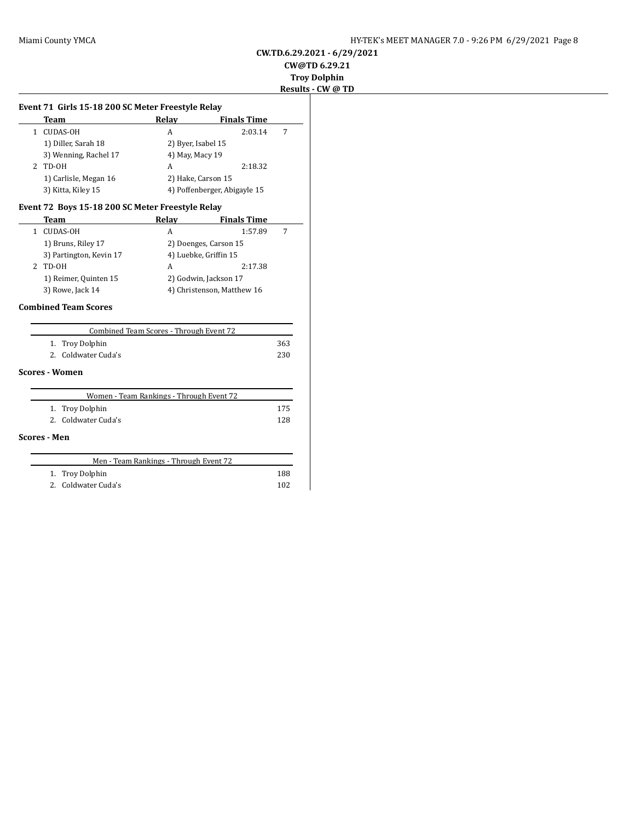### **CW.TD.6.29.2021 - 6/29/2021 CW@TD 6.29.21**

# **Troy Dolphin**

# **Results - CW @ TD**

|              | Team                                             | Relay                                   | <b>Finals Time</b>           |     |
|--------------|--------------------------------------------------|-----------------------------------------|------------------------------|-----|
|              | 1 CUDAS-OH                                       | A                                       | 2:03.14                      | 7   |
|              | 1) Diller, Sarah 18                              | 2) Byer, Isabel 15                      |                              |     |
|              | 3) Wenning, Rachel 17                            | 4) May, Macy 19                         |                              |     |
|              | $2$ TD-OH                                        | A                                       | 2:18.32                      |     |
|              | 1) Carlisle, Megan 16                            |                                         | 2) Hake, Carson 15           |     |
|              | 3) Kitta, Kiley 15                               |                                         | 4) Poffenberger, Abigayle 15 |     |
|              | Event 72 Boys 15-18 200 SC Meter Freestyle Relay |                                         |                              |     |
|              | Team                                             | Relay                                   | <b>Finals Time</b>           |     |
| $\mathbf{1}$ | CUDAS-OH                                         | A                                       | 1:57.89                      | 7   |
|              | 1) Bruns, Riley 17                               |                                         | 2) Doenges, Carson 15        |     |
|              | 3) Partington, Kevin 17                          |                                         | 4) Luebke, Griffin 15        |     |
|              | $2$ TD-OH                                        | A                                       | 2:17.38                      |     |
|              | 1) Reimer, Quinten 15                            |                                         | 2) Godwin, Jackson 17        |     |
|              | 3) Rowe, Jack 14                                 |                                         | 4) Christenson, Matthew 16   |     |
|              | <b>Combined Team Scores</b>                      |                                         |                              |     |
|              |                                                  | Combined Team Scores - Through Event 72 |                              |     |
|              | Troy Dolphin<br>1.                               |                                         |                              | 363 |

#### **Scores - Women**

|                     | Women - Team Rankings - Through Event 72 |     |
|---------------------|------------------------------------------|-----|
|                     | 1. Troy Dolphin                          | 175 |
|                     | 2. Coldwater Cuda's                      | 128 |
| <b>Scores - Men</b> |                                          |     |
|                     | Men - Team Rankings - Through Event 72   |     |
|                     | 1. Troy Dolphin                          |     |

2. Coldwater Cuda's 230

|  | $\cdots$ $\cdots$ $\cdots$ | ∸∽  |
|--|----------------------------|-----|
|  | 2. Coldwater Cuda's        | 102 |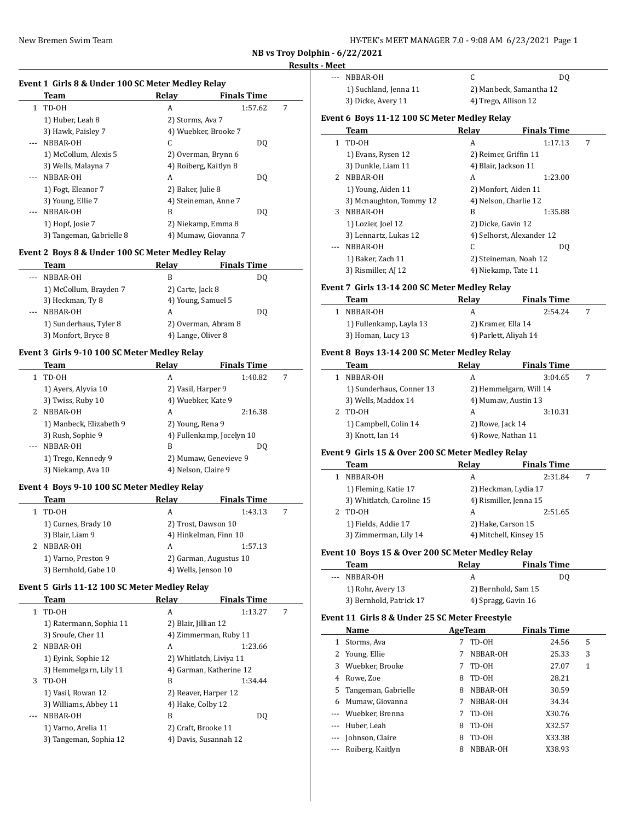| HY-TEK's MEET MANAGER 7.0 - 9:08 AM 6/23/2021 Page 1 |  |
|------------------------------------------------------|--|
|------------------------------------------------------|--|

**NB vs Troy Dolphin - 6/22/2021**

 $\overline{\phantom{a}}$ 

 $\overline{\phantom{0}}$ 

 $\overline{\phantom{a}}$ 

# **Results - Meet**

#### **Event 1 Girls 8 & Under 100 SC Meter Medley Relay**

|    | Team                     | Relay                 | <b>Finals Time</b>   |   |
|----|--------------------------|-----------------------|----------------------|---|
| 1. | TD-OH                    | A                     | 1:57.62              | 7 |
|    | 1) Huber, Leah 8         | 2) Storms, Ava 7      |                      |   |
|    | 3) Hawk, Paisley 7       | 4) Wuebker, Brooke 7  |                      |   |
|    | NBBAR-OH                 | C                     | DQ                   |   |
|    | 1) McCollum, Alexis 5    | 2) Overman, Brynn 6   |                      |   |
|    | 3) Wells, Malayna 7      | 4) Roiberg, Kaitlyn 8 |                      |   |
|    | NBBAR-OH                 | A                     | DO.                  |   |
|    | 1) Fogt, Eleanor 7       | 2) Baker, Julie 8     |                      |   |
|    | 3) Young, Ellie 7        | 4) Steineman, Anne 7  |                      |   |
|    | NBBAR-OH                 | B                     | DQ                   |   |
|    | 1) Hopf, Josie 7         | 2) Niekamp, Emma 8    |                      |   |
|    | 3) Tangeman, Gabrielle 8 |                       | 4) Mumaw, Giovanna 7 |   |

### **Event 2 Boys 8 & Under 100 SC Meter Medley Relay**

|       | Team                   | Relay               | <b>Finals Time</b> |
|-------|------------------------|---------------------|--------------------|
|       | NBBAR-OH               | В                   | DO.                |
|       | 1) McCollum, Brayden 7 | 2) Carte, Jack 8    |                    |
|       | 3) Heckman, Ty 8       | 4) Young, Samuel 5  |                    |
| $---$ | NBBAR-OH               | А                   | DO.                |
|       | 1) Sunderhaus, Tyler 8 | 2) Overman, Abram 8 |                    |
|       | 3) Monfort, Bryce 8    | 4) Lange, Oliver 8  |                    |

### **Event 3 Girls 9-10 100 SC Meter Medley Relay**

|                                                                                                                                                                                                                                                                                                                                                                                              | Team                    | Relav                     | <b>Finals Time</b> |   |
|----------------------------------------------------------------------------------------------------------------------------------------------------------------------------------------------------------------------------------------------------------------------------------------------------------------------------------------------------------------------------------------------|-------------------------|---------------------------|--------------------|---|
| 1                                                                                                                                                                                                                                                                                                                                                                                            | TD-0H                   | А                         | 1:40.82            | 7 |
|                                                                                                                                                                                                                                                                                                                                                                                              | 1) Ayers, Alyvia 10     | 2) Vasil, Harper 9        |                    |   |
|                                                                                                                                                                                                                                                                                                                                                                                              | 3) Twiss, Ruby 10       | 4) Wuebker, Kate 9        |                    |   |
| 2                                                                                                                                                                                                                                                                                                                                                                                            | NBBAR-OH                | A                         | 2:16.38            |   |
|                                                                                                                                                                                                                                                                                                                                                                                              | 1) Manbeck, Elizabeth 9 | 2) Young, Rena 9          |                    |   |
|                                                                                                                                                                                                                                                                                                                                                                                              | 3) Rush, Sophie 9       | 4) Fullenkamp, Jocelyn 10 |                    |   |
| $\frac{1}{2} \frac{1}{2} \frac{1}{2} \frac{1}{2} \frac{1}{2} \frac{1}{2} \frac{1}{2} \frac{1}{2} \frac{1}{2} \frac{1}{2} \frac{1}{2} \frac{1}{2} \frac{1}{2} \frac{1}{2} \frac{1}{2} \frac{1}{2} \frac{1}{2} \frac{1}{2} \frac{1}{2} \frac{1}{2} \frac{1}{2} \frac{1}{2} \frac{1}{2} \frac{1}{2} \frac{1}{2} \frac{1}{2} \frac{1}{2} \frac{1}{2} \frac{1}{2} \frac{1}{2} \frac{1}{2} \frac{$ | NBBAR-OH                | B                         | DO.                |   |
|                                                                                                                                                                                                                                                                                                                                                                                              | 1) Trego, Kennedy 9     | 2) Mumaw, Genevieve 9     |                    |   |
|                                                                                                                                                                                                                                                                                                                                                                                              | 3) Niekamp, Ava 10      | 4) Nelson, Claire 9       |                    |   |
|                                                                                                                                                                                                                                                                                                                                                                                              |                         |                           |                    |   |

#### **Event 4 Boys 9-10 100 SC Meter Medley Relay**

| Team                 | Relay               | <b>Finals Time</b>     |   |
|----------------------|---------------------|------------------------|---|
| TD-OH                | A                   | 1:43.13                | 7 |
| 1) Curnes, Brady 10  |                     | 2) Trost, Dawson 10    |   |
| 3) Blair, Liam 9     |                     | 4) Hinkelman, Finn 10  |   |
| 2 NBBAR-OH           | A                   | 1:57.13                |   |
| 1) Varno, Preston 9  |                     | 2) Garman, Augustus 10 |   |
| 3) Bernhold, Gabe 10 | 4) Wells, Jenson 10 |                        |   |

### **Event 5 Girls 11-12 100 SC Meter Medley Relay**

|              | Team                    | Relay                | <b>Finals Time</b>      |   |
|--------------|-------------------------|----------------------|-------------------------|---|
| $\mathbf{1}$ | TD-OH                   | A                    | 1:13.27                 | 7 |
|              | 1) Ratermann, Sophia 11 | 2) Blair, Jillian 12 |                         |   |
|              | 3) Sroufe, Cher 11      |                      | 4) Zimmerman, Ruby 11   |   |
| 2            | NBBAR-OH                | A                    | 1:23.66                 |   |
|              | 1) Eyink, Sophie 12     |                      | 2) Whitlatch, Liviya 11 |   |
|              | 3) Hemmelgarn, Lily 11  |                      | 4) Garman, Katherine 12 |   |
| 3            | TD-OH                   | B                    | 1:34.44                 |   |
|              | 1) Vasil, Rowan 12      |                      | 2) Reaver, Harper 12    |   |
|              | 3) Williams, Abbey 11   | 4) Hake, Colby 12    |                         |   |
|              | NBBAR-OH                | B                    | DO.                     |   |
|              | 1) Varno, Arelia 11     |                      | 2) Craft, Brooke 11     |   |
|              | 3) Tangeman, Sophia 12  |                      | 4) Davis, Susannah 12   |   |
|              |                         |                      |                         |   |

| .       |                       |                         |    |
|---------|-----------------------|-------------------------|----|
| $- - -$ | NBBAR-OH              |                         | DO |
|         | 1) Suchland, Jenna 11 | 2) Manbeck, Samantha 12 |    |
|         | 3) Dicke, Avery 11    | 4) Trego, Allison 12    |    |
|         |                       |                         |    |

### **Event 6 Boys 11-12 100 SC Meter Medley Relay**

|    | Team                    | Relay | <b>Finals Time</b>        |   |
|----|-------------------------|-------|---------------------------|---|
| 1. | TD-OH                   | A     | 1:17.13                   | 7 |
|    | 1) Evans, Rysen 12      |       | 2) Reimer, Griffin 11     |   |
|    | 3) Dunkle, Liam 11      |       | 4) Blair, Jackson 11      |   |
| 2. | NBBAR-OH                | A     | 1:23.00                   |   |
|    | 1) Young, Aiden 11      |       | 2) Monfort, Aiden 11      |   |
|    | 3) Mcnaughton, Tommy 12 |       | 4) Nelson, Charlie 12     |   |
| 3  | NBBAR-OH                | B     | 1:35.88                   |   |
|    | 1) Lozier, Joel 12      |       | 2) Dicke, Gavin 12        |   |
|    | 3) Lennartz, Lukas 12   |       | 4) Selhorst, Alexander 12 |   |
|    | NBBAR-OH                | C     | DO.                       |   |
|    | 1) Baker, Zach 11       |       | 2) Steineman, Noah 12     |   |
|    | 3) Rismiller, AJ 12     |       | 4) Niekamp, Tate 11       |   |

### **Event 7 Girls 13-14 200 SC Meter Medley Relay**

| Team                    | Relav              | <b>Finals Time</b>    |  |
|-------------------------|--------------------|-----------------------|--|
| NBBAR-OH                |                    | 2:54.24               |  |
| 1) Fullenkamp, Layla 13 | 2) Kramer, Ella 14 |                       |  |
| 3) Homan, Lucy 13       |                    | 4) Parlett, Aliyah 14 |  |

### **Event 8 Boys 13-14 200 SC Meter Medley Relay**

| Team                     | Relav            | <b>Finals Time</b>     |  |
|--------------------------|------------------|------------------------|--|
| NBBAR-OH                 | А                | 3:04.65                |  |
| 1) Sunderhaus, Conner 13 |                  | 2) Hemmelgarn, Will 14 |  |
| 3) Wells, Maddox 14      |                  | 4) Mumaw, Austin 13    |  |
| TD-OH                    | А                | 3:10.31                |  |
| 1) Campbell, Colin 14    | 2) Rowe, Jack 14 |                        |  |
| 3) Knott, Ian 14         |                  | 4) Rowe, Nathan 11     |  |

#### **Event 9 Girls 15 & Over 200 SC Meter Medley Relay**

| Team                      | Relay              | <b>Finals Time</b>     |  |
|---------------------------|--------------------|------------------------|--|
| NBBAR-OH                  | A                  | 2:31.84                |  |
| 1) Fleming, Katie 17      |                    | 2) Heckman, Lydia 17   |  |
| 3) Whitlatch, Caroline 15 |                    | 4) Rismiller, Jenna 15 |  |
| TD-OH                     | A                  | 2:51.65                |  |
| 1) Fields, Addie 17       | 2) Hake, Carson 15 |                        |  |
| 3) Zimmerman, Lily 14     |                    | 4) Mitchell, Kinsey 15 |  |

### **Event 10 Boys 15 & Over 200 SC Meter Medley Relay**

| Team                    | Relav               | <b>Finals Time</b> |
|-------------------------|---------------------|--------------------|
| --- NBBAR-OH            |                     | DO                 |
| 1) Rohr, Avery 13       | 2) Bernhold, Sam 15 |                    |
| 3) Bernhold, Patrick 17 | 4) Spragg, Gavin 16 |                    |

#### **Event 11 Girls 8 & Under 25 SC Meter Freestyle**

|          | Name                 |   | AgeTeam  | <b>Finals Time</b> |   |  |
|----------|----------------------|---|----------|--------------------|---|--|
| 1        | Storms, Ava          | 7 | TD-OH    | 24.56              | 5 |  |
|          | 2 Young, Ellie       | 7 | NBBAR-OH | 25.33              | 3 |  |
| 3        | Wuebker, Brooke      | 7 | TD-OH    | 27.07              | 1 |  |
| 4        | Rowe, Zoe            | 8 | TD-OH    | 28.21              |   |  |
| 5.       | Tangeman, Gabrielle  | 8 | NBBAR-OH | 30.59              |   |  |
| 6        | Mumaw, Giovanna      | 7 | NBBAR-OH | 34.34              |   |  |
|          | --- Wuebker, Brenna  | 7 | TD-OH    | X30.76             |   |  |
|          | --- Huber, Leah      | 8 | TD-OH    | X32.57             |   |  |
| $\cdots$ | Johnson, Claire      | 8 | TD-OH    | X33.38             |   |  |
|          | --- Roiberg, Kaitlyn | 8 | NBBAR-OH | X38.93             |   |  |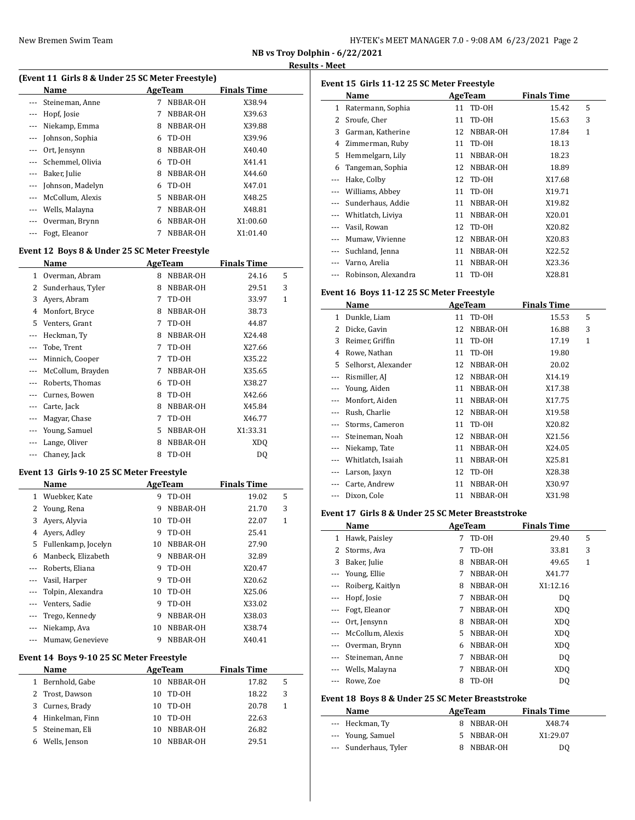| HY-TEK's MEET MANAGER 7.0 - 9:08 AM 6/23/2021 Page 2 |  |  |
|------------------------------------------------------|--|--|
|------------------------------------------------------|--|--|

**NB vs Troy Dolphin - 6/22/2021 Results - Meet**

 $\overline{a}$ 

# **(Event 11 Girls 8 & Under 25 SC Meter Freestyle)**

|          | Name             |   | AgeTeam  | <b>Finals Time</b> |  |
|----------|------------------|---|----------|--------------------|--|
|          | Steineman, Anne  | 7 | NBBAR-OH | X38.94             |  |
| $\cdots$ | Hopf, Josie      | 7 | NBBAR-OH | X39.63             |  |
|          | Niekamp, Emma    | 8 | NBBAR-OH | X39.88             |  |
|          | Johnson, Sophia  | 6 | TD-OH    | X39.96             |  |
|          | Ort, Jensynn     | 8 | NBBAR-OH | X40.40             |  |
|          | Schemmel, Olivia | 6 | TD-0H    | X41.41             |  |
|          | Baker, Julie     | 8 | NBBAR-OH | X44.60             |  |
|          | Johnson, Madelyn | 6 | TD-OH    | X47.01             |  |
|          | McCollum, Alexis | 5 | NBBAR-OH | X48.25             |  |
|          | Wells, Malayna   | 7 | NBBAR-OH | X48.81             |  |
|          | Overman, Brynn   | 6 | NBBAR-OH | X1:00.60           |  |
|          | Fogt, Eleanor    | 7 | NBBAR-OH | X1:01.40           |  |
|          |                  |   |          |                    |  |

# **Event 12 Boys 8 & Under 25 SC Meter Freestyle**

| Name              |   |          | <b>Finals Time</b> |   |
|-------------------|---|----------|--------------------|---|
| Overman, Abram    | 8 | NBBAR-OH | 24.16              | 5 |
| Sunderhaus, Tyler | 8 | NBBAR-OH | 29.51              | 3 |
| Ayers, Abram      | 7 | TD-OH    | 33.97              | 1 |
| Monfort, Bryce    | 8 | NBBAR-OH | 38.73              |   |
| Venters, Grant    | 7 | TD-OH    | 44.87              |   |
| Heckman, Ty       | 8 | NBBAR-OH | X24.48             |   |
| Tobe, Trent       | 7 | TD-OH    | X27.66             |   |
| Minnich, Cooper   | 7 | TD-OH    | X35.22             |   |
| McCollum, Brayden | 7 | NBBAR-OH | X35.65             |   |
| Roberts, Thomas   | 6 | TD-OH    | X38.27             |   |
| Curnes, Bowen     | 8 | TD-OH    | X42.66             |   |
| Carte, Jack       | 8 | NBBAR-OH | X45.84             |   |
| Magyar, Chase     | 7 | TD-OH    | X46.77             |   |
| Young, Samuel     | 5 | NBBAR-OH | X1:33.31           |   |
| Lange, Oliver     | 8 | NBBAR-OH | XD <sub>O</sub>    |   |
| Chaney, Jack      | 8 | TD-OH    | DQ                 |   |
|                   |   |          | AgeTeam            |   |

### **Event 13 Girls 9-10 25 SC Meter Freestyle**

|          | Name                |    | AgeTeam  | <b>Finals Time</b> |   |
|----------|---------------------|----|----------|--------------------|---|
| 1        | Wuebker, Kate       | 9  | TD-OH    | 19.02              | 5 |
| 2        | Young, Rena         | 9  | NBBAR-OH | 21.70              | 3 |
| 3        | Avers, Alyvia       | 10 | TD-0H    | 22.07              | 1 |
| 4        | Avers, Adley        | 9  | TD-0H    | 25.41              |   |
| 5        | Fullenkamp, Jocelyn | 10 | NBBAR-OH | 27.90              |   |
| 6        | Manbeck, Elizabeth  | 9  | NBBAR-OH | 32.89              |   |
|          | Roberts, Eliana     | 9  | TD-OH    | X20.47             |   |
|          | Vasil, Harper       | 9  | TD-0H    | X20.62             |   |
| $\cdots$ | Tolpin, Alexandra   | 10 | TD-0H    | X25.06             |   |
|          | Venters, Sadie      | 9  | TD-OH    | X33.02             |   |
|          | Trego, Kennedy      | 9  | NBBAR-OH | X38.03             |   |
|          | Niekamp, Ava        | 10 | NBBAR-OH | X38.74             |   |
|          | Mumaw, Genevieve    | 9  | NBBAR-OH | X40.41             |   |

### **Event 14 Boys 9-10 25 SC Meter Freestyle**

|              | Name              | AgeTeam |          | <b>Finals Time</b> |   |
|--------------|-------------------|---------|----------|--------------------|---|
| $\mathbf{1}$ | Bernhold, Gabe    | 10      | NBBAR-OH | 17.82              | 5 |
|              | 2 Trost, Dawson   | 10      | TD-OH    | 18.22              | 3 |
| 3            | Curnes, Brady     | 10      | TD-OH    | 20.78              | 1 |
|              | 4 Hinkelman, Finn | 10      | TD-OH    | 22.63              |   |
|              | 5 Steineman, Eli  | 10      | NBBAR-OH | 26.82              |   |
| 6            | Wells, Jenson     | 10      | NBBAR-OH | 29.51              |   |

| Event 15 Girls 11-12 25 SC Meter Freestyle |                     |    |                |                    |              |  |  |  |  |
|--------------------------------------------|---------------------|----|----------------|--------------------|--------------|--|--|--|--|
|                                            | Name                |    | <b>AgeTeam</b> | <b>Finals Time</b> |              |  |  |  |  |
| 1                                          | Ratermann, Sophia   | 11 | TD-OH          | 15.42              | 5            |  |  |  |  |
| 2                                          | Sroufe, Cher        | 11 | TD-OH          | 15.63              | 3            |  |  |  |  |
| 3                                          | Garman, Katherine   | 12 | NBBAR-OH       | 17.84              | $\mathbf{1}$ |  |  |  |  |
| 4                                          | Zimmerman, Ruby     | 11 | TD-OH          | 18.13              |              |  |  |  |  |
| 5                                          | Hemmelgarn, Lily    | 11 | NBBAR-OH       | 18.23              |              |  |  |  |  |
| 6                                          | Tangeman, Sophia    | 12 | NBBAR-OH       | 18.89              |              |  |  |  |  |
| ---                                        | Hake, Colby         | 12 | TD-OH          | X17.68             |              |  |  |  |  |
| ---                                        | Williams, Abbey     | 11 | TD-OH          | X19.71             |              |  |  |  |  |
| ---                                        | Sunderhaus, Addie   | 11 | NBBAR-OH       | X19.82             |              |  |  |  |  |
|                                            | Whitlatch, Liviya   | 11 | NBBAR-OH       | X20.01             |              |  |  |  |  |
| ---                                        | Vasil, Rowan        | 12 | TD-OH          | X20.82             |              |  |  |  |  |
|                                            | Mumaw, Vivienne     | 12 | NBBAR-OH       | X20.83             |              |  |  |  |  |
| ---                                        | Suchland, Jenna     | 11 | NBBAR-OH       | X22.52             |              |  |  |  |  |
| ---                                        | Varno, Arelia       | 11 | NBBAR-OH       | X23.36             |              |  |  |  |  |
| ---                                        | Robinson, Alexandra | 11 | TD-OH          | X28.81             |              |  |  |  |  |

### **Event 16 Boys 11-12 25 SC Meter Freestyle**

|          | Name                |    | AgeTeam  | <b>Finals Time</b> |              |  |
|----------|---------------------|----|----------|--------------------|--------------|--|
| 1        | Dunkle, Liam        | 11 | TD-OH    | 15.53              | 5            |  |
| 2        | Dicke, Gavin        | 12 | NBBAR-OH | 16.88              | 3            |  |
| 3        | Reimer, Griffin     | 11 | TD-OH    | 17.19              | $\mathbf{1}$ |  |
| 4        | Rowe, Nathan        | 11 | TD-OH    | 19.80              |              |  |
| 5        | Selhorst, Alexander | 12 | NBBAR-OH | 20.02              |              |  |
| $\cdots$ | Rismiller, AJ       | 12 | NBBAR-OH | X14.19             |              |  |
|          | Young, Aiden        | 11 | NBBAR-OH | X17.38             |              |  |
| $\cdots$ | Monfort, Aiden      | 11 | NBBAR-OH | X17.75             |              |  |
|          | Rush, Charlie       | 12 | NBBAR-OH | X19.58             |              |  |
|          | Storms, Cameron     | 11 | TD-OH    | X20.82             |              |  |
|          | Steineman, Noah     | 12 | NBBAR-OH | X21.56             |              |  |
| $---$    | Niekamp, Tate       | 11 | NBBAR-OH | X24.05             |              |  |
| $---$    | Whitlatch, Isaiah   | 11 | NBBAR-OH | X25.81             |              |  |
|          | Larson, Jaxyn       | 12 | TD-OH    | X28.38             |              |  |
|          | Carte, Andrew       | 11 | NBBAR-OH | X30.97             |              |  |
|          | Dixon, Cole         | 11 | NBBAR-OH | X31.98             |              |  |

### **Event 17 Girls 8 & Under 25 SC Meter Breaststroke**

|          | Name                                             |    | AgeTeam  | <b>Finals Time</b> |   |
|----------|--------------------------------------------------|----|----------|--------------------|---|
| 1        | Hawk, Paisley                                    | 7  | TD-OH    | 29.40              | 5 |
| 2        | Storms, Ava                                      | 7  | TD-0H    | 33.81              | 3 |
| 3        | Baker, Julie                                     | 8  | NBBAR-OH | 49.65              | 1 |
|          | Young, Ellie                                     | 7  | NBBAR-OH | X41.77             |   |
| $---$    | Roiberg, Kaitlyn                                 | 8  | NBBAR-OH | X1:12.16           |   |
| $---$    | Hopf, Josie                                      | 7  | NBBAR-OH | DO.                |   |
|          | Fogt, Eleanor                                    | 7  | NBBAR-OH | XDQ                |   |
|          | Ort, Jensynn                                     | 8  | NBBAR-OH | XDO                |   |
| $---$    | McCollum, Alexis                                 | 5. | NBBAR-OH | XDO                |   |
|          | Overman, Brynn                                   | 6  | NBBAR-OH | XDO                |   |
| $\cdots$ | Steineman, Anne                                  | 7  | NBBAR-OH | DQ                 |   |
|          | Wells, Malayna                                   | 7  | NBBAR-OH | XDO                |   |
| ---      | Rowe, Zoe                                        | 8  | TD-OH    | DO.                |   |
|          | Event 18 Boys 8 & Under 25 SC Meter Breaststroke |    |          |                    |   |
|          | Name                                             |    | AgeTeam  | <b>Finals Time</b> |   |

| <b>Name</b>           | <b>Age ream</b> | <b>Finals Time</b> |
|-----------------------|-----------------|--------------------|
| --- Heckman, Ty       | 8 NBBAR-OH      | X48.74             |
| --- Young, Samuel     | 5 NBBAR-OH      | X1:29.07           |
| --- Sunderhaus, Tyler | 8 NBBAR-OH      | D <sub>0</sub>     |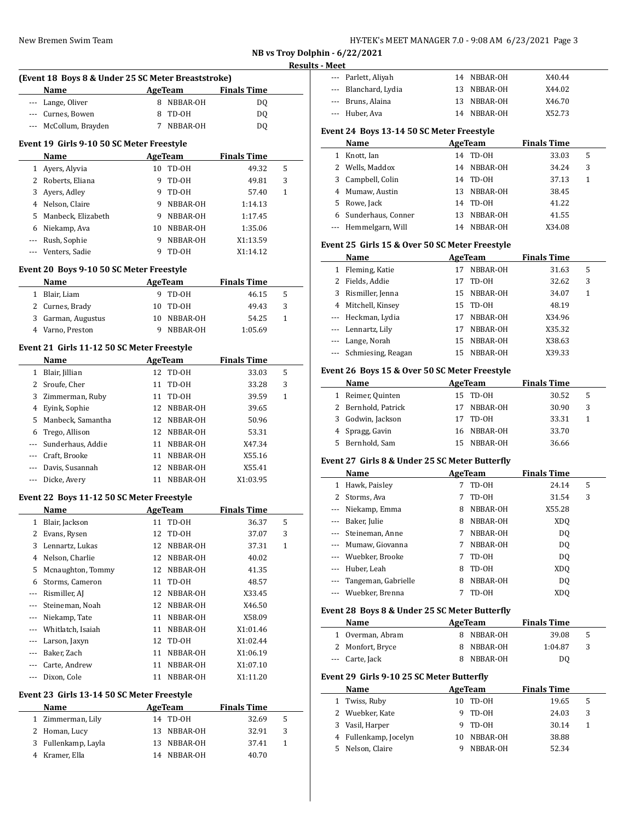| HY-TEK's MEET MANAGER 7.0 - 9:08 AM 6/23/2021 Page 3 |  |
|------------------------------------------------------|--|
|------------------------------------------------------|--|

**NB vs Troy Dolphin - 6/22/2021**

# **Results - Meet (Event 18 Boys 8 & Under 25 SC Meter Breaststroke) Name Age Team Finals Time** --- Lange, Oliver 8 NBBAR-OH DQ --- Curnes, Bowen 8 TD-OH DQ --- McCollum, Brayden 7 NBBAR-OH DQ **Event 19 Girls 9-10 50 SC Meter Freestyle Name Age Team Finals Time** 1 Ayers, Alyvia 10 TD-OH 49.32 5 2 Roberts, Eliana 9 TD-OH 49.81 3 3 Ayers, Adley 9 TD-OH 57.40 1 4 Nelson, Claire 9 NBBAR-OH 1:14.13 5 Manbeck, Elizabeth 9 NBBAR-OH 1:17.45 6 Niekamp, Ava 10 NBBAR-OH 1:35.06 --- Rush, Sophie 9 NBBAR-OH X1:13.59 --- Venters, Sadie 9 TD-OH X1:14.12 **Event 20 Boys 9-10 50 SC Meter Freestyle Name Age Team Finals Time** 1 Blair, Liam 9 TD-OH 46.15 5 2 Curnes, Brady 10 TD-OH 49.43 3 3 Garman, Augustus 10 NBBAR-OH 54.25 1 4 Varno, Preston 9 NBBAR-OH 1:05.69 **Event 21 Girls 11-12 50 SC Meter Freestyle Name AgeTeam Finals Time** 1 Blair, Jillian 12 TD-OH 33.03 5 2 Sroufe, Cher 11 TD-OH 33.28 3  $\overline{a}$ 3 Zimmerman, Ruby 11 TD-OH 39.59 1 4 Eyink, Sophie 12 NBBAR-OH 39.65 5 Manbeck, Samantha 12 NBBAR-OH 50.96 6 Trego, Allison 12 NBBAR-OH 53.31 --- Sunderhaus, Addie 11 NBBAR-OH X47.34 --- Craft, Brooke 11 NBBAR-OH X55.16 --- Davis, Susannah 12 NBBAR-OH X55.41  $\overline{a}$ --- Dicke, Avery 11 NBBAR-OH X1:03.95 **Event 22 Boys 11-12 50 SC Meter Freestyle Name AgeTeam Finals Time** 1 Blair, Jackson 11 TD-OH 36.37 5 2 Evans, Rysen 12 TD-OH 37.07 3 3 Lennartz, Lukas 12 NBBAR-OH 37.31 1 4 Nelson, Charlie 12 NBBAR-OH 40.02 5 Mcnaughton, Tommy 12 NBBAR-OH 41.35 6 Storms, Cameron 11 TD-OH 48.57 --- Rismiller, AJ 12 NBBAR-OH X33.45 --- Steineman, Noah 12 NBBAR-OH X46.50 --- Niekamp, Tate 11 NBBAR-OH X58.09 --- Whitlatch, Isaiah 11 NBBAR-OH X1:01.46 --- Larson, Jaxyn 12 TD-OH X1:02.44 --- Baker, Zach 11 NBBAR-OH X1:06.19 --- Carte, Andrew 11 NBBAR-OH X1:07.10 Dixon, Cole 11 NBBAR-OH X1:11.20  $\overline{a}$ **Event 23 Girls 13-14 50 SC Meter Freestyle Name AgeTeam Finals Time** 1 Zimmerman, Lily 14 TD-OH 32.69 5 2 Homan, Lucy 13 NBBAR-OH 32.91 3 3 Fullenkamp, Layla 13 NBBAR-OH 37.41 1 4 Kramer, Ella 14 NBBAR-OH 40.70

| --- Parlett, Aliyah  |    | 14 NBBAR-OH | X40.44 |
|----------------------|----|-------------|--------|
| --- Blanchard, Lydia | 13 | NBBAR-OH    | X44.02 |
| --- Bruns, Alaina    |    | 13 NBBAR-OH | X46.70 |
| --- Huber, Ava       |    | 14 NBBAR-OH | X52.73 |
|                      |    |             |        |

#### **Event 24 Boys 13-14 50 SC Meter Freestyle**

|   | Name                 |     | AgeTeam  | <b>Finals Time</b> |   |  |
|---|----------------------|-----|----------|--------------------|---|--|
|   | Knott, Ian           | 14  | TD-0H    | 33.03              | 5 |  |
|   | 2 Wells, Maddox      | 14  | NBBAR-OH | 34.24              | 3 |  |
|   | 3 Campbell, Colin    | 14  | TD-0H    | 37.13              | 1 |  |
| 4 | Mumaw, Austin        | 13. | NBBAR-OH | 38.45              |   |  |
| 5 | Rowe, Jack           | 14  | TD-OH    | 41.22              |   |  |
| 6 | Sunderhaus, Conner   | 13  | NBBAR-OH | 41.55              |   |  |
|   | --- Hemmelgarn, Will | 14  | NBBAR-OH | X34.08             |   |  |

#### **Event 25 Girls 15 & Over 50 SC Meter Freestyle**

|   | Name                   | AgeTeam |             | <b>Finals Time</b> |   |  |
|---|------------------------|---------|-------------|--------------------|---|--|
| 1 | Fleming, Katie         | 17      | NBBAR-OH    | 31.63              | 5 |  |
|   | Fields, Addie          | 17      | TD-OH       | 32.62              | 3 |  |
| 3 | Rismiller, Jenna       |         | 15 NBBAR-OH | 34.07              | 1 |  |
| 4 | Mitchell, Kinsey       | 15      | TD-OH       | 48.19              |   |  |
|   | --- Heckman, Lydia     | 17      | NBBAR-OH    | X34.96             |   |  |
|   | --- Lennartz, Lily     | 17      | NBBAR-OH    | X35.32             |   |  |
|   | --- Lange, Norah       | 15      | NBBAR-OH    | X38.63             |   |  |
|   | --- Schmiesing, Reagan | 15.     | NBBAR-OH    | X39.33             |   |  |

#### **Event 26 Boys 15 & Over 50 SC Meter Freestyle**

|   | Name                | AgeTeam |             | <b>Finals Time</b> |   |
|---|---------------------|---------|-------------|--------------------|---|
| 1 | Reimer, Quinten     |         | 15 TD-0H    | 30.52              | 5 |
|   | 2 Bernhold, Patrick |         | 17 NBBAR-OH | 30.90              | 3 |
|   | 3 Godwin, Jackson   |         | 17 TD-0H    | 33.31              |   |
|   | 4 Spragg, Gavin     |         | 16 NBBAR-OH | 33.70              |   |
|   | 5 Bernhold, Sam     |         | 15 NBBAR-OH | 36.66              |   |

#### **Event 27 Girls 8 & Under 25 SC Meter Butterfly**

|   | Name                | AgeTeam |          | <b>Finals Time</b> |   |
|---|---------------------|---------|----------|--------------------|---|
| 1 | Hawk, Paisley       |         | TD-OH    | 24.14              | 5 |
|   | 2 Storms, Ava       |         | TD-OH    | 31.54              | 3 |
|   | Niekamp, Emma       | 8       | NBBAR-OH | X55.28             |   |
|   | Baker, Julie        | 8       | NBBAR-OH | XDO                |   |
|   | Steineman, Anne     |         | NBBAR-OH | D <sub>0</sub>     |   |
|   | --- Mumaw, Giovanna |         | NBBAR-OH | DO.                |   |
|   | --- Wuebker, Brooke | 7       | TD-OH    | D <sub>0</sub>     |   |
|   | Huber. Leah         | 8       | TD-OH    | XDO                |   |
|   | Tangeman, Gabrielle | 8       | NBBAR-OH | DO.                |   |
|   | Wuebker, Brenna     |         | TD-OH    | XDO                |   |

#### **Event 28 Boys 8 & Under 25 SC Meter Butterfly**

| <b>Name</b>      | AgeTeam    | <b>Finals Time</b> |    |
|------------------|------------|--------------------|----|
| 1 Overman, Abram | 8 NBBAR-OH | 39.08              | -5 |
| 2 Monfort, Bryce | 8 NBBAR-OH | 1:04.87            |    |
| --- Carte, Jack  | 8 NBBAR-OH | DQ                 |    |

#### **Event 29 Girls 9-10 25 SC Meter Butterfly**

|   | Name                  | AgeTeam |          | <b>Finals Time</b> |   |
|---|-----------------------|---------|----------|--------------------|---|
|   | 1 Twiss, Ruby         | 10      | TD-OH    | 19.65              | 5 |
|   | 2 Wuebker, Kate       | 9       | TD-OH    | 24.03              | 3 |
| 3 | Vasil, Harper         | 9       | TD-0H    | 30.14              |   |
|   | 4 Fullenkamp, Jocelyn | 10      | NBBAR-OH | 38.88              |   |
|   | Nelson, Claire        |         | NBBAR-OH | 52.34              |   |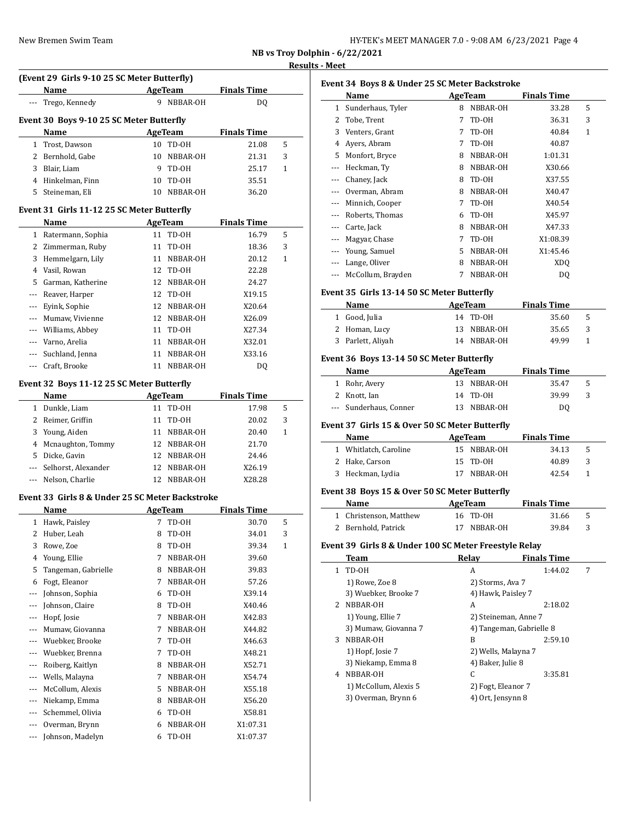| HY-TEK's MEET MANAGER 7.0 - 9:08 AM 6/23/2021 Page 4 |  |
|------------------------------------------------------|--|
|------------------------------------------------------|--|

**NB vs Troy Dolphin - 6/22/2021**

#### **Results - Meet**

|                |                                                     |    |                     |                    |   | <b>Results - Meet</b> |
|----------------|-----------------------------------------------------|----|---------------------|--------------------|---|-----------------------|
|                | (Event 29 Girls 9-10 25 SC Meter Butterfly)<br>Name |    | AgeTeam             | <b>Finals Time</b> |   | Event 3<br>N          |
| ---            | Trego, Kennedy                                      |    | 9 NBBAR-OH          | DQ                 |   | $1 S_1$               |
|                | Event 30 Boys 9-10 25 SC Meter Butterfly            |    |                     |                    |   | 2 <sub>T</sub>        |
|                | Name<br><b>AgeTeam</b>                              |    |                     | <b>Finals Time</b> |   | 3V                    |
| $\mathbf{1}$   | Trost, Dawson                                       |    | 10 TD-0H            | 21.08              | 5 | 4 A                   |
|                | 2 Bernhold, Gabe                                    |    | 10 NBBAR-OH         | 21.31              | 3 | 5 M                   |
|                | 3 Blair, Liam                                       | 9  | TD-OH               | 25.17              | 1 | --- H                 |
|                | 4 Hinkelman, Finn                                   |    | 10 TD-0H            | 35.51              |   | $\mathsf{C}$          |
|                | 5 Steineman, Eli                                    |    | 10 NBBAR-OH         | 36.20              |   | $\mathbf 0$           |
|                |                                                     |    |                     |                    |   | M                     |
|                | Event 31 Girls 11-12 25 SC Meter Butterfly          |    |                     |                    |   | R                     |
|                | Name                                                |    | AgeTeam             | <b>Finals Time</b> |   | $\mathsf{C}$          |
|                | 1 Ratermann, Sophia                                 |    | 11 TD-0H            | 16.79              | 5 | M                     |
|                | 2 Zimmerman, Ruby                                   | 11 | TD-OH               | 18.36              | 3 | Y                     |
|                | 3 Hemmelgarn, Lily                                  |    | 11 NBBAR-OH         | 20.12              | 1 | – Li                  |
|                | 4 Vasil, Rowan                                      | 12 | TD-OH               | 22.28              |   | M                     |
|                | 5 Garman, Katherine                                 | 12 | NBBAR-OH            | 24.27              |   |                       |
| $\cdots$       | Reaver, Harper                                      | 12 | TD-OH               | X19.15             |   | Event 3               |
| $---$          | Eyink, Sophie                                       | 12 | NBBAR-OH            | X20.64             |   | N                     |
| ---            | Mumaw, Vivienne                                     |    | 12 NBBAR-OH         | X26.09             |   | $1\quad G$            |
| $\overline{a}$ | Williams, Abbey                                     |    | 11 TD-0H            | X27.34             |   | 2H                    |
| ---            | Varno, Arelia                                       |    | 11 NBBAR-OH         | X32.01             |   | 3P <sub>i</sub>       |
|                | Suchland, Jenna                                     |    | 11 NBBAR-OH         | X33.16             |   | <b>Event 3</b>        |
| ---            | Craft, Brooke                                       |    | 11 NBBAR-OH         | DQ                 |   | N                     |
|                | Event 32 Boys 11-12 25 SC Meter Butterfly           |    |                     |                    |   | 1 R                   |
|                | Name                                                |    |                     | <b>Finals Time</b> |   | 2 K                   |
|                |                                                     |    | AgeTeam<br>11 TD-0H |                    |   | --- Si                |
|                | 1 Dunkle, Liam                                      |    |                     | 17.98              | 5 |                       |
|                | 2 Reimer, Griffin                                   | 11 | TD-OH               | 20.02              | 3 | Event 3               |
|                | 3 Young, Aiden                                      |    | 11 NBBAR-OH         | 20.40              | 1 | N                     |
| 4              | Mcnaughton, Tommy                                   |    | 12 NBBAR-OH         | 21.70              |   | 1 W                   |
|                | 5 Dicke, Gavin                                      |    | 12 NBBAR-OH         | 24.46              |   | 2H                    |
| $\cdots$       | Selhorst, Alexander                                 |    | 12 NBBAR-OH         | X26.19             |   | 3<br>H                |
| $\cdots$       | Nelson, Charlie                                     |    | 12 NBBAR-OH         | X28.28             |   |                       |
|                | Event 33 Girls 8 & Under 25 SC Meter Backstroke     |    |                     |                    |   | Event 3<br>N          |
|                | Name                                                |    | AgeTeam             | <b>Finals Time</b> |   | $1 \, C$              |
|                | 1 Hawk, Paisley                                     | 7  | TD-OH               | 30.70              | 5 | 2 B                   |
| 2              | Huber, Leah                                         | 8  | TD-OH               | 34.01              | 3 |                       |
| 3              | Rowe, Zoe                                           | 8  | TD-0H               | 39.34              | 1 | Event 3               |
| 4              | Young, Ellie                                        | 7  | NBBAR-OH            | 39.60              |   | т                     |
| 5              | Tangeman, Gabrielle                                 | 8  | NBBAR-OH            | 39.83              |   | T<br>1                |
| 6              | Fogt, Eleanor                                       | 7  | NBBAR-OH            | 57.26              |   | 1                     |
| ---            | Johnson, Sophia                                     | 6  | TD-OH               | X39.14             |   | $3^{\circ}$           |
| ---            | Johnson, Claire                                     | 8  | TD-OH               | X40.46             |   | 2<br>N                |
| ---            | Hopf, Josie                                         | 7  | NBBAR-OH            | X42.83             |   | 1                     |
| ---            | Mumaw, Giovanna                                     | 7  | NBBAR-OH            | X44.82             |   | $3^{\circ}$           |
| ---            | Wuebker, Brooke                                     | 7  | TD-OH               | X46.63             |   | 3<br>N                |
| ---            | Wuebker, Brenna                                     | 7  | TD-0H               | X48.21             |   | 1                     |
| ---            | Roiberg, Kaitlyn                                    | 8  | NBBAR-OH            | X52.71             |   | $3^{\circ}$           |
| ---            | Wells, Malayna                                      | 7  | NBBAR-OH            | X54.74             |   | 4 N                   |
| ---            | McCollum, Alexis                                    | 5  | NBBAR-OH            | X55.18             |   | 1                     |
| ---            | Niekamp, Emma                                       | 8  | NBBAR-OH            | X56.20             |   | $3^{\circ}$           |
| ---            | Schemmel, Olivia                                    | 6  | TD-OH               | X58.81             |   |                       |
| ---            | Overman, Brynn                                      | 6  | NBBAR-OH            | X1:07.31           |   |                       |
| ---            | Johnson, Madelyn                                    | 6  | TD-OH               | X1:07.37           |   |                       |
|                |                                                     |    |                     |                    |   |                       |

|              | Name                                                   |             | <b>AgeTeam</b>           | <b>Finals Time</b> |              |
|--------------|--------------------------------------------------------|-------------|--------------------------|--------------------|--------------|
| 1            | Sunderhaus, Tyler                                      | 8           | NBBAR-OH                 | 33.28              | 5            |
| 2            | Tobe, Trent                                            | 7           | TD-OH                    | 36.31              | 3            |
| 3            | Venters, Grant                                         | 7           | TD-OH                    | 40.84              | 1            |
| 4            | Ayers, Abram                                           | 7           | TD-OH                    | 40.87              |              |
| 5            | Monfort, Bryce                                         | 8           | NBBAR-OH                 | 1:01.31            |              |
| ---          | Heckman, Ty                                            | 8           | NBBAR-OH                 | X30.66             |              |
| ---          | Chaney, Jack                                           |             | 8 TD-0H                  | X37.55             |              |
| ---          | Overman, Abram                                         | 8           | NBBAR-OH                 | X40.47             |              |
| ---          | Minnich, Cooper                                        | 7           | TD-OH                    | X40.54             |              |
| ---          | Roberts, Thomas                                        | 6           | TD-0H                    | X45.97             |              |
| ---          | Carte, Jack                                            | 8           | NBBAR-OH                 | X47.33             |              |
| ---          | Magyar, Chase                                          | $7^{\circ}$ | TD-OH                    | X1:08.39           |              |
| ---          | Young, Samuel                                          |             | 5 NBBAR-OH               | X1:45.46           |              |
| ---          | Lange, Oliver                                          |             | 8 NBBAR-OH               | <b>XDQ</b>         |              |
| ---          | McCollum, Brayden                                      | 7           | NBBAR-OH                 | DQ                 |              |
|              | Event 35 Girls 13-14 50 SC Meter Butterfly             |             |                          |                    |              |
|              | Name                                                   |             | AgeTeam                  | <b>Finals Time</b> |              |
|              | 1 Good, Julia                                          | 14          | TD-OH                    | 35.60              | 5            |
| 2            | Homan, Lucy                                            | 13          | NBBAR-OH                 | 35.65              | 3            |
| 3            | Parlett, Aliyah                                        |             | 14 NBBAR-OH              | 49.99              | 1            |
|              | Event 36 Boys 13-14 50 SC Meter Butterfly              |             |                          |                    |              |
|              | Name                                                   |             | AgeTeam                  | <b>Finals Time</b> |              |
| $\mathbf{1}$ | Rohr, Avery                                            | 13          | NBBAR-OH                 | 35.47              | 5            |
| 2            | Knott, Ian                                             | 14          | TD-OH                    | 39.99              | 3            |
| $---$        | Sunderhaus, Conner                                     | 13          | NBBAR-OH                 | DQ                 |              |
|              | Event 37  Girls 15 & Over 50 SC Meter Butterfly        |             |                          |                    |              |
|              | Name                                                   |             | AgeTeam                  | <b>Finals Time</b> |              |
|              | 1 Whitlatch, Caroline                                  |             | 15 NBBAR-OH              | 34.13              | 5            |
| 2            | Hake, Carson                                           | 15          | TD-OH                    | 40.89              | 3            |
| 3            | Heckman, Lydia                                         | 17          | NBBAR-OH                 | 42.54              | $\mathbf{1}$ |
|              | Event 38  Boys 15 & Over 50 SC Meter Butterfly         |             |                          |                    |              |
|              | Name                                                   |             | AgeTeam                  | <b>Finals Time</b> |              |
|              | 1 Christenson, Matthew                                 |             | 16 TD-0H                 | 31.66              | 5            |
|              | 2 Bernhold, Patrick                                    |             | 17 NBBAR-OH              | 39.84              | 3            |
|              | Event 39  Girls 8 & Under 100 SC Meter Freestyle Relay |             |                          |                    |              |
|              | Team                                                   |             | <b>Relay</b>             | <b>Finals Time</b> |              |
| $\mathbf{1}$ | TD-0H                                                  |             | A                        | 1:44.02            | 7            |
|              | 1) Rowe, Zoe 8                                         |             | 2) Storms, Ava 7         |                    |              |
|              | 3) Wuebker, Brooke 7                                   |             | 4) Hawk, Paisley 7       |                    |              |
|              | 2 NBBAR-OH                                             |             | A                        | 2:18.02            |              |
|              | 1) Young, Ellie 7                                      |             | 2) Steineman, Anne 7     |                    |              |
|              | 3) Mumaw, Giovanna 7                                   |             | 4) Tangeman, Gabrielle 8 |                    |              |
|              |                                                        |             | B                        | 2:59.10            |              |
| 3            | NBBAR-OH                                               |             |                          |                    |              |
|              | 1) Hopf, Josie 7                                       |             | 2) Wells, Malayna 7      |                    |              |
|              |                                                        |             |                          |                    |              |
|              | 3) Niekamp, Emma 8<br>4 NBBAR-OH                       |             | 4) Baker, Julie 8<br>C   |                    |              |
|              | 1) McCollum, Alexis 5                                  |             | 2) Fogt, Eleanor 7       | 3:35.81            |              |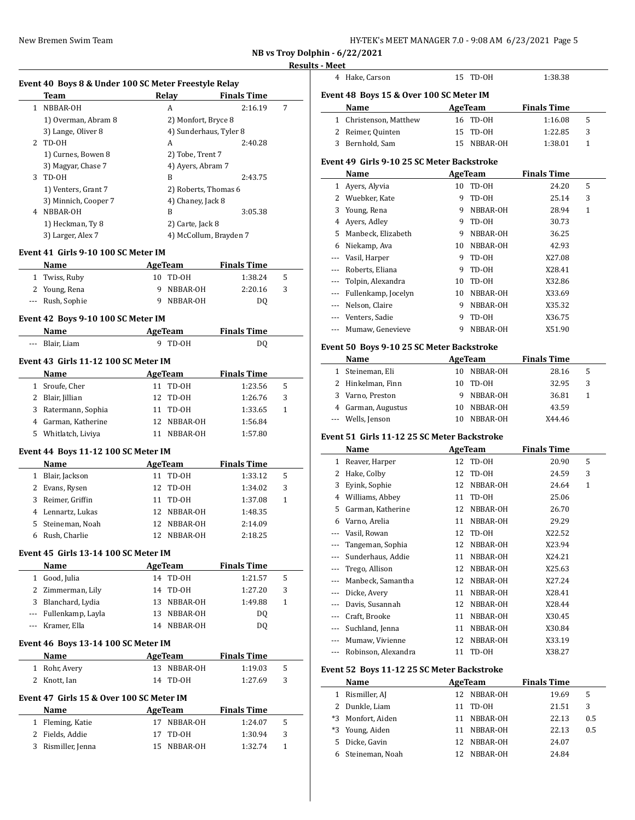| HY-TEK's MEET MANAGER 7.0 - 9:08 AM 6/23/2021 Page 5 |  |  |  |
|------------------------------------------------------|--|--|--|
|------------------------------------------------------|--|--|--|

**NB vs Troy Dolphin - 6/22/2021**

### **Results - I**

 $\frac{1}{2}$ 

### **Event 40 Boys 8 & Under 100 SC Meter Freestyle Relay**

|    | Team                 | Relav               | <b>Finals Time</b>     |   |
|----|----------------------|---------------------|------------------------|---|
| 1. | NBBAR-OH             | А                   | 2:16.19                | 7 |
|    | 1) Overman, Abram 8  | 2) Monfort, Bryce 8 |                        |   |
|    | 3) Lange, Oliver 8   |                     | 4) Sunderhaus, Tyler 8 |   |
|    | 2 TD-0H              | A                   | 2:40.28                |   |
|    | 1) Curnes, Bowen 8   | 2) Tobe, Trent 7    |                        |   |
|    | 3) Magyar, Chase 7   | 4) Ayers, Abram 7   |                        |   |
| 3  | TD-0H                | B                   | 2:43.75                |   |
|    | 1) Venters, Grant 7  |                     | 2) Roberts, Thomas 6   |   |
|    | 3) Minnich, Cooper 7 | 4) Chaney, Jack 8   |                        |   |
| 4  | NBBAR-OH             | B                   | 3:05.38                |   |
|    | 1) Heckman, Ty 8     | 2) Carte, Jack 8    |                        |   |
|    | 3) Larger, Alex 7    |                     | 4) McCollum, Brayden 7 |   |

#### **Event 41 Girls 9-10 100 SC Meter IM**

| Name             | AgeTeam |            | <b>Finals Time</b> |    |
|------------------|---------|------------|--------------------|----|
| 1 Twiss, Ruby    |         | 10 TD-0H   | 1:38.24            | -5 |
| 2 Young, Rena    |         | 9 NBBAR-OH | 2:20.16            | -3 |
| --- Rush, Sophie |         | 9 NBBAR-OH | DO                 |    |

### **Event 42 Boys 9-10 100 SC Meter IM**

| Name            | AgeTeam | <b>Finals Time</b> |  |
|-----------------|---------|--------------------|--|
| --- Blair. Liam | 9 TD-0H | DQ                 |  |

### **Event 43 Girls 11-12 100 SC Meter IM**

| Name                | AgeTeam     | <b>Finals Time</b> |   |
|---------------------|-------------|--------------------|---|
| 1 Sroufe, Cher      | 11 TD-0H    | 1:23.56            | 5 |
| 2 Blair, Jillian    | 12 TD-0H    | 1:26.76            | 3 |
| 3 Ratermann, Sophia | 11 TD-0H    | 1:33.65            |   |
| 4 Garman, Katherine | 12 NBBAR-OH | 1:56.84            |   |
| 5 Whitlatch, Liviya | NBBAR-OH    | 1:57.80            |   |

### **Event 44 Boys 11-12 100 SC Meter IM**

|   | Name              | AgeTeam     | <b>Finals Time</b> |   |  |
|---|-------------------|-------------|--------------------|---|--|
| 1 | Blair, Jackson    | 11 TD-0H    | 1:33.12            | 5 |  |
|   | 2 Evans, Rysen    | 12 TD-0H    | 1:34.02            | 3 |  |
| 3 | Reimer, Griffin   | 11 TD-0H    | 1:37.08            | 1 |  |
|   | 4 Lennartz, Lukas | 12 NBBAR-OH | 1:48.35            |   |  |
|   | 5 Steineman, Noah | 12 NBBAR-OH | 2:14.09            |   |  |
|   | Rush, Charlie     | NBBAR-OH    | 2:18.25            |   |  |

### **Event 45 Girls 13-14 100 SC Meter IM**

| Name                  | AgeTeam     | <b>Finals Time</b> |   |
|-----------------------|-------------|--------------------|---|
| Good, Julia           | 14 TD-0H    | 1:21.57            | 5 |
| 2 Zimmerman, Lily     | 14 TD-0H    | 1:27.20            | 3 |
| 3 Blanchard, Lydia    | 13 NBBAR-OH | 1:49.88            |   |
| --- Fullenkamp, Layla | 13 NBBAR-OH | DO.                |   |
| --- Kramer, Ella      | 14 NBBAR-OH | DΟ                 |   |

### **Event 46 Boys 13-14 100 SC Meter IM**

| AgeTeam<br><b>Name</b> |             | <b>Finals Time</b> |    |
|------------------------|-------------|--------------------|----|
| 1 Rohr, Avery          | 13 NBBAR-OH | 1:19.03            | -5 |
| 2 Knott, Ian           | 14 TD-0H    | 1:27.69            | -3 |

### **Event 47 Girls 15 & Over 100 SC Meter IM**

| <b>Name</b>        | AgeTeam     | <b>Finals Time</b> |    |
|--------------------|-------------|--------------------|----|
| 1 Fleming, Katie   | 17 NBBAR-OH | 1:24.07            | 5  |
| 2 Fields, Addie    | 17 TD-0H    | 1:30.94            | -3 |
| 3 Rismiller, Jenna | 15 NBBAR-OH | 1:32.74            |    |

| - Meet                                  |          |                    |  |  |  |  |  |  |
|-----------------------------------------|----------|--------------------|--|--|--|--|--|--|
| 4 Hake, Carson                          | 15 TD-0H | 1:38.38            |  |  |  |  |  |  |
| Event 48 Boys 15 & Over 100 SC Meter IM |          |                    |  |  |  |  |  |  |
| Name                                    | AgeTeam  | <b>Finals Time</b> |  |  |  |  |  |  |
| 1 Christenson, Matthew                  | 16 TD-0H | 1:16.08            |  |  |  |  |  |  |
|                                         |          |                    |  |  |  |  |  |  |

| ________________________________ |             |         |  |
|----------------------------------|-------------|---------|--|
| 2 Reimer, Quinten                | 15 TD-0H    | 1:22.85 |  |
| 3 Bernhold, Sam                  | 15 NBBAR-OH | 1:38.01 |  |

#### **Event 49 Girls 9-10 25 SC Meter Backstroke**

|   | Name                |    | AgeTeam  | <b>Finals Time</b> |   |  |
|---|---------------------|----|----------|--------------------|---|--|
| 1 | Avers, Alyvia       | 10 | TD-OH    | 24.20              | 5 |  |
| 2 | Wuebker, Kate       | 9  | TD-OH    | 25.14              | 3 |  |
| 3 | Young, Rena         | 9  | NBBAR-OH | 28.94              | 1 |  |
| 4 | Avers, Adley        | 9  | TD-0H    | 30.73              |   |  |
| 5 | Manbeck, Elizabeth  | 9  | NBBAR-OH | 36.25              |   |  |
| 6 | Niekamp, Ava        | 10 | NBBAR-OH | 42.93              |   |  |
|   | Vasil, Harper       | 9  | TD-OH    | X27.08             |   |  |
|   | Roberts, Eliana     | 9  | TD-OH    | X28.41             |   |  |
|   | Tolpin, Alexandra   | 10 | TD-0H    | X32.86             |   |  |
|   | Fullenkamp, Jocelyn | 10 | NBBAR-OH | X33.69             |   |  |
|   | Nelson, Claire      | 9  | NBBAR-OH | X35.32             |   |  |
|   | Venters, Sadie      | 9  | TD-OH    | X36.75             |   |  |
|   | Mumaw, Genevieve    | 9  | NBBAR-OH | X51.90             |   |  |

### **Event 50 Boys 9-10 25 SC Meter Backstroke**

| Name |  |                    | AgeTeam |          | <b>Finals Time</b> |   |  |
|------|--|--------------------|---------|----------|--------------------|---|--|
|      |  | 1 Steineman, Eli   | 10      | NBBAR-OH | 28.16              | 5 |  |
|      |  | 2 Hinkelman, Finn  | 10      | TD-0H    | 32.95              | 3 |  |
|      |  | 3 Varno, Preston   |         | NBBAR-OH | 36.81              |   |  |
|      |  | 4 Garman, Augustus | 10      | NBBAR-OH | 43.59              |   |  |
|      |  | --- Wells, Jenson  |         | NBBAR-OH | X44.46             |   |  |

#### **Event 51 Girls 11-12 25 SC Meter Backstroke**

|       | Name                |    | AgeTeam  | <b>Finals Time</b> |   |
|-------|---------------------|----|----------|--------------------|---|
| 1     | Reaver, Harper      | 12 | TD-OH    | 20.90              | 5 |
| 2     | Hake, Colby         | 12 | TD-OH    | 24.59              | 3 |
| 3     | Eyink, Sophie       | 12 | NBBAR-OH | 24.64              | 1 |
| 4     | Williams, Abbey     | 11 | TD-OH    | 25.06              |   |
| 5     | Garman, Katherine   | 12 | NBBAR-OH | 26.70              |   |
| 6     | Varno, Arelia       | 11 | NBBAR-OH | 29.29              |   |
| ---   | Vasil, Rowan        | 12 | TD-OH    | X22.52             |   |
|       | Tangeman, Sophia    | 12 | NBBAR-OH | X23.94             |   |
|       | Sunderhaus, Addie   | 11 | NBBAR-OH | X24.21             |   |
|       | Trego, Allison      | 12 | NBBAR-OH | X25.63             |   |
|       | Manbeck, Samantha   | 12 | NBBAR-OH | X27.24             |   |
| ---   | Dicke, Avery        | 11 | NBBAR-OH | X28.41             |   |
| $---$ | Davis, Susannah     | 12 | NBBAR-OH | X28.44             |   |
|       | Craft, Brooke       | 11 | NBBAR-OH | X30.45             |   |
|       | Suchland, Jenna     | 11 | NBBAR-OH | X30.84             |   |
|       | Mumaw, Vivienne     | 12 | NBBAR-OH | X33.19             |   |
| ---   | Robinson, Alexandra | 11 | TD-OH    | X38.27             |   |

### **Event 52 Boys 11-12 25 SC Meter Backstroke**

 $\frac{1}{2}$ 

|      | Name            |    | AgeTeam     | <b>Finals Time</b> |     |
|------|-----------------|----|-------------|--------------------|-----|
|      | Rismiller, AJ   |    | 12 NBBAR-OH | 19.69              | 5   |
|      | Dunkle, Liam    | 11 | TD-0H       | 21.51              | 3   |
| $*3$ | Monfort, Aiden  | 11 | NBBAR-OH    | 22.13              | 0.5 |
| *3   | Young, Aiden    | 11 | NBBAR-OH    | 22.13              | 0.5 |
| 5.   | Dicke, Gavin    |    | 12 NBBAR-OH | 24.07              |     |
|      | Steineman, Noah |    | NBBAR-OH    | 24.84              |     |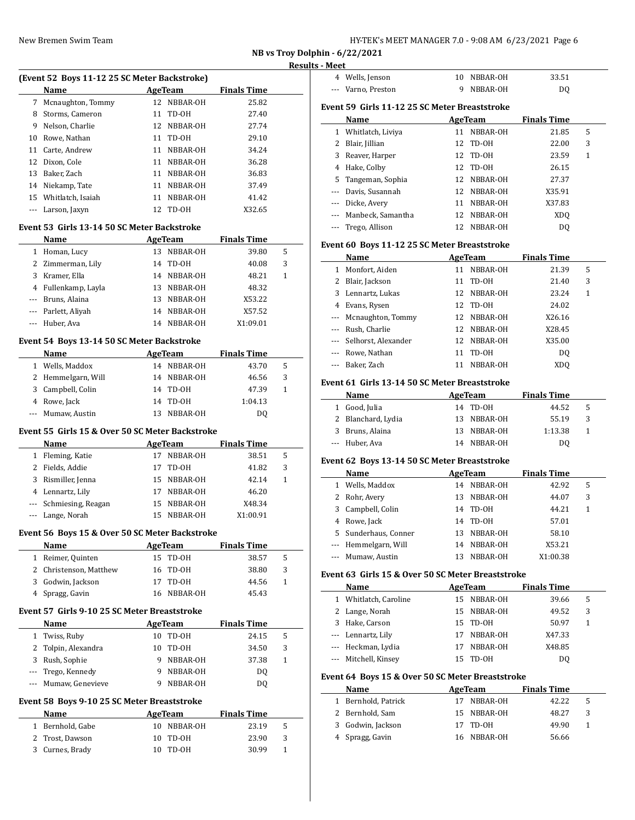| HY-TEK's MEET MANAGER 7.0 - 9:08 AM 6/23/2021 Page 6 |  |  |  |  |
|------------------------------------------------------|--|--|--|--|
|------------------------------------------------------|--|--|--|--|

**NB vs Troy Dolphin - 6/22/2021**

 $\overline{\phantom{0}}$ 

|              |                                                 |    |                   |                     | Results      |
|--------------|-------------------------------------------------|----|-------------------|---------------------|--------------|
|              | (Event 52 Boys 11-12 25 SC Meter Backstroke)    |    |                   |                     |              |
|              | Name                                            |    | <b>AgeTeam</b>    | <b>Finals Time</b>  |              |
| 7            | Mcnaughton, Tommy                               |    | 12 NBBAR-OH       | 25.82               |              |
| 8            | Storms, Cameron                                 |    | 11 TD-0H          | 27.40               |              |
|              | 9 Nelson, Charlie                               |    | 12 NBBAR-OH       | 27.74               |              |
|              | 10 Rowe, Nathan                                 |    | 11 TD-0H          | 29.10               |              |
|              | 11 Carte, Andrew                                |    | 11 NBBAR-OH       | 34.24               |              |
|              | 12 Dixon, Cole                                  |    | 11 NBBAR-OH       | 36.28               |              |
|              | 13 Baker, Zach                                  |    | 11 NBBAR-OH       | 36.83               |              |
|              | 14 Niekamp, Tate                                |    | 11 NBBAR-OH       | 37.49               |              |
|              | 15 Whitlatch, Isaiah                            |    | 11 NBBAR-OH       | 41.42               |              |
|              | --- Larson, Jaxyn                               |    | 12 TD-0H          | X32.65              |              |
|              | Event 53  Girls 13-14 50 SC Meter Backstroke    |    |                   |                     |              |
|              | Name                                            |    |                   | AgeTeam Finals Time |              |
|              | 1 Homan, Lucy                                   |    | 13 NBBAR-OH       | 39.80               | 5            |
|              | 2 Zimmerman, Lily                               |    | 14 TD-0H          | 40.08               | 3            |
|              | 3 Kramer, Ella                                  |    | 14 NBBAR-OH       | 48.21               | 1            |
|              | 4 Fullenkamp, Layla                             |    | 13 NBBAR-OH       | 48.32               |              |
|              | --- Bruns, Alaina                               |    | 13 NBBAR-OH       | X53.22              |              |
|              | --- Parlett, Aliyah                             |    | 14 NBBAR-OH       | X57.52              |              |
|              | --- Huber, Ava                                  |    | 14 NBBAR-OH       | X1:09.01            |              |
|              | Event 54 Boys 13-14 50 SC Meter Backstroke      |    |                   |                     |              |
|              | Name                                            |    | AgeTeam           | <b>Finals Time</b>  |              |
|              | 1 Wells, Maddox                                 |    | 14 NBBAR-OH       | 43.70               | 5            |
|              | 2 Hemmelgarn, Will                              |    | 14 NBBAR-OH       | 46.56               | 3            |
| 3            | Campbell, Colin                                 |    | 14 TD-0H          | 47.39               | 1            |
|              | 4 Rowe, Jack                                    |    | 14 TD-0H          | 1:04.13             |              |
|              | Mumaw, Austin                                   |    | 13 NBBAR-OH       | DQ                  |              |
|              | Event 55 Girls 15 & Over 50 SC Meter Backstroke |    |                   |                     |              |
|              | Name                                            |    | <b>AgeTeam</b>    | <b>Finals Time</b>  |              |
| $\mathbf{1}$ | Fleming, Katie                                  |    | 17 NBBAR-OH       | 38.51               | 5            |
| $\mathbf{2}$ | Fields, Addie                                   |    | 17 TD-0H          | 41.82               | 3            |
| 3            | Rismiller, Jenna                                |    | 15 NBBAR-OH       | 42.14               | $\mathbf{1}$ |
|              | 4 Lennartz, Lily                                |    | 17 NBBAR-OH       | 46.20               |              |
|              | --- Schmiesing, Reagan                          |    | 15 NBBAR-OH       | X48.34              |              |
|              | --- Lange, Norah                                |    | 15 NBBAR-OH       | X1:00.91            |              |
|              |                                                 |    |                   |                     |              |
|              | Event 56 Boys 15 & Over 50 SC Meter Backstroke  |    |                   |                     |              |
|              | Name                                            |    | <b>AgeTeam</b>    | <b>Finals Time</b>  | 5            |
| $\mathbf{1}$ | Reimer, Quinten                                 |    | 15 TD-0H          | 38.57               | 3            |
| 2<br>3       | Christenson, Matthew<br>Godwin, Jackson         | 17 | 16 TD-0H<br>TD-OH | 38.80               | $\mathbf{1}$ |
| 4            | Spragg, Gavin                                   | 16 | NBBAR-OH          | 44.56<br>45.43      |              |
|              |                                                 |    |                   |                     |              |
|              | Event 57  Girls 9-10 25 SC Meter Breaststroke   |    |                   |                     |              |
|              | Name                                            |    | <b>AgeTeam</b>    | <b>Finals Time</b>  |              |
| 1            | Twiss, Ruby                                     | 10 | TD-OH             | 24.15               | 5            |
| 2            | Tolpin, Alexandra                               |    | 10 TD-0H          | 34.50               | 3            |
| 3            | Rush, Sophie                                    |    | 9 NBBAR-OH        | 37.38               | $\mathbf{1}$ |
| ---          | Trego, Kennedy                                  |    | 9 NBBAR-OH        | DQ                  |              |
|              | Mumaw, Genevieve                                |    | 9 NBBAR-OH        | DQ                  |              |
|              | Event 58 Boys 9-10 25 SC Meter Breaststroke     |    |                   |                     |              |
|              | Name                                            |    | <b>AgeTeam</b>    | <b>Finals Time</b>  |              |
| $\mathbf{1}$ | Bernhold, Gabe                                  |    | 10 NBBAR-OH       | 23.19               | 5            |
| 2            | Trost, Dawson                                   | 10 | TD-0H             | 23.90               | 3            |
| 3            | Curnes, Brady                                   |    | 10 TD-0H          | 30.99               | $\mathbf{1}$ |

| s - Meet                                      |                                              |    |          |                    |   |  |  |  |
|-----------------------------------------------|----------------------------------------------|----|----------|--------------------|---|--|--|--|
|                                               | 4 Wells, Jenson                              | 10 | NBBAR-OH | 33.51              |   |  |  |  |
|                                               | Varno, Preston                               | 9  | NBBAR-OH | D <sub>0</sub>     |   |  |  |  |
|                                               |                                              |    |          |                    |   |  |  |  |
| Event 59 Girls 11-12 25 SC Meter Breaststroke |                                              |    |          |                    |   |  |  |  |
|                                               | Name                                         |    | AgeTeam  | <b>Finals Time</b> |   |  |  |  |
|                                               | 1 Whitlatch, Liviya                          | 11 | NBBAR-OH | 21.85              | 5 |  |  |  |
| 2                                             | Blair, Jillian                               | 12 | TD-OH    | 22.00              | 3 |  |  |  |
| 3                                             | Reaver, Harper                               | 12 | TD-OH    | 23.59              | 1 |  |  |  |
| 4                                             | Hake, Colby                                  | 12 | TD-0H    | 26.15              |   |  |  |  |
| 5                                             | Tangeman, Sophia                             | 12 | NBBAR-OH | 27.37              |   |  |  |  |
| $---$                                         | Davis, Susannah                              | 12 | NBBAR-OH | X35.91             |   |  |  |  |
| $---$                                         | Dicke, Avery                                 | 11 | NBBAR-OH | X37.83             |   |  |  |  |
|                                               | Manbeck, Samantha                            | 12 | NBBAR-OH | XD <sub>O</sub>    |   |  |  |  |
|                                               | Trego, Allison                               | 12 | NBBAR-OH | D <sub>0</sub>     |   |  |  |  |
|                                               | Event 60 Boys 11-12 25 SC Meter Breaststroke |    |          |                    |   |  |  |  |
|                                               | Name                                         |    | AgeTeam  |                    |   |  |  |  |
|                                               |                                              |    |          | <b>Finals Time</b> |   |  |  |  |
| $\mathbf{1}$                                  | Monfort, Aiden                               | 11 | NBBAR-OH | 21.39              | 5 |  |  |  |
| 2                                             | Blair, Jackson                               | 11 | TD-OH    | 21.40              | 3 |  |  |  |
| 3                                             | Lennartz, Lukas                              | 12 | NBBAR-OH | 23.24              | 1 |  |  |  |
| 4                                             | Evans, Rysen                                 | 12 | TD-OH    | 24.02              |   |  |  |  |
|                                               | Mcnaughton, Tommy                            | 12 | NBBAR-OH | X26.16             |   |  |  |  |
|                                               | Rush, Charlie                                | 12 | NBBAR-OH | X28.45             |   |  |  |  |
|                                               | Selhorst, Alexander                          | 12 | NBBAR-OH | X35.00             |   |  |  |  |
| ---                                           | Rowe, Nathan                                 | 11 | TD-OH    | D <sub>0</sub>     |   |  |  |  |

#### **Event 61 Girls 13-14 50 SC Meter Breaststroke**

| Name               | AgeTeam |             | <b>Finals Time</b> |    |  |
|--------------------|---------|-------------|--------------------|----|--|
| Good, Julia        |         | 14 TD-0H    | 44.52              | -5 |  |
| 2 Blanchard, Lydia |         | 13 NBBAR-OH | 55.19              | 3  |  |
| 3 Bruns, Alaina    |         | 13 NBBAR-OH | 1:13.38            |    |  |
| --- Huber, Ava     |         | 14 NBBAR-OH | DO                 |    |  |

--- Rowe, Nathan 11 TD-OH DQ --- Baker, Zach 11 NBBAR-OH XDQ

### **Event 62 Boys 13-14 50 SC Meter Breaststroke**

| Name                 |    | AgeTeam     | <b>Finals Time</b> |   |  |
|----------------------|----|-------------|--------------------|---|--|
| 1 Wells, Maddox      |    | 14 NBBAR-OH | 42.92              | 5 |  |
| 2 Rohr, Avery        | 13 | NBBAR-OH    | 44.07              | 3 |  |
| 3 Campbell, Colin    | 14 | TD-OH       | 44.21              |   |  |
| 4 Rowe, Jack         |    | 14 TD-0H    | 57.01              |   |  |
| 5 Sunderhaus, Conner | 13 | NBBAR-OH    | 58.10              |   |  |
| --- Hemmelgarn, Will |    | 14 NBBAR-OH | X53.21             |   |  |
| --- Mumaw, Austin    | 13 | NBBAR-OH    | X1:00.38           |   |  |

### **Event 63 Girls 15 & Over 50 SC Meter Breaststroke**

| Name                  |    | AgeTeam     | <b>Finals Time</b> |   |
|-----------------------|----|-------------|--------------------|---|
| 1 Whitlatch, Caroline |    | 15 NBBAR-OH | 39.66              | 5 |
| 2 Lange, Norah        |    | 15 NBBAR-OH | 49.52              | 3 |
| 3 Hake, Carson        |    | 15 TD-0H    | 50.97              | 1 |
| --- Lennartz, Lily    |    | 17 NBBAR-OH | X47.33             |   |
| --- Heckman, Lydia    |    | NBBAR-OH    | X48.85             |   |
| --- Mitchell, Kinsey  | 15 | TD-OH       | DO                 |   |

### **Event 64 Boys 15 & Over 50 SC Meter Breaststroke**

| <b>Name</b>         | AgeTeam     | <b>Finals Time</b> |              |
|---------------------|-------------|--------------------|--------------|
| 1 Bernhold, Patrick | NBBAR-OH    | 42.22              | $\mathbf{b}$ |
| 2 Bernhold, Sam     | 15 NBBAR-OH | 48.27              | 3            |
| 3 Godwin, Jackson   | 17 TD-0H    | 49.90              |              |
| 4 Spragg, Gavin     | 16 NBBAR-OH | 56.66              |              |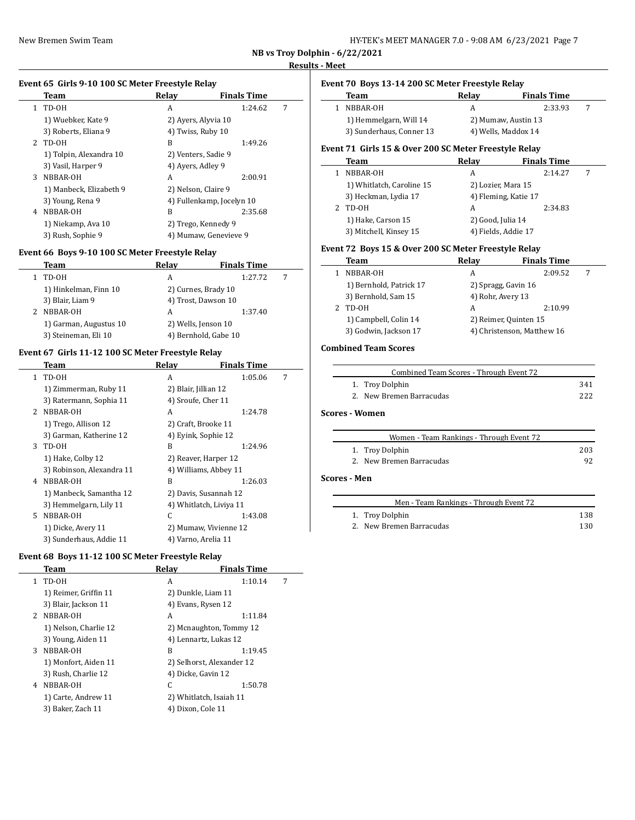l,

| HY-TEK's MEET MANAGER 7.0 - 9:08 AM 6/23/2021 Page 7 |  |
|------------------------------------------------------|--|
|------------------------------------------------------|--|

**NB vs Troy Dolphin - 6/22/2021**

 $\overline{a}$ 

 $\sim$ 

# **Results - Meet**

### **Event 65 Girls 9-10 100 SC Meter Freestyle Relay**

|              | Team                    | Relay               | <b>Finals Time</b>        |   |
|--------------|-------------------------|---------------------|---------------------------|---|
| $\mathbf{1}$ | TD-OH                   | A                   | 1:24.62                   | 7 |
|              | 1) Wuebker, Kate 9      | 2) Ayers, Alyvia 10 |                           |   |
|              | 3) Roberts, Eliana 9    | 4) Twiss, Ruby 10   |                           |   |
| 2            | TD-OH                   | B                   | 1:49.26                   |   |
|              | 1) Tolpin, Alexandra 10 | 2) Venters, Sadie 9 |                           |   |
|              | 3) Vasil, Harper 9      | 4) Avers, Adley 9   |                           |   |
| 3            | NBBAR-OH                | A                   | 2:00.91                   |   |
|              | 1) Manbeck, Elizabeth 9 | 2) Nelson, Claire 9 |                           |   |
|              | 3) Young, Rena 9        |                     | 4) Fullenkamp, Jocelyn 10 |   |
| 4            | NBBAR-OH                | B                   | 2:35.68                   |   |
|              | 1) Niekamp, Ava 10      |                     | 2) Trego, Kennedy 9       |   |
|              | 3) Rush, Sophie 9       |                     | 4) Mumaw, Genevieve 9     |   |

### **Event 66 Boys 9-10 100 SC Meter Freestyle Relay**

| Team                   | Relay                | <b>Finals Time</b> |   |
|------------------------|----------------------|--------------------|---|
| TD-OH                  | А                    | 1:27.72            | 7 |
| 1) Hinkelman, Finn 10  | 2) Curnes, Brady 10  |                    |   |
| 3) Blair, Liam 9       | 4) Trost, Dawson 10  |                    |   |
| NBBAR-OH               | А                    | 1:37.40            |   |
| 1) Garman, Augustus 10 | 2) Wells, Jenson 10  |                    |   |
| 3) Steineman, Eli 10   | 4) Bernhold, Gabe 10 |                    |   |

### **Event 67 Girls 11-12 100 SC Meter Freestyle Relay**

|              | Team                      | Relay                   | <b>Finals Time</b> |   |
|--------------|---------------------------|-------------------------|--------------------|---|
| $\mathbf{1}$ | TD-OH                     | A                       | 1:05.06            | 7 |
|              | 1) Zimmerman, Ruby 11     | 2) Blair, Jillian 12    |                    |   |
|              | 3) Ratermann, Sophia 11   | 4) Sroufe, Cher 11      |                    |   |
| $2^{\circ}$  | NBBAR-OH                  | A                       | 1:24.78            |   |
|              | 1) Trego, Allison 12      | 2) Craft, Brooke 11     |                    |   |
|              | 3) Garman, Katherine 12   | 4) Eyink, Sophie 12     |                    |   |
| 3            | TD-OH                     | B                       | 1:24.96            |   |
|              | 1) Hake, Colby 12         | 2) Reaver, Harper 12    |                    |   |
|              | 3) Robinson, Alexandra 11 | 4) Williams, Abbey 11   |                    |   |
| 4            | NBBAR-OH                  | B                       | 1:26.03            |   |
|              | 1) Manbeck, Samantha 12   | 2) Davis, Susannah 12   |                    |   |
|              | 3) Hemmelgarn, Lily 11    | 4) Whitlatch, Liviya 11 |                    |   |
| 5.           | NBBAR-OH                  | C                       | 1:43.08            |   |
|              | 1) Dicke, Avery 11        | 2) Mumaw, Vivienne 12   |                    |   |
|              | 3) Sunderhaus, Addie 11   | 4) Varno, Arelia 11     |                    |   |

### **Event 68 Boys 11-12 100 SC Meter Freestyle Relay**

|               | Team                  | Relav              | <b>Finals Time</b>        |   |
|---------------|-----------------------|--------------------|---------------------------|---|
| 1             | TD-OH                 | A                  | 1:10.14                   | 7 |
|               | 1) Reimer, Griffin 11 | 2) Dunkle, Liam 11 |                           |   |
|               | 3) Blair, Jackson 11  | 4) Evans, Rysen 12 |                           |   |
| $\mathcal{L}$ | NBBAR-OH              | A                  | 1:11.84                   |   |
|               | 1) Nelson, Charlie 12 |                    | 2) Mcnaughton, Tommy 12   |   |
|               | 3) Young, Aiden 11    |                    | 4) Lennartz, Lukas 12     |   |
|               | 3 NBBAR-OH            | B                  | 1:19.45                   |   |
|               | 1) Monfort, Aiden 11  |                    | 2) Selhorst, Alexander 12 |   |
|               | 3) Rush, Charlie 12   | 4) Dicke, Gavin 12 |                           |   |
| 4             | NBBAR-OH              | C                  | 1:50.78                   |   |
|               | 1) Carte, Andrew 11   |                    | 2) Whitlatch, Isaiah 11   |   |
|               | 3) Baker, Zach 11     | 4) Dixon, Cole 11  |                           |   |
|               |                       |                    |                           |   |

# **Event 70 Boys 13-14 200 SC Meter Freestyle Relay**

| Team                                                   | Relay | <b>Finals Time</b>  |  |  |
|--------------------------------------------------------|-------|---------------------|--|--|
| NBBAR-OH                                               | А     | 2:33.93             |  |  |
| 1) Hemmelgarn, Will 14                                 |       | 2) Mumaw, Austin 13 |  |  |
| 3) Sunderhaus, Conner 13                               |       | 4) Wells, Maddox 14 |  |  |
| ivant 71  Cirls 15 & Ovar 200 SC Matar Fraastyla Ralav |       |                     |  |  |

#### **Event 71 Girls 15 & Over 200 SC Meter Freestyle Relay Team Relay Finals Time**  $\frac{1}{2}$

| тсанн                     | мени                 | .       |  |  |
|---------------------------|----------------------|---------|--|--|
| NBBAR-OH                  | А                    | 2:14.27 |  |  |
| 1) Whitlatch, Caroline 15 | 2) Lozier, Mara 15   |         |  |  |
| 3) Heckman, Lydia 17      | 4) Fleming, Katie 17 |         |  |  |
| TD-0H                     | А                    | 2:34.83 |  |  |
| 1) Hake, Carson 15        | 2) Good, Julia 14    |         |  |  |
| 3) Mitchell, Kinsey 15    | 4) Fields, Addie 17  |         |  |  |

#### **Event 72 Boys 15 & Over 200 SC Meter Freestyle Relay**

| Team                    | Relav                      | <b>Finals Time</b> |  |
|-------------------------|----------------------------|--------------------|--|
| NBBAR-OH                | А                          | 2:09.52            |  |
| 1) Bernhold, Patrick 17 | 2) Spragg, Gavin 16        |                    |  |
| 3) Bernhold, Sam 15     | 4) Rohr, Avery 13          |                    |  |
| TD-OH                   | A                          | 2:10.99            |  |
| 1) Campbell, Colin 14   | 2) Reimer, Quinten 15      |                    |  |
| 3) Godwin, Jackson 17   | 4) Christenson, Matthew 16 |                    |  |

# **Combined Team Scores**

| Combined Team Scores - Through Event 72 |     |
|-----------------------------------------|-----|
| 1. Troy Dolphin                         | 341 |
| 2. New Bremen Barracudas                | 222 |

### **Scores - Women**

÷

| Women - Team Rankings - Through Event 72 |     |
|------------------------------------------|-----|
| 1. Troy Dolphin                          | 203 |
| 2. New Bremen Barracudas                 | 92  |

### **Scores - Men**

| Men - Team Rankings - Through Event 72 |     |
|----------------------------------------|-----|
| 1. Troy Dolphin                        | 138 |
| 2. New Bremen Barracudas               | 130 |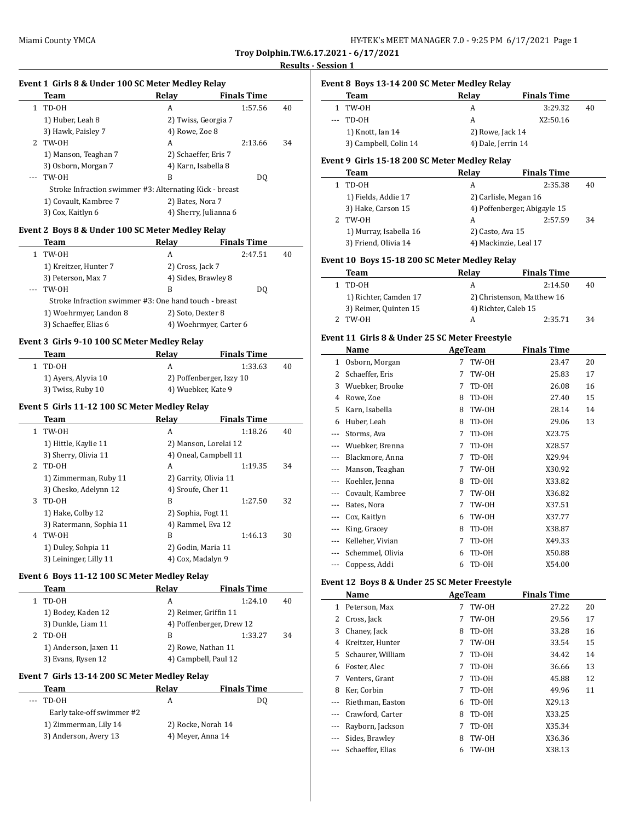**Troy Dolphin.TW.6.17.2021 - 6/17/2021**

#### **Results - Session 1**

 $\overline{a}$ 

 $\overline{\phantom{0}}$ 

### **Event 1 Girls 8 & Under 100 SC Meter Medley Relay**

|             | Team                                                    | Relav               | <b>Finals Time</b>    |    |
|-------------|---------------------------------------------------------|---------------------|-----------------------|----|
|             | TD-OH                                                   | A                   | 1:57.56               | 40 |
|             | 1) Huber, Leah 8                                        |                     | 2) Twiss, Georgia 7   |    |
|             | 3) Hawk, Paisley 7                                      | 4) Rowe, Zoe 8      |                       |    |
| $2^{\circ}$ | TW-OH                                                   | A                   | 2:13.66               | 34 |
|             | 1) Manson, Teaghan 7                                    |                     | 2) Schaeffer, Eris 7  |    |
|             | 3) Osborn, Morgan 7                                     | 4) Karn, Isabella 8 |                       |    |
|             | TW-OH                                                   | В                   | DO.                   |    |
|             | Stroke Infraction swimmer #3: Alternating Kick - breast |                     |                       |    |
|             | 1) Covault, Kambree 7                                   | 2) Bates, Nora 7    |                       |    |
|             | 3) Cox, Kaitlyn 6                                       |                     | 4) Sherry, Julianna 6 |    |

### **Event 2 Boys 8 & Under 100 SC Meter Medley Relay**

| Team                                                  | Relav               | <b>Finals Time</b>     |    |
|-------------------------------------------------------|---------------------|------------------------|----|
| TW-OH                                                 | A                   | 2:47.51                | 40 |
| 1) Kreitzer, Hunter 7                                 | 2) Cross, Jack 7    |                        |    |
| 3) Peterson, Max 7                                    | 4) Sides, Brawley 8 |                        |    |
| TW-OH                                                 | B                   | DO.                    |    |
| Stroke Infraction swimmer #3: One hand touch - breast |                     |                        |    |
| 1) Woehrmyer, Landon 8                                |                     | 2) Soto, Dexter 8      |    |
| 3) Schaeffer, Elias 6                                 |                     | 4) Woehrmyer, Carter 6 |    |

### **Event 3 Girls 9-10 100 SC Meter Medley Relay**

| Team                | Relav              | <b>Finals Time</b>       |    |
|---------------------|--------------------|--------------------------|----|
| TD-OH               |                    | 1:33.63                  | 40 |
| 1) Ayers, Alyvia 10 |                    | 2) Poffenberger, Izzy 10 |    |
| 3) Twiss, Ruby 10   | 4) Wuebker, Kate 9 |                          |    |

#### **Event 5 Girls 11-12 100 SC Meter Medley Relay**

|    | Team                    | Relav                 | <b>Finals Time</b> |    |
|----|-------------------------|-----------------------|--------------------|----|
| 1. | TW-OH                   | A                     | 1:18.26            | 40 |
|    | 1) Hittle, Kaylie 11    | 2) Manson, Lorelai 12 |                    |    |
|    | 3) Sherry, Olivia 11    | 4) Oneal, Campbell 11 |                    |    |
| 2. | TD-OH                   | A                     | 1:19.35            | 34 |
|    | 1) Zimmerman, Ruby 11   | 2) Garrity, Olivia 11 |                    |    |
|    | 3) Chesko, Adelynn 12   | 4) Sroufe, Cher 11    |                    |    |
| 3  | TD-OH                   | B                     | 1:27.50            | 32 |
|    | 1) Hake, Colby 12       | 2) Sophia, Fogt 11    |                    |    |
|    | 3) Ratermann, Sophia 11 | 4) Rammel, Eva 12     |                    |    |
| 4  | TW-OH                   | B                     | 1:46.13            | 30 |
|    | 1) Duley, Sohpia 11     | 2) Godin, Maria 11    |                    |    |
|    | 3) Leininger, Lilly 11  | 4) Cox, Madalyn 9     |                    |    |
|    |                         |                       |                    |    |

### **Event 6 Boys 11-12 100 SC Meter Medley Relay**

| Team                  | Relay                 | <b>Finals Time</b>       |    |  |
|-----------------------|-----------------------|--------------------------|----|--|
| TD-OH                 | A                     | 1:24.10                  | 40 |  |
| 1) Bodey, Kaden 12    | 2) Reimer, Griffin 11 |                          |    |  |
| 3) Dunkle, Liam 11    |                       | 4) Poffenberger, Drew 12 |    |  |
| TD-OH                 | В                     | 1:33.27                  | 34 |  |
| 1) Anderson, Jaxen 11 | 2) Rowe, Nathan 11    |                          |    |  |
| 3) Evans, Rysen 12    |                       | 4) Campbell, Paul 12     |    |  |

### **Event 7 Girls 13-14 200 SC Meter Medley Relay**

| Team                                                                                                                                                                                                                                                                                                                                                                                                                                                                                | Relav              | <b>Finals Time</b> |  |
|-------------------------------------------------------------------------------------------------------------------------------------------------------------------------------------------------------------------------------------------------------------------------------------------------------------------------------------------------------------------------------------------------------------------------------------------------------------------------------------|--------------------|--------------------|--|
| TD-OH<br>$\frac{1}{2} \left( \frac{1}{2} \right) \left( \frac{1}{2} \right) \left( \frac{1}{2} \right) \left( \frac{1}{2} \right) \left( \frac{1}{2} \right) \left( \frac{1}{2} \right) \left( \frac{1}{2} \right) \left( \frac{1}{2} \right) \left( \frac{1}{2} \right) \left( \frac{1}{2} \right) \left( \frac{1}{2} \right) \left( \frac{1}{2} \right) \left( \frac{1}{2} \right) \left( \frac{1}{2} \right) \left( \frac{1}{2} \right) \left( \frac{1}{2} \right) \left( \frac$ |                    | DO                 |  |
| Early take-off swimmer #2                                                                                                                                                                                                                                                                                                                                                                                                                                                           |                    |                    |  |
| 1) Zimmerman, Lily 14                                                                                                                                                                                                                                                                                                                                                                                                                                                               | 2) Rocke, Norah 14 |                    |  |
| 3) Anderson, Avery 13                                                                                                                                                                                                                                                                                                                                                                                                                                                               | 4) Meyer, Anna 14  |                    |  |

# **Event 8 Boys 13-14 200 SC Meter Medley Relay**

| Team                  | Relav              | <b>Finals Time</b> |    |  |
|-----------------------|--------------------|--------------------|----|--|
| 1 TW-0H               |                    | 3:29.32            | 40 |  |
| $-$ TD-0H             | А                  | X2:50.16           |    |  |
| 1) Knott, Ian 14      | 2) Rowe, Jack 14   |                    |    |  |
| 3) Campbell, Colin 14 | 4) Dale, Jerrin 14 |                    |    |  |

### **Event 9 Girls 15-18 200 SC Meter Medley Relay**

| Team                   | Relay                        | <b>Finals Time</b> |    |
|------------------------|------------------------------|--------------------|----|
| TD-OH                  | А                            | 2:35.38            | 40 |
| 1) Fields, Addie 17    | 2) Carlisle, Megan 16        |                    |    |
| 3) Hake, Carson 15     | 4) Poffenberger, Abigayle 15 |                    |    |
| TW-0H                  | А                            | 2:57.59            | 34 |
| 1) Murray, Isabella 16 | 2) Casto, Ava 15             |                    |    |
| 3) Friend, Olivia 14   | 4) Mackinzie, Leal 17        |                    |    |

### **Event 10 Boys 15-18 200 SC Meter Medley Relay**

| Team                  | Relav                | <b>Finals Time</b>         |    |
|-----------------------|----------------------|----------------------------|----|
| 1 TD-0H               | А                    | 2:14.50                    | 40 |
| 1) Richter, Camden 17 |                      | 2) Christenson, Matthew 16 |    |
| 3) Reimer, Quinten 15 | 4) Richter, Caleb 15 |                            |    |
| TW-0H                 | А                    | 2:35.71                    | 34 |

### **Event 11 Girls 8 & Under 25 SC Meter Freestyle**

|         | Name             |   | <b>AgeTeam</b> | <b>Finals Time</b> |    |  |
|---------|------------------|---|----------------|--------------------|----|--|
| 1       | Osborn, Morgan   | 7 | TW-OH          | 23.47              | 20 |  |
| 2       | Schaeffer, Eris  | 7 | TW-OH          | 25.83              | 17 |  |
| 3       | Wuebker, Brooke  | 7 | TD-OH          | 26.08              | 16 |  |
| 4       | Rowe, Zoe        | 8 | TD-OH          | 27.40              | 15 |  |
| 5       | Karn, Isabella   | 8 | TW-OH          | 28.14              | 14 |  |
| 6       | Huber, Leah      | 8 | TD-OH          | 29.06              | 13 |  |
| $- - -$ | Storms, Ava      | 7 | TD-OH          | X23.75             |    |  |
|         | Wuebker, Brenna  | 7 | TD-OH          | X28.57             |    |  |
| ---     | Blackmore, Anna  | 7 | TD-OH          | X29.94             |    |  |
|         | Manson, Teaghan  | 7 | TW-OH          | X30.92             |    |  |
|         | Koehler, Jenna   | 8 | TD-OH          | X33.82             |    |  |
|         | Covault, Kambree | 7 | TW-OH          | X36.82             |    |  |
| ---     | Bates, Nora      | 7 | TW-OH          | X37.51             |    |  |
|         | Cox, Kaitlyn     | 6 | TW-OH          | X37.77             |    |  |
| ---     | King, Gracey     | 8 | TD-OH          | X38.87             |    |  |
| $---$   | Kelleher, Vivian | 7 | TD-OH          | X49.33             |    |  |
|         | Schemmel, Olivia | 6 | TD-OH          | X50.88             |    |  |
| ---     | Coppess, Addi    | 6 | TD-OH          | X54.00             |    |  |

### **Event 12 Boys 8 & Under 25 SC Meter Freestyle**

|    | Name              | AgeTeam |       | <b>Finals Time</b> |    |
|----|-------------------|---------|-------|--------------------|----|
| 1  | Peterson. Max     | 7       | TW-OH | 27.22              | 20 |
| 2  | Cross, Jack       | 7       | TW-OH | 29.56              | 17 |
| 3  | Chaney, Jack      | 8       | TD-OH | 33.28              | 16 |
| 4  | Kreitzer, Hunter  | 7       | TW-OH | 33.54              | 15 |
| 5. | Schaurer, William | 7       | TD-OH | 34.42              | 14 |
| 6  | Foster, Alec      | 7       | TD-OH | 36.66              | 13 |
| 7  | Venters, Grant    | 7       | TD-OH | 45.88              | 12 |
| 8  | Ker, Corbin       | 7       | TD-OH | 49.96              | 11 |
|    | Riethman, Easton  | 6       | TD-OH | X29.13             |    |
|    | Crawford, Carter  | 8       | TD-OH | X33.25             |    |
|    | Rayborn, Jackson  | 7       | TD-OH | X35.34             |    |
|    | Sides, Brawley    | 8       | TW-OH | X36.36             |    |
|    | Schaeffer, Elias  | 6       | TW-OH | X38.13             |    |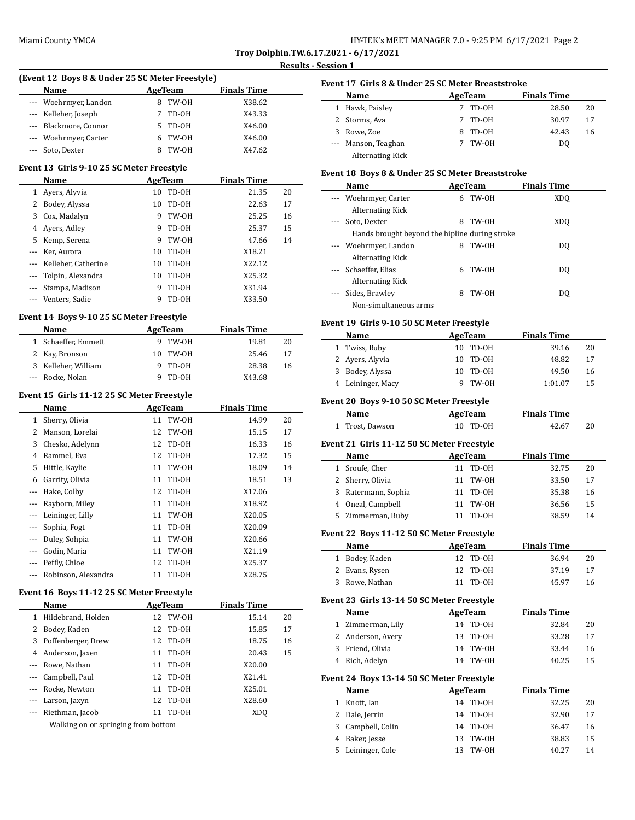**(Event 12 Boys 8 & Under 25 SC Meter Freestyle)**

**Troy Dolphin.TW.6.17.2021 - 6/17/2021**

# **Results - Session 1**

|                | <b>Name</b>                                |          | <b>AgeTeam</b> | <b>Finals Time</b> |          |
|----------------|--------------------------------------------|----------|----------------|--------------------|----------|
| ---            | Woehrmyer, Landon                          | 8        | TW-OH          | X38.62             |          |
| $\cdots$       | Kelleher, Joseph                           | 7        | TD-0H          | X43.33             |          |
| ---            | Blackmore, Connor                          | 5        | TD-0H          | X46.00             |          |
| ---            | Woehrmyer, Carter                          | 6        | TW-OH          | X46.00             |          |
| ---            | Soto, Dexter                               | 8        | TW-OH          | X47.62             |          |
|                | Event 13 Girls 9-10 25 SC Meter Freestyle  |          |                |                    |          |
|                | Name                                       |          | <b>AgeTeam</b> | <b>Finals Time</b> |          |
| 1              | Ayers, Alyvia                              | 10       | TD-OH          | 21.35              | 20       |
| 2              | Bodey, Alyssa                              | 10       | TD-OH          | 22.63              | 17       |
| 3              | Cox, Madalyn                               | 9        | TW-OH          | 25.25              | 16       |
| 4              | Ayers, Adley                               | 9        | TD-0H          | 25.37              | 15       |
| 5              | Kemp, Serena                               | 9        | TW-OH          | 47.66              | 14       |
| ---            | Ker, Aurora                                | 10       | TD-0H          | X18.21             |          |
| ---            | Kelleher, Catherine                        | 10       | TD-OH          | X22.12             |          |
| ---            | Tolpin, Alexandra                          | 10       | TD-0H          | X25.32             |          |
| ---            | Stamps, Madison                            | 9        | TD-OH          | X31.94             |          |
|                | Venters, Sadie                             | 9        | TD-OH          | X33.50             |          |
|                | Event 14 Boys 9-10 25 SC Meter Freestyle   |          |                |                    |          |
|                | Name                                       |          | <b>AgeTeam</b> | <b>Finals Time</b> |          |
| 1              | Schaeffer, Emmett                          | 9        | TW-OH          | 19.81              | 20       |
| 2              | Kay, Bronson                               | 10       | TW-OH          | 25.46              | 17       |
| 3              | Kelleher, William                          | 9        | TD-OH          | 28.38              | 16       |
| ---            | Rocke, Nolan                               | 9        | TD-OH          | X43.68             |          |
|                |                                            |          |                |                    |          |
|                | Event 15 Girls 11-12 25 SC Meter Freestyle |          |                |                    |          |
|                | Name                                       |          | <b>AgeTeam</b> | <b>Finals Time</b> |          |
|                | 1 Sherry, Olivia<br>2 Manson, Lorelai      | 11<br>12 | TW-OH          | 14.99              | 20<br>17 |
| 3              | Chesko, Adelynn                            | 12       | TW-OH<br>TD-OH | 15.15<br>16.33     | 16       |
| 4              | Rammel, Eva                                | 12       | TD-0H          | 17.32              | 15       |
| 5              |                                            | 11       |                |                    |          |
| 6              | Hittle, Kaylie<br>Garrity, Olivia          | 11       | TW-OH          | 18.09              | 14       |
| ---            | Hake, Colby                                | 12       | TD-OH<br>TD-0H | 18.51<br>X17.06    | 13       |
| ---            | Rayborn, Miley                             | 11       | TD-0H          | X18.92             |          |
| ---            | Leininger, Lilly                           | 11       | TW-OH          | X20.05             |          |
| $- - -$        | Sophia, Fogt                               | 11       | TD-OH          | X20.09             |          |
| $\overline{a}$ | Duley, Sohpia                              | 11       | TW-OH          | X20.66             |          |
|                | Godin, Maria                               |          | 11 TW-0H       | X21.19             |          |
| ---            | Peffly, Chloe                              | 12       | TD-OH          | X25.37             |          |
| ---            | Robinson, Alexandra                        | 11       | TD-0H          | X28.75             |          |
|                |                                            |          |                |                    |          |
|                | Event 16 Boys 11-12 25 SC Meter Freestyle  |          |                |                    |          |
|                | Name                                       |          | <b>AgeTeam</b> | <b>Finals Time</b> |          |
| $\mathbf{1}$   | Hildebrand, Holden                         | 12       | TW-OH          | 15.14              | 20       |
| 2              | Bodey, Kaden                               | 12       | TD-0H          | 15.85              | 17       |
| 3              | Poffenberger, Drew                         | 12       | TD-OH          | 18.75              | 16       |
| 4              | Anderson, Jaxen                            | 11       | TD-OH          | 20.43              | 15       |
| ---            | Rowe, Nathan                               | 11       | TD-OH          | X20.00             |          |
| ---            | Campbell, Paul                             | 12       | TD-0H          | X21.41             |          |
| ---            | Rocke, Newton                              | 11       | TD-OH          | X25.01             |          |
| $- - -$        | Larson, Jaxyn                              | 12       | TD-OH          | X28.60             |          |
|                | Riethman, Jacob                            | 11       | TD-OH          | XDQ                |          |
|                | Walking on or springing from bottom        |          |                |                    |          |

|                | <b>AgeTeam</b><br>Name                           |             |                                               | <b>Finals Time</b> |    |
|----------------|--------------------------------------------------|-------------|-----------------------------------------------|--------------------|----|
|                | 1 Hawk, Paisley                                  |             | 7 TD-OH                                       | 28.50              | 20 |
|                | 2 Storms, Ava                                    | $7^{\circ}$ | TD-0H                                         | 30.97              | 17 |
|                | 3 Rowe, Zoe                                      |             | 8 TD-0H                                       | 42.43              | 16 |
|                | --- Manson, Teaghan                              | $7^{\circ}$ | TW-OH                                         | DQ                 |    |
|                | <b>Alternating Kick</b>                          |             |                                               |                    |    |
|                | Event 18 Boys 8 & Under 25 SC Meter Breaststroke |             |                                               |                    |    |
|                | Name                                             |             | AgeTeam                                       | <b>Finals Time</b> |    |
|                | Woehrmyer, Carter                                | 6           | TW-OH                                         | XDQ                |    |
|                | <b>Alternating Kick</b>                          |             |                                               |                    |    |
| ---            | Soto, Dexter                                     | 8           | TW-OH                                         | XD <sub>O</sub>    |    |
|                | Hands brought beyond the hipline during stroke   |             |                                               |                    |    |
|                | Woehrmyer, Landon                                |             | 8 TW-0H                                       | DQ                 |    |
|                | <b>Alternating Kick</b>                          |             |                                               |                    |    |
| $\overline{a}$ | Schaeffer, Elias                                 | 6           | TW-OH                                         | DQ                 |    |
|                | <b>Alternating Kick</b>                          |             |                                               |                    |    |
| ---            | Sides, Brawley                                   | 8           | TW-OH                                         | DQ                 |    |
|                | Non-simultaneous arms                            |             |                                               |                    |    |
|                | Event 19 Girls 9-10 50 SC Meter Freestyle        |             |                                               |                    |    |
|                | Name                                             |             | AgeTeam                                       | <b>Finals Time</b> |    |
|                | 1 Twiss, Ruby                                    |             | 10 TD-0H                                      | 39.16              | 20 |
|                | 2 Ayers, Alyvia                                  | 10          | TD-OH                                         | 48.82              | 17 |
| 3              | Bodey, Alyssa                                    | 10          | TD-OH                                         | 49.50              | 16 |
|                | 4 Leininger, Macy                                | 9           | TW-OH                                         | 1:01.07            | 15 |
|                | Event 20 Boys 9-10 50 SC Meter Freestyle         |             |                                               |                    |    |
|                | Name                                             |             | <b>AgeTeam</b>                                | <b>Finals Time</b> |    |
| $\mathbf{1}$   | Trost, Dawson                                    | 10          | TD-OH                                         | 42.67              | 20 |
|                |                                                  |             |                                               |                    |    |
|                | Event 21 Girls 11-12 50 SC Meter Freestyle       |             |                                               |                    |    |
|                | Name                                             |             | <b>AgeTeam</b>                                | <b>Finals Time</b> |    |
|                | 1 Sroufe, Cher                                   |             | 11 TD-0H                                      | 32.75              | 20 |
|                | 2 Sherry, Olivia                                 |             | 11 TW-0H                                      | 33.50              | 17 |
| 3              | Ratermann, Sophia                                |             | 11 TD-0H                                      | 35.38              | 16 |
|                | 4 Oneal, Campbell                                |             | 11 TW-0H                                      | 36.56              | 15 |
|                | 5 Zimmerman, Ruby                                | 11          | TD-OH                                         | 38.59              | 14 |
|                | Event 22 Boys 11-12 50 SC Meter Freestyle        |             |                                               |                    |    |
|                | <u>Name</u>                                      |             | <b>AgeTeam</b>                                | <u>Finals Time</u> |    |
| 1              | Bodey, Kaden                                     | 12          | TD-0H                                         | 36.94              | 20 |
| 2              | Evans, Rysen                                     | 12          | $TD-OH$                                       | 37.19              | 17 |
| 3              | Rowe, Nathan                                     | 11          | TD-0H                                         | 45.97              | 16 |
|                | Event 23 Girls 13-14 50 SC Meter Freestyle       |             |                                               |                    |    |
|                | Name                                             |             | AgeTeam                                       | <b>Finals Time</b> |    |
| $\mathbf{1}$   | Zimmerman, Lily                                  | 14          | TD-OH                                         | 32.84              | 20 |
| 2              | Anderson, Avery                                  | 13          | TD-0H                                         | 33.28              | 17 |
| 3              | Friend, Olivia                                   | 14          | $\ensuremath{\mathsf{TW}\text{-}\mathsf{OH}}$ | 33.44              | 16 |
| 4              | Rich, Adelyn                                     | 14          | TW-0H                                         | 40.25              | 15 |
|                |                                                  |             |                                               |                    |    |
|                | Event 24 Boys 13-14 50 SC Meter Freestyle        |             |                                               |                    |    |
|                | Name                                             |             | <b>AgeTeam</b>                                | <b>Finals Time</b> |    |
| 1              | Knott, Ian                                       | 14          | TD-0H                                         | 32.25              | 20 |
| 2              | Dale, Jerrin                                     | 14          | TD-0H                                         | 32.90              | 17 |
| 3              | Campbell, Colin                                  | 14          | TD-OH                                         | 36.47              | 16 |
| 4              | Baker, Jesse                                     | 13          | TW-OH                                         | 38.83              | 15 |
| 5              | Leininger, Cole                                  | 13          | TW-OH                                         | 40.27              | 14 |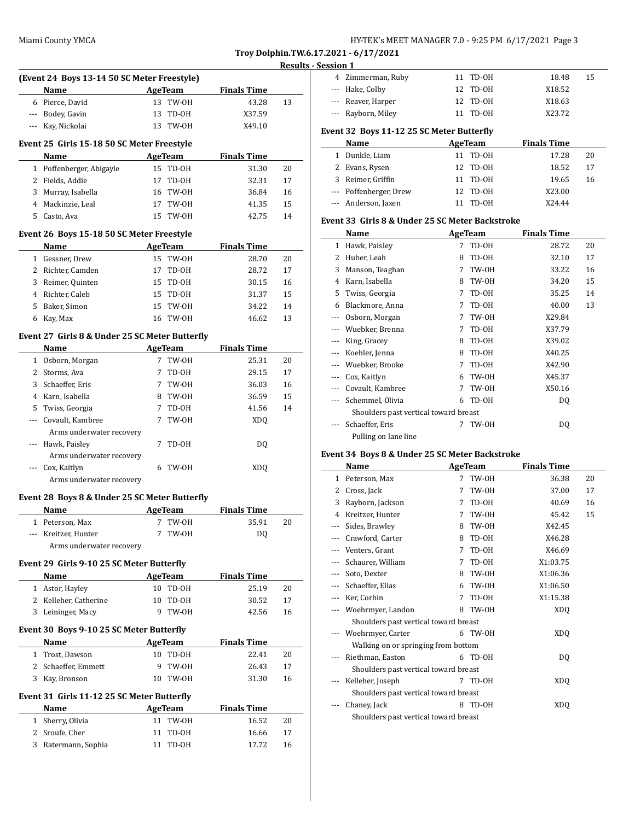**Troy Dolphin.TW.6.17.2021 - 6/17/2021 Results - Session 1**

|                | (Event 24 Boys 13-14 50 SC Meter Freestyle)    |    |                |                    |    |
|----------------|------------------------------------------------|----|----------------|--------------------|----|
|                | Name                                           |    | <b>AgeTeam</b> | <b>Finals Time</b> |    |
|                | 6 Pierce, David                                |    | 13 TW-0H       | 43.28              | 13 |
|                | --- Bodey, Gavin                               | 13 | TD-OH          | X37.59             |    |
|                | --- Kay, Nickolai                              |    | 13 TW-0H       | X49.10             |    |
|                |                                                |    |                |                    |    |
|                | Event 25 Girls 15-18 50 SC Meter Freestyle     |    |                |                    |    |
|                | Name                                           |    | <b>AgeTeam</b> | <b>Finals Time</b> |    |
| $\mathbf{1}$   | Poffenberger, Abigayle                         |    | 15 TD-0H       | 31.30              | 20 |
| 2              | Fields, Addie                                  | 17 | TD-OH          | 32.31              | 17 |
| 3              | Murray, Isabella                               |    | 16 TW-0H       | 36.84              | 16 |
| 4              | Mackinzie, Leal                                |    | 17 TW-0H       | 41.35              | 15 |
| 5              | Casto. Ava                                     | 15 | TW-OH          | 42.75              | 14 |
|                | Event 26 Boys 15-18 50 SC Meter Freestyle      |    |                |                    |    |
|                | Name                                           |    | AgeTeam        | <b>Finals Time</b> |    |
|                | 1 Gessner, Drew                                |    | 15 TW-0H       | 28.70              | 20 |
|                | 2 Richter, Camden                              | 17 | TD-OH          | 28.72              | 17 |
|                | 3 Reimer, Quinten                              |    | 15 TD-0H       | 30.15              | 16 |
| $\overline{4}$ | Richter, Caleb                                 |    | 15 TD-0H       | 31.37              | 15 |
| 5              | Baker, Simon                                   |    | 15 TW-0H       | 34.22              | 14 |
| 6              | Kay, Max                                       |    | 16 TW-0H       | 46.62              | 13 |
|                |                                                |    |                |                    |    |
|                | Event 27 Girls 8 & Under 25 SC Meter Butterfly |    |                |                    |    |
|                | Name                                           |    | AgeTeam        | <b>Finals Time</b> |    |
| $\mathbf{1}$   | Osborn, Morgan                                 | 7  | TW-OH          | 25.31              | 20 |
| 2              | Storms, Ava                                    | 7  | TD-OH          | 29.15              | 17 |
| 3              | Schaeffer, Eris                                |    | 7 TW-OH        | 36.03              | 16 |
| 4              | Karn, Isabella                                 |    | 8 TW-OH        | 36.59              | 15 |
| 5              | Twiss, Georgia                                 | 7  | TD-OH          | 41.56              | 14 |
| ---            | Covault, Kambree                               | 7  | TW-OH          | XDQ                |    |
|                | Arms underwater recovery                       |    |                |                    |    |
|                | Hawk, Paisley                                  | 7  | TD-OH          | DQ                 |    |
|                | Arms underwater recovery                       |    |                |                    |    |
|                |                                                |    | 6 TW-OH        | <b>XDQ</b>         |    |
|                | Cox, Kaitlyn                                   |    |                |                    |    |
|                | Arms underwater recovery                       |    |                |                    |    |
|                | Event 28 Boys 8 & Under 25 SC Meter Butterfly  |    |                |                    |    |
|                | Name                                           |    | AgeTeam        | <b>Finals Time</b> |    |
|                | 1 Peterson, Max                                |    | 7 TW-OH        | 35.91              | 20 |
|                | Kreitzer, Hunter                               |    | TW-OH          | DQ                 |    |
|                | Arms underwater recovery                       |    |                |                    |    |
|                |                                                |    |                |                    |    |
|                | Event 29 Girls 9-10 25 SC Meter Butterfly      |    |                |                    |    |
|                | Name                                           |    | <b>AgeTeam</b> | <b>Finals Time</b> |    |
|                | 1 Astor, Hayley                                |    | 10 TD-OH       | 25.19              | 20 |
|                | 2 Kelleher, Catherine                          | 10 | TD-OH          | 30.52              | 17 |
|                | 3 Leininger, Macy                              | 9  | TW-OH          | 42.56              | 16 |
|                | Event 30 Boys 9-10 25 SC Meter Butterfly       |    |                |                    |    |
|                | Name                                           |    | AgeTeam        | <b>Finals Time</b> |    |
|                | 1 Trost, Dawson                                |    | 10 TD-0H       | 22.41              | 20 |
|                | 2 Schaeffer, Emmett                            | 9  | TW-OH          | 26.43              | 17 |
|                | 3 Kay, Bronson                                 |    | 10 TW-0H       | 31.30              | 16 |
|                | Event 31 Girls 11-12 25 SC Meter Butterfly     |    |                |                    |    |
|                | Name                                           |    | <b>AgeTeam</b> | <b>Finals Time</b> |    |
| $1\,$          | Sherry, Olivia                                 | 11 | TW-OH          | 16.52              | 20 |
| 2              | Sroufe, Cher                                   | 11 | TD-OH          | 16.66              | 17 |

| 4 Zimmerman, Ruby  | 11 TD-0H | 18.48  | 15 |
|--------------------|----------|--------|----|
| --- Hake, Colby    | 12 TD-0H | X18.52 |    |
| --- Reaver, Harper | 12 TD-0H | X18.63 |    |
| --- Rayborn, Miley | 11 TD-0H | X23.72 |    |
|                    |          |        |    |

### **Event 32 Boys 11-12 25 SC Meter Butterfly**

| Name |                        | AgeTeam  | <b>Finals Time</b> |    |
|------|------------------------|----------|--------------------|----|
|      | 1 Dunkle, Liam         | 11 TD-0H | 17.28              | 20 |
|      | 2 Evans, Rysen         | 12 TD-0H | 18.52              | 17 |
|      | 3 Reimer, Griffin      | 11 TD-0H | 19.65              | 16 |
|      | --- Poffenberger, Drew | 12 TD-0H | X23.00             |    |
|      | --- Anderson, Jaxen    | TD-0H    | X24.44             |    |

### **Event 33 Girls 8 & Under 25 SC Meter Backstroke**

|          | Name                                  |   | AgeTeam | <b>Finals Time</b> |    |
|----------|---------------------------------------|---|---------|--------------------|----|
| 1        | Hawk, Paisley                         | 7 | TD-OH   | 28.72              | 20 |
| 2        | Huber, Leah                           | 8 | TD-OH   | 32.10              | 17 |
| 3        | Manson, Teaghan                       | 7 | TW-OH   | 33.22              | 16 |
| 4        | Karn, Isabella                        | 8 | TW-OH   | 34.20              | 15 |
| 5        | Twiss, Georgia                        | 7 | TD-OH   | 35.25              | 14 |
| 6        | Blackmore, Anna                       | 7 | TD-OH   | 40.00              | 13 |
| $\cdots$ | Osborn, Morgan                        | 7 | TW-OH   | X29.84             |    |
|          | Wuebker, Brenna                       | 7 | TD-OH   | X37.79             |    |
|          | King, Gracey                          | 8 | TD-OH   | X39.02             |    |
|          | Koehler, Jenna                        | 8 | TD-OH   | X40.25             |    |
|          | Wuebker, Brooke                       | 7 | TD-OH   | X42.90             |    |
| $---$    | Cox, Kaitlyn                          | 6 | TW-OH   | X45.37             |    |
|          | Covault, Kambree                      | 7 | TW-OH   | X50.16             |    |
|          | Schemmel, Olivia                      | 6 | TD-OH   | DQ                 |    |
|          | Shoulders past vertical toward breast |   |         |                    |    |
|          | Schaeffer, Eris                       | 7 | TW-OH   | DQ                 |    |
|          | Pulling on lane line                  |   |         |                    |    |

### **Event 34 Boys 8 & Under 25 SC Meter Backstroke**

|     | Name                                  | AgeTeam |       | <b>Finals Time</b> |    |  |
|-----|---------------------------------------|---------|-------|--------------------|----|--|
| 1   | Peterson, Max                         | 7       | TW-OH | 36.38              | 20 |  |
| 2   | Cross, Jack                           | 7       | TW-OH | 37.00              | 17 |  |
| 3   | Rayborn, Jackson                      | 7       | TD-OH | 40.69              | 16 |  |
| 4   | Kreitzer, Hunter                      | 7       | TW-OH | 45.42              | 15 |  |
| --- | Sides, Brawley                        | 8       | TW-OH | X42.45             |    |  |
| --- | Crawford, Carter                      | 8       | TD-OH | X46.28             |    |  |
|     | Venters, Grant                        | 7       | TD-OH | X46.69             |    |  |
|     | Schaurer, William                     | 7       | TD-OH | X1:03.75           |    |  |
|     | Soto, Dexter                          | 8       | TW-OH | X1:06.36           |    |  |
|     | Schaeffer, Elias                      | 6       | TW-OH | X1:06.50           |    |  |
|     | Ker, Corbin                           | 7       | TD-OH | X1:15.38           |    |  |
|     | Woehrmyer, Landon                     | 8       | TW-OH | XDQ                |    |  |
|     | Shoulders past vertical toward breast |         |       |                    |    |  |
|     | Woehrmyer, Carter                     | 6       | TW-OH | XDQ                |    |  |
|     | Walking on or springing from bottom   |         |       |                    |    |  |
|     | Riethman, Easton                      | 6       | TD-OH | DQ                 |    |  |
|     | Shoulders past vertical toward breast |         |       |                    |    |  |
|     | Kelleher, Joseph                      | 7       | TD-OH | XD <sub>0</sub>    |    |  |
|     | Shoulders past vertical toward breast |         |       |                    |    |  |
|     | Chaney, Jack                          | 8       | TD-OH | XDQ                |    |  |
|     | Shoulders past vertical toward breast |         |       |                    |    |  |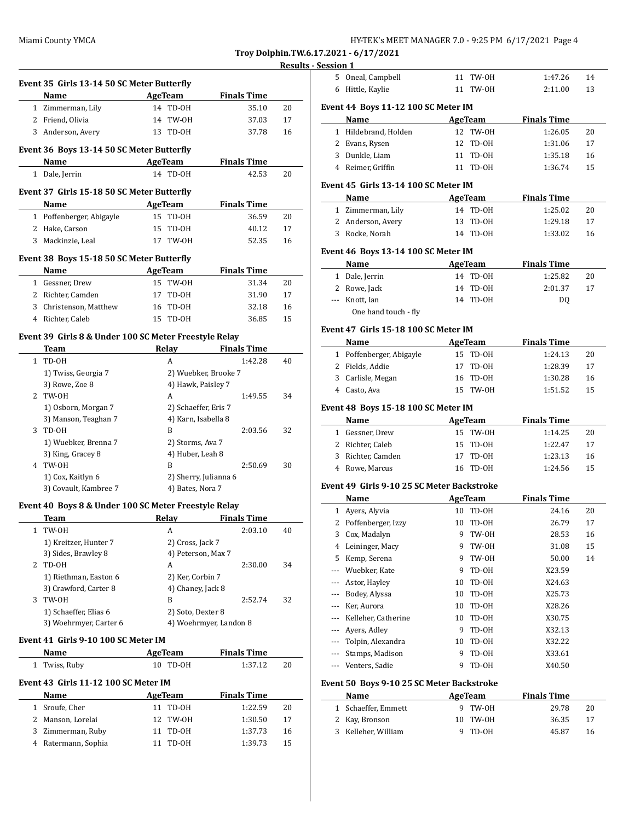| HY-TEK's MEET MANAGER 7.0 - 9:25 PM  6/17/2021  Page 4 |  |  |
|--------------------------------------------------------|--|--|
|--------------------------------------------------------|--|--|

**Troy Dolphin.TW.6.17.2021 - 6/17/2021**

# **Results - Se Event 35 Girls 13-14 50 SC Meter Butterfly Name Age Team Finals Time** 1 Zimmerman, Lily 14 TD-OH 35.10 20 2 Friend, Olivia 14 TW-OH 37.03 17 3 Anderson, Avery 13 TD-OH 37.78 16 **Event 36 Boys 13-14 50 SC Meter Butterfly Name AgeTeam Finals Time** 1 Dale, Jerrin 14 TD-OH 42.53 20 **Event 37 Girls 15-18 50 SC Meter Butterfly Name AgeTeam Finals Time** 1 Poffenberger, Abigayle 15 TD-OH 36.59 20 2 Hake, Carson 15 TD-OH 40.12 17 3 Mackinzie, Leal 17 TW-OH 52.35 16 **Event 38 Boys 15-18 50 SC Meter Butterfly Name AgeTeam Finals Time** 1 Gessner, Drew 15 TW-OH 31.34 20 2 Richter, Camden 17 TD-OH 31.90 17 3 Christenson, Matthew 16 TD-OH 32.18 16 4 Richter, Caleb 15 TD-OH 36.85 15 **Event 39 Girls 8 & Under 100 SC Meter Freestyle Relay Team Relay Finals Time** 1 TD-OH A 1:42.28 40 1) Twiss, Georgia 7 2) Wuebker, Brooke 7 3) Rowe, Zoe 8 4) Hawk, Paisley 7 2 TW-OH A 1:49.55 34 1) Osborn, Morgan 7 2) Schaeffer, Eris 7 3) Manson, Teaghan 7 4) Karn, Isabella 8 3 TD-OH B 2:03.56 32 1) Wuebker, Brenna 7 2) Storms, Ava 7 3) King, Gracey 8 4) Huber, Leah 8 4 TW-OH B 2:50.69 30 1) Cox, Kaitlyn 6 2) Sherry, Julianna 6 3) Covault, Kambree 7 (4) Bates, Nora 7 **Event 40 Boys 8 & Under 100 SC Meter Freestyle Relay Team Relay Finals Time** 1 TW-OH A 2:03.10 40 1) Kreitzer, Hunter 7 2) Cross, Jack 7 3) Sides, Brawley 8 4) Peterson, Max 7 2 TD-OH A 2:30.00 34 1) Riethman, Easton 6 2) Ker, Corbin 7 3) Crawford, Carter 8 4) Chaney, Jack 8 3 TW-OH B 2:52.74 32 1) Schaeffer, Elias 6 2) Soto, Dexter 8 3) Woehrmyer, Carter 6 4) Woehrmyer, Landon 8 **Event 41 Girls 9-10 100 SC Meter IM Name AgeTeam Finals Time** 1 Twiss, Ruby 10 TD-OH 1:37.12 20 **Event 43 Girls 11-12 100 SC Meter IM Name AgeTeam Finals Time** 1 Sroufe, Cher 11 TD-OH 1:22.59 20 2 Manson, Lorelai 12 TW-OH 1:30.50 17 3 Zimmerman, Ruby 11 TD-OH 1:37.73 16 4 Ratermann, Sophia 11 TD-OH 1:39.73 15

| 5            | Oneal, Campbell                             | 11 | TW-OH          | 1:47.26            | 14 |
|--------------|---------------------------------------------|----|----------------|--------------------|----|
| 6            | Hittle, Kaylie                              | 11 | TW-OH          | 2:11.00            | 13 |
|              |                                             |    |                |                    |    |
|              | Event 44  Boys 11-12 100 SC Meter IM        |    |                |                    |    |
|              | Name                                        |    | <b>AgeTeam</b> | <b>Finals Time</b> |    |
| $\mathbf{1}$ | Hildebrand, Holden                          | 12 | TW-OH          | 1:26.05            | 20 |
| 2            | Evans, Rysen                                | 12 | TD-OH          | 1:31.06            | 17 |
|              | 3 Dunkle, Liam                              | 11 | TD-OH          | 1:35.18            | 16 |
|              | 4 Reimer, Griffin                           | 11 | TD-OH          | 1:36.74            | 15 |
|              |                                             |    |                |                    |    |
|              | Event 45  Girls 13-14 100 SC Meter IM       |    |                |                    |    |
|              | Name                                        |    | AgeTeam        | <b>Finals Time</b> |    |
|              | 1 Zimmerman, Lily                           | 14 | TD-0H          | 1:25.02            | 20 |
| 2            | Anderson, Avery                             | 13 | TD-OH          | 1:29.18            | 17 |
|              | 3 Rocke, Norah                              | 14 | TD-OH          | 1:33.02            | 16 |
|              |                                             |    |                |                    |    |
|              | Event 46  Boys 13-14 100 SC Meter IM        |    |                |                    |    |
|              | Name                                        |    | <b>AgeTeam</b> | <b>Finals Time</b> |    |
| 1            | Dale, Jerrin                                | 14 | TD-OH          | 1:25.82            | 20 |
| 2            | Rowe, Jack                                  | 14 | TD-OH          | 2:01.37            | 17 |
|              | --- Knott, Ian                              | 14 | TD-OH          | DQ                 |    |
|              | One hand touch - fly                        |    |                |                    |    |
|              | Event 47  Girls 15-18 100 SC Meter IM       |    |                |                    |    |
|              |                                             |    |                |                    |    |
|              | Name                                        |    | <b>AgeTeam</b> | <b>Finals Time</b> |    |
|              | 1 Poffenberger, Abigayle                    | 15 | TD-OH          | 1:24.13            | 20 |
|              | 2 Fields, Addie                             | 17 | TD-OH          | 1:28.39            | 17 |
| 3            | Carlisle, Megan                             | 16 | TD-OH          | 1:30.28            | 16 |
|              | 4 Casto, Ava                                | 15 | TW-OH          | 1:51.52            | 15 |
|              | Event 48 Boys 15-18 100 SC Meter IM         |    |                |                    |    |
|              |                                             |    |                |                    |    |
| $\mathbf{1}$ | Name                                        | 15 | AgeTeam        | <b>Finals Time</b> |    |
|              | Gessner, Drew                               |    | TW-OH          | 1:14.25            | 20 |
| 2            | Richter, Caleb                              | 15 | TD-OH          | 1:22.47            | 17 |
|              |                                             |    |                |                    |    |
| 3            | Richter, Camden                             | 17 | TD-OH          | 1:23.13            | 16 |
|              | 4 Rowe, Marcus                              | 16 | TD-OH          | 1:24.56            | 15 |
|              |                                             |    |                |                    |    |
|              | Event 49  Girls 9-10 25 SC Meter Backstroke |    |                |                    |    |
|              | Name                                        |    | <b>AgeTeam</b> | <b>Finals Time</b> |    |
| $\mathbf{1}$ | Ayers, Alyvia                               | 10 | TD-OH          | 24.16              | 20 |
| 2            | Poffenberger, Izzy                          | 10 | TD-OH          | 26.79              | 17 |
| 3            | Cox, Madalyn                                | 9  | TW-0H          | 28.53              | 16 |
| 4            | Leininger, Macy                             | 9  | TW-OH          | 31.08              | 15 |
| 5            | Kemp, Serena                                | 9  | TW-0H          | 50.00              | 14 |
| ---          | Wuebker, Kate                               | 9  | TD-OH          | X23.59             |    |
| ---          | Astor, Hayley                               | 10 | TD-0H          | X24.63             |    |
| ---          | Bodey, Alyssa                               | 10 | TD-OH          | X25.73             |    |
| ---          | Ker, Aurora                                 | 10 | TD-0H          | X28.26             |    |
| ---          | Kelleher, Catherine                         | 10 | TD-0H          | X30.75             |    |
| ---          | Ayers, Adley                                | 9  | $TD-OH$        | X32.13             |    |
| ---          | Tolpin, Alexandra                           | 10 | TD-0H          | X32.22             |    |
| ---          | Stamps, Madison                             | 9  | TD-0H          | X33.61             |    |
| ---          | Venters, Sadie                              | 9  | TD-0H          | X40.50             |    |
|              |                                             |    |                |                    |    |
|              | Event 50  Boys 9-10 25 SC Meter Backstroke  |    |                |                    |    |
|              | Name                                        |    | <b>AgeTeam</b> | <b>Finals Time</b> |    |
| 1            | Schaeffer, Emmett                           | 9  | TW-0H          | 29.78              | 20 |
| 2            | Kay, Bronson                                | 10 | TW-OH          | 36.35              | 17 |
| 3            | Kelleher, William                           | 9  | TD-0H          | 45.87              | 16 |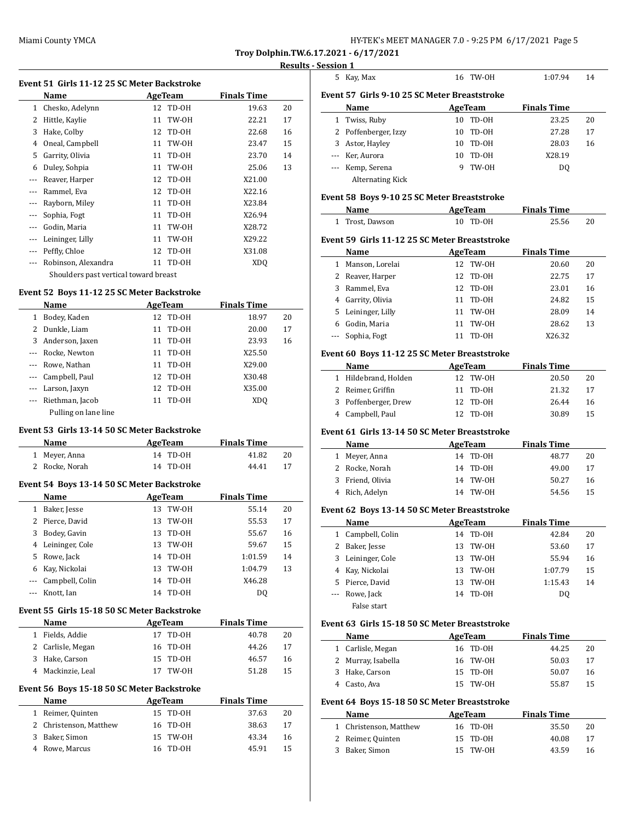$\overline{a}$ 

 $\overline{a}$ 

| HY-TEK's MEET MANAGER 7.0 - 9:25 PM 6/17/2021 Page 5 |  |  |  |
|------------------------------------------------------|--|--|--|
|------------------------------------------------------|--|--|--|

**Troy Dolphin.TW.6.17.2021 - 6/17/2021**

#### **Results - Session 1**

| Event 51 Girls 11-12 25 SC Meter Backstroke |                                       |    |          |                    |    |  |
|---------------------------------------------|---------------------------------------|----|----------|--------------------|----|--|
|                                             | Name<br>AgeTeam                       |    |          | <b>Finals Time</b> |    |  |
| 1                                           | Chesko, Adelynn                       |    | 12 TD-0H | 19.63              | 20 |  |
| 2                                           | Hittle, Kaylie                        | 11 | TW-OH    | 22.21              | 17 |  |
| 3                                           | Hake, Colby                           | 12 | TD-OH    | 22.68              | 16 |  |
| 4                                           | Oneal, Campbell                       | 11 | TW-OH    | 23.47              | 15 |  |
| 5                                           | Garrity, Olivia                       | 11 | TD-OH    | 23.70              | 14 |  |
| 6                                           | Duley, Sohpia                         | 11 | TW-OH    | 25.06              | 13 |  |
| ---                                         | Reaver, Harper                        | 12 | TD-OH    | X21.00             |    |  |
|                                             | Rammel, Eva                           | 12 | TD-OH    | X22.16             |    |  |
| $---$                                       | Rayborn, Miley                        | 11 | TD-OH    | X23.84             |    |  |
| ---                                         | Sophia, Fogt                          | 11 | TD-OH    | X26.94             |    |  |
| ---                                         | Godin, Maria                          | 11 | TW-OH    | X28.72             |    |  |
| $---$                                       | Leininger, Lilly                      | 11 | TW-OH    | X29.22             |    |  |
| $---$                                       | Peffly, Chloe                         | 12 | TD-OH    | X31.08             |    |  |
|                                             | Robinson, Alexandra                   |    | 11 TD-0H | XDO                |    |  |
|                                             | Shoulders past vertical toward breast |    |          |                    |    |  |

### **Event 52 Boys 11-12 25 SC Meter Backstroke**

|          | Name                 | AgeTeam |          | <b>Finals Time</b> |    |
|----------|----------------------|---------|----------|--------------------|----|
| 1        | Bodey, Kaden         |         | 12 TD-0H | 18.97              | 20 |
| 2        | Dunkle, Liam         | 11      | TD-OH    | 20.00              | 17 |
| 3        | Anderson, Jaxen      |         | 11 TD-0H | 23.93              | 16 |
| $\cdots$ | Rocke, Newton        |         | 11 TD-0H | X25.50             |    |
|          | --- Rowe, Nathan     | 11      | TD-OH    | X29.00             |    |
|          | --- Campbell, Paul   |         | 12 TD-0H | X30.48             |    |
|          | --- Larson, Jaxyn    |         | 12 TD-0H | X35.00             |    |
|          | Riethman, Jacob      | 11      | TD-OH    | XD <sub>0</sub>    |    |
|          | Pulling on lane line |         |          |                    |    |

### **Event 53 Girls 13-14 50 SC Meter Backstroke**

| Name           | AgeTeam  | <b>Finals Time</b> |    |
|----------------|----------|--------------------|----|
| 1 Meyer, Anna  | 14 TD-0H | 41.82              | 20 |
| 2 Rocke, Norah | 14 TD-0H | 44.41              | 17 |

### **Event 54 Boys 13-14 50 SC Meter Backstroke**

|          | Name            |    | AgeTeam | <b>Finals Time</b> |    |
|----------|-----------------|----|---------|--------------------|----|
| 1        | Baker, Jesse    | 13 | TW-OH   | 55.14              | 20 |
|          | 2 Pierce, David | 13 | TW-OH   | 55.53              | 17 |
| 3        | Bodey, Gavin    | 13 | TD-0H   | 55.67              | 16 |
| 4        | Leininger, Cole | 13 | TW-OH   | 59.67              | 15 |
|          | 5 Rowe, Jack    | 14 | TD-0H   | 1:01.59            | 14 |
| 6        | Kay, Nickolai   | 13 | TW-OH   | 1:04.79            | 13 |
| $\cdots$ | Campbell, Colin | 14 | TD-0H   | X46.28             |    |
|          | Knott, Ian      | 14 | TD-0H   | DO.                |    |

### **Event 55 Girls 15-18 50 SC Meter Backstroke**

| <b>Name</b>       | AgeTeam  | <b>Finals Time</b> |    |
|-------------------|----------|--------------------|----|
| 1 Fields, Addie   | 17 TD-0H | 40.78              | 20 |
| 2 Carlisle, Megan | 16 TD-0H | 44.26              | 17 |
| 3 Hake, Carson    | 15 TD-0H | 46.57              | 16 |
| 4 Mackinzie, Leal | 17 TW-0H | 51.28              | 15 |

### **Event 56 Boys 15-18 50 SC Meter Backstroke**

|   | Name                   | AgeTeam |          | <b>Finals Time</b> |       |    |
|---|------------------------|---------|----------|--------------------|-------|----|
|   | 1 Reimer, Quinten      |         | 15 TD-0H |                    | 37.63 | 20 |
|   | 2 Christenson, Matthew |         | 16 TD-0H |                    | 38.63 | 17 |
| 3 | Baker, Simon           |         | 15 TW-0H |                    | 43.34 | 16 |
|   | 4 Rowe, Marcus         |         | 16 TD-0H |                    | 45.91 | 15 |

|                                              | 5 Kay, Max           | 16 TW-0H | 1:07.94            | 14 |  |  |  |  |
|----------------------------------------------|----------------------|----------|--------------------|----|--|--|--|--|
| Event 57 Girls 9-10 25 SC Meter Breaststroke |                      |          |                    |    |  |  |  |  |
| Name                                         |                      | AgeTeam  | <b>Finals Time</b> |    |  |  |  |  |
|                                              | 1 Twiss, Ruby        | 10 TD-0H | 23.25              | 20 |  |  |  |  |
|                                              | 2. Poffenberger Izzy | 10 TD-0H | 27.28              |    |  |  |  |  |

| 2 FULLERINGI EGI, IZZV | 10 ID-011 | 47.40  | $\blacksquare$ |
|------------------------|-----------|--------|----------------|
| 3 Astor, Hayley        | 10 TD-0H  | 28.03  | 16             |
| --- Ker, Aurora        | 10 TD-0H  | X28.19 |                |
| --- Kemp, Serena       | 9 TW-0H   | DO.    |                |
| Alternating Kick       |           |        |                |

#### **Event 58 Boys 9-10 25 SC Meter Breaststroke**

| Name |                                               | AgeTeam  |       | <b>Finals Time</b> |       |     |  |  |  |
|------|-----------------------------------------------|----------|-------|--------------------|-------|-----|--|--|--|
| 1    | Trost, Dawson                                 | 10       | TD-OH |                    | 25.56 | 20  |  |  |  |
|      | Event 59 Girls 11-12 25 SC Meter Breaststroke |          |       |                    |       |     |  |  |  |
|      | Name                                          | AgeTeam  |       | <b>Finals Time</b> |       |     |  |  |  |
|      | Manson, Lorelai                               | 12 TW-0H |       |                    | 20.60 | 20  |  |  |  |
|      | 2 Reaver, Harper                              | 12 TD-0H |       |                    | 22.75 | 17  |  |  |  |
|      | Rammel, Eva                                   | TD-OH    |       |                    | 23.01 | 16  |  |  |  |
|      | A. Carrity Olivia                             | 11       | ግጉ በዛ |                    | 24.02 | 1 E |  |  |  |

| 4 Garrity, Olivia  | 11 TD-0H | 24.82  | 15 |
|--------------------|----------|--------|----|
| 5 Leininger, Lilly | 11 TW-0H | 28.09  | 14 |
| 6 Godin, Maria     | 11 TW-0H | 28.62  | 13 |
| --- Sophia, Fogt   | 11 TD-0H | X26.32 |    |

### **Event 60 Boys 11-12 25 SC Meter Breaststroke**

| <b>Name</b>          |  | AgeTeam  | <b>Finals Time</b> |       |    |
|----------------------|--|----------|--------------------|-------|----|
| 1 Hildebrand, Holden |  | 12 TW-0H |                    | 20.50 | 20 |
| 2 Reimer, Griffin    |  | 11 TD-0H |                    | 21.32 | 17 |
| 3 Poffenberger, Drew |  | 12 TD-0H |                    | 26.44 | 16 |
| 4 Campbell, Paul     |  | 12 TD-0H |                    | 30.89 | 15 |

#### **Event 61 Girls 13-14 50 SC Meter Breaststroke**

| Name             | AgeTeam  | <b>Finals Time</b> |    |
|------------------|----------|--------------------|----|
| 1 Meyer, Anna    | 14 TD-0H | 48.77              | 20 |
| 2 Rocke, Norah   | 14 TD-0H | 49.00              | 17 |
| 3 Friend, Olivia | 14 TW-0H | 50.27              | 16 |
| 4 Rich, Adelyn   | 14 TW-0H | 54.56              | 15 |

#### **Event 62 Boys 13-14 50 SC Meter Breaststroke**

|   | Name              |     | AgeTeam | <b>Finals Time</b> |    |
|---|-------------------|-----|---------|--------------------|----|
| 1 | Campbell, Colin   | 14  | TD-0H   | 42.84              | 20 |
|   | 2 Baker, Jesse    | 13  | TW-0H   | 53.60              | 17 |
|   | 3 Leininger, Cole | 13  | TW-0H   | 55.94              | 16 |
|   | 4 Kay, Nickolai   | 13. | TW-OH   | 1:07.79            | 15 |
|   | 5 Pierce, David   | 13  | TW-0H   | 1:15.43            | 14 |
|   | --- Rowe, Jack    | 14  | TD-0H   | DO.                |    |
|   | False start       |     |         |                    |    |

### **Event 63 Girls 15-18 50 SC Meter Breaststroke**

 $\frac{1}{2}$ 

| Name               | AgeTeam  | <b>Finals Time</b> |    |
|--------------------|----------|--------------------|----|
| 1 Carlisle, Megan  | 16 TD-0H | 44.25              | 20 |
| 2 Murray, Isabella | 16 TW-0H | 50.03              | 17 |
| 3 Hake, Carson     | 15 TD-0H | 50.07              | 16 |
| Casto, Ava         | 15 TW-0H | 55.87              | 15 |
|                    |          |                    |    |

### **Event 64 Boys 15-18 50 SC Meter Breaststroke**

| Name                   | AgeTeam  | <b>Finals Time</b> |    |
|------------------------|----------|--------------------|----|
| 1 Christenson, Matthew | 16 TD-0H | 35.50              | 20 |
| 2 Reimer, Quinten      | 15 TD-0H | 40.08              | 17 |
| 3 Baker, Simon         | 15 TW-0H | 43.59              | 16 |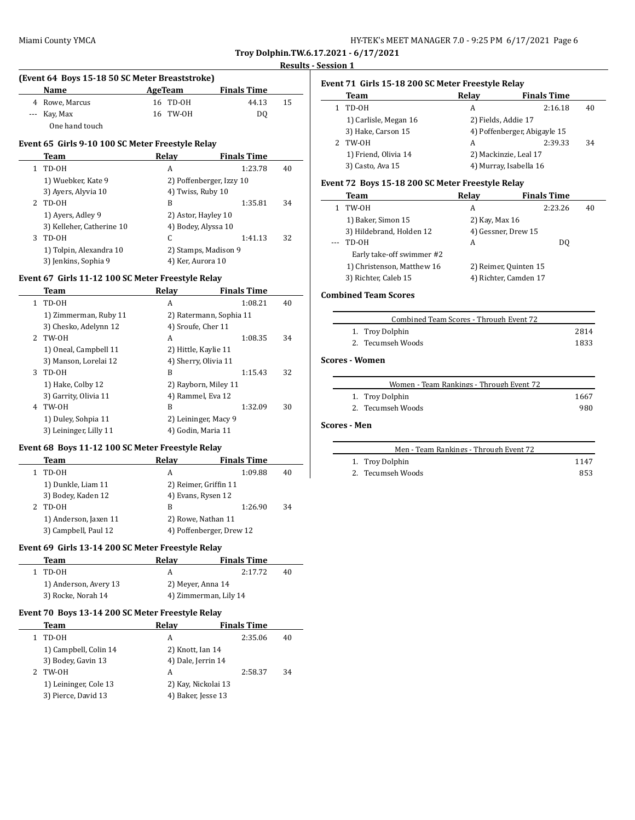| HY-TEK's MEET MANAGER 7.0 - 9:25 PM 6/17/2021 Page 6 |  |
|------------------------------------------------------|--|
|------------------------------------------------------|--|

**Troy Dolphin.TW.6.17.2021 - 6/17/2021**

#### **Results - Session 1**

 $\overline{\phantom{a}}$ 

| (Event 64 Boys 15-18 50 SC Meter Breaststroke) |                |  |          |                    |    |  |
|------------------------------------------------|----------------|--|----------|--------------------|----|--|
|                                                | <b>Name</b>    |  | AgeTeam  | <b>Finals Time</b> |    |  |
|                                                | 4 Rowe, Marcus |  | 16 TD-0H | 44.13              | 15 |  |
|                                                | --- Kay, Max   |  | 16 TW-0H | DO                 |    |  |
|                                                | One hand touch |  |          |                    |    |  |

### **Event 65 Girls 9-10 100 SC Meter Freestyle Relay**

|    | Team                      | Relay               | <b>Finals Time</b>       |    |
|----|---------------------------|---------------------|--------------------------|----|
| 1. | TD-OH                     | A                   | 1:23.78                  | 40 |
|    | 1) Wuebker, Kate 9        |                     | 2) Poffenberger, Izzy 10 |    |
|    | 3) Ayers, Alyvia 10       | 4) Twiss, Ruby 10   |                          |    |
| 2  | TD-OH                     | B                   | 1:35.81                  | 34 |
|    | 1) Ayers, Adley 9         | 2) Astor, Hayley 10 |                          |    |
|    | 3) Kelleher, Catherine 10 | 4) Bodey, Alyssa 10 |                          |    |
| 3  | TD-OH                     | C                   | 1:41.13                  | 32 |
|    | 1) Tolpin, Alexandra 10   |                     | 2) Stamps, Madison 9     |    |
|    | 3) Jenkins, Sophia 9      | 4) Ker, Aurora 10   |                          |    |

### **Event 67 Girls 11-12 100 SC Meter Freestyle Relay**

|   | Team                   | Relay                   | <b>Finals Time</b> |    |
|---|------------------------|-------------------------|--------------------|----|
| 1 | TD-OH                  | A                       | 1:08.21            | 40 |
|   | 1) Zimmerman, Ruby 11  | 2) Ratermann, Sophia 11 |                    |    |
|   | 3) Chesko, Adelynn 12  | 4) Sroufe, Cher 11      |                    |    |
|   | 2 TW-OH                | A                       | 1:08.35            | 34 |
|   | 1) Oneal, Campbell 11  | 2) Hittle, Kaylie 11    |                    |    |
|   | 3) Manson, Lorelai 12  | 4) Sherry, Olivia 11    |                    |    |
| 3 | TD-OH                  | B                       | 1:15.43            | 32 |
|   | 1) Hake, Colby 12      | 2) Rayborn, Miley 11    |                    |    |
|   | 3) Garrity, Olivia 11  | 4) Rammel, Eva 12       |                    |    |
| 4 | TW-OH                  | B                       | 1:32.09            | 30 |
|   | 1) Duley, Sohpia 11    | 2) Leininger, Macy 9    |                    |    |
|   | 3) Leininger, Lilly 11 | 4) Godin, Maria 11      |                    |    |
|   |                        |                         |                    |    |

### **Event 68 Boys 11-12 100 SC Meter Freestyle Relay**

 $\overline{\phantom{0}}$ 

 $\overline{\phantom{0}}$ 

| <b>Team</b>           | Relay                 | <b>Finals Time</b>       |    |
|-----------------------|-----------------------|--------------------------|----|
| TD-0H                 | А                     | 1:09.88                  | 40 |
| 1) Dunkle, Liam 11    | 2) Reimer, Griffin 11 |                          |    |
| 3) Bodey, Kaden 12    | 4) Evans, Rysen 12    |                          |    |
| TD-0H                 | B                     | 1:26.90                  | 34 |
| 1) Anderson, Jaxen 11 | 2) Rowe, Nathan 11    |                          |    |
| 3) Campbell, Paul 12  |                       | 4) Poffenberger, Drew 12 |    |

### **Event 69 Girls 13-14 200 SC Meter Freestyle Relay**

| Team                  | Relav                 | <b>Finals Time</b> |    |
|-----------------------|-----------------------|--------------------|----|
| 1 TD-0H               |                       | 2:17.72            | 40 |
| 1) Anderson, Avery 13 | 2) Meyer, Anna 14     |                    |    |
| 3) Rocke, Norah 14    | 4) Zimmerman, Lily 14 |                    |    |

### **Event 70 Boys 13-14 200 SC Meter Freestyle Relay**

| Team                  | Relay | <b>Finals Time</b> |                                                                                     |
|-----------------------|-------|--------------------|-------------------------------------------------------------------------------------|
| TD-OH                 | А     | 2:35.06            | 40                                                                                  |
| 1) Campbell, Colin 14 |       |                    |                                                                                     |
| 3) Bodey, Gavin 13    |       |                    |                                                                                     |
| TW-OH                 | А     | 2:58.37            | 34                                                                                  |
| 1) Leininger, Cole 13 |       |                    |                                                                                     |
| 3) Pierce, David 13   |       |                    |                                                                                     |
|                       |       |                    | 2) Knott, Ian 14<br>4) Dale, Jerrin 14<br>2) Kay, Nickolai 13<br>4) Baker, Jesse 13 |

# **Event 71 Girls 15-18 200 SC Meter Freestyle Relay**

| Team                  | Relay               | <b>Finals Time</b>           |    |
|-----------------------|---------------------|------------------------------|----|
| TD-0H<br>1.           | A                   | 2:16.18                      | 40 |
| 1) Carlisle, Megan 16 | 2) Fields, Addie 17 |                              |    |
| 3) Hake, Carson 15    |                     | 4) Poffenberger, Abigayle 15 |    |
| TW-OH<br>2.           | A                   | 2:39.33                      | 34 |
| 1) Friend, Olivia 14  |                     | 2) Mackinzie, Leal 17        |    |
| 3) Casto, Ava 15      |                     | 4) Murray, Isabella 16       |    |

### **Event 72 Boys 15-18 200 SC Meter Freestyle Relay**

| Team                       | Relay          | <b>Finals Time</b>    |    |
|----------------------------|----------------|-----------------------|----|
| TW-OH                      | A              | 2:23.26               | 40 |
| 1) Baker, Simon 15         | 2) Kay, Max 16 |                       |    |
| 3) Hildebrand, Holden 12   |                | 4) Gessner, Drew 15   |    |
| TD-OH                      | A              | DO.                   |    |
| Early take-off swimmer #2  |                |                       |    |
| 1) Christenson, Matthew 16 |                | 2) Reimer, Quinten 15 |    |
| 3) Richter, Caleb 15       |                | 4) Richter, Camden 17 |    |

### **Combined Team Scores**

| Combined Team Scores - Through Event 72 |      |
|-----------------------------------------|------|
| 1. Troy Dolphin                         | 2814 |
| 2. Tecumseh Woods                       | 1833 |

### **Scores - Women**

| Women - Team Rankings - Through Event 72 |      |
|------------------------------------------|------|
| 1. Troy Dolphin                          | 1667 |
| 2. Tecumseh Woods                        | 980  |

#### **Scores - Men**

| Men - Team Rankings - Through Event 72 |  |
|----------------------------------------|--|
| 1 Troy Dolphin                         |  |

| 1. Troy Dolphin   | 1147 |
|-------------------|------|
| 2. Tecumseh Woods | 853  |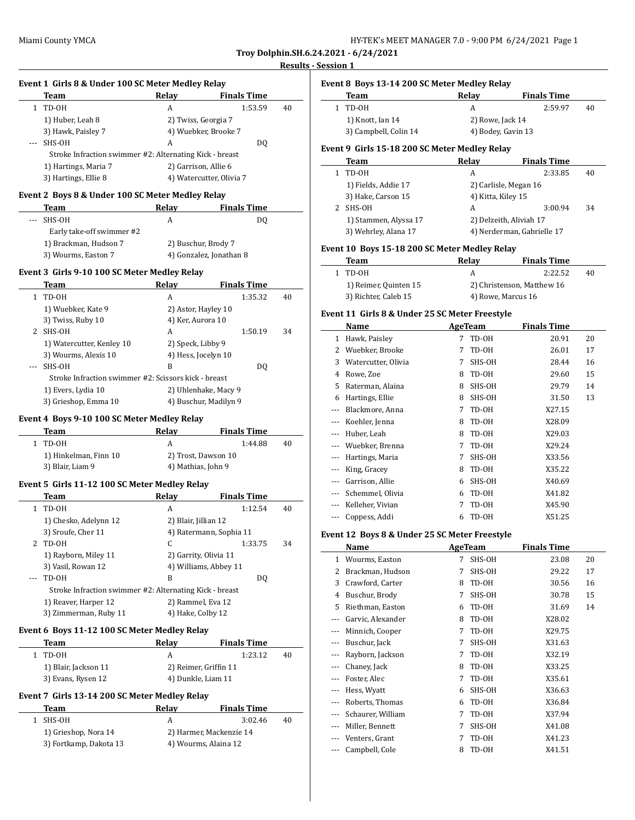### **Results - Session 1**

 $\overline{\phantom{a}}$ 

 $\overline{\phantom{a}}$ 

|              | Event 1 Girls 8 & Under 100 SC Meter Medley Relay<br>Team | Relay                  | <b>Finals Time</b>                              |    |
|--------------|-----------------------------------------------------------|------------------------|-------------------------------------------------|----|
| $\mathbf{1}$ | TD-OH                                                     | A                      | 1:53.59                                         | 40 |
|              | 1) Huber, Leah 8                                          |                        | 2) Twiss, Georgia 7                             |    |
|              | 3) Hawk, Paisley 7                                        |                        | 4) Wuebker, Brooke 7                            |    |
|              | SHS-OH                                                    | А                      | DQ                                              |    |
|              | Stroke Infraction swimmer #2: Alternating Kick - breast   |                        |                                                 |    |
|              | 1) Hartings, Maria 7                                      |                        | 2) Garrison, Allie 6                            |    |
|              | 3) Hartings, Ellie 8                                      |                        | 4) Watercutter, Olivia 7                        |    |
|              |                                                           |                        |                                                 |    |
|              | Event 2 Boys 8 & Under 100 SC Meter Medley Relay<br>Team  | Relay                  | <b>Finals Time</b>                              |    |
| ---          | SHS-OH                                                    | A                      | DQ                                              |    |
|              | Early take-off swimmer #2                                 |                        |                                                 |    |
|              | 1) Brackman, Hudson 7                                     |                        | 2) Buschur, Brody 7                             |    |
|              | 3) Wourms, Easton 7                                       |                        | 4) Gonzalez, Jonathan 8                         |    |
|              |                                                           |                        |                                                 |    |
|              | Event 3 Girls 9-10 100 SC Meter Medley Relay              |                        |                                                 |    |
|              | Team                                                      | Relay<br>A             | <b>Finals Time</b><br>1:35.32                   |    |
| $\mathbf{1}$ | TD-OH                                                     |                        |                                                 | 40 |
|              | 1) Wuebker, Kate 9                                        |                        | 2) Astor, Hayley 10                             |    |
| 2            | 3) Twiss, Ruby 10<br>SHS-OH                               | 4) Ker, Aurora 10<br>A |                                                 | 34 |
|              |                                                           |                        | 1:50.19                                         |    |
|              | 1) Watercutter, Kenley 10                                 | 2) Speck, Libby 9      | 4) Hess, Jocelyn 10                             |    |
|              | 3) Wourms, Alexis 10                                      |                        |                                                 |    |
|              | SHS-OH                                                    | В                      | DQ                                              |    |
|              | Stroke Infraction swimmer #2: Scissors kick - breast      |                        |                                                 |    |
|              | 1) Evers, Lydia 10                                        |                        | 2) Uhlenhake, Macy 9                            |    |
|              | 3) Grieshop, Emma 10                                      |                        | 4) Buschur, Madilyn 9                           |    |
|              | Event 4 Boys 9-10 100 SC Meter Medley Relay               |                        |                                                 |    |
|              | Team                                                      | Relay                  | <b>Finals Time</b>                              |    |
| 1            | TD-OH                                                     | A                      | 1:44.88                                         | 40 |
|              | 1) Hinkelman, Finn 10                                     |                        | 2) Trost, Dawson 10                             |    |
|              | 3) Blair, Liam 9                                          | 4) Mathias, John 9     |                                                 |    |
|              | Event 5 Girls 11-12 100 SC Meter Medley Relay             |                        |                                                 |    |
|              | Team                                                      | Relay                  | <b>Finals Time</b>                              |    |
| 1            | TD-OH                                                     | А                      | 1:12.54                                         | 40 |
|              | 1) Chesko, Adelynn 12                                     | 2) Blair, Jillian 12   |                                                 |    |
|              | 3) Sroufe, Cher 11                                        |                        | 4) Ratermann, Sophia 11                         |    |
| 2            | TD-0H                                                     | C                      | 1:33.75                                         | 34 |
|              | 1) Rayborn, Miley 11                                      |                        | 2) Garrity, Olivia 11                           |    |
|              | 3) Vasil, Rowan 12                                        |                        | 4) Williams, Abbey 11                           |    |
|              | TD-OH                                                     | B                      | DQ                                              |    |
|              | Stroke Infraction swimmer #2: Alternating Kick - breast   |                        |                                                 |    |
|              |                                                           |                        |                                                 |    |
|              | 1) Reaver, Harper 12                                      | 2) Rammel, Eva 12      |                                                 |    |
|              | 3) Zimmerman, Ruby 11                                     | 4) Hake, Colby 12      |                                                 |    |
|              | Event 6 Boys 11-12 100 SC Meter Medley Relay              |                        |                                                 |    |
|              | Team                                                      | <b>Relay</b>           | <b>Finals Time</b>                              |    |
| 1            | TD-0H                                                     | А                      | 1:23.12                                         | 40 |
|              | 1) Blair, Jackson 11                                      |                        | 2) Reimer, Griffin 11                           |    |
|              | 3) Evans, Rysen 12                                        |                        | 4) Dunkle, Liam 11                              |    |
|              |                                                           |                        |                                                 |    |
|              | Event 7 Girls 13-14 200 SC Meter Medley Relay             |                        |                                                 |    |
|              | <u>Team</u>                                               | <b>Relay</b>           | <u>Finals Time</u>                              |    |
| 1            | SHS-OH                                                    | A                      | 3:02.46                                         | 40 |
|              | 1) Grieshop, Nora 14<br>3) Fortkamp, Dakota 13            |                        | 2) Harmer, Mackenzie 14<br>4) Wourms, Alaina 12 |    |

| Event 8 Boys 13-14 200 SC Meter Medley Relay |       |                    |
|----------------------------------------------|-------|--------------------|
| Team                                         | Relav | <b>Finals Time</b> |
|                                              |       |                    |

| 1 TD-0H               |                    | 2:59.97 | 40 |
|-----------------------|--------------------|---------|----|
| 1) Knott, Ian 14      | 2) Rowe, Jack 14   |         |    |
| 3) Campbell, Colin 14 | 4) Bodey, Gavin 13 |         |    |

### **Event 9 Girls 15-18 200 SC Meter Medley Relay**

| Team                  | Relay              | <b>Finals Time</b>         |    |
|-----------------------|--------------------|----------------------------|----|
| TD-OH<br>1.           | А                  | 2:33.85                    | 40 |
| 1) Fields, Addie 17   |                    | 2) Carlisle, Megan 16      |    |
| 3) Hake, Carson 15    | 4) Kitta, Kiley 15 |                            |    |
| 2 SHS-OH              | A                  | 3:00.94                    | 34 |
| 1) Stammen, Alyssa 17 |                    | 2) Delzeith, Aliviah 17    |    |
| 3) Wehrley, Alana 17  |                    | 4) Nerderman, Gabrielle 17 |    |

### **Event 10 Boys 15-18 200 SC Meter Medley Relay**

| Team                  | Relav | <b>Finals Time</b>         |    |
|-----------------------|-------|----------------------------|----|
| 1 TD-0H               |       | 2:22.52                    | 40 |
| 1) Reimer, Quinten 15 |       | 2) Christenson, Matthew 16 |    |
| 3) Richter, Caleb 15  |       | 4) Rowe, Marcus 16         |    |

### **Event 11 Girls 8 & Under 25 SC Meter Freestyle**

|              | Name                |   | AgeTeam | <b>Finals Time</b> |    |
|--------------|---------------------|---|---------|--------------------|----|
| $\mathbf{1}$ | Hawk, Paisley       | 7 | TD-OH   | 20.91              | 20 |
| 2            | Wuebker, Brooke     | 7 | TD-OH   | 26.01              | 17 |
| 3            | Watercutter, Olivia | 7 | SHS-OH  | 28.44              | 16 |
| 4            | Rowe, Zoe           | 8 | TD-OH   | 29.60              | 15 |
| 5            | Raterman, Alaina    | 8 | SHS-OH  | 29.79              | 14 |
| 6            | Hartings, Ellie     | 8 | SHS-OH  | 31.50              | 13 |
|              | Blackmore, Anna     | 7 | TD-OH   | X27.15             |    |
|              | Koehler, Jenna      | 8 | TD-OH   | X28.09             |    |
|              | Huber, Leah         | 8 | TD-OH   | X29.03             |    |
|              | Wuebker, Brenna     | 7 | TD-OH   | X29.24             |    |
|              | Hartings, Maria     | 7 | SHS-OH  | X33.56             |    |
|              | King, Gracey        | 8 | TD-OH   | X35.22             |    |
| $---$        | Garrison, Allie     | 6 | SHS-OH  | X40.69             |    |
|              | Schemmel, Olivia    | 6 | TD-OH   | X41.82             |    |
|              | Kelleher, Vivian    | 7 | TD-OH   | X45.90             |    |
|              | Coppess, Addi       | 6 | TD-OH   | X51.25             |    |

### **Event 12 Boys 8 & Under 25 SC Meter Freestyle**

|       | Name              |   | AgeTeam | <b>Finals Time</b> |    |  |
|-------|-------------------|---|---------|--------------------|----|--|
| 1     | Wourms, Easton    | 7 | SHS-OH  | 23.08              | 20 |  |
| 2     | Brackman, Hudson  | 7 | SHS-OH  | 29.22              | 17 |  |
| 3     | Crawford, Carter  | 8 | TD-OH   | 30.56              | 16 |  |
| 4     | Buschur, Brody    | 7 | SHS-OH  | 30.78              | 15 |  |
| 5     | Riethman, Easton  | 6 | TD-OH   | 31.69              | 14 |  |
| ---   | Garvic, Alexander | 8 | TD-OH   | X28.02             |    |  |
|       | Minnich, Cooper   | 7 | TD-OH   | X29.75             |    |  |
|       | Buschur, Jack     | 7 | SHS-OH  | X31.63             |    |  |
| ---   | Rayborn, Jackson  | 7 | TD-OH   | X32.19             |    |  |
| ---   | Chaney, Jack      | 8 | TD-OH   | X33.25             |    |  |
| ---   | Foster, Alec      | 7 | TD-OH   | X35.61             |    |  |
| $---$ | Hess, Wyatt       | 6 | SHS-OH  | X36.63             |    |  |
| ---   | Roberts, Thomas   | 6 | TD-OH   | X36.84             |    |  |
| ---   | Schaurer, William | 7 | TD-OH   | X37.94             |    |  |
|       | Miller, Bennett   | 7 | SHS-OH  | X41.08             |    |  |
|       | Venters, Grant    | 7 | TD-OH   | X41.23             |    |  |
|       | Campbell, Cole    | 8 | TD-OH   | X41.51             |    |  |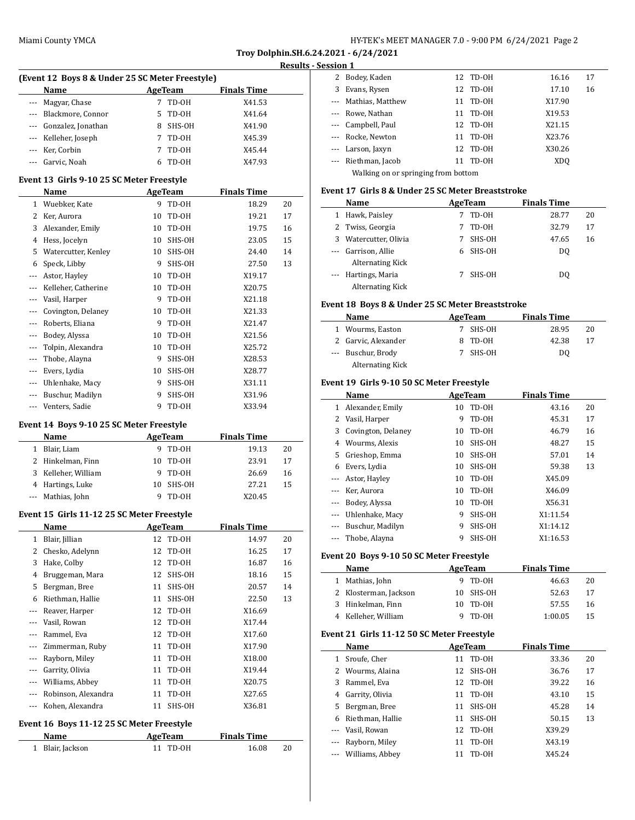#### **Results - Session 1**

 $\overline{\phantom{a}}$ 

| (Event 12 Boys 8 & Under 25 SC Meter Freestyle) |                        |         |        |                    |  |  |  |  |
|-------------------------------------------------|------------------------|---------|--------|--------------------|--|--|--|--|
|                                                 | <b>Name</b>            | AgeTeam |        | <b>Finals Time</b> |  |  |  |  |
|                                                 | --- Magyar, Chase      |         | TD-OH  | X41.53             |  |  |  |  |
|                                                 | --- Blackmore, Connor  | 5.      | TD-OH  | X41.64             |  |  |  |  |
|                                                 | --- Gonzalez, Jonathan |         | SHS-OH | X41.90             |  |  |  |  |
|                                                 | --- Kelleher, Joseph   |         | TD-0H  | X45.39             |  |  |  |  |
|                                                 | --- Ker, Corbin        |         | TD-0H  | X45.44             |  |  |  |  |
|                                                 | --- Garvic, Noah       |         | TD-0H  | X47.93             |  |  |  |  |

#### **Event 13 Girls 9-10 25 SC Meter Freestyle**

|         | Name                |    | AgeTeam | <b>Finals Time</b> |    |
|---------|---------------------|----|---------|--------------------|----|
| 1       | Wuebker, Kate       | 9  | TD-0H   | 18.29              | 20 |
| 2       | Ker, Aurora         | 10 | TD-OH   | 19.21              | 17 |
| 3       | Alexander, Emily    | 10 | TD-OH   | 19.75              | 16 |
| 4       | Hess, Jocelyn       | 10 | SHS-OH  | 23.05              | 15 |
| 5       | Watercutter, Kenley | 10 | SHS-OH  | 24.40              | 14 |
| 6       | Speck, Libby        | 9  | SHS-OH  | 27.50              | 13 |
| $---$   | Astor, Hayley       | 10 | TD-0H   | X19.17             |    |
|         | Kelleher, Catherine | 10 | TD-0H   | X20.75             |    |
| $---$   | Vasil, Harper       | 9  | TD-OH   | X21.18             |    |
| $---$   | Covington, Delaney  | 10 | TD-OH   | X21.33             |    |
| $- - -$ | Roberts, Eliana     | 9  | TD-0H   | X21.47             |    |
| $- - -$ | Bodey, Alyssa       | 10 | TD-OH   | X21.56             |    |
| $- - -$ | Tolpin, Alexandra   | 10 | TD-OH   | X25.72             |    |
| $- - -$ | Thobe, Alayna       | 9  | SHS-OH  | X28.53             |    |
| ---     | Evers, Lydia        | 10 | SHS-OH  | X28.77             |    |
| ---     | Uhlenhake, Macy     | 9  | SHS-OH  | X31.11             |    |
| $---$   | Buschur, Madilyn    | 9  | SHS-OH  | X31.96             |    |
|         | Venters, Sadie      | 9  | TD-OH   | X33.94             |    |

### **Event 14 Boys 9-10 25 SC Meter Freestyle**

|   | <b>Name</b>       | AgeTeam  |        | <b>Finals Time</b> |    |
|---|-------------------|----------|--------|--------------------|----|
|   | Blair, Liam       | 9        | TD-0H  | 19.13              | 20 |
|   | 2 Hinkelman, Finn | 10       | TD-0H  | 23.91              | 17 |
| 3 | Kelleher, William | <b>Q</b> | TD-0H  | 26.69              | 16 |
|   | 4 Hartings, Luke  | 10       | SHS-OH | 27.21              | 15 |
|   | --- Mathias, John |          | TD-0H  | X20.45             |    |

### **Event 15 Girls 11-12 25 SC Meter Freestyle**

 $\overline{a}$ 

|         | Name                |    | AgeTeam  | <b>Finals Time</b> |    |
|---------|---------------------|----|----------|--------------------|----|
| 1       | Blair, Jillian      |    | 12 TD-0H | 14.97              | 20 |
| 2       | Chesko, Adelynn     | 12 | TD-OH    | 16.25              | 17 |
| 3       | Hake, Colby         | 12 | TD-OH    | 16.87              | 16 |
| 4       | Bruggeman, Mara     | 12 | SHS-OH   | 18.16              | 15 |
| 5.      | Bergman, Bree       | 11 | SHS-OH   | 20.57              | 14 |
| 6       | Riethman, Hallie    | 11 | SHS-OH   | 22.50              | 13 |
|         | Reaver, Harper      | 12 | TD-OH    | X16.69             |    |
|         | Vasil, Rowan        | 12 | TD-OH    | X17.44             |    |
| $- - -$ | Rammel, Eva         | 12 | TD-OH    | X17.60             |    |
|         | Zimmerman, Ruby     | 11 | TD-OH    | X17.90             |    |
|         | Rayborn, Miley      | 11 | TD-OH    | X18.00             |    |
|         | Garrity, Olivia     | 11 | TD-OH    | X19.44             |    |
| $---$   | Williams, Abbey     | 11 | TD-OH    | X20.75             |    |
|         | Robinson, Alexandra | 11 | TD-OH    | X27.65             |    |
| $---$   | Kohen, Alexandra    | 11 | SHS-OH   | X36.81             |    |
|         |                     |    |          |                    |    |

### **Event 16 Boys 11-12 25 SC Meter Freestyle**

| <b>Name</b>      | AgeTeam  | <b>Finals Time</b> |    |
|------------------|----------|--------------------|----|
| 1 Blair, Jackson | 11 TD-0H | 16.08              | 20 |

| -------                             |    |          |                                                    |    |  |  |  |
|-------------------------------------|----|----------|----------------------------------------------------|----|--|--|--|
| Bodey, Kaden<br>2                   |    |          | 16.16                                              | 17 |  |  |  |
| Evans, Rysen                        |    |          | 17.10                                              | 16 |  |  |  |
| --- Mathias, Matthew                |    | TD-0H    | X17.90                                             |    |  |  |  |
| --- Rowe, Nathan                    |    | TD-OH    | X19.53                                             |    |  |  |  |
| --- Campbell, Paul                  |    |          | X21.15                                             |    |  |  |  |
| --- Rocke, Newton                   |    | TD-OH    | X23.76                                             |    |  |  |  |
| --- Larson, Jaxyn                   |    |          | X30.26                                             |    |  |  |  |
| --- Riethman, Jacob                 | 11 | TD-OH    | XD <sub>0</sub>                                    |    |  |  |  |
| Walking on or springing from bottom |    |          |                                                    |    |  |  |  |
|                                     |    | 11<br>11 | 12 TD-0H<br>12 TD-0H<br>12 TD-0H<br>11<br>12 TD-0H |    |  |  |  |

### **Event 17 Girls 8 & Under 25 SC Meter Breaststroke**

| Name                    | AgeTeam |        | <b>Finals Time</b> |    |
|-------------------------|---------|--------|--------------------|----|
| 1 Hawk, Paisley         |         | TD-OH  | 28.77              | 20 |
| 2 Twiss, Georgia        |         | TD-OH  | 32.79              | 17 |
| 3 Watercutter, Olivia   |         | SHS-OH | 47.65              | 16 |
| --- Garrison, Allie     | 6       | SHS-OH | DO.                |    |
| <b>Alternating Kick</b> |         |        |                    |    |
| --- Hartings, Maria     |         | SHS-OH | DO.                |    |
| <b>Alternating Kick</b> |         |        |                    |    |

### **Event 18 Boys 8 & Under 25 SC Meter Breaststroke**

| Name |                         | AgeTeam | <b>Finals Time</b> |    |
|------|-------------------------|---------|--------------------|----|
|      | 1 Wourms, Easton        | SHS-OH  | 28.95              | 20 |
|      | 2 Garvic, Alexander     | 8 TD-0H | 42.38              | 17 |
|      | --- Buschur, Brody      | SHS-OH  | DO                 |    |
|      | <b>Alternating Kick</b> |         |                    |    |

# **Event 19 Girls 9-10 50 SC Meter Freestyle**

|          | Name               | <b>AgeTeam</b> |        | <b>Finals Time</b> |    |
|----------|--------------------|----------------|--------|--------------------|----|
| 1        | Alexander, Emily   | 10             | TD-OH  | 43.16              | 20 |
|          | Vasil, Harper      | 9              | TD-OH  | 45.31              | 17 |
| 3        | Covington, Delaney | 10             | TD-OH  | 46.79              | 16 |
| 4        | Wourms, Alexis     | 10             | SHS-OH | 48.27              | 15 |
| 5.       | Grieshop, Emma     | 10             | SHS-OH | 57.01              | 14 |
| 6        | Evers, Lydia       | 10             | SHS-OH | 59.38              | 13 |
| $\cdots$ | Astor, Hayley      | 10             | TD-OH  | X45.09             |    |
|          | Ker, Aurora        | 10             | TD-OH  | X46.09             |    |
| $\cdots$ | Bodey, Alyssa      | 10             | TD-OH  | X56.31             |    |
|          | Uhlenhake, Macy    | 9              | SHS-OH | X1:11.54           |    |
|          | Buschur, Madilyn   | 9              | SHS-OH | X1:14.12           |    |
|          | Thobe, Alayna      | 9              | SHS-OH | X1:16.53           |    |

### **Event 20 Boys 9-10 50 SC Meter Freestyle**

| Name                  | AgeTeam   | <b>Finals Time</b> |    |  |
|-----------------------|-----------|--------------------|----|--|
| 1 Mathias, John       | 9 TD-0H   | 46.63              | 20 |  |
| 2 Klosterman, Jackson | 10 SHS-OH | 52.63              | 17 |  |
| 3 Hinkelman, Finn     | 10 TD-0H  | 57.55              | 16 |  |
| 4 Kelleher, William   | 9 TD-0H   | 1:00.05            | 15 |  |

#### **Event 21 Girls 11-12 50 SC Meter Freestyle**

|    | Name                |    | AgeTeam | <b>Finals Time</b> |    |
|----|---------------------|----|---------|--------------------|----|
| 1  | Sroufe, Cher        | 11 | TD-0H   | 33.36              | 20 |
|    | 2 Wourms, Alaina    | 12 | SHS-OH  | 36.76              | 17 |
| 3  | Rammel, Eva         | 12 | TD-0H   | 39.22              | 16 |
| 4  | Garrity, Olivia     | 11 | TD-OH   | 43.10              | 15 |
| 5. | Bergman, Bree       | 11 | SHS-OH  | 45.28              | 14 |
| 6  | Riethman, Hallie    | 11 | SHS-OH  | 50.15              | 13 |
|    | --- Vasil, Rowan    | 12 | TD-OH   | X39.29             |    |
|    | Rayborn, Miley      | 11 | TD-OH   | X43.19             |    |
|    | --- Williams, Abbey | 11 | TD-OH   | X45.24             |    |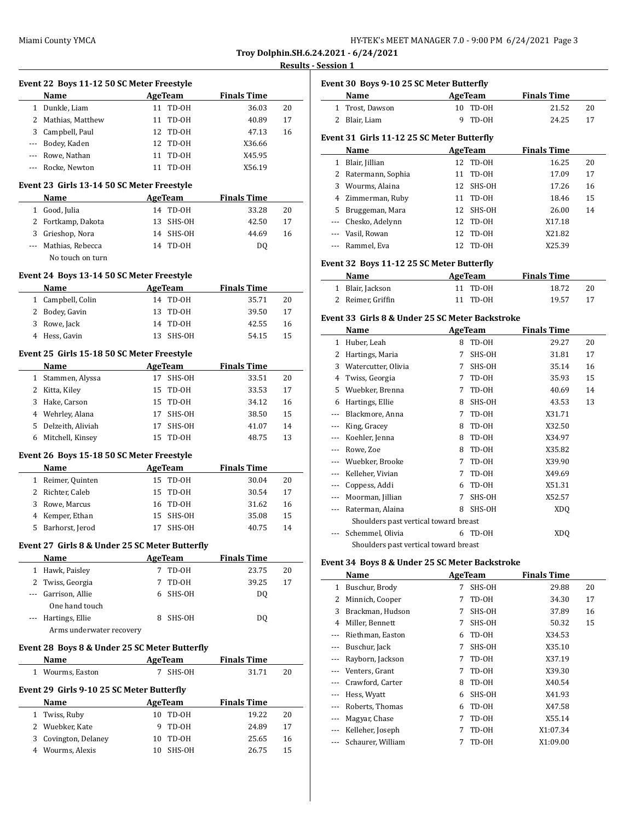#### **Rults - Session 1**

 $\frac{1}{2}$ 

 $\overline{\phantom{a}}$ 

|                |                                                                                                      |                | Troy Dolphin.      |            |
|----------------|------------------------------------------------------------------------------------------------------|----------------|--------------------|------------|
|                |                                                                                                      |                |                    | <b>Res</b> |
|                | Event 22 Boys 11-12 50 SC Meter Freestyle                                                            |                |                    |            |
|                | Name                                                                                                 | AgeTeam        | <b>Finals Time</b> |            |
|                | 1 Dunkle, Liam                                                                                       | TD-OH<br>11    | 36.03              | 20         |
| $\overline{c}$ | Mathias, Matthew                                                                                     | TD-OH<br>11    | 40.89              | 17         |
| 3              | Campbell, Paul                                                                                       | TD-OH<br>12    | 47.13              | 16         |
| ---            | Bodey, Kaden                                                                                         | TD-OH<br>12    | X36.66             |            |
| $- - -$        | Rowe, Nathan                                                                                         | 11<br>TD-OH    | X45.95             |            |
| ---            | Rocke, Newton                                                                                        | TD-OH<br>11    | X56.19             |            |
|                | Event 23 Girls 13-14 50 SC Meter Freestyle                                                           |                |                    |            |
|                | Name                                                                                                 | AgeTeam        | <b>Finals Time</b> |            |
| $\mathbf{1}$   | Good, Julia                                                                                          | 14 TD-0H       | 33.28              | 20         |
| 2              | Fortkamp, Dakota                                                                                     | SHS-OH<br>13   | 42.50              | 17         |
| 3              | Grieshop, Nora                                                                                       | SHS-OH<br>14   | 44.69              | 16         |
| $\overline{a}$ | Mathias, Rebecca                                                                                     | TD-OH<br>14    | D <sub>0</sub>     |            |
|                | No touch on turn                                                                                     |                |                    |            |
|                | Event 24 Boys 13-14 50 SC Meter Freestyle                                                            |                |                    |            |
|                | Name                                                                                                 | <b>AgeTeam</b> | <b>Finals Time</b> |            |
| $\mathbf{1}$   | Campbell, Colin                                                                                      | TD-OH<br>14    | 35.71              | 20         |
| 2              | Bodey, Gavin                                                                                         | 13<br>TD-OH    | 39.50              | 17         |
| 3              | Rowe, Jack                                                                                           | TD-OH<br>14    | 42.55              | 16         |
| 4              | Hess, Gavin                                                                                          | SHS-OH<br>13   | 54.15              | 15         |
|                | Event 25 Girls 15-18 50 SC Meter Freestyle                                                           |                |                    |            |
|                | $\mathbf{M}_{\alpha\mathbf{m}\alpha}$ $\mathbf{A}_{\alpha\alpha}\mathbf{T}_{\alpha\alpha\mathbf{m}}$ |                | Einele Time        |            |

### **Name Age Team Finals Time** 1 Stammen, Alyssa 17 SHS-OH 33.51 20 2 Kitta, Kiley 15 TD-OH 33.53 17 3 Hake, Carson 15 TD-OH 34.12 16 4 Wehrley, Alana 17 SHS-OH 38.50 15 5 Delzeith, Aliviah 17 SHS-OH 41.07 14 6 Mitchell, Kinsey 15 TD-OH 48.75 13

### **Event 26 Boys 15-18 50 SC Meter Freestyle**

| <b>Name</b>       | AgeTeam   | <b>Finals Time</b> |    |
|-------------------|-----------|--------------------|----|
| 1 Reimer, Quinten | 15 TD-0H  | 30.04              | 20 |
| 2 Richter, Caleb  | 15 TD-0H  | 30.54              | 17 |
| 3 Rowe, Marcus    | 16 TD-0H  | 31.62              | 16 |
| 4 Kemper, Ethan   | 15 SHS-OH | 35.08              | 15 |
| 5 Barhorst, Jerod | SHS-OH    | 40.75              | 14 |

### **Event 27 Girls 8 & Under 25 SC Meter Butterfly**

| Name                     |   | AgeTeam | <b>Finals Time</b> |    |
|--------------------------|---|---------|--------------------|----|
| 1 Hawk, Paisley          |   | TD-OH   | 23.75              | 20 |
| 2 Twiss, Georgia         |   | TD-OH   | 39.25              | 17 |
| --- Garrison, Allie      | 6 | SHS-OH  | DO.                |    |
| One hand touch           |   |         |                    |    |
| --- Hartings, Ellie      |   | SHS-OH  | DO.                |    |
| Arms underwater recovery |   |         |                    |    |

### **Event 28 Boys 8 & Under 25 SC Meter Butterfly**

| Name                                      | AgeTeam  | <b>Finals Time</b> |    |
|-------------------------------------------|----------|--------------------|----|
| 1 Wourms, Easton                          | 7 SHS-OH | 31.71              | 20 |
| Event 29 Girls 9-10 25 SC Meter Butterfly |          |                    |    |

| Name                 | AgeTeam  | <b>Finals Time</b> |    |
|----------------------|----------|--------------------|----|
| 1 Twiss, Ruby        | 10 TD-0H | 19.22              | 20 |
| 2 Wuebker, Kate      | 9 TD-0H  | 24.89              | 17 |
| 3 Covington, Delaney | 10 TD-0H | 25.65              | 16 |
| 4 Wourms, Alexis     | SHS-OH   | 26.75              | 15 |

|       | Name                                        |    | AgeTeam | <b>Finals Time</b> |    |
|-------|---------------------------------------------|----|---------|--------------------|----|
| 1     | Trost, Dawson                               | 10 | TD-OH   | 21.52              | 20 |
| 2     | Blair, Liam                                 | 9  | TD-OH   | 24.25              | 17 |
|       | Event 31  Girls 11-12 25 SC Meter Butterfly |    |         |                    |    |
|       | Name                                        |    | AgeTeam | <b>Finals Time</b> |    |
| 1     | Blair, Jillian                              | 12 | TD-OH   | 16.25              | 20 |
| 2     | Ratermann, Sophia                           | 11 | TD-OH   | 17.09              | 17 |
| 3     | Wourms, Alaina                              | 12 | SHS-OH  | 17.26              | 16 |
| 4     | Zimmerman, Ruby                             | 11 | TD-OH   | 18.46              | 15 |
| 5     | Bruggeman, Mara                             | 12 | SHS-OH  | 26.00              | 14 |
| $---$ | Chesko, Adelynn                             | 12 | TD-OH   | X17.18             |    |
|       | Vasil, Rowan                                | 12 | TD-OH   | X21.82             |    |
|       | Rammel, Eva                                 | 12 | TD-OH   | X25.39             |    |

### **Event 32 Boys 11-12 25 SC Meter Butterfly**

**Event 30 Boys 9-10 25 SC Meter Butterfly**

| Name              | AgeTeam  | <b>Finals Time</b> |    |
|-------------------|----------|--------------------|----|
| 1 Blair, Jackson  | 11 TD-0H | 18.72              | 20 |
| 2 Reimer, Griffin | 11 TD-0H | 19.57              | 17 |

#### **Event 33 Girls 8 & Under 25 SC Meter Backstroke**

|          | Name                                  |   | AgeTeam | <b>Finals Time</b> |    |
|----------|---------------------------------------|---|---------|--------------------|----|
| 1        | Huber, Leah                           | 8 | TD-OH   | 29.27              | 20 |
| 2        | Hartings, Maria                       | 7 | SHS-OH  | 31.81              | 17 |
| 3        | Watercutter, Olivia                   | 7 | SHS-OH  | 35.14              | 16 |
| 4        | Twiss, Georgia                        | 7 | TD-OH   | 35.93              | 15 |
| 5        | Wuebker, Brenna                       | 7 | TD-OH   | 40.69              | 14 |
| 6        | Hartings, Ellie                       | 8 | SHS-OH  | 43.53              | 13 |
| $---$    | Blackmore, Anna                       | 7 | TD-OH   | X31.71             |    |
| $\cdots$ | King, Gracey                          | 8 | TD-OH   | X32.50             |    |
| $---$    | Koehler, Jenna                        | 8 | TD-OH   | X34.97             |    |
| $\cdots$ | Rowe, Zoe                             | 8 | TD-OH   | X35.82             |    |
| $\cdots$ | Wuebker, Brooke                       | 7 | TD-OH   | X39.90             |    |
|          | Kelleher, Vivian                      | 7 | TD-OH   | X49.69             |    |
| $\cdots$ | Coppess, Addi                         | 6 | TD-OH   | X51.31             |    |
| $\cdots$ | Moorman, Jillian                      | 7 | SHS-OH  | X52.57             |    |
| $\cdots$ | Raterman, Alaina                      | 8 | SHS-OH  | XD <sub>O</sub>    |    |
|          | Shoulders past vertical toward breast |   |         |                    |    |
|          | Schemmel, Olivia                      | 6 | TD-OH   | XDQ                |    |
|          | Shoulders past vertical toward breast |   |         |                    |    |

### **Event 34 Boys 8 & Under 25 SC Meter Backstroke**

|          | Name              |   | AgeTeam | <b>Finals Time</b> |    |
|----------|-------------------|---|---------|--------------------|----|
| 1        | Buschur, Brody    | 7 | SHS-OH  | 29.88              | 20 |
| 2        | Minnich, Cooper   | 7 | TD-OH   | 34.30              | 17 |
| 3        | Brackman, Hudson  | 7 | SHS-OH  | 37.89              | 16 |
| 4        | Miller, Bennett   | 7 | SHS-OH  | 50.32              | 15 |
| $- - -$  | Riethman, Easton  | 6 | TD-OH   | X34.53             |    |
|          | Buschur, Jack     | 7 | SHS-OH  | X35.10             |    |
| ---      | Rayborn, Jackson  | 7 | TD-OH   | X37.19             |    |
|          | Venters, Grant    | 7 | TD-OH   | X39.30             |    |
| $---$    | Crawford, Carter  | 8 | TD-OH   | X40.54             |    |
|          | Hess, Wyatt       | 6 | SHS-OH  | X41.93             |    |
| $\cdots$ | Roberts, Thomas   | 6 | TD-OH   | X47.58             |    |
| $\cdots$ | Magyar, Chase     | 7 | TD-OH   | X55.14             |    |
|          | Kelleher, Joseph  | 7 | TD-OH   | X1:07.34           |    |
| $\cdots$ | Schaurer, William | 7 | TD-OH   | X1:09.00           |    |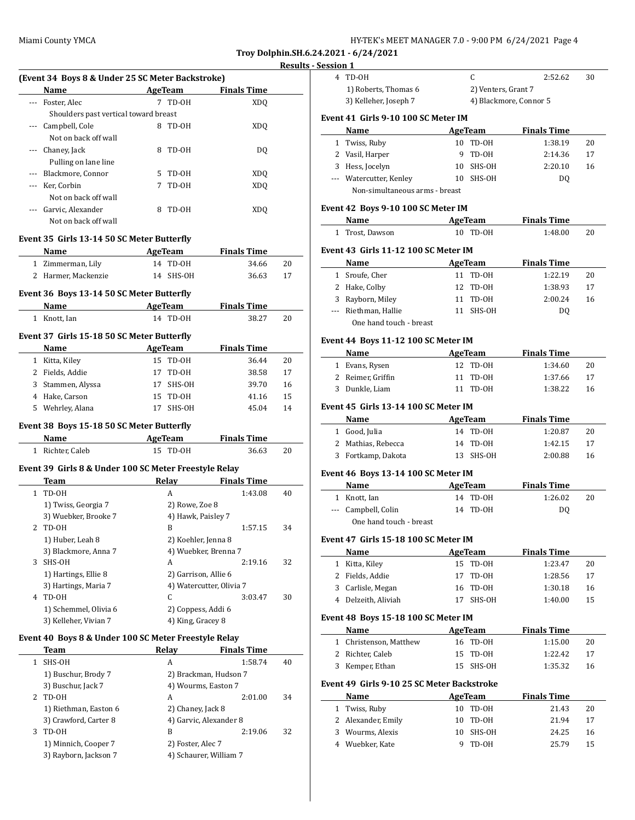| HY-TEK's MEET MANAGER 7.0 - 9:00 PM 6/24/2021 Page 4 |  |
|------------------------------------------------------|--|
|------------------------------------------------------|--|

**Troy Dolphin.SH.6.24.2021 - 6/24/2021 Results - Session 1**

|              |                                                       |                                         |                          | nesuits |
|--------------|-------------------------------------------------------|-----------------------------------------|--------------------------|---------|
|              | (Event 34 Boys 8 & Under 25 SC Meter Backstroke)      |                                         |                          |         |
|              | Name                                                  | <b>AgeTeam</b>                          | <b>Finals Time</b>       |         |
| ---          | Foster, Alec                                          | 7 TD-OH                                 | <b>XDQ</b>               |         |
|              | Shoulders past vertical toward breast                 |                                         |                          |         |
| ---          | Campbell, Cole                                        | 8 TD-0H                                 | <b>XDQ</b>               |         |
|              | Not on back off wall                                  |                                         |                          |         |
| ---          | Chaney, Jack                                          | 8<br>TD-OH                              | DQ                       |         |
|              | Pulling on lane line                                  |                                         |                          |         |
| ---          | Blackmore, Connor                                     | 5<br>TD-OH                              | XDQ                      |         |
| ---          | Ker, Corbin                                           | 7<br>TD-OH                              | <b>XDQ</b>               |         |
|              | Not on back off wall                                  |                                         |                          |         |
| ---          | Garvic, Alexander                                     | 8<br>TD-OH                              | <b>XDQ</b>               |         |
|              | Not on back off wall                                  |                                         |                          |         |
|              |                                                       |                                         |                          |         |
|              | Event 35 Girls 13-14 50 SC Meter Butterfly            |                                         |                          |         |
|              | Name                                                  | <b>AgeTeam</b>                          | <b>Finals Time</b>       |         |
|              | 1 Zimmerman, Lily                                     | 14 TD-0H                                | 34.66                    | 20      |
|              | 2 Harmer, Mackenzie                                   | 14 SHS-OH                               | 36.63                    | 17      |
|              | Event 36 Boys 13-14 50 SC Meter Butterfly             |                                         |                          |         |
|              | Name AgeTeam                                          |                                         | <b>Finals Time</b>       |         |
|              | 1 Knott, Ian                                          | 14 TD-0H                                | 38.27                    | 20      |
|              |                                                       |                                         |                          |         |
|              | Event 37 Girls 15-18 50 SC Meter Butterfly            |                                         |                          |         |
|              | Name                                                  | <b>AgeTeam</b>                          | <b>Finals Time</b>       |         |
|              | 1 Kitta, Kiley                                        | 15 TD-0H                                | 36.44                    | 20      |
|              | 2 Fields, Addie                                       | 17<br>TD-OH                             | 38.58                    | 17      |
| 3            | Stammen, Alyssa                                       | 17<br>SHS-OH                            | 39.70                    | 16      |
|              | 4 Hake, Carson                                        | 15 TD-0H                                | 41.16                    | 15      |
|              | 5 Wehrley, Alana                                      | 17<br>SHS-OH                            | 45.04                    | 14      |
|              | Event 38 Boys 15-18 50 SC Meter Butterfly             |                                         |                          |         |
|              | Name                                                  | <b>Example 2</b> AgeTeam                | <b>Finals Time</b>       |         |
|              | 1 Richter, Caleb                                      | 15 TD-0H                                | 36.63                    | 20      |
|              |                                                       |                                         |                          |         |
|              | Event 39 Girls 8 & Under 100 SC Meter Freestyle Relay |                                         |                          |         |
|              | Team                                                  | Relay                                   | <b>Finals Time</b>       |         |
| $\mathbf{1}$ | TD-OH                                                 | A                                       | 1:43.08                  | 40      |
|              | 1) Twiss, Georgia 7                                   | 2) Rowe, Zoe 8                          |                          |         |
|              | 3) Wuebker, Brooke 7                                  | 4) Hawk, Paisley 7                      |                          |         |
|              | 2 TD-OH                                               | B                                       | 1:57.15                  | 34      |
|              | 1) Huber, Leah 8                                      | 2) Koehler, Jenna 8                     |                          |         |
|              | 3) Blackmore, Anna 7                                  | 4) Wuebker, Brenna 7                    |                          |         |
|              | 3 SHS-OH                                              | A                                       | 2:19.16                  | 32      |
|              | 1) Hartings, Ellie 8                                  | 2) Garrison, Allie 6                    |                          |         |
|              | 3) Hartings, Maria 7                                  |                                         | 4) Watercutter, Olivia 7 |         |
|              | 4 TD-OH                                               | C                                       | 3:03.47                  | 30      |
|              | 1) Schemmel, Olivia 6                                 | 2) Coppess, Addi 6<br>4) King, Gracey 8 |                          |         |
|              | 3) Kelleher, Vivian 7                                 |                                         |                          |         |
|              | Event 40 Boys 8 & Under 100 SC Meter Freestyle Relay  |                                         |                          |         |
|              | Team                                                  | <b>Relay</b>                            | <b>Finals Time</b>       |         |
| 1            | SHS-OH                                                | A                                       | 1:58.74                  | 40      |
|              | 1) Buschur, Brody 7                                   |                                         | 2) Brackman, Hudson 7    |         |
|              | 3) Buschur, Jack 7                                    | 4) Wourms, Easton 7                     |                          |         |
| 2            | TD-OH                                                 | А                                       | 2:01.00                  | 34      |
|              | 1) Riethman, Easton 6                                 | 2) Chaney, Jack 8                       |                          |         |
|              | 3) Crawford, Carter 8                                 | 4) Garvic, Alexander 8                  |                          |         |
| 3            | TD-OH                                                 | B                                       | 2:19.06                  | 32      |
|              | 1) Minnich, Cooper 7                                  | 2) Foster, Alec 7                       |                          |         |
|              | 3) Rayborn, Jackson 7                                 | 4) Schaurer, William 7                  |                          |         |
|              |                                                       |                                         |                          |         |

| <u>session i</u> |                                                                                                                 |                          |                        |          |
|------------------|-----------------------------------------------------------------------------------------------------------------|--------------------------|------------------------|----------|
|                  | 4 TD-OH                                                                                                         | C                        | 2:52.62                | 30       |
|                  | 1) Roberts, Thomas 6                                                                                            | 2) Venters, Grant 7      |                        |          |
|                  | 3) Kelleher, Joseph 7                                                                                           |                          | 4) Blackmore, Connor 5 |          |
|                  | Event 41 Girls 9-10 100 SC Meter IM                                                                             |                          |                        |          |
|                  | Name                                                                                                            | <b>Example 2</b> AgeTeam | <b>Finals Time</b>     |          |
|                  | 1 Twiss, Ruby                                                                                                   | 10 TD-0H                 | 1:38.19                | 20       |
|                  | 2 Vasil, Harper                                                                                                 | 9<br>TD-0H               | 2:14.36                | 17       |
|                  | 3 Hess, Jocelyn                                                                                                 | 10 SHS-OH                | 2:20.10                | 16       |
|                  | --- Watercutter, Kenley                                                                                         | 10 SHS-OH                | DQ                     |          |
|                  | Non-simultaneous arms - breast                                                                                  |                          |                        |          |
|                  | Event 42 Boys 9-10 100 SC Meter IM                                                                              |                          |                        |          |
|                  | Name and the state of the state of the state of the state of the state of the state of the state of the state o | AgeTeam                  | <b>Finals Time</b>     |          |
|                  | 1 Trost, Dawson                                                                                                 | 10 TD-OH                 | 1:48.00                | 20       |
|                  | Event 43 Girls 11-12 100 SC Meter IM                                                                            |                          |                        |          |
|                  | Name                                                                                                            | AgeTeam                  | <b>Finals Time</b>     |          |
|                  | 1 Sroufe, Cher                                                                                                  | 11 TD-0H                 | 1:22.19                | 20       |
|                  | 2 Hake, Colby                                                                                                   | 12 TD-0H                 | 1:38.93                | 17       |
|                  | 3 Rayborn, Miley                                                                                                | 11 TD-0H                 | 2:00.24                | 16       |
|                  | --- Riethman, Hallie                                                                                            | 11 SHS-OH                | DQ                     |          |
|                  | One hand touch - breast                                                                                         |                          |                        |          |
|                  | Event 44 Boys 11-12 100 SC Meter IM                                                                             |                          |                        |          |
|                  | Name                                                                                                            | AgeTeam                  | <b>Finals Time</b>     |          |
|                  | 1 Evans, Rysen                                                                                                  | 12<br>TD-0H              | 1:34.60                | 20       |
|                  | 2 Reimer, Griffin                                                                                               | 11<br>TD-OH              | 1:37.66                | 17       |
| 3                | Dunkle, Liam                                                                                                    | 11 TD-0H                 | 1:38.22                | 16       |
|                  | Event 45 Girls 13-14 100 SC Meter IM                                                                            |                          |                        |          |
|                  | Name                                                                                                            | AgeTeam                  | <b>Finals Time</b>     |          |
|                  | 1 Good, Julia                                                                                                   | 14 TD-0H                 | 1:20.87                | 20       |
|                  | 2 Mathias, Rebecca                                                                                              | 14 TD-0H                 | 1:42.15                | 17       |
|                  | 3 Fortkamp, Dakota                                                                                              | 13 SHS-OH                | 2:00.88                | 16       |
|                  |                                                                                                                 |                          |                        |          |
|                  | Event 46 Boys 13-14 100 SC Meter IM<br>Name                                                                     | AgeTeam                  | <b>Finals Time</b>     |          |
|                  | 1 Knott, Ian                                                                                                    | 14 TD-0H                 | 1:26.02                | 20       |
|                  | --- Campbell, Colin                                                                                             | 14<br>TD-OH              | DQ                     |          |
|                  | One hand touch - breast                                                                                         |                          |                        |          |
|                  |                                                                                                                 |                          |                        |          |
|                  | Event 47 Girls 15-18 100 SC Meter IM                                                                            |                          |                        |          |
| $\mathbf{1}$     | Name                                                                                                            | AgeTeam<br>15            | <b>Finals Time</b>     | 20       |
|                  | Kitta, Kiley<br>2 Fields, Addie                                                                                 | TD-0H<br>17<br>TD-OH     | 1:23.47                |          |
|                  |                                                                                                                 | 16<br>TD-0H              | 1:28.56<br>1:30.18     | 17<br>16 |
|                  | 3 Carlisle, Megan<br>4 Delzeith, Aliviah                                                                        | 17<br>SHS-OH             | 1:40.00                | 15       |
|                  |                                                                                                                 |                          |                        |          |
|                  | Event 48 Boys 15-18 100 SC Meter IM                                                                             |                          |                        |          |
|                  | Name                                                                                                            | AgeTeam                  | <b>Finals Time</b>     |          |
|                  | 1 Christenson, Matthew                                                                                          | 16 TD-0H                 | 1:15.00                | 20       |
|                  | 2 Richter, Caleb                                                                                                | 15<br>TD-0H              | 1:22.42                | 17       |
|                  | 3 Kemper, Ethan                                                                                                 | 15<br>SHS-OH             | 1:35.32                | 16       |
|                  | Event 49 Girls 9-10 25 SC Meter Backstroke                                                                      |                          |                        |          |
|                  |                                                                                                                 |                          | <b>Finals Time</b>     |          |
|                  | Name                                                                                                            | <b>AgeTeam</b>           |                        |          |
|                  | 1 Twiss, Ruby                                                                                                   | TD-OH<br>10              | 21.43                  | 20       |
|                  | 2 Alexander, Emily                                                                                              | 10 TD-OH                 | 21.94                  | 17       |
|                  | 3 Wourms, Alexis<br>4 Wuebker, Kate                                                                             | 10 SHS-OH<br>9<br>TD-OH  | 24.25<br>25.79         | 16<br>15 |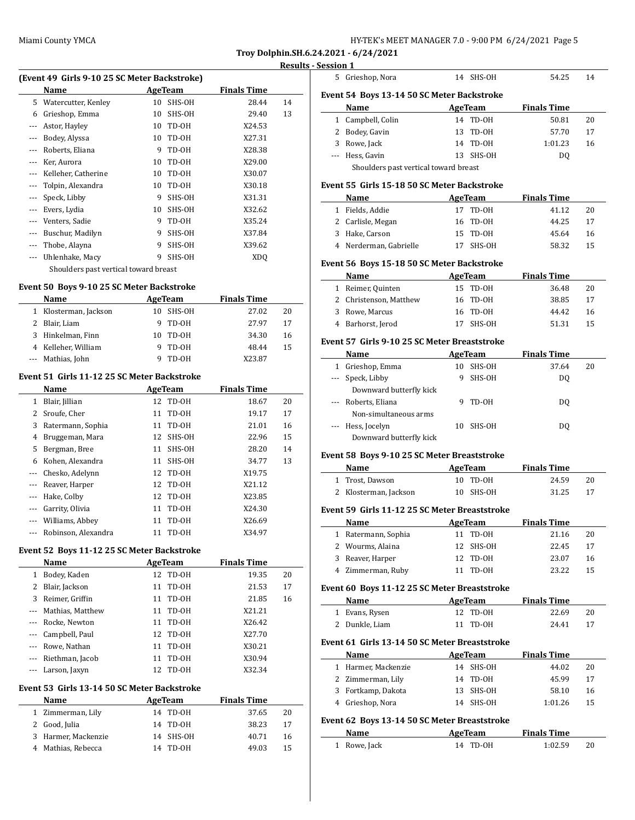### **Results - Se**

| (Event 49 Girls 9-10 25 SC Meter Backstroke) |                                       |    |         |                    |    |
|----------------------------------------------|---------------------------------------|----|---------|--------------------|----|
|                                              | Name                                  |    | AgeTeam | <b>Finals Time</b> |    |
| 5.                                           | Watercutter, Kenley                   | 10 | SHS-OH  | 28.44              | 14 |
| 6                                            | Grieshop, Emma                        | 10 | SHS-OH  | 29.40              | 13 |
| $---$                                        | Astor, Hayley                         | 10 | TD-OH   | X24.53             |    |
| $---$                                        | Bodey, Alyssa                         | 10 | TD-OH   | X27.31             |    |
|                                              | Roberts, Eliana                       | 9  | TD-OH   | X28.38             |    |
|                                              | Ker, Aurora                           | 10 | TD-OH   | X29.00             |    |
|                                              | Kelleher, Catherine                   | 10 | TD-OH   | X30.07             |    |
|                                              | Tolpin, Alexandra                     | 10 | TD-OH   | X30.18             |    |
|                                              | Speck, Libby                          | 9  | SHS-OH  | X31.31             |    |
|                                              | Evers, Lydia                          | 10 | SHS-OH  | X32.62             |    |
| $---$                                        | Venters, Sadie                        | 9  | TD-OH   | X35.24             |    |
|                                              | Buschur, Madilyn                      | 9  | SHS-OH  | X37.84             |    |
|                                              | Thobe, Alayna                         | 9  | SHS-OH  | X39.62             |    |
|                                              | Uhlenhake, Macy                       | 9  | SHS-OH  | XDO                |    |
|                                              | Shoulders past vertical toward breast |    |         |                    |    |

# **Event 50 Boys 9-10 25 SC Meter Backstroke**

| EVEIIL 50 DOVS 9-10 25 SC MELEI DACKSLIOKE |                     |     |          |                    |    |  |
|--------------------------------------------|---------------------|-----|----------|--------------------|----|--|
|                                            | <b>Name</b>         |     | AgeTeam  | <b>Finals Time</b> |    |  |
| 1.                                         | Klosterman, Jackson | 10. | SHS-OH   | 27.02              | 20 |  |
| 2.                                         | Blair, Liam         |     | 9 TD-0H  | 27.97              | 17 |  |
|                                            | 3 Hinkelman, Finn   |     | 10 TD-0H | 34.30              | 16 |  |
|                                            | 4 Kelleher, William | 9   | TD-OH    | 48.44              | 15 |  |
|                                            | --- Mathias, John   |     | TD-0H    | X23.87             |    |  |

#### **Event 51 Girls 11-12 25 SC Meter Backstroke**

|          | Name                | AgeTeam |          | <b>Finals Time</b> |    |
|----------|---------------------|---------|----------|--------------------|----|
| 1        | Blair, Jillian      |         | 12 TD-0H | 18.67              | 20 |
|          | Sroufe, Cher        |         | 11 TD-0H | 19.17              | 17 |
| 3        | Ratermann, Sophia   | 11      | TD-OH    | 21.01              | 16 |
| 4        | Bruggeman, Mara     | 12      | SHS-OH   | 22.96              | 15 |
| 5        | Bergman, Bree       | 11      | SHS-OH   | 28.20              | 14 |
| 6        | Kohen, Alexandra    | 11      | SHS-OH   | 34.77              | 13 |
|          | Chesko, Adelynn     |         | 12 TD-0H | X19.75             |    |
|          | Reaver, Harper      |         | 12 TD-0H | X21.12             |    |
|          | Hake, Colby         |         | 12 TD-0H | X23.85             |    |
|          | Garrity, Olivia     | 11      | TD-OH    | X24.30             |    |
| $\cdots$ | Williams, Abbey     | 11      | TD-OH    | X26.69             |    |
|          | Robinson, Alexandra | 11      | TD-OH    | X34.97             |    |

### **Event 52 Boys 11-12 25 SC Meter Backstroke**

 $\overline{a}$ 

 $\overline{a}$ 

|              | Name                 | AgeTeam     | <b>Finals Time</b> |  |
|--------------|----------------------|-------------|--------------------|--|
| 1            | Bodey, Kaden         | 12 TD-0H    | 19.35<br>20        |  |
| $\mathbf{2}$ | Blair, Jackson       | 11 TD-0H    | 17<br>21.53        |  |
|              | 3 Reimer, Griffin    | 11 TD-0H    | 16<br>21.85        |  |
|              | --- Mathias, Matthew | 11 TD-0H    | X21.21             |  |
|              | --- Rocke, Newton    | TD-OH<br>11 | X26.42             |  |
|              | --- Campbell, Paul   | 12 TD-0H    | X27.70             |  |
|              | --- Rowe, Nathan     | 11 TD-0H    | X30.21             |  |
|              | --- Riethman, Jacob  | TD-OH<br>11 | X30.94             |  |
|              | --- Larson, Jaxyn    | TD-OH<br>12 | X32.34             |  |
|              |                      |             |                    |  |

### **Event 53 Girls 13-14 50 SC Meter Backstroke**

| <b>Name</b>         | AgeTeam   | <b>Finals Time</b> |  |
|---------------------|-----------|--------------------|--|
| 1 Zimmerman, Lily   | 14 TD-0H  | 37.65<br>20        |  |
| 2 Good, Julia       | 14 TD-0H  | 38.23<br>17        |  |
| 3 Harmer, Mackenzie | 14 SHS-OH | 40.71<br>16        |  |
| 4 Mathias, Rebecca  | 14 TD-0H  | 49.03<br>15        |  |

|              | Session 1                                     |          |                 |                    |          |
|--------------|-----------------------------------------------|----------|-----------------|--------------------|----------|
|              | 5 Grieshop, Nora                              |          | 14 SHS-OH       | 54.25              | 14       |
|              | Event 54 Boys 13-14 50 SC Meter Backstroke    |          |                 |                    |          |
|              | Name                                          |          | AgeTeam         | <b>Finals Time</b> |          |
|              | 1 Campbell, Colin                             |          | 14 TD-0H        | 50.81              | 20       |
|              | 2 Bodey, Gavin                                | 13       | TD-0H           | 57.70              | 17       |
|              | 3 Rowe, Jack                                  | 14       | TD-OH           | 1:01.23            | 16       |
|              | --- Hess. Gavin                               | 13       | SHS-OH          | DQ                 |          |
|              | Shoulders past vertical toward breast         |          |                 |                    |          |
|              | Event 55 Girls 15-18 50 SC Meter Backstroke   |          |                 |                    |          |
|              | Name                                          |          | AgeTeam         | <b>Finals Time</b> |          |
|              | 1 Fields, Addie                               | 17       | TD-OH           | 41.12              | 20       |
|              | 2 Carlisle, Megan                             | 16       | TD-OH           | 44.25              | 17       |
|              | 3 Hake, Carson                                | 15       | TD-OH           | 45.64              | 16       |
|              | 4 Nerderman, Gabrielle                        | 17       | SHS-OH          | 58.32              | 15       |
|              |                                               |          |                 |                    |          |
|              | Event 56 Boys 15-18 50 SC Meter Backstroke    |          |                 |                    |          |
|              | Name                                          |          | <b>AgeTeam</b>  | <b>Finals Time</b> |          |
|              | 1 Reimer, Quinten                             |          | 15 TD-0H        | 36.48              | 20       |
|              | 2 Christenson, Matthew                        |          | 16 TD-0H        | 38.85              | 17       |
|              | 3 Rowe, Marcus                                |          | 16 TD-0H        | 44.42              | 16       |
|              | 4 Barhorst, Jerod                             | 17       | SHS-OH          | 51.31              | 15       |
|              | Event 57 Girls 9-10 25 SC Meter Breaststroke  |          |                 |                    |          |
|              | Name                                          |          | AgeTeam         | <b>Finals Time</b> |          |
|              | 1 Grieshop, Emma                              |          | 10 SHS-OH       | 37.64              | 20       |
|              | --- Speck, Libby                              | 9        | SHS-OH          | DQ                 |          |
|              | Downward butterfly kick                       |          |                 |                    |          |
|              | --- Roberts, Eliana                           | 9        | TD-OH           | DQ                 |          |
|              | Non-simultaneous arms                         |          |                 |                    |          |
|              | --- Hess, Jocelyn                             | 10       | SHS-OH          | DQ                 |          |
|              | Downward butterfly kick                       |          |                 |                    |          |
|              | Event 58 Boys 9-10 25 SC Meter Breaststroke   |          |                 |                    |          |
|              | Name                                          |          | <b>AgeTeam</b>  | <b>Finals Time</b> |          |
|              | 1 Trost, Dawson                               | 10       | TD-OH           | 24.59              | 20       |
|              | 2 Klosterman, Jackson                         |          | 10 SHS-OH       | 31.25              | 17       |
|              |                                               |          |                 |                    |          |
|              | Event 59 Girls 11-12 25 SC Meter Breaststroke |          |                 |                    |          |
|              | Name                                          |          | <b>AgeTeam</b>  | <b>Finals Time</b> |          |
| $\mathbf{1}$ | Ratermann, Sophia<br>2 Wourms, Alaina         | 11       | TD-0H           | 21.16              | 20       |
|              | 3 Reaver, Harper                              | 12<br>12 | SHS-OH<br>TD-0H | 22.45<br>23.07     | 17<br>16 |
|              | 4 Zimmerman, Ruby                             | 11       | TD-OH           | 23.22              | 15       |
|              |                                               |          |                 |                    |          |
|              | Event 60 Boys 11-12 25 SC Meter Breaststroke  |          |                 |                    |          |
|              | Name                                          |          | <b>AgeTeam</b>  | <b>Finals Time</b> |          |
| 1            | Evans, Rysen                                  | 12       | TD-OH           | 22.69              | 20       |
|              | 2 Dunkle, Liam                                | 11       | TD-OH           | 24.41              | 17       |
|              | Event 61 Girls 13-14 50 SC Meter Breaststroke |          |                 |                    |          |
|              | <b>Name</b>                                   |          | <b>AgeTeam</b>  | <b>Finals Time</b> |          |
|              | 1 Harmer, Mackenzie                           | 14       | SHS-OH          | 44.02              | 20       |
|              | 2 Zimmerman, Lily                             | 14       | TD-0H           | 45.99              | 17       |
|              | 3 Fortkamp, Dakota                            | 13       | SHS-OH          | 58.10              | 16       |
|              | 4 Grieshop, Nora                              | 14       | SHS-OH          | 1:01.26            | 15       |
|              |                                               |          |                 |                    |          |
|              | Event 62 Boys 13-14 50 SC Meter Breaststroke  |          |                 |                    |          |
|              | Name                                          |          | <b>AgeTeam</b>  | <b>Finals Time</b> |          |
| $\mathbf{1}$ | Rowe, Jack                                    | 14       | TD-0H           | 1:02.59            | 20       |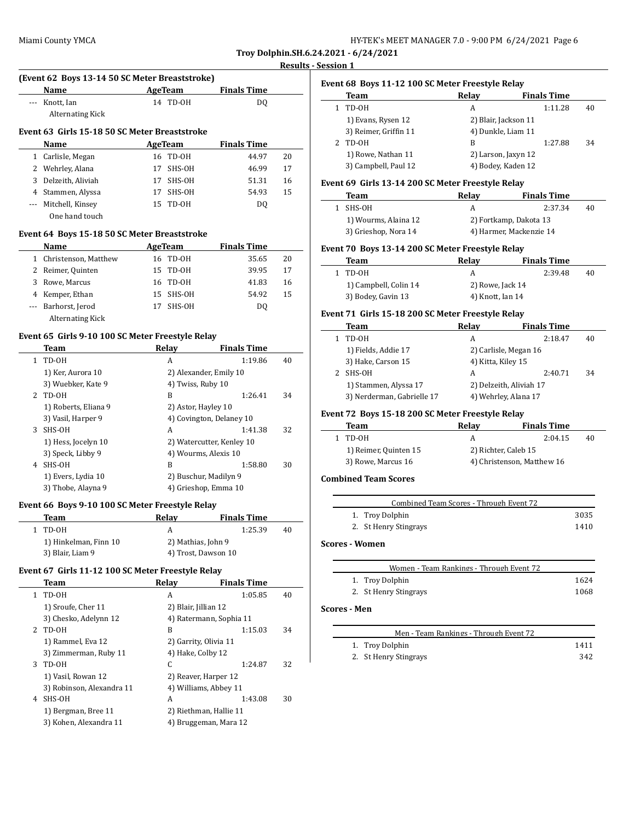$\overline{a}$ 

| HY-TEK's MEET MANAGER 7.0 - 9:00 PM 6/24/2021 Page 6 |  |  |
|------------------------------------------------------|--|--|
|------------------------------------------------------|--|--|

**Troy Dolphin.SH.6.24.2021 - 6/24/2021**

#### **Results - Session 1**

 $\overline{a}$ 

 $\frac{1}{2}$ 

|                                               | (Event 62 Boys 13-14 50 SC Meter Breaststroke) |    |         |                    |    |  |
|-----------------------------------------------|------------------------------------------------|----|---------|--------------------|----|--|
|                                               | Name                                           |    | AgeTeam | <b>Finals Time</b> |    |  |
|                                               | Knott, Ian<br><b>Alternating Kick</b>          | 14 | TD-OH   | DO.                |    |  |
| Event 63 Girls 15-18 50 SC Meter Breaststroke |                                                |    |         |                    |    |  |
|                                               | <b>Name</b>                                    |    | AgeTeam | <b>Finals Time</b> |    |  |
| 1                                             | Carlisle, Megan                                | 16 | TD-OH   | 44.97              | 20 |  |
|                                               | 2 Wehrley, Alana                               | 17 | SHS-OH  | 46.99              | 17 |  |
| 3                                             | Delzeith, Aliviah                              | 17 | SHS-OH  | 51.31              | 16 |  |
| 4                                             | Stammen, Alyssa                                | 17 | SHS-OH  | 54.93              | 15 |  |
|                                               | Mitchell, Kinsey                               | 15 | TD-OH   | DO.                |    |  |
|                                               | One hand touch                                 |    |         |                    |    |  |

### **Event 64 Boys 15-18 50 SC Meter Breaststroke**

|   | Name                    | AgeTeam       | <b>Finals Time</b> |    |
|---|-------------------------|---------------|--------------------|----|
|   | 1 Christenson, Matthew  | 16 TD-0H      | 35.65              | 20 |
|   | 2 Reimer, Quinten       | 15 TD-0H      | 39.95              | 17 |
| 3 | Rowe, Marcus            | 16 TD-0H      | 41.83              | 16 |
| 4 | Kemper, Ethan           | SHS-OH<br>15. | 54.92              | 15 |
|   | --- Barhorst, Jerod     | SHS-OH<br>17  | DO.                |    |
|   | <b>Alternating Kick</b> |               |                    |    |

### **Event 65 Girls 9-10 100 SC Meter Freestyle Relay**

|    | Team                 | Relav                     | <b>Finals Time</b> |    |
|----|----------------------|---------------------------|--------------------|----|
| 1. | TD-OH                | A                         | 1:19.86            | 40 |
|    | 1) Ker, Aurora 10    | 2) Alexander, Emily 10    |                    |    |
|    | 3) Wuebker, Kate 9   | 4) Twiss, Ruby 10         |                    |    |
| 2  | TD-0H                | B                         | 1:26.41            | 34 |
|    | 1) Roberts, Eliana 9 | 2) Astor, Hayley 10       |                    |    |
|    | 3) Vasil, Harper 9   | 4) Covington, Delaney 10  |                    |    |
| 3  | SHS-OH               | A                         | 1:41.38            | 32 |
|    | 1) Hess, Jocelyn 10  | 2) Watercutter, Kenley 10 |                    |    |
|    | 3) Speck, Libby 9    | 4) Wourms, Alexis 10      |                    |    |
| 4  | SHS-OH               | B                         | 1:58.80            | 30 |
|    | 1) Evers, Lydia 10   | 2) Buschur, Madilyn 9     |                    |    |
|    | 3) Thobe, Alayna 9   | 4) Grieshop, Emma 10      |                    |    |

### **Event 66 Boys 9-10 100 SC Meter Freestyle Relay**

| Team                  | Relav              | <b>Finals Time</b>  |    |
|-----------------------|--------------------|---------------------|----|
| 1 TD-0H               |                    | 1:25.39             | 40 |
| 1) Hinkelman, Finn 10 | 2) Mathias, John 9 |                     |    |
| 3) Blair, Liam 9      |                    | 4) Trost, Dawson 10 |    |

#### **Event 67 Girls 11-12 100 SC Meter Freestyle Relay**

|    | Team                      | Relav                   | <b>Finals Time</b> |    |
|----|---------------------------|-------------------------|--------------------|----|
| 1. | TD-0H                     | A                       | 1:05.85            | 40 |
|    | 1) Sroufe, Cher 11        | 2) Blair, Jillian 12    |                    |    |
|    | 3) Chesko, Adelynn 12     | 4) Ratermann, Sophia 11 |                    |    |
| 2  | TD-OH                     | B                       | 1:15.03            | 34 |
|    | 1) Rammel, Eva 12         | 2) Garrity, Olivia 11   |                    |    |
|    | 3) Zimmerman, Ruby 11     | 4) Hake, Colby 12       |                    |    |
| 3  | TD-OH                     | C.                      | 1:24.87            | 32 |
|    | 1) Vasil, Rowan 12        | 2) Reaver, Harper 12    |                    |    |
|    | 3) Robinson, Alexandra 11 | 4) Williams, Abbey 11   |                    |    |
| 4  | SHS-OH                    | A                       | 1:43.08            | 30 |
|    | 1) Bergman, Bree 11       | 2) Riethman, Hallie 11  |                    |    |
|    | 3) Kohen, Alexandra 11    | 4) Bruggeman, Mara 12   |                    |    |
|    |                           |                         |                    |    |

| Team                  | Relay                | <b>Finals Time</b> |    |
|-----------------------|----------------------|--------------------|----|
| TD-OH                 | А                    | 1:11.28            | 40 |
| 1) Evans, Rysen 12    | 2) Blair, Jackson 11 |                    |    |
| 3) Reimer, Griffin 11 | 4) Dunkle, Liam 11   |                    |    |
| TD-0H                 | B                    | 1:27.88            | 34 |
| 1) Rowe, Nathan 11    | 2) Larson, Jaxyn 12  |                    |    |
| 3) Campbell, Paul 12  | 4) Bodey, Kaden 12   |                    |    |

### **Event 69 Girls 13-14 200 SC Meter Freestyle Relay**

| Team                 | Relav | <b>Finals Time</b>      |    |
|----------------------|-------|-------------------------|----|
| SHS-OH               |       | 2:37.34                 | 40 |
| 1) Wourms, Alaina 12 |       | 2) Fortkamp, Dakota 13  |    |
| 3) Grieshop, Nora 14 |       | 4) Harmer, Mackenzie 14 |    |

#### **Event 70 Boys 13-14 200 SC Meter Freestyle Relay**

| Team                  | Relav            | <b>Finals Time</b> |    |
|-----------------------|------------------|--------------------|----|
| 1 TD-0H               | А                | 2:39.48            | 40 |
| 1) Campbell, Colin 14 | 2) Rowe, Jack 14 |                    |    |
| 3) Bodey, Gavin 13    | 4) Knott, Ian 14 |                    |    |

### **Event 71 Girls 15-18 200 SC Meter Freestyle Relay**

| Relay | <b>Finals Time</b>                                                                               |                                                                                                |
|-------|--------------------------------------------------------------------------------------------------|------------------------------------------------------------------------------------------------|
| А     | 2:18.47                                                                                          | 40                                                                                             |
|       |                                                                                                  |                                                                                                |
|       |                                                                                                  |                                                                                                |
| А     | 2:40.71                                                                                          | 34                                                                                             |
|       |                                                                                                  |                                                                                                |
|       |                                                                                                  |                                                                                                |
|       | 1) Fields, Addie 17<br>3) Hake, Carson 15<br>1) Stammen, Alyssa 17<br>3) Nerderman, Gabrielle 17 | 2) Carlisle, Megan 16<br>4) Kitta, Kiley 15<br>2) Delzeith, Aliviah 17<br>4) Wehrley, Alana 17 |

### **Event 72 Boys 15-18 200 SC Meter Freestyle Relay**

| Team                  | Relav                | <b>Finals Time</b>         |    |
|-----------------------|----------------------|----------------------------|----|
| 1 TD-0H               | А                    | 2:04.15                    | 40 |
| 1) Reimer, Quinten 15 | 2) Richter, Caleb 15 |                            |    |
| 3) Rowe, Marcus 16    |                      | 4) Christenson, Matthew 16 |    |

### **Combined Team Scores**

| Combined Team Scores - Through Event 72 |                       |      |  |
|-----------------------------------------|-----------------------|------|--|
|                                         | 1. Troy Dolphin       | 3035 |  |
|                                         | 2. St Henry Stingrays | 1410 |  |

#### **Scores - Women**

| Women - Team Rankings - Through Event 72 |      |
|------------------------------------------|------|
| 1. Troy Dolphin                          | 1624 |
| 2. St Henry Stingrays                    | 1068 |

### **Scores - Men**

| Men - Team Rankings - Through Event 72 |      |
|----------------------------------------|------|
| 1. Troy Dolphin                        | 1411 |
| 2. St Henry Stingrays                  | 342  |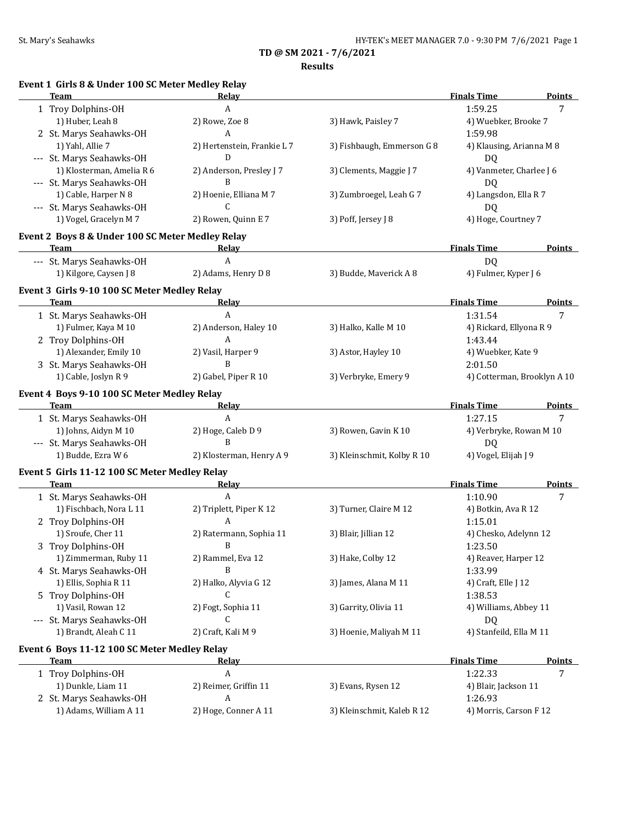**Results**

|  | Event 1 Girls 8 & Under 100 SC Meter Medley Relay |  |  |  |  |  |
|--|---------------------------------------------------|--|--|--|--|--|
|--|---------------------------------------------------|--|--|--|--|--|

| <b>Team</b>                                      | Relay                       |                            | <b>Finals Time</b>          | <b>Points</b> |
|--------------------------------------------------|-----------------------------|----------------------------|-----------------------------|---------------|
| 1 Troy Dolphins-OH                               | A                           |                            | 1:59.25                     | 7             |
| 1) Huber, Leah 8                                 | 2) Rowe, Zoe 8              | 3) Hawk, Paisley 7         | 4) Wuebker, Brooke 7        |               |
| 2 St. Marys Seahawks-OH                          | A                           |                            | 1:59.98                     |               |
| 1) Yahl, Allie 7                                 | 2) Hertenstein, Frankie L 7 | 3) Fishbaugh, Emmerson G 8 | 4) Klausing, Arianna M 8    |               |
| --- St. Marys Seahawks-OH                        | D                           |                            | DQ                          |               |
| 1) Klosterman, Amelia R 6                        | 2) Anderson, Presley J 7    | 3) Clements, Maggie J 7    | 4) Vanmeter, Charlee J 6    |               |
| --- St. Marys Seahawks-OH                        | B                           |                            | D <sub>Q</sub>              |               |
| 1) Cable, Harper N 8                             | 2) Hoenie, Elliana M 7      | 3) Zumbroegel, Leah G 7    | 4) Langsdon, Ella R 7       |               |
| --- St. Marys Seahawks-OH                        | C                           |                            | DQ                          |               |
| 1) Vogel, Gracelyn M 7                           | 2) Rowen, Quinn E 7         | 3) Poff, Jersey J 8        | 4) Hoge, Courtney 7         |               |
| Event 2 Boys 8 & Under 100 SC Meter Medley Relay |                             |                            |                             |               |
| <b>Team</b>                                      | Relay                       |                            | <b>Finals Time</b>          | Points        |
| --- St. Marys Seahawks-OH                        | $\boldsymbol{A}$            |                            | DQ                          |               |
| 1) Kilgore, Caysen J 8                           | 2) Adams, Henry D 8         | 3) Budde, Maverick A 8     | 4) Fulmer, Kyper J 6        |               |
|                                                  |                             |                            |                             |               |
| Event 3 Girls 9-10 100 SC Meter Medley Relay     |                             |                            |                             |               |
| <b>Team</b>                                      | <u>Relav</u>                |                            | <b>Finals Time</b>          | <b>Points</b> |
| 1 St. Marys Seahawks-OH                          | $\boldsymbol{\mathsf{A}}$   |                            | 1:31.54                     | 7             |
| 1) Fulmer, Kaya M 10                             | 2) Anderson, Haley 10       | 3) Halko, Kalle M 10       | 4) Rickard, Ellyona R 9     |               |
| 2 Troy Dolphins-OH                               | A                           |                            | 1:43.44                     |               |
| 1) Alexander, Emily 10                           | 2) Vasil, Harper 9          | 3) Astor, Hayley 10        | 4) Wuebker, Kate 9          |               |
| 3 St. Marys Seahawks-OH                          | B                           |                            | 2:01.50                     |               |
| 1) Cable, Joslyn R 9                             | 2) Gabel, Piper R 10        | 3) Verbryke, Emery 9       | 4) Cotterman, Brooklyn A 10 |               |
| Event 4 Boys 9-10 100 SC Meter Medley Relay      |                             |                            |                             |               |
| Team                                             | Relay                       |                            | <b>Finals Time</b>          | <b>Points</b> |
| 1 St. Marys Seahawks-OH                          | $\mathbf{A}$                |                            | 1:27.15                     | 7             |
| 1) Johns, Aidyn M 10                             | 2) Hoge, Caleb D 9          | 3) Rowen, Gavin K 10       | 4) Verbryke, Rowan M 10     |               |
| --- St. Marys Seahawks-OH                        | B                           |                            | DQ                          |               |
| 1) Budde, Ezra W 6                               | 2) Klosterman, Henry A 9    | 3) Kleinschmit, Kolby R 10 | 4) Vogel, Elijah J 9        |               |
| Event 5 Girls 11-12 100 SC Meter Medley Relay    |                             |                            |                             |               |
| <b>Team</b>                                      | Relay                       |                            | <b>Finals Time</b>          | <b>Points</b> |
| 1 St. Marys Seahawks-OH                          | A                           |                            | 1:10.90                     | 7             |
| 1) Fischbach, Nora L 11                          | 2) Triplett, Piper K 12     | 3) Turner, Claire M 12     | 4) Botkin, Ava R 12         |               |
| 2 Troy Dolphins-OH                               | А                           |                            | 1:15.01                     |               |
| 1) Sroufe, Cher 11                               | 2) Ratermann, Sophia 11     | 3) Blair, Jillian 12       | 4) Chesko, Adelynn 12       |               |
| 3 Troy Dolphins-OH                               | B                           |                            | 1:23.50                     |               |
| 1) Zimmerman, Ruby 11                            | 2) Rammel, Eva 12           | 3) Hake, Colby 12          | 4) Reaver, Harper 12        |               |
| 4 St. Marys Seahawks-OH                          | B                           |                            | 1:33.99                     |               |
| 1) Ellis, Sophia R 11                            | 2) Halko, Alyvia G 12       | 3) James, Alana M 11       | 4) Craft, Elle J 12         |               |
| 5 Troy Dolphins-OH                               | C                           |                            | 1:38.53                     |               |
| 1) Vasil, Rowan 12                               | 2) Fogt, Sophia 11          | 3) Garrity, Olivia 11      | 4) Williams, Abbey 11       |               |
| --- St. Marys Seahawks-OH                        | C                           |                            | DQ                          |               |
| 1) Brandt, Aleah C 11                            | 2) Craft, Kali M 9          | 3) Hoenie, Maliyah M 11    | 4) Stanfeild, Ella M 11     |               |
| Event 6 Boys 11-12 100 SC Meter Medley Relay     |                             |                            |                             |               |
| <b>Team</b>                                      | <u>Relav</u>                |                            | <b>Finals Time</b>          | <b>Points</b> |
| 1 Troy Dolphins-OH                               | А                           |                            | 1:22.33                     | 7             |
| 1) Dunkle, Liam 11                               | 2) Reimer, Griffin 11       | 3) Evans, Rysen 12         | 4) Blair, Jackson 11        |               |
| 2 St. Marys Seahawks-OH                          | A                           |                            | 1:26.93                     |               |
| 1) Adams, William A 11                           | 2) Hoge, Conner A 11        | 3) Kleinschmit, Kaleb R 12 | 4) Morris, Carson F 12      |               |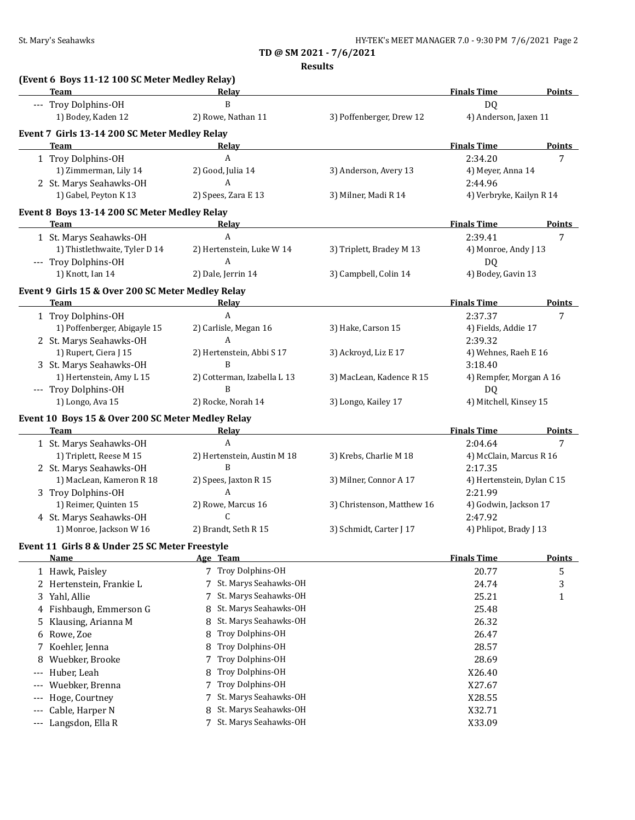**Results**

|       | (Event 6 Boys 11-12 100 SC Meter Medley Relay)<br>Team    |                                  |                            | <b>Finals Time</b>                    | Points        |
|-------|-----------------------------------------------------------|----------------------------------|----------------------------|---------------------------------------|---------------|
|       | --- Troy Dolphins-OH                                      | Relay<br>B                       |                            | D <sub>Q</sub>                        |               |
|       | 1) Bodey, Kaden 12                                        | 2) Rowe, Nathan 11               | 3) Poffenberger, Drew 12   | 4) Anderson, Jaxen 11                 |               |
|       | Event 7 Girls 13-14 200 SC Meter Medley Relay             |                                  |                            |                                       |               |
|       | Team                                                      | Relay                            |                            | <b>Finals Time</b>                    | Points        |
|       | 1 Troy Dolphins-OH                                        | A                                |                            | 2:34.20                               | 7             |
|       | 1) Zimmerman, Lily 14                                     | 2) Good, Julia 14<br>A           | 3) Anderson, Avery 13      | 4) Meyer, Anna 14                     |               |
|       | 2 St. Marys Seahawks-OH<br>1) Gabel, Peyton K 13          | 2) Spees, Zara E 13              | 3) Milner, Madi R 14       | 2:44.96<br>4) Verbryke, Kailyn R 14   |               |
|       | Event 8 Boys 13-14 200 SC Meter Medley Relay              |                                  |                            |                                       |               |
|       | <b>Team</b>                                               | Relay                            |                            | <b>Finals Time</b>                    | <b>Points</b> |
|       | 1 St. Marys Seahawks-OH                                   | A                                |                            | 2:39.41                               | 7             |
|       | 1) Thistlethwaite, Tyler D 14                             | 2) Hertenstein, Luke W 14        | 3) Triplett, Bradey M 13   | 4) Monroe, Andy J 13                  |               |
|       | --- Troy Dolphins-OH                                      | A                                |                            | DQ                                    |               |
|       | 1) Knott, Ian 14                                          | 2) Dale, Jerrin 14               | 3) Campbell, Colin 14      | 4) Bodey, Gavin 13                    |               |
|       | Event 9 Girls 15 & Over 200 SC Meter Medley Relay         |                                  |                            |                                       |               |
|       | Team                                                      | Relay                            |                            | <b>Finals Time</b>                    | <b>Points</b> |
|       | 1 Troy Dolphins-OH                                        | $\mathbf{A}$                     |                            | 2:37.37                               | 7             |
|       | 1) Poffenberger, Abigayle 15<br>2 St. Marys Seahawks-OH   | 2) Carlisle, Megan 16<br>A       | 3) Hake, Carson 15         | 4) Fields, Addie 17<br>2:39.32        |               |
|       | 1) Rupert, Ciera J 15                                     | 2) Hertenstein, Abbi S 17        | 3) Ackroyd, Liz E 17       | 4) Wehnes, Raeh E 16                  |               |
|       | 3 St. Marys Seahawks-OH                                   | B                                |                            | 3:18.40                               |               |
|       | 1) Hertenstein, Amy L 15<br>--- Troy Dolphins-OH          | 2) Cotterman, Izabella L 13<br>B | 3) MacLean, Kadence R 15   | 4) Rempfer, Morgan A 16<br>DQ         |               |
|       | 1) Longo, Ava 15                                          | 2) Rocke, Norah 14               | 3) Longo, Kailey 17        | 4) Mitchell, Kinsey 15                |               |
|       | Event 10 Boys 15 & Over 200 SC Meter Medley Relay<br>Team | Relay                            |                            | <b>Finals Time</b>                    | <b>Points</b> |
|       | 1 St. Marys Seahawks-OH                                   | A                                |                            | 2:04.64                               | 7             |
|       | 1) Triplett, Reese M 15                                   | 2) Hertenstein, Austin M 18      | 3) Krebs, Charlie M 18     | 4) McClain, Marcus R 16               |               |
|       | 2 St. Marys Seahawks-OH                                   | B                                |                            | 2:17.35                               |               |
|       | 1) MacLean, Kameron R 18<br>3 Troy Dolphins-OH            | 2) Spees, Jaxton R 15<br>A       | 3) Milner, Connor A 17     | 4) Hertenstein, Dylan C 15<br>2:21.99 |               |
|       | 1) Reimer, Quinten 15                                     | 2) Rowe, Marcus 16               | 3) Christenson, Matthew 16 | 4) Godwin, Jackson 17                 |               |
|       | 4 St. Marys Seahawks-OH                                   | C                                |                            | 2:47.92                               |               |
|       | 1) Monroe, Jackson W 16                                   | 2) Brandt, Seth R 15             | 3) Schmidt, Carter J 17    | 4) Phlipot, Brady J 13                |               |
|       | Event 11 Girls 8 & Under 25 SC Meter Freestyle            |                                  |                            |                                       |               |
|       | Name                                                      | <u>Age Team</u>                  |                            | <b>Finals Time</b>                    | <b>Points</b> |
|       | 1 Hawk, Paisley                                           | 7 Troy Dolphins-OH               |                            | 20.77                                 | 5             |
|       | 2 Hertenstein, Frankie L                                  | St. Marys Seahawks-OH<br>7       |                            | 24.74                                 | 3             |
| 3     | Yahl, Allie                                               | St. Marys Seahawks-OH<br>7       |                            | 25.21                                 | 1             |
|       | 4 Fishbaugh, Emmerson G                                   | St. Marys Seahawks-OH<br>8       |                            | 25.48                                 |               |
| 5     | Klausing, Arianna M                                       | St. Marys Seahawks-OH<br>8       |                            | 26.32                                 |               |
| 6     | Rowe, Zoe                                                 | Troy Dolphins-OH<br>8            |                            | 26.47                                 |               |
| 7     | Koehler, Jenna                                            | Troy Dolphins-OH<br>8            |                            | 28.57                                 |               |
| 8     | Wuebker, Brooke                                           | Troy Dolphins-OH                 |                            | 28.69                                 |               |
|       | Huber, Leah                                               | Troy Dolphins-OH<br>8            |                            | X26.40                                |               |
|       | Wuebker, Brenna                                           | Troy Dolphins-OH<br>7            |                            | X27.67                                |               |
| $---$ | Hoge, Courtney                                            | St. Marys Seahawks-OH<br>7       |                            | X28.55                                |               |
| $---$ | Cable, Harper N                                           | St. Marys Seahawks-OH<br>8       |                            | X32.71                                |               |
|       | Langsdon, Ella R                                          | St. Marys Seahawks-OH<br>7       |                            | X33.09                                |               |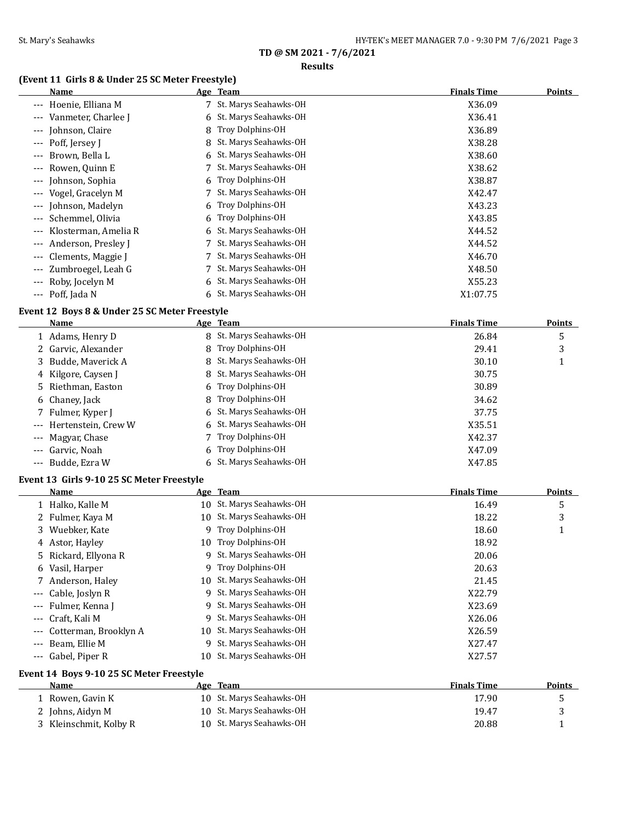### **Results**

# **(Event 11 Girls 8 & Under 25 SC Meter Freestyle)**

|          | $1150$ & onder 45 56 Field Treestyle<br>Name                 |    | <u>Age Team</u>          | <b>Finals Time</b> | <b>Points</b> |
|----------|--------------------------------------------------------------|----|--------------------------|--------------------|---------------|
|          | --- Hoenie, Elliana M                                        |    | 7 St. Marys Seahawks-OH  | X36.09             |               |
| $\cdots$ | Vanmeter, Charlee J                                          | 6  | St. Marys Seahawks-OH    | X36.41             |               |
|          | Johnson, Claire                                              | 8  | Troy Dolphins-OH         | X36.89             |               |
|          | Poff, Jersey J                                               | 8  | St. Marys Seahawks-OH    | X38.28             |               |
|          | Brown, Bella L                                               | 6  | St. Marys Seahawks-OH    | X38.60             |               |
|          | Rowen, Quinn E                                               | 7  | St. Marys Seahawks-OH    | X38.62             |               |
| $---$    | Johnson, Sophia                                              | 6  | Troy Dolphins-OH         | X38.87             |               |
| $---$    | Vogel, Gracelyn M                                            | 7  | St. Marys Seahawks-OH    | X42.47             |               |
| ---      | Johnson, Madelyn                                             | 6  | Troy Dolphins-OH         | X43.23             |               |
| $---$    | Schemmel, Olivia                                             | 6  | Troy Dolphins-OH         | X43.85             |               |
|          | Klosterman, Amelia R                                         | 6  | St. Marys Seahawks-OH    | X44.52             |               |
|          | Anderson, Presley J                                          |    | St. Marys Seahawks-OH    | X44.52             |               |
|          | Clements, Maggie J                                           | 7  | St. Marys Seahawks-OH    | X46.70             |               |
|          | Zumbroegel, Leah G                                           | 7  | St. Marys Seahawks-OH    | X48.50             |               |
|          | --- Roby, Jocelyn M                                          | 6  | St. Marys Seahawks-OH    | X55.23             |               |
|          | --- Poff, Jada N                                             |    | St. Marys Seahawks-OH    | X1:07.75           |               |
|          |                                                              |    |                          |                    |               |
|          | Event 12 Boys 8 & Under 25 SC Meter Freestyle<br><b>Name</b> |    | Age Team                 | <b>Finals Time</b> | <b>Points</b> |
|          | 1 Adams, Henry D                                             |    | 8 St. Marys Seahawks-OH  | 26.84              | 5             |
|          | 2 Garvic, Alexander                                          | 8  | Troy Dolphins-OH         | 29.41              | 3             |
|          | Budde, Maverick A                                            |    | 8 St. Marys Seahawks-OH  | 30.10              | 1             |
| 3        |                                                              | 8  | St. Marys Seahawks-OH    | 30.75              |               |
| 4        | Kilgore, Caysen J                                            |    |                          |                    |               |
| 5        | Riethman, Easton                                             | 6  | Troy Dolphins-OH         | 30.89              |               |
| 6        | Chaney, Jack                                                 | 8  | Troy Dolphins-OH         | 34.62              |               |
|          | Fulmer, Kyper J                                              |    | St. Marys Seahawks-OH    | 37.75              |               |
|          | Hertenstein, Crew W                                          |    | St. Marys Seahawks-OH    | X35.51             |               |
|          | Magyar, Chase                                                | 7  | Troy Dolphins-OH         | X42.37             |               |
|          | Garvic, Noah                                                 |    | Troy Dolphins-OH         | X47.09             |               |
|          | --- Budde, Ezra W                                            |    | 6 St. Marys Seahawks-OH  | X47.85             |               |
|          | Event 13 Girls 9-10 25 SC Meter Freestyle                    |    |                          |                    |               |
|          | Name                                                         |    | Age Team                 | <b>Finals Time</b> | Points        |
|          | 1 Halko, Kalle M                                             |    | 10 St. Marys Seahawks-OH | 16.49              | 5             |
|          | 2 Fulmer, Kaya M                                             |    | 10 St. Marys Seahawks-OH | 18.22              | 3             |
|          | 3 Wuebker, Kate                                              | 9  | Troy Dolphins-OH         | 18.60              | 1             |
|          | 4 Astor, Hayley                                              |    | 10 Troy Dolphins-OH      | 18.92              |               |
|          | Rickard, Ellyona R                                           | 9. | St. Marys Seahawks-OH    | 20.06              |               |
| 6        | Vasil, Harper                                                | 9  | Troy Dolphins-OH         | 20.63              |               |
|          | Anderson, Haley                                              | 10 | St. Marys Seahawks-OH    | 21.45              |               |
|          | Cable, Joslyn R                                              | 9  | St. Marys Seahawks-OH    | X22.79             |               |
|          | Fulmer, Kenna J                                              | 9  | St. Marys Seahawks-OH    | X23.69             |               |
| ---      | Craft, Kali M                                                | 9  | St. Marys Seahawks-OH    | X26.06             |               |
| ---      | Cotterman, Brooklyn A                                        | 10 | St. Marys Seahawks-OH    | X26.59             |               |
| $---$    | Beam, Ellie M                                                | 9  | St. Marys Seahawks-OH    | X27.47             |               |
| $---$    | Gabel, Piper R                                               | 10 | St. Marys Seahawks-OH    | X27.57             |               |
|          | Event 14 Boys 9-10 25 SC Meter Freestyle                     |    |                          |                    |               |
|          | <u>Name</u>                                                  |    | Age Team                 | <b>Finals Time</b> | <b>Points</b> |
|          | 1 Rowen, Gavin K                                             |    | 10 St. Marys Seahawks-OH | 17.90              | 5             |
|          | 2 Johns, Aidyn M                                             | 10 | St. Marys Seahawks-OH    | 19.47              | 3             |
|          | 3 Kleinschmit, Kolby R                                       |    | 10 St. Marys Seahawks-OH | 20.88              | 1             |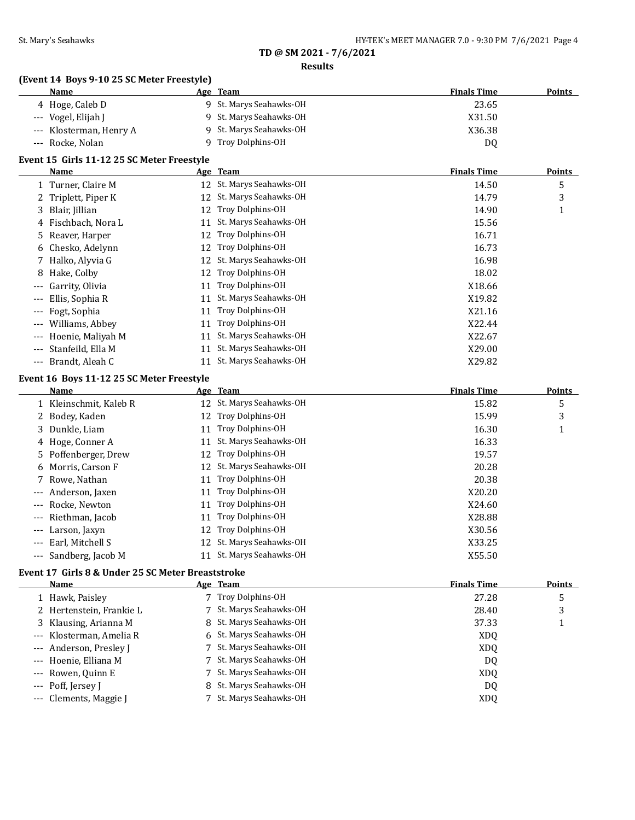### **Results**

# **(Event 14 Boys 9-10 25 SC Meter Freestyle)**

| Name                    | Age Team                | <b>Finals Time</b><br><b>Points</b> |  |
|-------------------------|-------------------------|-------------------------------------|--|
| 4 Hoge, Caleb D         | 9 St. Marys Seahawks-OH | 23.65                               |  |
| --- Vogel, Elijah J     | 9 St. Marys Seahawks-OH | X31.50                              |  |
| --- Klosterman, Henry A | 9 St. Marys Seahawks-OH | X36.38                              |  |
| --- Rocke, Nolan        | 9 Troy Dolphins-OH      | D <sub>0</sub>                      |  |

# **Event 15 Girls 11-12 25 SC Meter Freestyle**

| Name                                     |     | Age Team                 | <b>Finals Time</b> | <b>Points</b> |
|------------------------------------------|-----|--------------------------|--------------------|---------------|
| 1 Turner, Claire M                       |     | 12 St. Marys Seahawks-OH | 14.50              | 5             |
| 2 Triplett, Piper K                      |     | 12 St. Marys Seahawks-OH | 14.79              | 3             |
| 3 Blair, Jillian                         | 12  | Troy Dolphins-OH         | 14.90              | 1             |
| 4 Fischbach, Nora L                      | 11  | St. Marys Seahawks-OH    | 15.56              |               |
| 5 Reaver, Harper                         | 12  | Troy Dolphins-OH         | 16.71              |               |
| 6 Chesko, Adelynn                        | 12. | <b>Troy Dolphins-OH</b>  | 16.73              |               |
| 7 Halko, Alyvia G                        | 12  | St. Marys Seahawks-OH    | 16.98              |               |
| Hake, Colby<br>8                         | 12. | <b>Troy Dolphins-OH</b>  | 18.02              |               |
| Garrity, Olivia<br>$---$                 | 11  | Troy Dolphins-OH         | X18.66             |               |
| Ellis, Sophia R<br>$---$                 | 11  | St. Marys Seahawks-OH    | X19.82             |               |
| Fogt, Sophia<br>$---$                    | 11  | Troy Dolphins-OH         | X21.16             |               |
| Williams, Abbey<br>$\cdots$              | 11  | Troy Dolphins-OH         | X22.44             |               |
| Hoenie, Maliyah M<br>$\qquad \qquad - -$ | 11  | St. Marys Seahawks-OH    | X22.67             |               |
| Stanfeild, Ella M<br>$- - -$             | 11  | St. Marys Seahawks-OH    | X29.00             |               |
| Brandt, Aleah C<br>$\cdots$              |     | St. Marys Seahawks-OH    | X29.82             |               |

# **Event 16 Boys 11-12 25 SC Meter Freestyle**

|       | Name                   |    | Age Team                 | <b>Finals Time</b> | <b>Points</b> |
|-------|------------------------|----|--------------------------|--------------------|---------------|
|       | 1 Kleinschmit, Kaleb R |    | 12 St. Marys Seahawks-OH | 15.82              | 5             |
|       | 2 Bodey, Kaden         |    | 12 Troy Dolphins-OH      | 15.99              | 3             |
|       | 3 Dunkle, Liam         | 11 | Troy Dolphins-OH         | 16.30              |               |
|       | 4 Hoge, Conner A       | 11 | St. Marys Seahawks-OH    | 16.33              |               |
|       | 5 Poffenberger, Drew   | 12 | Troy Dolphins-OH         | 19.57              |               |
|       | 6 Morris, Carson F     |    | 12 St. Marys Seahawks-OH | 20.28              |               |
|       | 7 Rowe, Nathan         | 11 | Troy Dolphins-OH         | 20.38              |               |
|       | --- Anderson, Jaxen    | 11 | Troy Dolphins-OH         | X20.20             |               |
|       | --- Rocke. Newton      | 11 | Troy Dolphins-OH         | X24.60             |               |
| $---$ | Riethman, Jacob        | 11 | Troy Dolphins-OH         | X28.88             |               |
| $---$ | Larson, Jaxyn          | 12 | Troy Dolphins-OH         | X30.56             |               |
| $---$ | Earl, Mitchell S       | 12 | St. Marys Seahawks-OH    | X33.25             |               |
|       | --- Sandberg, Jacob M  |    | St. Marys Seahawks-OH    | X55.50             |               |

# **Event 17 Girls 8 & Under 25 SC Meter Breaststroke**

| Name                     | Age Team                | <b>Finals Time</b> | Points |
|--------------------------|-------------------------|--------------------|--------|
| 1 Hawk, Paisley          | 7 Troy Dolphins-OH      | 27.28              | 5      |
| 2 Hertenstein, Frankie L | 7 St. Marys Seahawks-OH | 28.40              | 3      |
| 3 Klausing, Arianna M    | 8 St. Marys Seahawks-OH | 37.33              |        |
| --- Klosterman, Amelia R | 6 St. Marys Seahawks-OH | XD <sub>0</sub>    |        |
| --- Anderson, Presley J  | 7 St. Marys Seahawks-OH | <b>XDQ</b>         |        |
| --- Hoenie, Elliana M    | 7 St. Marys Seahawks-OH | DQ                 |        |
| --- Rowen, Quinn E       | 7 St. Marys Seahawks-OH | XD <sub>0</sub>    |        |
| --- Poff, Jersey J       | 8 St. Marys Seahawks-OH | DQ                 |        |
| --- Clements, Maggie J   | 7 St. Marys Seahawks-OH | X <sub>D</sub> O   |        |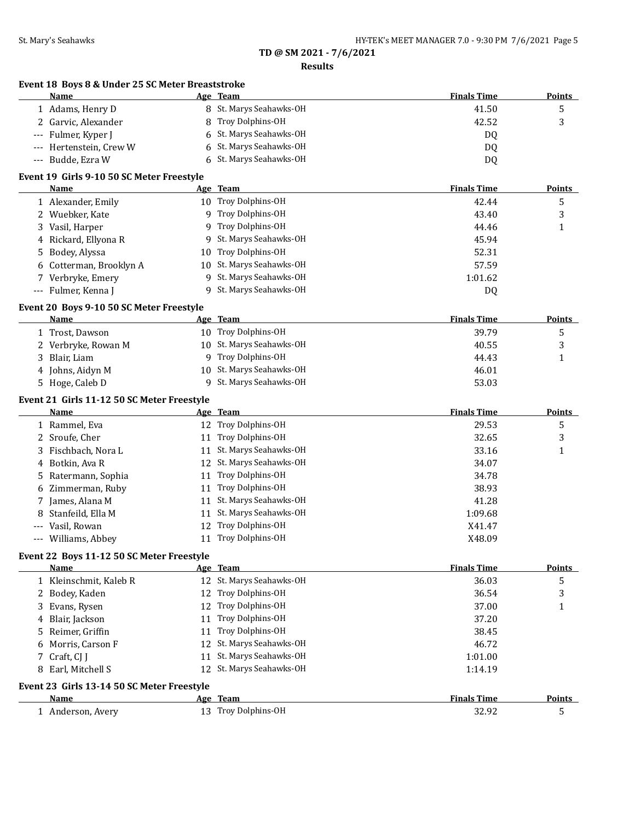**Event 18 Boys 8 & Under 25 SC Meter Breaststroke**

# **TD @ SM 2021 - 7/6/2021**

### **Results**

| Name                                               |   | Age Team                                   | <b>Finals Time</b> | <b>Points</b> |
|----------------------------------------------------|---|--------------------------------------------|--------------------|---------------|
| 1 Adams, Henry D                                   |   | 8 St. Marys Seahawks-OH                    | 41.50              | 5             |
| 2 Garvic, Alexander                                |   | 8 Troy Dolphins-OH                         | 42.52              | 3             |
| Fulmer, Kyper J<br>$---$                           |   | 6 St. Marys Seahawks-OH                    | DQ                 |               |
| Hertenstein, Crew W<br>$---$                       | 6 | St. Marys Seahawks-OH                      | DQ                 |               |
| Budde, Ezra W<br>$\scriptstyle\cdots$              |   | 6 St. Marys Seahawks-OH                    | DQ                 |               |
| Event 19 Girls 9-10 50 SC Meter Freestyle          |   |                                            |                    |               |
| Name                                               |   | Age Team                                   | <b>Finals Time</b> | <b>Points</b> |
| 1 Alexander, Emily                                 |   | 10 Troy Dolphins-OH                        | 42.44              | 5             |
| 2 Wuebker, Kate                                    |   | 9 Troy Dolphins-OH                         | 43.40              | 3             |
| 3 Vasil, Harper                                    |   | 9 Troy Dolphins-OH                         | 44.46              | $\mathbf{1}$  |
| 4 Rickard, Ellyona R                               |   | 9 St. Marys Seahawks-OH                    | 45.94              |               |
| Bodey, Alyssa<br>5.                                |   | 10 Troy Dolphins-OH                        | 52.31              |               |
| 6 Cotterman, Brooklyn A                            |   | 10 St. Marys Seahawks-OH                   | 57.59              |               |
| 7 Verbryke, Emery                                  |   | 9 St. Marys Seahawks-OH                    | 1:01.62            |               |
| --- Fulmer, Kenna J                                |   | 9 St. Marys Seahawks-OH                    | DQ                 |               |
| Event 20 Boys 9-10 50 SC Meter Freestyle           |   |                                            |                    |               |
| Name                                               |   | Age Team                                   | <b>Finals Time</b> | <b>Points</b> |
| 1 Trost, Dawson                                    |   | 10 Troy Dolphins-OH                        | 39.79              | 5             |
| 2 Verbryke, Rowan M                                |   | 10 St. Marys Seahawks-OH                   | 40.55              | 3             |
| Blair, Liam<br>3                                   |   | 9 Troy Dolphins-OH                         | 44.43              | 1             |
| 4 Johns, Aidyn M                                   |   | 10 St. Marys Seahawks-OH                   | 46.01              |               |
| 5 Hoge, Caleb D                                    |   | 9 St. Marys Seahawks-OH                    | 53.03              |               |
| Event 21 Girls 11-12 50 SC Meter Freestyle         |   |                                            |                    |               |
| Name                                               |   | <u>Age Team</u>                            | <b>Finals Time</b> | <b>Points</b> |
| 1 Rammel, Eva                                      |   | 12 Troy Dolphins-OH                        | 29.53              | 5             |
| 2 Sroufe, Cher                                     |   | 11 Troy Dolphins-OH                        | 32.65              | 3             |
| 3 Fischbach, Nora L                                |   | 11 St. Marys Seahawks-OH                   | 33.16              | $\mathbf{1}$  |
| 4 Botkin, Ava R                                    |   | 12 St. Marys Seahawks-OH                   | 34.07              |               |
| Ratermann, Sophia<br>5.                            |   | 11 Troy Dolphins-OH                        | 34.78              |               |
| 6 Zimmerman, Ruby                                  |   | 11 Troy Dolphins-OH                        | 38.93              |               |
| 7 James, Alana M                                   |   | 11 St. Marys Seahawks-OH                   | 41.28              |               |
| Stanfeild, Ella M<br>8                             |   | 11 St. Marys Seahawks-OH                   | 1:09.68            |               |
| Vasil, Rowan<br>$---$                              |   | 12 Troy Dolphins-OH                        | X41.47             |               |
| --- Williams, Abbey                                |   | 11 Troy Dolphins-OH                        | X48.09             |               |
| Event 22 Boys 11-12 50 SC Meter Freestyle          |   |                                            | <b>Finals Time</b> |               |
| Name                                               |   | Age Team<br>12 St. Marys Seahawks-OH       |                    | <b>Points</b> |
| 1 Kleinschmit, Kaleb R                             |   | 12 Troy Dolphins-OH                        | 36.03              | 5             |
| 2 Bodey, Kaden                                     |   |                                            | 36.54              | 3             |
| 3 Evans, Rysen                                     |   | 12 Troy Dolphins-OH<br>11 Troy Dolphins-OH | 37.00              | $\mathbf{1}$  |
| Blair, Jackson<br>4                                |   |                                            | 37.20              |               |
| Reimer, Griffin<br>5.                              |   | 11 Troy Dolphins-OH                        | 38.45              |               |
| 6 Morris, Carson F                                 |   | 12 St. Marys Seahawks-OH                   | 46.72              |               |
| 7 Craft, CJ J                                      |   | 11 St. Marys Seahawks-OH                   | 1:01.00            |               |
| 8 Earl, Mitchell S                                 |   | 12 St. Marys Seahawks-OH                   | 1:14.19            |               |
|                                                    |   |                                            |                    |               |
| Event 23 Girls 13-14 50 SC Meter Freestyle<br>Name |   | Age Team                                   | <b>Finals Time</b> | <b>Points</b> |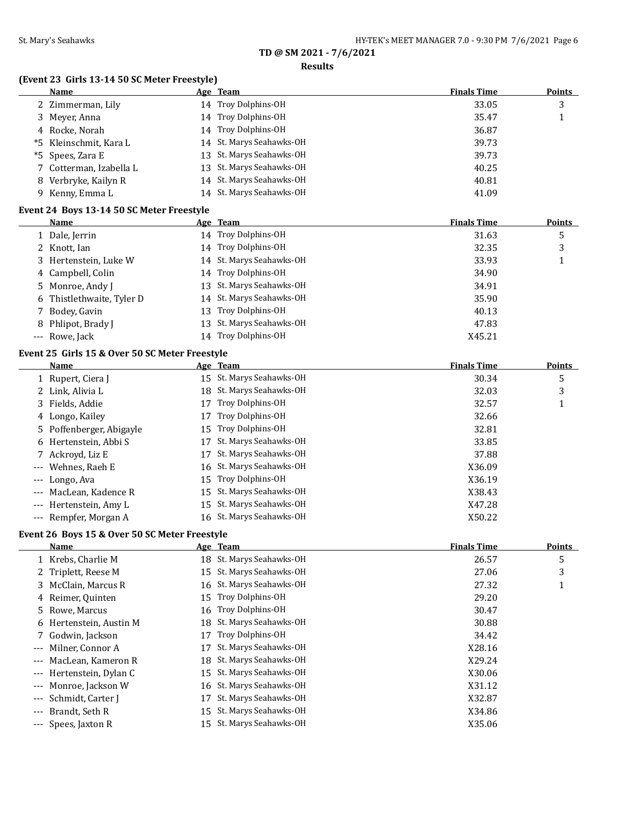### **Results**

# **(Event 23 Girls 13-14 50 SC Meter Freestyle)**

| <b>Name</b>             | Age Team                 | <b>Finals Time</b> | <b>Points</b> |
|-------------------------|--------------------------|--------------------|---------------|
| 2 Zimmerman, Lily       | 14 Troy Dolphins-OH      | 33.05              | 3             |
| 3 Meyer, Anna           | 14 Troy Dolphins-OH      | 35.47              |               |
| 4 Rocke, Norah          | 14 Troy Dolphins-OH      | 36.87              |               |
| *5 Kleinschmit, Kara L  | 14 St. Marys Seahawks-OH | 39.73              |               |
| *5 Spees, Zara E        | 13 St. Marys Seahawks-OH | 39.73              |               |
| 7 Cotterman, Izabella L | 13 St. Marys Seahawks-OH | 40.25              |               |
| 8 Verbryke, Kailyn R    | 14 St. Marys Seahawks-OH | 40.81              |               |
| 9 Kenny, Emma L         | 14 St. Marys Seahawks-OH | 41.09              |               |

### **Event 24 Boys 13-14 50 SC Meter Freestyle**

| Name                      | Age Team                 | <b>Finals Time</b> | Points |
|---------------------------|--------------------------|--------------------|--------|
| 1 Dale, Jerrin            | 14 Troy Dolphins-OH      | 31.63              | 5      |
| 2 Knott, Ian              | 14 Troy Dolphins-OH      | 32.35              | 3      |
| 3 Hertenstein, Luke W     | 14 St. Marys Seahawks-OH | 33.93              |        |
| 4 Campbell, Colin         | 14 Troy Dolphins-OH      | 34.90              |        |
| 5 Monroe, Andy J          | 13 St. Marys Seahawks-OH | 34.91              |        |
| 6 Thistlethwaite, Tyler D | 14 St. Marys Seahawks-OH | 35.90              |        |
| 7 Bodey, Gavin            | 13 Troy Dolphins-OH      | 40.13              |        |
| 8 Phlipot, Brady J        | 13 St. Marys Seahawks-OH | 47.83              |        |
| --- Rowe, Jack            | 14 Troy Dolphins-OH      | X45.21             |        |

### **Event 25 Girls 15 & Over 50 SC Meter Freestyle**

| Name |                                                                                                                                                                                                                                                                           |                       |                                                                                                                                                                                                                     | <b>Points</b>      |
|------|---------------------------------------------------------------------------------------------------------------------------------------------------------------------------------------------------------------------------------------------------------------------------|-----------------------|---------------------------------------------------------------------------------------------------------------------------------------------------------------------------------------------------------------------|--------------------|
|      |                                                                                                                                                                                                                                                                           |                       | 30.34                                                                                                                                                                                                               | 5                  |
|      |                                                                                                                                                                                                                                                                           |                       | 32.03                                                                                                                                                                                                               | 3                  |
|      | 17                                                                                                                                                                                                                                                                        | Troy Dolphins-OH      | 32.57                                                                                                                                                                                                               |                    |
|      | 17                                                                                                                                                                                                                                                                        | Troy Dolphins-OH      | 32.66                                                                                                                                                                                                               |                    |
|      |                                                                                                                                                                                                                                                                           | Troy Dolphins-OH      | 32.81                                                                                                                                                                                                               |                    |
|      |                                                                                                                                                                                                                                                                           | St. Marys Seahawks-OH | 33.85                                                                                                                                                                                                               |                    |
|      |                                                                                                                                                                                                                                                                           | St. Marys Seahawks-OH | 37.88                                                                                                                                                                                                               |                    |
|      |                                                                                                                                                                                                                                                                           |                       | X36.09                                                                                                                                                                                                              |                    |
|      |                                                                                                                                                                                                                                                                           |                       | X36.19                                                                                                                                                                                                              |                    |
|      |                                                                                                                                                                                                                                                                           |                       | X38.43                                                                                                                                                                                                              |                    |
|      |                                                                                                                                                                                                                                                                           |                       | X47.28                                                                                                                                                                                                              |                    |
|      |                                                                                                                                                                                                                                                                           |                       | X50.22                                                                                                                                                                                                              |                    |
|      | 1 Rupert, Ciera J<br>2 Link, Alivia L<br>3 Fields, Addie<br>4 Longo, Kailey<br>5 Poffenberger, Abigayle<br>6 Hertenstein, Abbi S<br>7 Ackroyd, Liz E<br>--- Wehnes, Raeh E<br>--- Longo, Ava<br>--- MacLean, Kadence R<br>--- Hertenstein, Amy L<br>--- Rempfer, Morgan A | 17                    | Age Team<br>15 St. Marys Seahawks-OH<br>18 St. Marys Seahawks-OH<br>15<br>17<br>16 St. Marys Seahawks-OH<br>15 Troy Dolphins-OH<br>15 St. Marys Seahawks-OH<br>15 St. Marys Seahawks-OH<br>16 St. Marys Seahawks-OH | <b>Finals Time</b> |

### **Event 26 Boys 15 & Over 50 SC Meter Freestyle**

|                     | Name                    |    | Age Team                 | <b>Finals Time</b> | Points |
|---------------------|-------------------------|----|--------------------------|--------------------|--------|
|                     | 1 Krebs, Charlie M      |    | 18 St. Marys Seahawks-OH | 26.57              | 5      |
|                     | 2 Triplett, Reese M     | 15 | St. Marys Seahawks-OH    | 27.06              | 3      |
|                     | 3 McClain, Marcus R     | 16 | St. Marys Seahawks-OH    | 27.32              | 1      |
|                     | 4 Reimer, Quinten       | 15 | Troy Dolphins-OH         | 29.20              |        |
|                     | 5 Rowe, Marcus          |    | 16 Troy Dolphins-OH      | 30.47              |        |
|                     | 6 Hertenstein, Austin M | 18 | St. Marys Seahawks-OH    | 30.88              |        |
|                     | 7 Godwin, Jackson       | 17 | Troy Dolphins-OH         | 34.42              |        |
| $\qquad \qquad - -$ | Milner, Connor A        |    | St. Marys Seahawks-OH    | X28.16             |        |
| $- - -$             | MacLean, Kameron R      | 18 | St. Marys Seahawks-OH    | X29.24             |        |
| $---$               | Hertenstein, Dylan C    | 15 | St. Marys Seahawks-OH    | X30.06             |        |
| $---$               | Monroe, Jackson W       | 16 | St. Marys Seahawks-OH    | X31.12             |        |
| $---$               | Schmidt, Carter J       | 17 | St. Marys Seahawks-OH    | X32.87             |        |
| $---$               | Brandt, Seth R          | 15 | St. Marys Seahawks-OH    | X34.86             |        |
|                     | --- Spees, Jaxton R     | 15 | St. Marys Seahawks-OH    | X35.06             |        |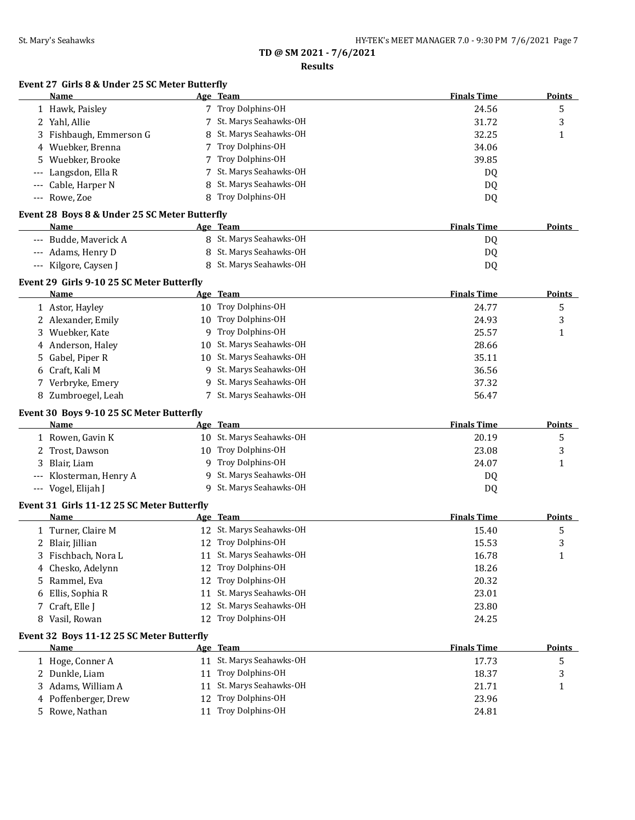### **Results**

# **Event 27 Girls 8 & Under 25 SC Meter Butterfly**

| Name                                          |    | Age Team                 | <b>Finals Time</b> | Points        |
|-----------------------------------------------|----|--------------------------|--------------------|---------------|
| 1 Hawk, Paisley                               |    | 7 Troy Dolphins-OH       | 24.56              | 5             |
| 2 Yahl, Allie                                 | 7  | St. Marys Seahawks-OH    | 31.72              | 3             |
| 3 Fishbaugh, Emmerson G                       | 8  | St. Marys Seahawks-OH    | 32.25              | 1             |
| 4 Wuebker, Brenna                             |    | Troy Dolphins-OH         | 34.06              |               |
| Wuebker, Brooke<br>5                          |    | Troy Dolphins-OH         | 39.85              |               |
| Langsdon, Ella R                              |    | St. Marys Seahawks-OH    | DQ                 |               |
| Cable, Harper N                               | 8  | St. Marys Seahawks-OH    | DQ                 |               |
| --- Rowe, Zoe                                 |    | Troy Dolphins-OH         | DQ                 |               |
| Event 28 Boys 8 & Under 25 SC Meter Butterfly |    |                          |                    |               |
| Name                                          |    | Age Team                 | <b>Finals Time</b> | <b>Points</b> |
| --- Budde, Maverick A                         |    | 8 St. Marys Seahawks-OH  | DQ                 |               |
| --- Adams, Henry D                            |    | 8 St. Marys Seahawks-OH  | DQ                 |               |
| --- Kilgore, Caysen J                         |    | 8 St. Marys Seahawks-OH  | DQ                 |               |
| Event 29 Girls 9-10 25 SC Meter Butterfly     |    |                          |                    |               |
| Name                                          |    | Age Team                 | <b>Finals Time</b> | Points        |
| 1 Astor, Hayley                               |    | 10 Troy Dolphins-OH      | 24.77              | 5             |
| 2 Alexander, Emily                            |    | 10 Troy Dolphins-OH      | 24.93              | 3             |
| Wuebker, Kate<br>3                            | 9  | Troy Dolphins-OH         | 25.57              | 1             |
| 4 Anderson, Haley                             | 10 | St. Marys Seahawks-OH    | 28.66              |               |
| Gabel, Piper R<br>5.                          | 10 | St. Marys Seahawks-OH    | 35.11              |               |
| 6 Craft, Kali M                               |    | 9 St. Marys Seahawks-OH  | 36.56              |               |
| 7 Verbryke, Emery                             | 9. | St. Marys Seahawks-OH    | 37.32              |               |
| 8 Zumbroegel, Leah                            |    | 7 St. Marys Seahawks-OH  | 56.47              |               |
| Event 30 Boys 9-10 25 SC Meter Butterfly      |    |                          |                    |               |
| Name                                          |    | Age Team                 | <b>Finals Time</b> | <b>Points</b> |
| 1 Rowen, Gavin K                              |    | 10 St. Marys Seahawks-OH | 20.19              | 5             |
| Trost, Dawson<br>2                            | 10 | Troy Dolphins-OH         | 23.08              | 3             |
| Blair, Liam<br>3                              | 9  | Troy Dolphins-OH         | 24.07              | 1             |
| --- Klosterman, Henry A                       | 9  | St. Marys Seahawks-OH    | DQ                 |               |
| --- Vogel, Elijah J                           |    | 9 St. Marys Seahawks-OH  | DQ                 |               |
| Event 31 Girls 11-12 25 SC Meter Butterfly    |    |                          |                    |               |
| Name                                          |    | Age Team                 | <b>Finals Time</b> | <b>Points</b> |
| 1 Turner, Claire M                            |    | 12 St. Marys Seahawks-OH | 15.40              | 5             |
| 2 Blair, Jillian                              |    | 12 Troy Dolphins-OH      | 15.53              | 3             |
| 3 Fischbach, Nora L                           |    | 11 St. Marys Seahawks-OH | 16.78              | 1             |
| 4 Chesko, Adelynn                             |    | 12 Troy Dolphins-OH      | 18.26              |               |
| 5 Rammel, Eva                                 |    | 12 Troy Dolphins-OH      | 20.32              |               |
| Ellis, Sophia R<br>6                          | 11 | St. Marys Seahawks-OH    | 23.01              |               |
| Craft, Elle J<br>7                            |    | 12 St. Marys Seahawks-OH | 23.80              |               |
| 8 Vasil, Rowan                                |    | 12 Troy Dolphins-OH      | 24.25              |               |
| Event 32 Boys 11-12 25 SC Meter Butterfly     |    |                          |                    |               |
| <u>Name</u>                                   |    | Age Team                 | <b>Finals Time</b> | <b>Points</b> |
| 1 Hoge, Conner A                              |    | 11 St. Marys Seahawks-OH | 17.73              | 5             |
| 2 Dunkle, Liam                                | 11 | Troy Dolphins-OH         | 18.37              | 3             |
| 3 Adams, William A                            | 11 | St. Marys Seahawks-OH    | 21.71              | 1             |
| 4 Poffenberger, Drew                          | 12 | Troy Dolphins-OH         | 23.96              |               |
| 5 Rowe, Nathan                                |    | 11 Troy Dolphins-OH      | 24.81              |               |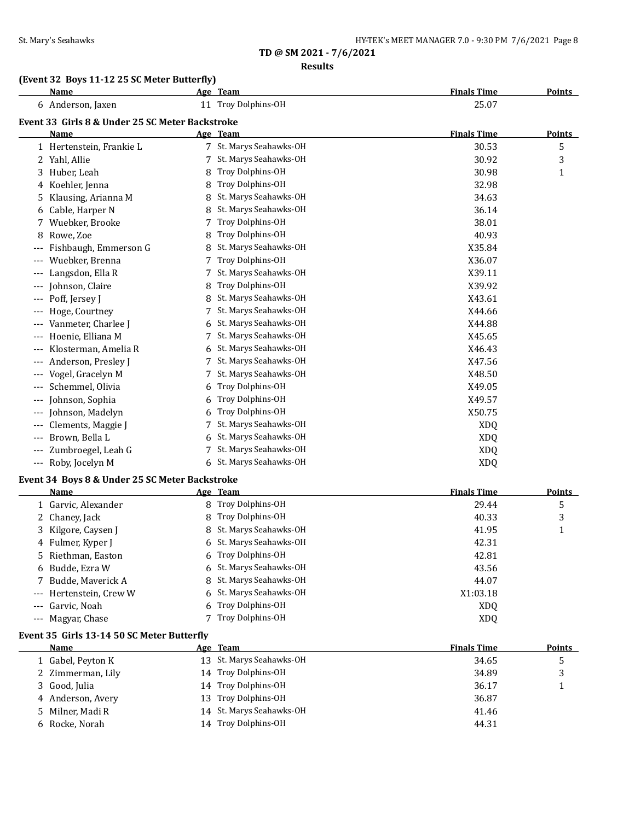#### **Results**

### **(Event 32 Boys 11-12 25 SC Meter Butterfly)**

# **Name Age Team Finals Time Points** 6 Anderson, Jaxen 11 Troy Dolphins-OH 25.07 **Event 33 Girls 8 & Under 25 SC Meter Backstroke Name Age Team Finals Time Points** 1 Hertenstein, Frankie L 7 St. Marys Seahawks-OH 30.53 5 2 Yahl, Allie 2012 12 St. Marys Seahawks-OH 30.92 31.92 32.92 3 3 Huber, Leah 8 Troy Dolphins-OH 30.98 1 4 Koehler, Jenna 8 Troy Dolphins-OH 32.98 5 Klausing, Arianna M 8 St. Marys Seahawks-OH 34.63 6 Cable, Harper N 8 St. Marys Seahawks-OH 36.14 7 Wuebker, Brooke 7 Troy Dolphins-OH 38.01 8 Rowe, Zoe 8 Troy Dolphins-OH 40.93 --- Fishbaugh, Emmerson G 8 St. Marys Seahawks-OH X35.84 --- Wuebker, Brenna 7 Troy Dolphins-OH X36.07 --- Langsdon, Ella R 7 St. Marys Seahawks-OH 7 St. Marys Seahawks-OH --- Johnson, Claire 2012 8 Troy Dolphins-OH 2013 19:39.92 -- Poff, Jersey J 8 St. Marys Seahawks-OH 743.61 --- Hoge, Courtney 2008 7 St. Marys Seahawks-OH 2008 7 St. Marys Seahawks-OH --- Vanmeter, Charlee J 6 St. Marys Seahawks-OH X44.88 --- Hoenie, Elliana M 7 St. Marys Seahawks-OH X45.65 --- Klosterman, Amelia R 6 St. Marys Seahawks-OH X46.43 --- Anderson, Presley J 7 St. Marys Seahawks-OH 347.56 --- Vogel, Gracelyn M 7 St. Marys Seahawks-OH 7 St. Marys Seahawks-OH --- Schemmel, Olivia 6 Troy Dolphins-OH 349.05 --- Johnson, Sophia 6 Troy Dolphins-OH X49.57 --- Johnson, Madelyn 6 Troy Dolphins-OH X50.75 --- Clements, Maggie J 7 St. Marys Seahawks-OH XDQ --- Brown, Bella L 6 St. Marys Seahawks-OH XDQ --- Zumbroegel, Leah G 7 St. Marys Seahawks-OH 7 St. Marys Seahawks-OH --- Roby, Jocelyn M 6 St. Marys Seahawks-OH XDQ

### **Event 34 Boys 8 & Under 25 SC Meter Backstroke**

| <b>Name</b>             |   | Age Team                | <b>Finals Time</b> | Points |
|-------------------------|---|-------------------------|--------------------|--------|
| 1 Garvic, Alexander     |   | 8 Troy Dolphins-OH      | 29.44              | 5      |
| 2 Chaney, Jack          | 8 | Troy Dolphins-OH        | 40.33              | 3      |
| 3 Kilgore, Caysen J     |   | 8 St. Marys Seahawks-OH | 41.95              |        |
| 4 Fulmer, Kyper J       |   | 6 St. Marys Seahawks-OH | 42.31              |        |
| 5 Riethman, Easton      |   | 6 Troy Dolphins-OH      | 42.81              |        |
| 6 Budde, Ezra W         |   | 6 St. Marys Seahawks-OH | 43.56              |        |
| 7 Budde, Maverick A     |   | 8 St. Marys Seahawks-OH | 44.07              |        |
| --- Hertenstein, Crew W |   | 6 St. Marys Seahawks-OH | X1:03.18           |        |
| --- Garvic, Noah        | 6 | Troy Dolphins-OH        | XD <sub>O</sub>    |        |
| --- Magyar, Chase       |   | Troy Dolphins-OH        | <b>XDQ</b>         |        |
|                         |   |                         |                    |        |

### **Event 35 Girls 13-14 50 SC Meter Butterfly**

| Name              | Age Team                 | <b>Finals Time</b> | <b>Points</b> |
|-------------------|--------------------------|--------------------|---------------|
| 1 Gabel, Peyton K | 13 St. Marys Seahawks-OH | 34.65              | ر             |
| 2 Zimmerman, Lily | 14 Troy Dolphins-OH      | 34.89              |               |
| 3 Good, Julia     | 14 Troy Dolphins-OH      | 36.17              |               |
| 4 Anderson, Avery | 13 Troy Dolphins-OH      | 36.87              |               |
| 5 Milner, Madi R  | 14 St. Marys Seahawks-OH | 41.46              |               |
| Rocke, Norah      | 14 Troy Dolphins-OH      | 44.31              |               |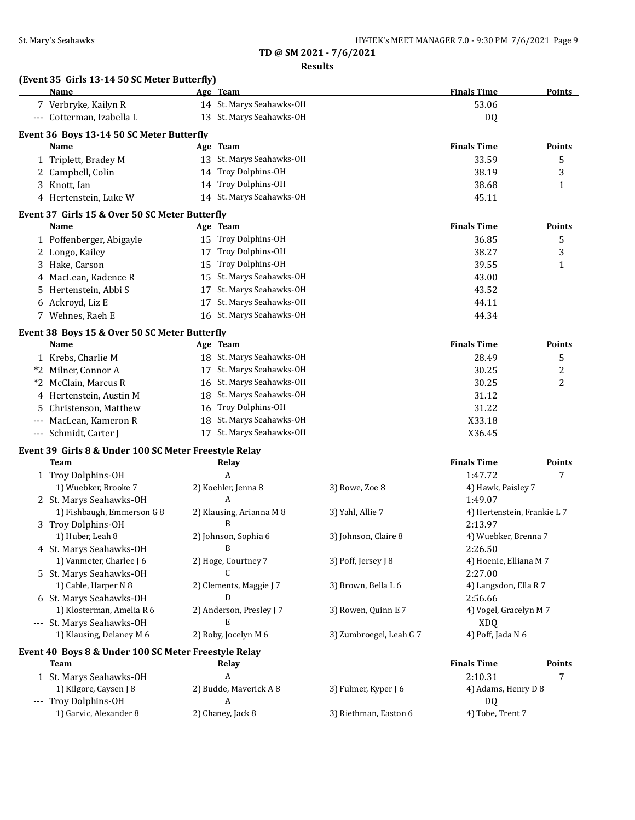**Results**

|       | (Event 35 Girls 13-14 50 SC Meter Butterfly)          |    |                          |                         |                             |               |
|-------|-------------------------------------------------------|----|--------------------------|-------------------------|-----------------------------|---------------|
|       | Name                                                  |    | Age Team                 |                         | <b>Finals Time</b>          | <b>Points</b> |
|       | 7 Verbryke, Kailyn R                                  |    | 14 St. Marys Seahawks-OH |                         | 53.06                       |               |
|       | --- Cotterman, Izabella L                             |    | 13 St. Marys Seahawks-OH |                         | DQ                          |               |
|       | Event 36 Boys 13-14 50 SC Meter Butterfly             |    |                          |                         |                             |               |
|       | Name                                                  |    | Age Team                 |                         | <b>Finals Time</b>          | <b>Points</b> |
|       | 1 Triplett, Bradey M                                  |    | 13 St. Marys Seahawks-OH |                         | 33.59                       | 5             |
|       | 2 Campbell, Colin                                     |    | 14 Troy Dolphins-OH      |                         | 38.19                       | 3             |
|       | 3 Knott, Ian                                          |    | 14 Troy Dolphins-OH      |                         | 38.68                       | $\mathbf{1}$  |
|       | 4 Hertenstein, Luke W                                 |    | 14 St. Marys Seahawks-OH |                         | 45.11                       |               |
|       | Event 37 Girls 15 & Over 50 SC Meter Butterfly        |    |                          |                         |                             |               |
|       | Name                                                  |    | Age Team                 |                         | <b>Finals Time</b>          | <b>Points</b> |
|       | 1 Poffenberger, Abigayle                              |    | 15 Troy Dolphins-OH      |                         | 36.85                       | 5             |
|       | 2 Longo, Kailey                                       |    | 17 Troy Dolphins-OH      |                         | 38.27                       | 3             |
|       | 3 Hake, Carson                                        | 15 | Troy Dolphins-OH         |                         | 39.55                       | 1             |
|       | 4 MacLean, Kadence R                                  |    | 15 St. Marys Seahawks-OH |                         | 43.00                       |               |
| 5.    | Hertenstein, Abbi S                                   | 17 | St. Marys Seahawks-OH    |                         | 43.52                       |               |
|       | 6 Ackroyd, Liz E                                      | 17 | St. Marys Seahawks-OH    |                         | 44.11                       |               |
|       | 7 Wehnes, Raeh E                                      |    | 16 St. Marys Seahawks-OH |                         | 44.34                       |               |
|       | Event 38 Boys 15 & Over 50 SC Meter Butterfly         |    |                          |                         |                             |               |
|       | Name                                                  |    | Age Team                 |                         | <b>Finals Time</b>          | <b>Points</b> |
|       | 1 Krebs, Charlie M                                    |    | 18 St. Marys Seahawks-OH |                         | 28.49                       | 5             |
|       | *2 Milner, Connor A                                   |    | 17 St. Marys Seahawks-OH |                         | 30.25                       | 2             |
|       | *2 McClain, Marcus R                                  |    | 16 St. Marys Seahawks-OH |                         | 30.25                       | 2             |
|       | 4 Hertenstein, Austin M                               |    | 18 St. Marys Seahawks-OH |                         | 31.12                       |               |
| 5.    | Christenson, Matthew                                  |    | 16 Troy Dolphins-OH      |                         | 31.22                       |               |
| $---$ | MacLean, Kameron R                                    |    | 18 St. Marys Seahawks-OH |                         | X33.18                      |               |
|       | --- Schmidt, Carter J                                 |    | 17 St. Marys Seahawks-OH |                         | X36.45                      |               |
|       | Event 39 Girls 8 & Under 100 SC Meter Freestyle Relay |    |                          |                         |                             |               |
|       | Team                                                  |    | <b>Relay</b>             |                         | <b>Finals Time</b>          | <b>Points</b> |
|       | 1 Troy Dolphins-OH                                    |    | A                        |                         | 1:47.72                     | 7             |
|       | 1) Wuebker, Brooke 7                                  |    | 2) Koehler, Jenna 8      | 3) Rowe, Zoe 8          | 4) Hawk, Paisley 7          |               |
|       | 2 St. Marys Seahawks-OH                               |    | A                        |                         | 1:49.07                     |               |
|       | 1) Fishbaugh, Emmerson G 8                            |    | 2) Klausing, Arianna M 8 | 3) Yahl, Allie 7        | 4) Hertenstein, Frankie L 7 |               |
|       | 3 Troy Dolphins-OH                                    |    | B                        |                         | 2:13.97                     |               |
|       | 1) Huber, Leah 8                                      |    | 2) Johnson, Sophia 6     | 3) Johnson, Claire 8    | 4) Wuebker, Brenna 7        |               |
|       | 4 St. Marys Seahawks-OH                               |    | B                        |                         | 2:26.50                     |               |
|       | 1) Vanmeter, Charlee J 6                              |    | 2) Hoge, Courtney 7      | 3) Poff, Jersey J 8     | 4) Hoenie, Elliana M 7      |               |
|       | 5 St. Marys Seahawks-OH                               |    | C                        |                         | 2:27.00                     |               |
|       | 1) Cable, Harper N 8                                  |    | 2) Clements, Maggie J 7  | 3) Brown, Bella L 6     | 4) Langsdon, Ella R 7       |               |
|       | 6 St. Marys Seahawks-OH                               |    | D                        |                         | 2:56.66                     |               |
|       | 1) Klosterman, Amelia R 6                             |    | 2) Anderson, Presley J 7 | 3) Rowen, Quinn E 7     | 4) Vogel, Gracelyn M 7      |               |
|       | --- St. Marys Seahawks-OH                             |    | E                        |                         | <b>XDQ</b>                  |               |
|       | 1) Klausing, Delaney M 6                              |    | 2) Roby, Jocelyn M 6     | 3) Zumbroegel, Leah G 7 | 4) Poff, Jada N 6           |               |
|       | Event 40 Boys 8 & Under 100 SC Meter Freestyle Relay  |    |                          |                         |                             |               |
|       | <b>Team</b>                                           |    | <u>Relay</u>             |                         | <b>Finals Time</b>          | Points        |
|       | 1 St. Marys Seahawks-OH                               |    | A                        |                         | 2:10.31                     | 7             |
|       | 1) Kilgore, Caysen J 8                                |    | 2) Budde, Maverick A 8   | 3) Fulmer, Kyper J 6    | 4) Adams, Henry D 8         |               |

--- Troy Dolphins-OH 2) Chaney, Jack 8 3) Riethman, Easton 6 4) Tobe, Trent 7<br>2) Chaney, Jack 8 3) Riethman, Easton 6 4) Tobe, Trent 7

2) Chaney, Jack 8 3) Riethman, Easton 6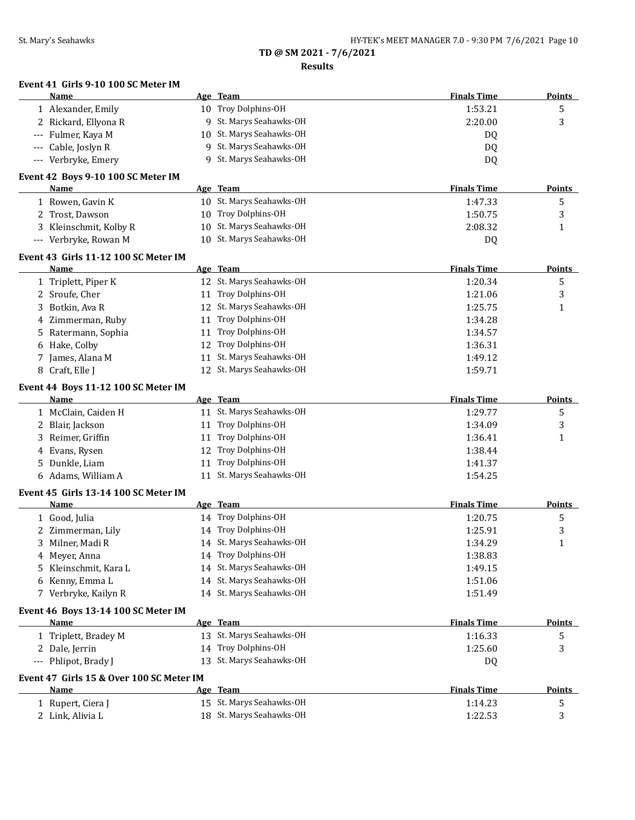### **Results**

|       | <b>Name</b>                                      | Age Team                                   | <b>Finals Time</b> | <b>Points</b> |
|-------|--------------------------------------------------|--------------------------------------------|--------------------|---------------|
|       | 1 Alexander, Emily                               | 10 Troy Dolphins-OH                        | 1:53.21            | 5             |
|       | 2 Rickard, Ellyona R                             | 9 St. Marys Seahawks-OH                    | 2:20.00            | 3             |
|       | --- Fulmer, Kaya M                               | 10 St. Marys Seahawks-OH                   | DQ.                |               |
| $---$ | Cable, Joslyn R                                  | 9 St. Marys Seahawks-OH                    | DQ                 |               |
|       | Verbryke, Emery                                  | 9 St. Marys Seahawks-OH                    | DQ                 |               |
|       | Event 42 Boys 9-10 100 SC Meter IM               |                                            |                    |               |
|       | Name                                             | Age Team                                   | <b>Finals Time</b> | <b>Points</b> |
|       | 1 Rowen, Gavin K                                 | 10 St. Marys Seahawks-OH                   | 1:47.33            | 5             |
|       | 2 Trost, Dawson                                  | 10 Troy Dolphins-OH                        | 1:50.75            | 3             |
|       | 3 Kleinschmit, Kolby R                           | 10 St. Marys Seahawks-OH                   | 2:08.32            | $\mathbf{1}$  |
|       | --- Verbryke, Rowan M                            | 10 St. Marys Seahawks-OH                   | DQ                 |               |
|       | Event 43 Girls 11-12 100 SC Meter IM             |                                            |                    |               |
|       | Name                                             | Age Team                                   | <b>Finals Time</b> | <b>Points</b> |
|       | 1 Triplett, Piper K                              | 12 St. Marys Seahawks-OH                   | 1:20.34            | 5             |
|       | 2 Sroufe, Cher                                   | 11 Troy Dolphins-OH                        | 1:21.06            | 3             |
| 3     | Botkin, Ava R                                    | 12 St. Marys Seahawks-OH                   | 1:25.75            | 1             |
| 4     | Zimmerman, Ruby                                  | 11 Troy Dolphins-OH                        | 1:34.28            |               |
| 5     | Ratermann, Sophia                                | 11 Troy Dolphins-OH                        | 1:34.57            |               |
| 6     | Hake, Colby                                      | 12 Troy Dolphins-OH                        | 1:36.31            |               |
| 7     | James, Alana M                                   | 11 St. Marys Seahawks-OH                   | 1:49.12            |               |
|       | 8 Craft, Elle J                                  | 12 St. Marys Seahawks-OH                   | 1:59.71            |               |
|       | Event 44 Boys 11-12 100 SC Meter IM              |                                            |                    |               |
|       | <b>Name</b>                                      | Age Team                                   | <b>Finals Time</b> | <b>Points</b> |
|       | 1 McClain, Caiden H                              | 11 St. Marys Seahawks-OH                   | 1:29.77            | 5             |
|       | 2 Blair, Jackson                                 | 11 Troy Dolphins-OH                        | 1:34.09            | 3             |
| 3     | Reimer, Griffin                                  | 11 Troy Dolphins-OH<br>12 Troy Dolphins-OH | 1:36.41            | 1             |
| 4     | Evans, Rysen                                     | 11 Troy Dolphins-OH                        | 1:38.44            |               |
| 5     | Dunkle, Liam                                     | 11 St. Marys Seahawks-OH                   | 1:41.37            |               |
|       | 6 Adams, William A                               |                                            | 1:54.25            |               |
|       | Event 45 Girls 13-14 100 SC Meter IM<br>Name     | Age Team                                   | <b>Finals Time</b> | <b>Points</b> |
|       | 1 Good, Julia                                    | 14 Troy Dolphins-OH                        | 1:20.75            |               |
|       | 2 Zimmerman, Lily                                | 14 Troy Dolphins-OH                        | 1:25.91            | 5<br>3        |
|       | Milner, Madi R                                   | 14 St. Marys Seahawks-OH                   | 1:34.29            | 1             |
|       | 4 Meyer, Anna                                    | 14 Troy Dolphins-OH                        | 1:38.83            |               |
| 5.    | Kleinschmit, Kara L                              | 14 St. Marys Seahawks-OH                   | 1:49.15            |               |
|       | 6 Kenny, Emma L                                  | 14 St. Marys Seahawks-OH                   | 1:51.06            |               |
|       | 7 Verbryke, Kailyn R                             | 14 St. Marys Seahawks-OH                   | 1:51.49            |               |
|       |                                                  |                                            |                    |               |
|       | Event 46 Boys 13-14 100 SC Meter IM<br>Name      | Age Team                                   | <b>Finals Time</b> | <b>Points</b> |
|       | 1 Triplett, Bradey M                             | 13 St. Marys Seahawks-OH                   | 1:16.33            | 5             |
|       | 2 Dale, Jerrin                                   | 14 Troy Dolphins-OH                        | 1:25.60            | 3             |
|       | --- Phlipot, Brady J                             | 13 St. Marys Seahawks-OH                   | DQ                 |               |
|       |                                                  |                                            |                    |               |
|       | Event 47 Girls 15 & Over 100 SC Meter IM<br>Name | Age Team                                   | <b>Finals Time</b> | <b>Points</b> |
|       | 1 Rupert, Ciera J                                | 15 St. Marys Seahawks-OH                   | 1:14.23            | 5             |
|       | 2 Link, Alivia L                                 | 18 St. Marys Seahawks-OH                   | 1:22.53            | 3             |
|       |                                                  |                                            |                    |               |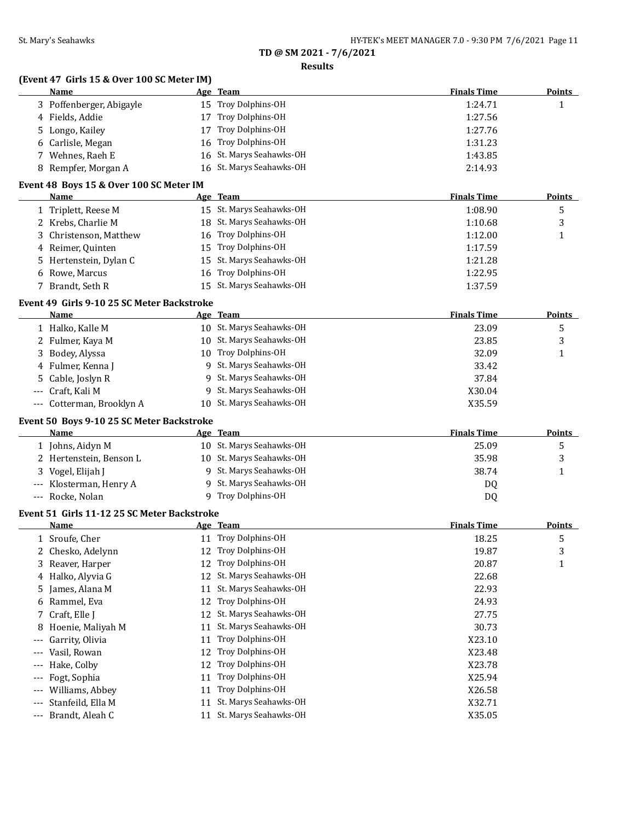**Results**

|                          | (Event 47 Girls 15 & Over 100 SC Meter IM)<br>Name |    | Age Team                 | <b>Finals Time</b> | <b>Points</b> |
|--------------------------|----------------------------------------------------|----|--------------------------|--------------------|---------------|
|                          | 3 Poffenberger, Abigayle                           | 15 | Troy Dolphins-OH         | 1:24.71            | $\mathbf{1}$  |
|                          | 4 Fields, Addie                                    | 17 | Troy Dolphins-OH         | 1:27.56            |               |
| 5.                       | Longo, Kailey                                      | 17 | Troy Dolphins-OH         | 1:27.76            |               |
| 6                        | Carlisle, Megan                                    | 16 | Troy Dolphins-OH         | 1:31.23            |               |
| 7                        | Wehnes, Raeh E                                     | 16 | St. Marys Seahawks-OH    | 1:43.85            |               |
| 8                        | Rempfer, Morgan A                                  | 16 | St. Marys Seahawks-OH    | 2:14.93            |               |
|                          | Event 48 Boys 15 & Over 100 SC Meter IM            |    |                          |                    |               |
|                          | Name                                               |    | Age Team                 | <b>Finals Time</b> | <b>Points</b> |
|                          | 1 Triplett, Reese M                                |    | 15 St. Marys Seahawks-OH | 1:08.90            | 5             |
|                          | 2 Krebs, Charlie M                                 |    | 18 St. Marys Seahawks-OH | 1:10.68            | 3             |
| 3                        | Christenson, Matthew                               | 16 | Troy Dolphins-OH         | 1:12.00            | 1             |
| 4                        | Reimer, Quinten                                    | 15 | Troy Dolphins-OH         | 1:17.59            |               |
| 5                        | Hertenstein, Dylan C                               | 15 | St. Marys Seahawks-OH    | 1:21.28            |               |
| 6                        | Rowe, Marcus                                       | 16 | Troy Dolphins-OH         | 1:22.95            |               |
| 7                        | Brandt, Seth R                                     | 15 | St. Marys Seahawks-OH    | 1:37.59            |               |
|                          | Event 49 Girls 9-10 25 SC Meter Backstroke         |    |                          |                    |               |
|                          | Name                                               |    | Age Team                 | <b>Finals Time</b> | <b>Points</b> |
|                          | 1 Halko, Kalle M                                   |    | 10 St. Marys Seahawks-OH | 23.09              | 5             |
|                          | 2 Fulmer, Kaya M                                   |    | 10 St. Marys Seahawks-OH | 23.85              | 3             |
| 3                        | Bodey, Alyssa                                      | 10 | Troy Dolphins-OH         | 32.09              | 1             |
|                          | 4 Fulmer, Kenna J                                  | 9  | St. Marys Seahawks-OH    | 33.42              |               |
| 5                        | Cable, Joslyn R                                    | 9  | St. Marys Seahawks-OH    | 37.84              |               |
| ---                      | Craft, Kali M                                      | 9  | St. Marys Seahawks-OH    | X30.04             |               |
| $\cdots$                 | Cotterman, Brooklyn A                              | 10 | St. Marys Seahawks-OH    | X35.59             |               |
|                          | Event 50 Boys 9-10 25 SC Meter Backstroke          |    |                          |                    |               |
|                          | Name                                               |    | <u>Age Team</u>          | <b>Finals Time</b> | <b>Points</b> |
|                          | 1 Johns, Aidyn M                                   |    | 10 St. Marys Seahawks-OH | 25.09              | 5             |
|                          | 2 Hertenstein, Benson L                            |    | 10 St. Marys Seahawks-OH | 35.98              | 3             |
| 3                        | Vogel, Elijah J                                    | 9  | St. Marys Seahawks-OH    | 38.74              | 1             |
|                          | Klosterman, Henry A                                | 9  | St. Marys Seahawks-OH    | DQ                 |               |
|                          | --- Rocke, Nolan                                   |    | 9 Troy Dolphins-OH       | DQ                 |               |
|                          | Event 51 Girls 11-12 25 SC Meter Backstroke        |    |                          |                    |               |
|                          | <u>Name</u>                                        |    | <u>Age Team</u>          | <b>Finals Time</b> | Points        |
| I,                       | Sroufe, Cher                                       |    | Troy Dolphins-OH         | 18.25              | 5             |
| 2                        | Chesko, Adelynn                                    | 12 | Troy Dolphins-OH         | 19.87              | 3             |
| 3                        | Reaver, Harper                                     | 12 | Troy Dolphins-OH         | 20.87              | $\mathbf{1}$  |
| 4                        | Halko, Alyvia G                                    | 12 | St. Marys Seahawks-OH    | 22.68              |               |
| 5                        | James, Alana M                                     | 11 | St. Marys Seahawks-OH    | 22.93              |               |
| 6                        | Rammel, Eva                                        | 12 | Troy Dolphins-OH         | 24.93              |               |
| 7                        | Craft, Elle J                                      | 12 | St. Marys Seahawks-OH    | 27.75              |               |
| 8                        | Hoenie, Maliyah M                                  | 11 | St. Marys Seahawks-OH    | 30.73              |               |
| ---                      | Garrity, Olivia                                    | 11 | Troy Dolphins-OH         | X23.10             |               |
| ---                      | Vasil, Rowan                                       | 12 | Troy Dolphins-OH         | X23.48             |               |
| ---                      | Hake, Colby                                        | 12 | Troy Dolphins-OH         | X23.78             |               |
| ---                      | Fogt, Sophia                                       | 11 | Troy Dolphins-OH         | X25.94             |               |
| ---                      | Williams, Abbey                                    | 11 | Troy Dolphins-OH         | X26.58             |               |
| ---                      | Stanfeild, Ella M                                  | 11 | St. Marys Seahawks-OH    | X32.71             |               |
|                          |                                                    |    |                          |                    |               |
| $\hspace{0.05cm} \ldots$ | Brandt, Aleah C                                    |    | 11 St. Marys Seahawks-OH | X35.05             |               |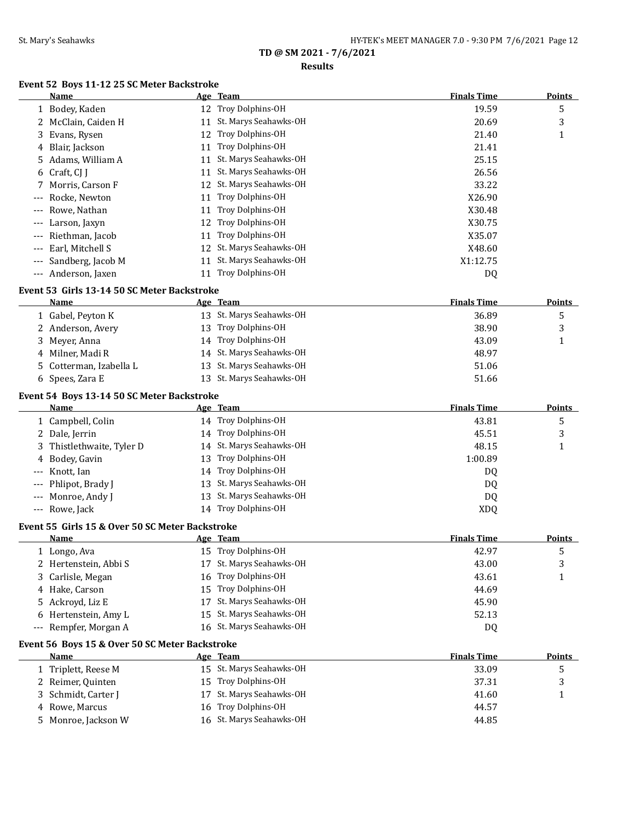### **Results**

# **Event 52 Boys 11-12 25 SC Meter Backstroke**

|                                          | <b>Name</b>                                        |    | Age Team                 | <b>Finals Time</b> | <b>Points</b> |
|------------------------------------------|----------------------------------------------------|----|--------------------------|--------------------|---------------|
|                                          | 1 Bodey, Kaden                                     |    | 12 Troy Dolphins-OH      | 19.59              | 5             |
|                                          | 2 McClain, Caiden H                                |    | 11 St. Marys Seahawks-OH | 20.69              | 3             |
| 3.                                       | Evans, Rysen                                       | 12 | Troy Dolphins-OH         | 21.40              | 1             |
| 4                                        | Blair, Jackson                                     | 11 | Troy Dolphins-OH         | 21.41              |               |
| 5                                        | Adams, William A                                   |    | 11 St. Marys Seahawks-OH | 25.15              |               |
| 6                                        | Craft, CJ J                                        |    | 11 St. Marys Seahawks-OH | 26.56              |               |
|                                          | Morris, Carson F                                   |    | 12 St. Marys Seahawks-OH | 33.22              |               |
|                                          | Rocke, Newton                                      | 11 | Troy Dolphins-OH         | X26.90             |               |
|                                          | Rowe, Nathan                                       | 11 | Troy Dolphins-OH         | X30.48             |               |
|                                          | Larson, Jaxyn                                      | 12 | Troy Dolphins-OH         | X30.75             |               |
|                                          | Riethman, Jacob                                    | 11 | Troy Dolphins-OH         | X35.07             |               |
|                                          | Earl, Mitchell S                                   | 12 | St. Marys Seahawks-OH    | X48.60             |               |
|                                          | Sandberg, Jacob M                                  | 11 | St. Marys Seahawks-OH    | X1:12.75           |               |
| $\hspace{0.05cm} \ldots \hspace{0.05cm}$ | Anderson, Jaxen                                    |    | 11 Troy Dolphins-OH      | DQ                 |               |
|                                          | Event 53 Girls 13-14 50 SC Meter Backstroke        |    |                          |                    |               |
|                                          | Name                                               |    | Age Team                 | <b>Finals Time</b> | <b>Points</b> |
|                                          | 1 Gabel, Peyton K                                  |    | 13 St. Marys Seahawks-OH | 36.89              | 5             |
|                                          | 2 Anderson, Avery                                  | 13 | Troy Dolphins-OH         | 38.90              | 3             |
| 3.                                       | Meyer, Anna                                        |    | 14 Troy Dolphins-OH      | 43.09              | 1             |
|                                          | 4 Milner, Madi R                                   |    | 14 St. Marys Seahawks-OH | 48.97              |               |
| 5.                                       | Cotterman, Izabella L                              | 13 | St. Marys Seahawks-OH    | 51.06              |               |
|                                          | 6 Spees, Zara E                                    |    | 13 St. Marys Seahawks-OH | 51.66              |               |
|                                          |                                                    |    |                          |                    |               |
|                                          | Event 54 Boys 13-14 50 SC Meter Backstroke<br>Name |    | <u>Age Team</u>          | <b>Finals Time</b> | <b>Points</b> |
|                                          | 1 Campbell, Colin                                  |    | 14 Troy Dolphins-OH      | 43.81              | 5             |
|                                          | 2 Dale, Jerrin                                     |    | 14 Troy Dolphins-OH      | 45.51              | 3             |
| 3                                        | Thistlethwaite, Tyler D                            |    | 14 St. Marys Seahawks-OH | 48.15              | 1             |
| 4                                        | Bodey, Gavin                                       | 13 | Troy Dolphins-OH         | 1:00.89            |               |
|                                          | Knott, Ian                                         |    | 14 Troy Dolphins-OH      | DQ                 |               |
|                                          | Phlipot, Brady J                                   | 13 | St. Marys Seahawks-OH    | DQ                 |               |
|                                          | Monroe, Andy J                                     | 13 | St. Marys Seahawks-OH    | DQ                 |               |
|                                          | --- Rowe, Jack                                     |    | 14 Troy Dolphins-OH      | <b>XDQ</b>         |               |
|                                          |                                                    |    |                          |                    |               |
|                                          | Event 55 Girls 15 & Over 50 SC Meter Backstroke    |    |                          |                    |               |
|                                          | Name                                               |    | Age Team                 | <b>Finals Time</b> | <b>Points</b> |
|                                          | 1 Longo, Ava                                       |    | 15 Troy Dolphins-OH      | 42.97              | 5             |
|                                          | 2 Hertenstein, Abbi S                              |    | 17 St. Marys Seahawks-OH | 43.00              | 3             |
| 3.                                       | Carlisle, Megan                                    | 16 | Troy Dolphins-OH         | 43.61              | 1             |
|                                          | 4 Hake, Carson                                     | 15 | Troy Dolphins-OH         | 44.69              |               |
|                                          | 5 Ackroyd, Liz E                                   | 17 | St. Marys Seahawks-OH    | 45.90              |               |
| 6                                        | Hertenstein, Amy L                                 | 15 | St. Marys Seahawks-OH    | 52.13              |               |
| $---$                                    | Rempfer, Morgan A                                  |    | 16 St. Marys Seahawks-OH | DQ                 |               |
|                                          | Event 56 Boys 15 & Over 50 SC Meter Backstroke     |    |                          |                    |               |
|                                          | Name                                               |    | <u>Age Team</u>          | <b>Finals Time</b> | Points        |
|                                          | 1 Triplett, Reese M                                |    | 15 St. Marys Seahawks-OH | 33.09              | 5             |
|                                          | 2 Reimer, Quinten                                  |    | 15 Troy Dolphins-OH      | 37.31              | 3             |
| 3.                                       | Schmidt, Carter J                                  | 17 | St. Marys Seahawks-OH    | 41.60              | 1             |
|                                          | 4 Rowe, Marcus                                     |    | 16 Troy Dolphins-OH      | 44.57              |               |
| 5.                                       | Monroe, Jackson W                                  |    | 16 St. Marys Seahawks-OH | 44.85              |               |
|                                          |                                                    |    |                          |                    |               |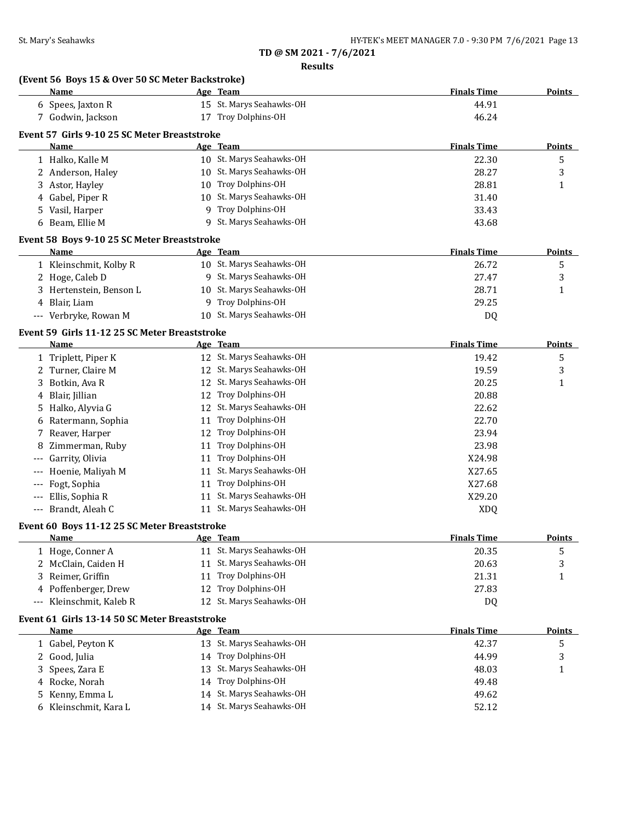**Results**

| (Event 56 Boys 15 & Over 50 SC Meter Backstroke)<br>Name | Age Team                    | <b>Finals Time</b> | <b>Points</b> |
|----------------------------------------------------------|-----------------------------|--------------------|---------------|
| 6 Spees, Jaxton R                                        | 15 St. Marys Seahawks-OH    | 44.91              |               |
| 7 Godwin, Jackson                                        | 17 Troy Dolphins-OH         | 46.24              |               |
| Event 57 Girls 9-10 25 SC Meter Breaststroke             |                             |                    |               |
| Name                                                     | Age Team                    | <b>Finals Time</b> | Points        |
| 1 Halko, Kalle M                                         | 10 St. Marys Seahawks-OH    | 22.30              | 5             |
| 2 Anderson, Haley                                        | 10 St. Marys Seahawks-OH    | 28.27              | 3             |
| 3 Astor, Hayley                                          | 10 Troy Dolphins-OH         | 28.81              | 1             |
| Gabel, Piper R<br>4                                      | 10 St. Marys Seahawks-OH    | 31.40              |               |
| Vasil, Harper<br>5.                                      | Troy Dolphins-OH<br>9       | 33.43              |               |
| Beam, Ellie M<br>6                                       | St. Marys Seahawks-OH<br>9  | 43.68              |               |
|                                                          |                             |                    |               |
| Event 58 Boys 9-10 25 SC Meter Breaststroke              |                             |                    |               |
| Name                                                     | Age Team                    | <b>Finals Time</b> | Points        |
| 1 Kleinschmit, Kolby R                                   | 10 St. Marys Seahawks-OH    | 26.72              | 5             |
| 2 Hoge, Caleb D                                          | 9 St. Marys Seahawks-OH     | 27.47              | 3             |
| 3 Hertenstein, Benson L                                  | 10 St. Marys Seahawks-OH    | 28.71              | 1             |
| 4 Blair, Liam                                            | 9 Troy Dolphins-OH          | 29.25              |               |
| --- Verbryke, Rowan M                                    | 10 St. Marys Seahawks-OH    | DQ                 |               |
| Event 59 Girls 11-12 25 SC Meter Breaststroke            |                             |                    |               |
| Name                                                     | Age Team                    | <b>Finals Time</b> | Points        |
| 1 Triplett, Piper K                                      | 12 St. Marys Seahawks-OH    | 19.42              | 5             |
| 2 Turner, Claire M                                       | 12 St. Marys Seahawks-OH    | 19.59              | 3             |
| Botkin, Ava R                                            | 12 St. Marys Seahawks-OH    | 20.25              | 1             |
| Blair, Jillian<br>4                                      | 12 Troy Dolphins-OH         | 20.88              |               |
| 5 Halko, Alyvia G                                        | 12 St. Marys Seahawks-OH    | 22.62              |               |
| Ratermann, Sophia<br>6                                   | 11 Troy Dolphins-OH         | 22.70              |               |
| 7 Reaver, Harper                                         | 12 Troy Dolphins-OH         | 23.94              |               |
| Zimmerman, Ruby<br>8                                     | 11 Troy Dolphins-OH         | 23.98              |               |
| Garrity, Olivia<br>$---$                                 | 11 Troy Dolphins-OH         | X24.98             |               |
| Hoenie, Maliyah M<br>$---$                               | 11 St. Marys Seahawks-OH    | X27.65             |               |
| Fogt, Sophia                                             | Troy Dolphins-OH<br>11      | X27.68             |               |
| Ellis, Sophia R<br>$---$                                 | 11 St. Marys Seahawks-OH    | X29.20             |               |
| --- Brandt, Aleah C                                      | 11 St. Marys Seahawks-OH    | <b>XDQ</b>         |               |
|                                                          |                             |                    |               |
| Event 60 Boys 11-12 25 SC Meter Breaststroke             | Age Team                    | <b>Finals Time</b> | Points        |
| <u>Name</u>                                              | 11 St. Marys Seahawks-OH    | 20.35              |               |
| 1 Hoge, Conner A                                         | 11 St. Marys Seahawks-OH    |                    | 5             |
| 2 McClain, Caiden H                                      | Troy Dolphins-OH            | 20.63              | 3             |
| Reimer, Griffin<br>3                                     | 11<br>Troy Dolphins-OH      | 21.31              | 1             |
| Poffenberger, Drew<br>4                                  | 12                          | 27.83              |               |
| Kleinschmit, Kaleb R<br>$---$                            | St. Marys Seahawks-OH<br>12 | DQ                 |               |
| Event 61 Girls 13-14 50 SC Meter Breaststroke            |                             |                    |               |
| Name                                                     | Age Team                    | <b>Finals Time</b> | <b>Points</b> |
| 1 Gabel, Peyton K                                        | 13 St. Marys Seahawks-OH    | 42.37              | 5             |
| 2 Good, Julia                                            | 14 Troy Dolphins-OH         | 44.99              | 3             |
| Spees, Zara E<br>3                                       | 13 St. Marys Seahawks-OH    | 48.03              | 1             |
| Rocke, Norah<br>4                                        | 14 Troy Dolphins-OH         | 49.48              |               |
| Kenny, Emma L<br>5.                                      | 14 St. Marys Seahawks-OH    | 49.62              |               |
| Kleinschmit, Kara L<br>6                                 | 14 St. Marys Seahawks-OH    | 52.12              |               |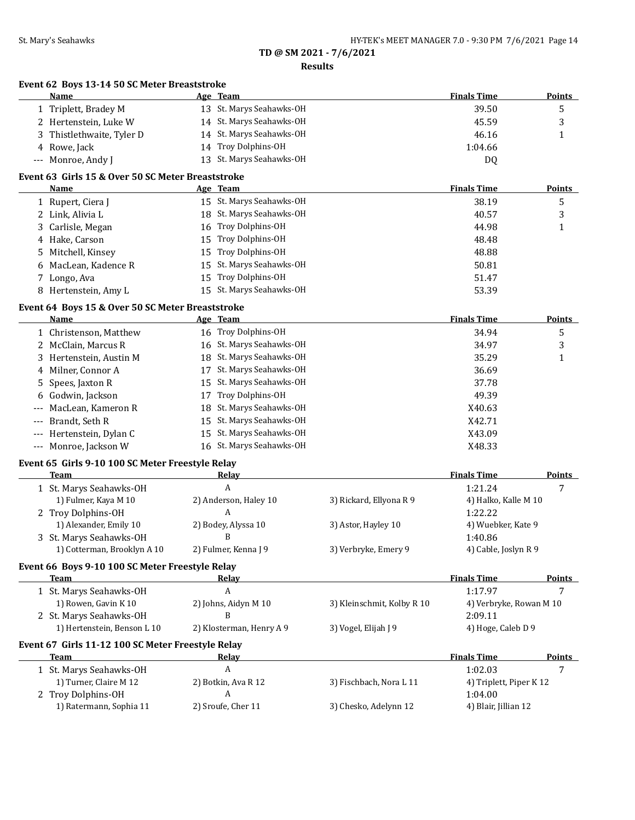**Results**

|                     | Event 62 Boys 13-14 50 SC Meter Breaststroke      |    |                          |                            |                         |               |
|---------------------|---------------------------------------------------|----|--------------------------|----------------------------|-------------------------|---------------|
|                     | Name                                              |    | Age Team                 |                            | <b>Finals Time</b>      | <b>Points</b> |
|                     | 1 Triplett, Bradey M                              |    | 13 St. Marys Seahawks-OH |                            | 39.50                   | 5             |
|                     | 2 Hertenstein, Luke W                             |    | 14 St. Marys Seahawks-OH |                            | 45.59                   | 3             |
|                     | Thistlethwaite, Tyler D                           | 14 | St. Marys Seahawks-OH    |                            | 46.16                   | 1             |
|                     | 4 Rowe, Jack                                      | 14 | Troy Dolphins-OH         |                            | 1:04.66                 |               |
|                     | --- Monroe, Andy J                                |    | 13 St. Marys Seahawks-OH |                            | DQ                      |               |
|                     | Event 63 Girls 15 & Over 50 SC Meter Breaststroke |    |                          |                            |                         |               |
|                     | Name                                              |    | Age Team                 |                            | <b>Finals Time</b>      | Points        |
|                     | 1 Rupert, Ciera J                                 |    | 15 St. Marys Seahawks-OH |                            | 38.19                   | 5             |
|                     | 2 Link, Alivia L                                  |    | 18 St. Marys Seahawks-OH |                            | 40.57                   | 3             |
| 3                   | Carlisle, Megan                                   | 16 | Troy Dolphins-OH         |                            | 44.98                   | $\mathbf{1}$  |
|                     | 4 Hake, Carson                                    | 15 | Troy Dolphins-OH         |                            | 48.48                   |               |
|                     | 5 Mitchell, Kinsey                                | 15 | Troy Dolphins-OH         |                            | 48.88                   |               |
| 6                   | MacLean, Kadence R                                | 15 | St. Marys Seahawks-OH    |                            | 50.81                   |               |
|                     | 7 Longo, Ava                                      | 15 | Troy Dolphins-OH         |                            | 51.47                   |               |
|                     | 8 Hertenstein, Amy L                              | 15 | St. Marys Seahawks-OH    |                            | 53.39                   |               |
|                     | Event 64 Boys 15 & Over 50 SC Meter Breaststroke  |    |                          |                            |                         |               |
|                     | <b>Name</b>                                       |    | Age Team                 |                            | <b>Finals Time</b>      | <b>Points</b> |
|                     | 1 Christenson, Matthew                            |    | 16 Troy Dolphins-OH      |                            | 34.94                   | 5             |
|                     | 2 McClain, Marcus R                               |    | 16 St. Marys Seahawks-OH |                            | 34.97                   | 3             |
|                     | 3 Hertenstein, Austin M                           | 18 | St. Marys Seahawks-OH    |                            | 35.29                   | 1             |
| 4                   | Milner, Connor A                                  | 17 | St. Marys Seahawks-OH    |                            | 36.69                   |               |
| 5.                  | Spees, Jaxton R                                   | 15 | St. Marys Seahawks-OH    |                            | 37.78                   |               |
| 6                   | Godwin, Jackson                                   | 17 | Troy Dolphins-OH         |                            | 49.39                   |               |
| ---                 | MacLean, Kameron R                                | 18 | St. Marys Seahawks-OH    |                            | X40.63                  |               |
| ---                 | Brandt, Seth R                                    | 15 | St. Marys Seahawks-OH    |                            | X42.71                  |               |
| $\qquad \qquad - -$ | Hertenstein, Dylan C                              | 15 | St. Marys Seahawks-OH    |                            | X43.09                  |               |
|                     | --- Monroe, Jackson W                             |    | 16 St. Marys Seahawks-OH |                            | X48.33                  |               |
|                     | Event 65 Girls 9-10 100 SC Meter Freestyle Relay  |    |                          |                            |                         |               |
|                     | <b>Team</b>                                       |    | Relay                    |                            | <b>Finals Time</b>      | <b>Points</b> |
|                     | 1 St. Marys Seahawks-OH                           |    | A                        |                            | 1:21.24                 | 7             |
|                     | 1) Fulmer, Kaya M 10                              |    | 2) Anderson, Haley 10    | 3) Rickard, Ellyona R 9    | 4) Halko, Kalle M 10    |               |
|                     | 2 Troy Dolphins-OH                                |    | A                        |                            | 1:22.22                 |               |
|                     | 1) Alexander, Emily 10                            |    | 2) Bodey, Alyssa 10      | 3) Astor, Hayley 10        | 4) Wuebker, Kate 9      |               |
|                     | 3 St. Marys Seahawks-OH                           |    | B                        |                            | 1:40.86                 |               |
|                     | 1) Cotterman, Brooklyn A 10                       |    | 2) Fulmer, Kenna J 9     | 3) Verbryke, Emery 9       | 4) Cable, Joslyn R 9    |               |
|                     | Event 66 Boys 9-10 100 SC Meter Freestyle Relay   |    |                          |                            |                         |               |
|                     | <b>Team</b>                                       |    | <u>Relay</u>             |                            | <b>Finals Time</b>      | <b>Points</b> |
|                     | 1 St. Marys Seahawks-OH                           |    | A                        |                            | 1:17.97                 | 7             |
|                     | 1) Rowen, Gavin K 10                              |    | 2) Johns, Aidyn M 10     | 3) Kleinschmit, Kolby R 10 | 4) Verbryke, Rowan M 10 |               |
|                     | 2 St. Marys Seahawks-OH                           |    | B                        |                            | 2:09.11                 |               |
|                     | 1) Hertenstein, Benson L 10                       |    | 2) Klosterman, Henry A 9 | 3) Vogel, Elijah J 9       | 4) Hoge, Caleb D 9      |               |
|                     | Event 67 Girls 11-12 100 SC Meter Freestyle Relay |    |                          |                            |                         |               |
|                     | Team                                              |    | <b>Relay</b>             |                            | <b>Finals Time</b>      | <b>Points</b> |
|                     | 1 St. Marys Seahawks-OH                           |    | A                        |                            | 1:02.03                 | 7             |
|                     | 1) Turner, Claire M 12                            |    | 2) Botkin, Ava R 12      | 3) Fischbach, Nora L 11    | 4) Triplett, Piper K 12 |               |
|                     | 2 Troy Dolphins-OH                                |    | A                        |                            | 1:04.00                 |               |
|                     | 1) Ratermann, Sophia 11                           |    | 2) Sroufe, Cher 11       | 3) Chesko, Adelynn 12      | 4) Blair, Jillian 12    |               |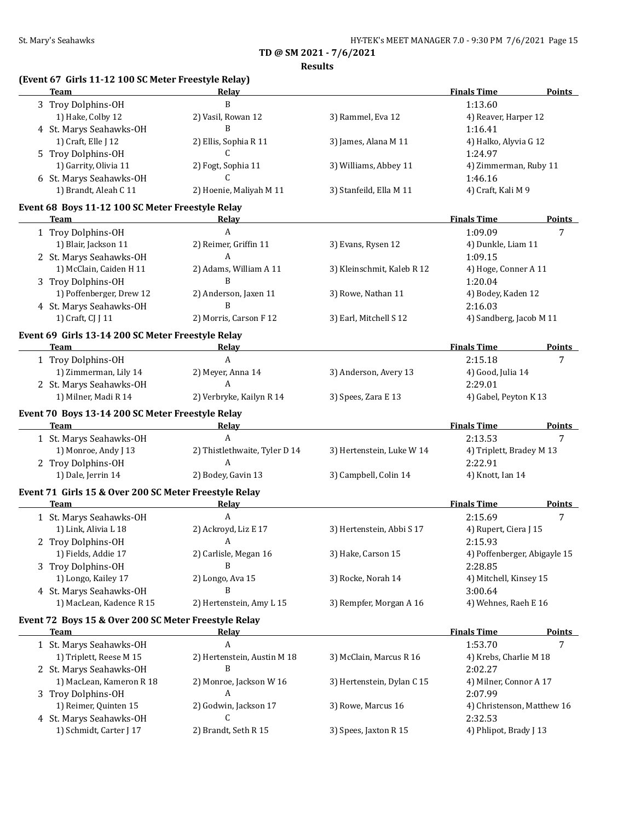**Results**

# **(Event 67 Girls 11-12 100 SC Meter Freestyle Relay)**

| <b>Team</b>                                                     | Relay                         |                            | <b>Finals Time</b>                | <b>Points</b> |
|-----------------------------------------------------------------|-------------------------------|----------------------------|-----------------------------------|---------------|
| 3 Troy Dolphins-OH                                              | B                             |                            | 1:13.60                           |               |
| 1) Hake, Colby 12                                               | 2) Vasil, Rowan 12            | 3) Rammel, Eva 12          | 4) Reaver, Harper 12              |               |
| 4 St. Marys Seahawks-OH                                         | B                             |                            | 1:16.41                           |               |
| 1) Craft, Elle J 12                                             | 2) Ellis, Sophia R 11         | 3) James, Alana M 11       | 4) Halko, Alyvia G 12             |               |
| 5 Troy Dolphins-OH                                              | C                             |                            | 1:24.97                           |               |
| 1) Garrity, Olivia 11                                           | 2) Fogt, Sophia 11            | 3) Williams, Abbey 11      | 4) Zimmerman, Ruby 11             |               |
| 6 St. Marys Seahawks-OH                                         | C                             |                            | 1:46.16                           |               |
| 1) Brandt, Aleah C 11                                           | 2) Hoenie, Maliyah M 11       | 3) Stanfeild, Ella M 11    | 4) Craft, Kali M 9                |               |
|                                                                 |                               |                            |                                   |               |
| Event 68 Boys 11-12 100 SC Meter Freestyle Relay<br><b>Team</b> | Relay                         |                            | <b>Finals Time</b>                | <b>Points</b> |
| 1 Troy Dolphins-OH                                              | A                             |                            | 1:09.09                           | 7             |
| 1) Blair, Jackson 11                                            | 2) Reimer, Griffin 11         | 3) Evans, Rysen 12         | 4) Dunkle, Liam 11                |               |
|                                                                 | A                             |                            | 1:09.15                           |               |
| 2 St. Marys Seahawks-OH<br>1) McClain, Caiden H 11              |                               |                            |                                   |               |
|                                                                 | 2) Adams, William A 11<br>B   | 3) Kleinschmit, Kaleb R 12 | 4) Hoge, Conner A 11              |               |
| 3 Troy Dolphins-OH                                              |                               |                            | 1:20.04                           |               |
| 1) Poffenberger, Drew 12                                        | 2) Anderson, Jaxen 11<br>B    | 3) Rowe, Nathan 11         | 4) Bodey, Kaden 12                |               |
| 4 St. Marys Seahawks-OH                                         |                               |                            | 2:16.03                           |               |
| 1) Craft, CJ J 11                                               | 2) Morris, Carson F 12        | 3) Earl, Mitchell S 12     | 4) Sandberg, Jacob M 11           |               |
| Event 69 Girls 13-14 200 SC Meter Freestyle Relay               |                               |                            |                                   |               |
| Team                                                            | <b>Relay</b>                  |                            | <b>Finals Time</b>                | <b>Points</b> |
| 1 Troy Dolphins-OH                                              | $\mathbf{A}$                  |                            | 2:15.18                           | 7             |
| 1) Zimmerman, Lily 14                                           | 2) Meyer, Anna 14             | 3) Anderson, Avery 13      | 4) Good, Julia 14                 |               |
| 2 St. Marys Seahawks-OH                                         | $\mathbf{A}$                  |                            | 2:29.01                           |               |
| 1) Milner, Madi R 14                                            | 2) Verbryke, Kailyn R 14      | 3) Spees, Zara E 13        | 4) Gabel, Peyton K 13             |               |
| Event 70 Boys 13-14 200 SC Meter Freestyle Relay                |                               |                            |                                   |               |
| <u> 1990 - Johann Barbara, martin a</u><br>Team                 | Relay                         |                            | <b>Finals Time</b>                | <b>Points</b> |
|                                                                 |                               |                            |                                   |               |
| 1 St. Marys Seahawks-OH                                         | $\boldsymbol{A}$              |                            | 2:13.53                           | 7             |
| 1) Monroe, Andy J 13                                            | 2) Thistlethwaite, Tyler D 14 | 3) Hertenstein, Luke W 14  | 4) Triplett, Bradey M 13          |               |
| 2 Troy Dolphins-OH                                              | A                             |                            | 2:22.91                           |               |
| 1) Dale, Jerrin 14                                              | 2) Bodey, Gavin 13            | 3) Campbell, Colin 14      | 4) Knott, Ian 14                  |               |
| Event 71 Girls 15 & Over 200 SC Meter Freestyle Relay           |                               |                            |                                   |               |
| Team                                                            | Relay                         |                            | <b>Finals Time</b>                | Points        |
|                                                                 | $\boldsymbol{A}$              |                            | 2:15.69                           | 7             |
| 1 St. Marys Seahawks-OH<br>1) Link, Alivia L 18                 | 2) Ackroyd, Liz E 17          | 3) Hertenstein, Abbi S 17  |                                   |               |
|                                                                 | A                             |                            | 4) Rupert, Ciera J 15<br>2:15.93  |               |
| 2 Troy Dolphins-OH                                              |                               | 3) Hake, Carson 15         |                                   |               |
| 1) Fields, Addie 17                                             | 2) Carlisle, Megan 16<br>B    |                            | 4) Poffenberger, Abigayle 15      |               |
| 3 Troy Dolphins-OH                                              |                               |                            | 2:28.85                           |               |
| 1) Longo, Kailey 17                                             | 2) Longo, Ava 15<br>B         | 3) Rocke, Norah 14         | 4) Mitchell, Kinsey 15            |               |
| 4 St. Marys Seahawks-OH                                         |                               |                            | 3:00.64                           |               |
| 1) MacLean, Kadence R 15                                        | 2) Hertenstein, Amy L 15      | 3) Rempfer, Morgan A 16    | 4) Wehnes, Raeh E 16              |               |
| Event 72 Boys 15 & Over 200 SC Meter Freestyle Relay            |                               |                            |                                   |               |
| <b>Team</b>                                                     | <b>Relay</b>                  |                            | <b>Finals Time</b>                | <b>Points</b> |
| 1 St. Marys Seahawks-OH                                         | A                             |                            | 1:53.70                           | 7             |
| 1) Triplett, Reese M 15                                         | 2) Hertenstein, Austin M 18   | 3) McClain, Marcus R 16    | 4) Krebs, Charlie M 18            |               |
| 2 St. Marys Seahawks-OH                                         | B                             |                            | 2:02.27                           |               |
| 1) MacLean, Kameron R 18                                        | 2) Monroe, Jackson W 16       | 3) Hertenstein, Dylan C 15 | 4) Milner, Connor A 17            |               |
| 3 Troy Dolphins-OH                                              | A                             |                            | 2:07.99                           |               |
| 1) Reimer, Quinten 15                                           | 2) Godwin, Jackson 17         | 3) Rowe, Marcus 16         | 4) Christenson, Matthew 16        |               |
| 4 St. Marys Seahawks-OH<br>1) Schmidt, Carter J 17              | C<br>2) Brandt, Seth R 15     | 3) Spees, Jaxton R 15      | 2:32.53<br>4) Phlipot, Brady J 13 |               |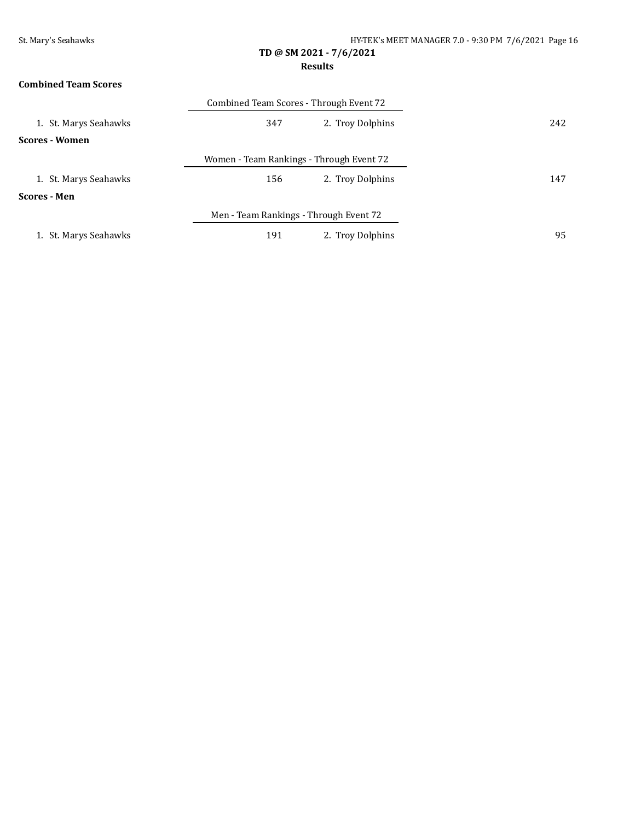### **Results**

# **Combined Team Scores**

|                       | Combined Team Scores - Through Event 72  |                  |     |
|-----------------------|------------------------------------------|------------------|-----|
| 1. St. Marys Seahawks | 347                                      | 2. Troy Dolphins | 242 |
| <b>Scores - Women</b> |                                          |                  |     |
|                       | Women - Team Rankings - Through Event 72 |                  |     |
| 1. St. Marys Seahawks | 156                                      | 2. Troy Dolphins | 147 |
| <b>Scores - Men</b>   |                                          |                  |     |
|                       | Men - Team Rankings - Through Event 72   |                  |     |
| 1. St. Marys Seahawks | 191                                      | 2. Troy Dolphins | 95  |